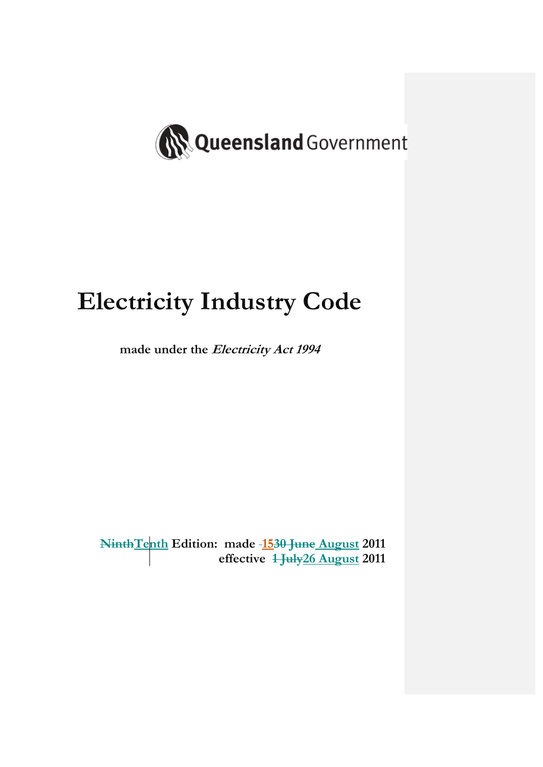

# **Electricity Industry Code**

**made under the Electricity Act 1994** 

**NinthTenth Edition: made 1530 June August 2011 effective 1 July26 August 2011**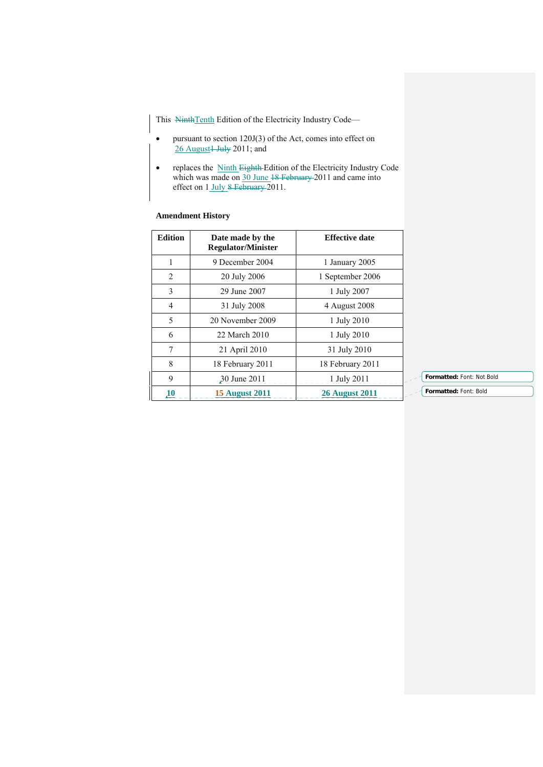This NinthTenth Edition of the Electricity Industry Code—

- pursuant to section 120J(3) of the Act, comes into effect on  $26$  August<sup>1</sup> July 2011; and
- replaces the Ninth Eighth Edition of the Electricity Industry Code which was made on 30 June 18 February 2011 and came into effect on 1 July 8 February 2011.

# **Amendment History**

| <b>Edition</b> | Date made by the<br><b>Regulator/Minister</b> | <b>Effective date</b> |
|----------------|-----------------------------------------------|-----------------------|
| 1              | 9 December 2004                               | 1 January 2005        |
| 2              | 20 July 2006                                  | 1 September 2006      |
| 3              | 29 June 2007                                  | 1 July 2007           |
| $\overline{4}$ | 31 July 2008                                  | 4 August 2008         |
| 5              | 20 November 2009                              | 1 July 2010           |
| 6              | 22 March 2010                                 | 1 July 2010           |
| 7              | 21 April 2010                                 | 31 July 2010          |
| 8              | 18 February 2011                              | 18 February 2011      |
| 9              | 30 June 2011                                  | 1 July 2011           |
| 10             | <b>15 August 2011</b>                         | <b>26 August 2011</b> |

**Formatted:** Font: Not Bold

**Formatted:** Font: Bold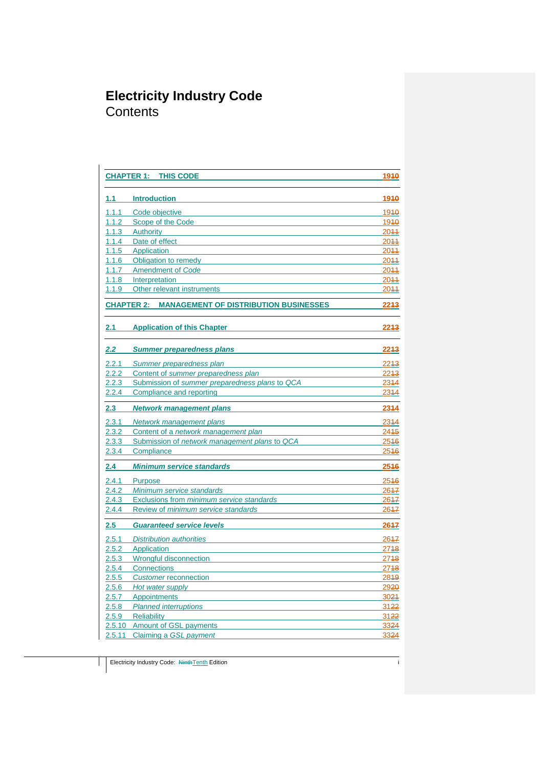# **Electricity Industry Code Contents**

|                  | <b>CHAPTER 1:</b><br><b>THIS CODE</b>                   | 1940             |
|------------------|---------------------------------------------------------|------------------|
| 1.1 <sub>1</sub> | <b>Introduction</b>                                     | 1910             |
| 1.1.1            | Code objective                                          | 1940             |
| 1.1.2            | Scope of the Code                                       | 1940             |
| 1.1.3            | Authority                                               | 2044             |
| 1.1.4            | Date of effect                                          | 2044             |
| 1.1.5            | Application                                             | 2044             |
| 1.1.6            | Obligation to remedy                                    | 2044             |
| 1.1.7            | Amendment of Code                                       | 2044             |
| 1.1.8            | Interpretation                                          | 2044             |
| 1.1.9            | Other relevant instruments                              | 2044             |
|                  | <b>CHAPTER 2: MANAGEMENT OF DISTRIBUTION BUSINESSES</b> | 2243             |
| 2.1              | <b>Application of this Chapter</b>                      | 2243             |
| $2.2\,$          | <b>Summer preparedness plans</b>                        | 2243             |
| 2.2.1            | Summer preparedness plan                                | 2243             |
| 2.2.2            | Content of summer preparedness plan                     | 22 <sup>43</sup> |
| 2.2.3            | Submission of summer preparedness plans to QCA          | 2344             |
| 2.2.4            | Compliance and reporting                                | 2344             |
| 2.3              | <b>Network management plans</b>                         | 2344             |
| 2.3.1            | Network management plans                                | 2344             |
| 2.3.2            | Content of a network management plan                    | 2415             |
| 2.3.3            | Submission of network management plans to QCA           | 2546             |
| 2.3.4            | Compliance                                              | 2546             |
| 2.4              | <b>Minimum service standards</b>                        | 2546             |
| 2.4.1            | Purpose                                                 | 2546             |
| 2.4.2            | Minimum service standards                               | 2647             |
| 2.4.3            | Exclusions from minimum service standards               | 2647             |
| 2.4.4            | Review of minimum service standards                     | 2647             |
| $2.5\,$          | <b>Guaranteed service levels</b>                        | 2647             |
| 2.5.1            | <b>Distribution authorities</b>                         | 2647             |
| 2.5.2            | Application                                             | 2748             |
| 2.5.3            | Wrongful disconnection                                  | 2748             |
| 2.5.4            | <b>Connections</b>                                      | 2748             |
| 2.5.5            | <b>Customer reconnection</b>                            | 2849             |
|                  | 2.5.6 Hot water supply                                  | 2920             |
| 2.5.7            | Appointments                                            | 3024             |
| 2.5.8            | <b>Planned interruptions</b>                            | 3122             |
| 2.5.9            | Reliability                                             | 3122             |
|                  | 2.5.10 Amount of GSL payments                           | 3324             |
| 2.5.11           | Claiming a GSL payment                                  | 3324             |

Electricity Industry Code: NinthTenth Edition in the State of Tensors in the State of Tensors in the State of Tensors in the State of Tensors in the State of Tensors in the State of Tensors in the State of Tensors in the S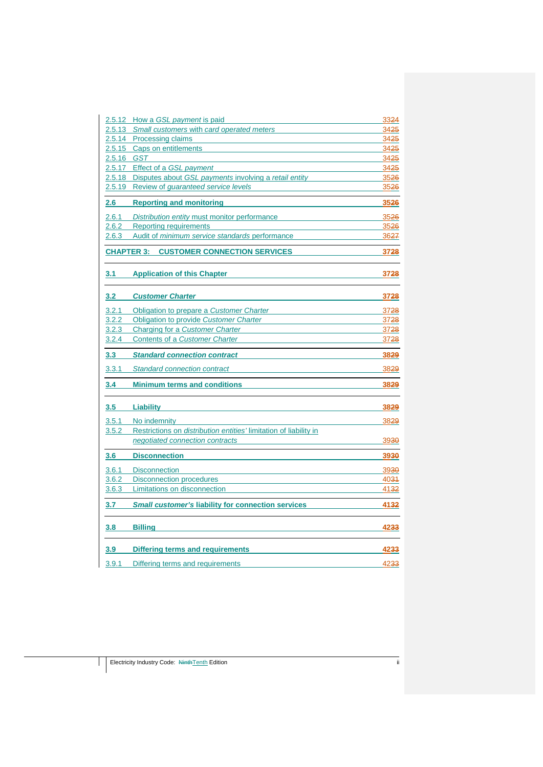|            | 2.5.12 How a GSL payment is paid                                                        | 3324             |
|------------|-----------------------------------------------------------------------------------------|------------------|
| 2.5.13     | Small customers with card operated meters                                               | 34 <del>25</del> |
|            | 2.5.14 Processing claims                                                                | 3425             |
|            | 2.5.15 Caps on entitlements                                                             | 3425             |
| 2.5.16 GST |                                                                                         | 3425             |
| 2.5.18     | 2.5.17 Effect of a GSL payment<br>Disputes about GSL payments involving a retail entity | 3425<br>3526     |
| 2.5.19     | Review of <i>quaranteed</i> service levels                                              | 3526             |
|            |                                                                                         |                  |
| 2.6        | <b>Reporting and monitoring</b>                                                         | 3526             |
| 2.6.1      | Distribution entity must monitor performance                                            | 3526             |
| 2.6.2      | <b>Reporting requirements</b>                                                           | 3526             |
| 2.6.3      | Audit of minimum service standards performance                                          | 3627             |
|            | <b>CHAPTER 3: CUSTOMER CONNECTION SERVICES</b>                                          | 3728             |
| 3.1        | <b>Application of this Chapter</b>                                                      | 3728             |
| 3.2        | <b>Customer Charter</b>                                                                 | 3728             |
| 3.2.1      | Obligation to prepare a Customer Charter                                                | 3728             |
| 3.2.2      | Obligation to provide Customer Charter                                                  | 3728             |
| 3.2.3      | Charging for a Customer Charter                                                         | 3728             |
| 3.2.4      | Contents of a Customer Charter                                                          | 3728             |
| 3.3        | <b>Standard connection contract</b>                                                     | 3829             |
| 3.3.1      | <b>Standard connection contract</b>                                                     | 3829             |
| 3.4        | <b>Minimum terms and conditions</b>                                                     | 3829             |
| 3.5        | <b>Liability</b>                                                                        | 3829             |
| 3.5.1      | No indemnity                                                                            | 3829             |
| 3.5.2      | Restrictions on <i>distribution</i> entities' limitation of liability in                |                  |
|            | negotiated connection contracts                                                         | 3930             |
| 3.6        | <b>Disconnection</b>                                                                    | 3930             |
| 3.6.1      | <b>Disconnection</b>                                                                    | 3930             |
| 3.6.2      | <b>Disconnection procedures</b>                                                         | 4034             |
| 3.6.3      | Limitations on disconnection                                                            | 4132             |
| 3.7        | <b>Small customer's liability for connection services</b>                               | 4132             |
| 3.8        | <b>Billing</b>                                                                          | 4233             |
| 3.9        | <b>Differing terms and requirements</b>                                                 | 4233             |
| 3.9.1      | Differing terms and requirements                                                        | 4233             |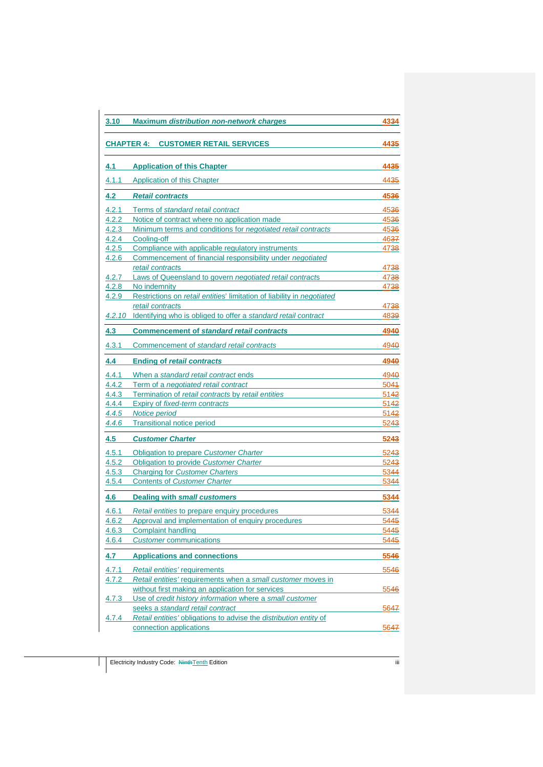| 3.10         | <b>Maximum distribution non-network charges</b>                               | 4334 |
|--------------|-------------------------------------------------------------------------------|------|
|              | <b>CHAPTER 4:</b><br><b>CUSTOMER RETAIL SERVICES</b>                          | 4435 |
| 4.1          | <b>Application of this Chapter</b>                                            | 4435 |
| 4.1.1        | Application of this Chapter                                                   | 4435 |
| 4.2          | <b>Retail contracts</b>                                                       | 4536 |
| 4.2.1        | Terms of standard retail contract                                             | 4536 |
| 4.2.2        | Notice of contract where no application made                                  | 4536 |
| 4.2.3        | Minimum terms and conditions for <i>negotiated retail contracts</i>           | 4536 |
| 4.2.4        | Cooling-off                                                                   | 4637 |
| 4.2.5        | Compliance with applicable regulatory instruments                             | 4738 |
| 4.2.6        | Commencement of financial responsibility under negotiated<br>retail contracts | 4738 |
| 4.2.7        | Laws of Queensland to govern negotiated retail contracts                      | 4738 |
| 4.2.8        | No indemnity                                                                  | 4738 |
| 4.2.9        | Restrictions on retail entities' limitation of liability in negotiated        |      |
|              | retail contracts                                                              | 4738 |
|              | 4.2.10 Identifying who is obliged to offer a standard retail contract         | 4839 |
| 4.3          | <b>Commencement of standard retail contracts</b>                              | 4940 |
| 4.3.1        | Commencement of standard retail contracts                                     | 4940 |
| 4.4          | <b>Ending of retail contracts</b>                                             | 4940 |
| 4.4.1        | When a standard retail contract ends                                          | 4940 |
| 4.4.2        | Term of a negotiated retail contract                                          | 5044 |
| 4.4.3        | Termination of retail contracts by retail entities                            | 5142 |
| 4.4.4        | Expiry of fixed-term contracts                                                | 5142 |
| 4.4.5        | Notice period                                                                 | 5142 |
| 4.4.6        | <b>Transitional notice period</b>                                             | 5243 |
| 4.5          | <b>Customer Charter</b>                                                       | 5243 |
| 4.5.1        | Obligation to prepare Customer Charter                                        | 5243 |
| 4.5.2        | Obligation to provide Customer Charter                                        | 5243 |
| 4.5.3        | <b>Charging for Customer Charters</b>                                         | 5344 |
| 4.5.4        | <b>Contents of Customer Charter</b>                                           | 5344 |
| 4.6          | <b>Dealing with small customers</b>                                           | 5344 |
| 4.6.1        | Retail entities to prepare enquiry procedures                                 | 5344 |
| 4.6.2        | Approval and implementation of enquiry procedures                             | 5445 |
| 4.6.3        | <b>Complaint handling</b>                                                     | 5445 |
| 4.6.4        | <b>Customer communications</b>                                                | 5445 |
| 4.7          | <b>Applications and connections</b>                                           | 5546 |
| 4.7.1        | Retail entities' requirements                                                 | 5546 |
| 4.7.2        | Retail entities' requirements when a small customer moves in                  |      |
|              | without first making an application for services                              | 5546 |
| 4.7.3        | Use of credit history information where a small customer                      |      |
|              | seeks a standard retail contract                                              | 5647 |
| <u>4.7.4</u> | Retail entities' obligations to advise the distribution entity of             |      |
|              | connection applications                                                       | 5647 |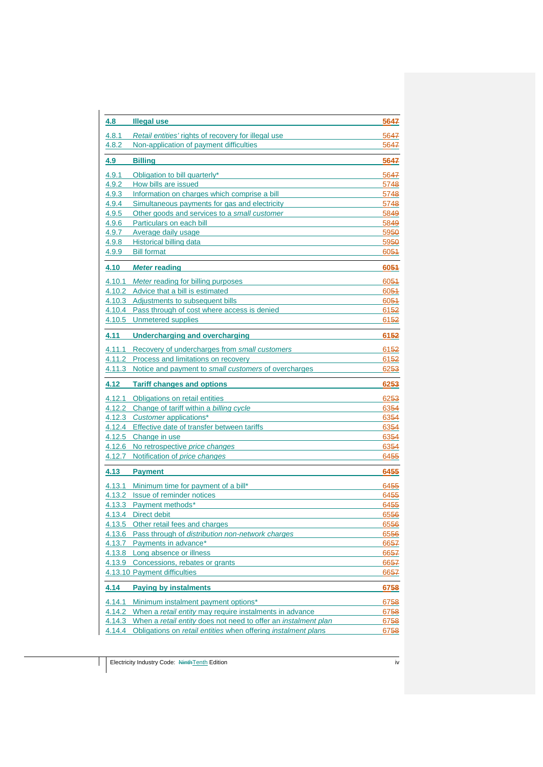| 4.8          | <b>Illegal use</b>                                                                                                              | 5647                                                                         |
|--------------|---------------------------------------------------------------------------------------------------------------------------------|------------------------------------------------------------------------------|
| 4.8.1        | Retail entities' rights of recovery for illegal use                                                                             | 5647                                                                         |
| 4.8.2        | Non-application of payment difficulties                                                                                         | 5647                                                                         |
| <u>4.9  </u> | <b>Billing</b>                                                                                                                  | 5647                                                                         |
| 4.9.1        | Obligation to bill quarterly*                                                                                                   | 5647                                                                         |
| 4.9.2        | How bills are issued                                                                                                            | 5748                                                                         |
| 4.9.3        | Information on charges which comprise a bill                                                                                    | 5748                                                                         |
| 4.9.4        | Simultaneous payments for gas and electricity                                                                                   | 5748                                                                         |
| 4.9.5        | Other goods and services to a small customer                                                                                    | 5849                                                                         |
| 4.9.6        | Particulars on each bill                                                                                                        | 5849                                                                         |
| 4.9.7        | Average daily usage                                                                                                             | 5950                                                                         |
| 4.9.8        | Historical billing data                                                                                                         | 5950                                                                         |
| 4.9.9        | <b>Bill format</b>                                                                                                              | 6054                                                                         |
| 4.10         | <b>Meter reading</b>                                                                                                            | 6051                                                                         |
|              | 4.10.1 Meter reading for billing purposes                                                                                       | 6054                                                                         |
|              | 4.10.2 Advice that a bill is estimated                                                                                          | 6054                                                                         |
|              | 4.10.3 Adjustments to subsequent bills                                                                                          | 6054                                                                         |
|              | 4.10.4 Pass through of cost where access is denied                                                                              | 6152                                                                         |
|              | 4.10.5 Unmetered supplies                                                                                                       | 6152                                                                         |
| 4.11         | Undercharging and overcharging                                                                                                  | 6152                                                                         |
|              | 4.11.1 Recovery of undercharges from small customers                                                                            | 6152                                                                         |
|              | 4.11.2 Process and limitations on recovery                                                                                      | 6152                                                                         |
|              | 4.11.3 Notice and payment to small customers of overcharges                                                                     | 6253                                                                         |
| 4.12         | <b>Tariff changes and options</b>                                                                                               | 6253                                                                         |
|              |                                                                                                                                 |                                                                              |
|              | 4.12.1 Obligations on retail entities                                                                                           |                                                                              |
|              | 4.12.2 Change of tariff within a billing cycle                                                                                  |                                                                              |
|              | 4.12.3 Customer applications*                                                                                                   |                                                                              |
|              | 4.12.4 Effective date of transfer between tariffs                                                                               |                                                                              |
|              | 4.12.5 Change in use                                                                                                            |                                                                              |
| 4.12.6       | No retrospective price changes                                                                                                  |                                                                              |
| 4.12.7       | Notification of price changes                                                                                                   |                                                                              |
| 4.13         | <b>Payment</b>                                                                                                                  | 6455                                                                         |
|              | 4.13.1 Minimum time for payment of a bill*                                                                                      |                                                                              |
| 4.13.2       | Issue of reminder notices                                                                                                       |                                                                              |
|              | 4.13.3 Payment methods*                                                                                                         | 6455                                                                         |
| 4.13.4       | <b>Direct debit</b>                                                                                                             | 6556                                                                         |
|              | 4.13.5 Other retail fees and charges                                                                                            | 6253<br>6354<br>6354<br>6354<br>6354<br>6354<br>6455<br>6455<br>6455<br>6556 |
|              | 4.13.6 Pass through of distribution non-network charges                                                                         |                                                                              |
|              | 4.13.7 Payments in advance*                                                                                                     | 6556<br>6657                                                                 |
|              | 4.13.8 Long absence or illness                                                                                                  |                                                                              |
|              | 4.13.9 Concessions, rebates or grants                                                                                           |                                                                              |
|              | 4.13.10 Payment difficulties                                                                                                    |                                                                              |
| 4.14         | <b>Paying by instalments</b>                                                                                                    | 6758                                                                         |
| 4.14.1       | Minimum instalment payment options*                                                                                             | 6657<br>6657<br>6657<br>6758                                                 |
| 4.14.2       | When a retail entity may require instalments in advance                                                                         | 6758                                                                         |
| 4.14.3       | When a retail entity does not need to offer an instalment plan<br>Obligations on retail entities when offering instalment plans | 6758                                                                         |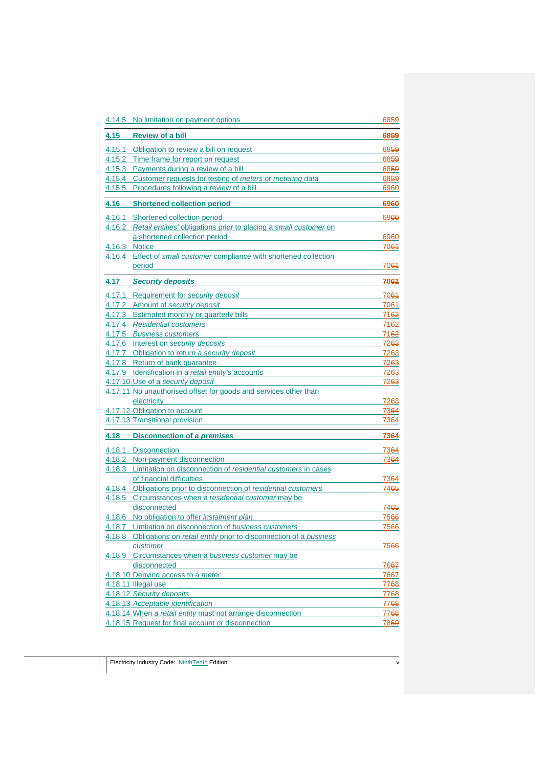|        | 4.14.5 No limitation on payment options                                  | 6859             |
|--------|--------------------------------------------------------------------------|------------------|
| 4.15   | <b>Review of a bill</b>                                                  | 6859             |
|        | 4.15.1 Obligation to review a bill on request                            | 6859             |
|        | 4.15.2 Time frame for report on request                                  | 6859             |
|        | 4.15.3 Payments during a review of a bill                                | 6859             |
|        | 4.15.4 Customer requests for testing of meters or metering data          | 6859             |
|        | 4.15.5 Procedures following a review of a bill                           | 6960             |
| 4.16   | <b>Shortened collection period</b>                                       | 6960             |
|        | 4.16.1 Shortened collection period                                       | 6960             |
|        | 4.16.2 Retail entities' obligations prior to placing a small customer on |                  |
|        | a shortened collection period                                            | 6960             |
|        | 4.16.3 Notice                                                            | 7064             |
|        | 4.16.4 Effect of small customer compliance with shortened collection     |                  |
|        | period                                                                   | 7064             |
| 4.17   | <b>Security deposits</b>                                                 | 7064             |
|        | 4.17.1 Requirement for security deposit                                  | 7064             |
|        | 4.17.2 Amount of security deposit                                        | 7061             |
|        | 4.17.3 Estimated monthly or quarterly bills                              | 7162             |
|        | 4.17.4 Residential customers                                             | 7162             |
|        | 4.17.5 Business customers                                                | 7162             |
|        | 4.17.6 Interest on security deposits                                     | 7263             |
|        | 4.17.7 Obligation to return a security deposit                           | 7263             |
|        | 4.17.8 Return of bank quarantee                                          | 7263             |
|        | 4.17.9 Identification in a retail entity's accounts                      | 7263             |
|        | 4.17.10 Use of a security deposit                                        | 7263             |
|        | 4.17.11 No unauthorised offset for goods and services other than         |                  |
|        | electricity                                                              | 7263             |
|        | 4.17.12 Obligation to account                                            | 7364             |
|        | 4.17.13 Transitional provision                                           | 7364             |
| 4.18   | <b>Disconnection of a premises</b>                                       | 7364             |
| 4.18.1 | <b>Disconnection</b>                                                     | 7364             |
|        | 4.18.2 Non-payment disconnection                                         | 73 <del>64</del> |
|        | 4.18.3 Limitation on disconnection of residential customers in cases     |                  |
|        | of financial difficulties                                                | 7364             |
|        | 4.18.4 Obligations prior to disconnection of residential customers       | 7465             |
| 4.18.5 | Circumstances when a residential customer may be                         |                  |
|        | disconnected                                                             | 7465             |
|        | 4.18.6 No obligation to offer instalment plan                            | 7566             |
|        | 4.18.7 Limitation on disconnection of business customers                 | 7566             |
| 4.18.8 | Obligations on retail entity prior to disconnection of a business        |                  |
|        | customer                                                                 | 7566             |
|        | 4.18.9 Circumstances when a business customer may be                     |                  |
|        | disconnected                                                             | 7667             |
|        | 4.18.10 Denying access to a meter                                        | 7667             |
|        | 4.18.11 Illegal use                                                      | 7768             |
|        | 4.18.12 Security deposits                                                | 7768             |
|        | 4.18.13 Acceptable identification                                        | 7768             |
|        | 4.18.14 When a retail entity must not arrange disconnection              | 7768             |
|        | 4.18.15 Request for final account or disconnection                       | 7869             |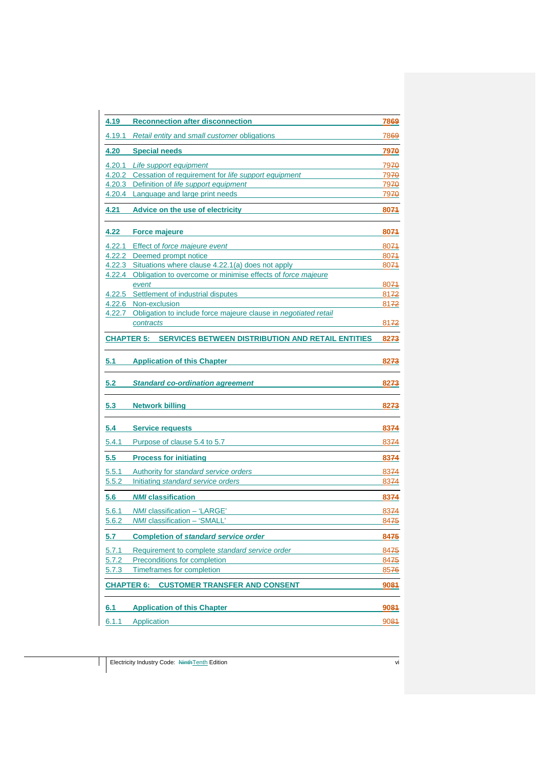| 4.19           | <b>Reconnection after disconnection</b>                                | 7869                     |
|----------------|------------------------------------------------------------------------|--------------------------|
| 4.19.1         | Retail entity and small customer obligations                           | 7869                     |
| 4.20           | <b>Special needs</b>                                                   | 7970                     |
| 4.20.1         | Life support equipment                                                 | 7970                     |
|                | 4.20.2 Cessation of requirement for life support equipment             | 7970                     |
| 4.20.3         | Definition of life support equipment                                   | 7970                     |
|                | 4.20.4 Language and large print needs                                  | 7970                     |
| 4.21           | Advice on the use of electricity                                       | 8074                     |
| 4.22           | <b>Force majeure</b>                                                   | 8074                     |
|                | 4.22.1 Effect of force majeure event                                   | 8074                     |
|                | 4.22.2 Deemed prompt notice                                            | 8074                     |
|                | 4.22.3 Situations where clause 4.22.1(a) does not apply                | 8074                     |
|                | 4.22.4 Obligation to overcome or minimise effects of force majeure     |                          |
|                | event                                                                  | 8074                     |
|                | 4.22.5 Settlement of industrial disputes                               | 8172                     |
|                | 4.22.6 Non-exclusion                                                   | 8172                     |
|                | 4.22.7 Obligation to include force majeure clause in negotiated retail |                          |
|                | contracts                                                              | 8172                     |
|                | <b>CHAPTER 5: SERVICES BETWEEN DISTRIBUTION AND RETAIL ENTITIES</b>    | 8273                     |
| 5.1            | <b>Application of this Chapter</b>                                     | 8273                     |
|                |                                                                        |                          |
| 5.2            | <b>Standard co-ordination agreement</b>                                | 8273                     |
| 5.3            | <b>Network billing</b>                                                 | 8273                     |
| 5.4            | <b>Service requests</b>                                                | 8374                     |
| 5.4.1          | Purpose of clause 5.4 to 5.7                                           | 8374                     |
| 5.5            | <b>Process for initiating</b>                                          | 8374                     |
| 5.5.1          | Authority for standard service orders                                  | 8374                     |
| 5.5.2          | Initiating standard service orders                                     | 8374                     |
| 5.6            | <b>NMI</b> classification                                              | 8374                     |
|                |                                                                        |                          |
| 5.6.1<br>5.6.2 | NMI classification - 'LARGE'<br><i>NMI</i> classification – 'SMALL     | 8374<br>84 <del>75</del> |
| 5.7            | <b>Completion of standard service order</b>                            | 8475                     |
| 5.7.1          | Requirement to complete standard service order                         | 8475                     |
| 5.7.2          | Preconditions for completion                                           | 8475                     |
| 5.7.3          | <b>Timeframes for completion</b>                                       | 8576                     |
|                | <b>CUSTOMER TRANSFER AND CONSENT</b><br><b>CHAPTER 6:</b>              | 9084                     |
|                | <b>Application of this Chapter</b>                                     |                          |
| 6.1<br>6.1.1   | Application                                                            | 9084<br>9084             |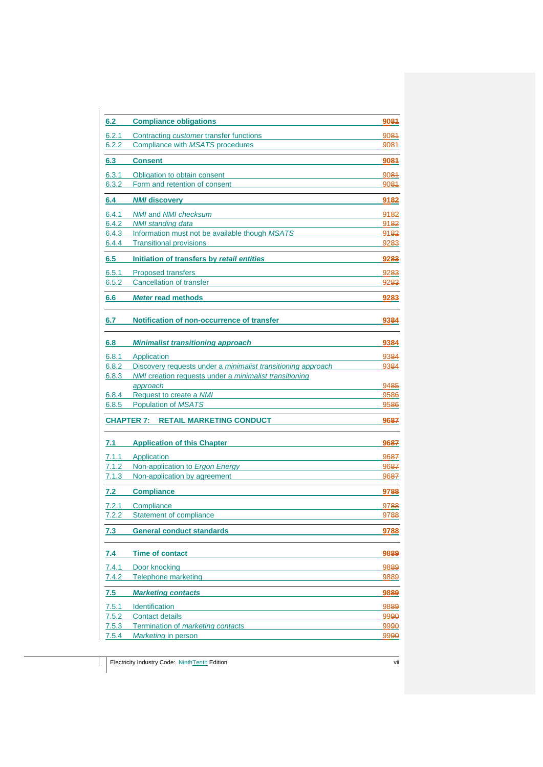| 6.2          | <b>Compliance obligations</b>                                 | 9084             |
|--------------|---------------------------------------------------------------|------------------|
| 6.2.1        | Contracting <i>customer</i> transfer functions                | 9084             |
| 6.2.2        | Compliance with MSATS procedures                              | 9084             |
| 6.3          | <b>Consent</b>                                                | 9081             |
| 6.3.1        |                                                               |                  |
| 6.3.2        | Obligation to obtain consent<br>Form and retention of consent | 9084<br>9084     |
|              |                                                               |                  |
| 6.4          | <b>NMI discovery</b>                                          | 9182             |
| 6.4.1        | <b>NMI</b> and <b>NMI</b> checksum                            | 9182             |
| 6.4.2        | NMI standing data                                             | 9182             |
| 6.4.3        | Information must not be available though MSATS                | 9182             |
| 6.4.4        | <b>Transitional provisions</b>                                | 9283             |
| 6.5          | Initiation of transfers by retail entities                    | 9283             |
| 6.5.1        | <b>Proposed transfers</b>                                     | 9283             |
| 6.5.2        | <b>Cancellation of transfer</b>                               | 9283             |
| 6.6          | <b>Meter read methods</b>                                     | 9283             |
|              |                                                               |                  |
| 6.7          | Notification of non-occurrence of transfer                    | 9384             |
|              |                                                               |                  |
| 6.8          | <b>Minimalist transitioning approach</b>                      | 9384             |
| 6.8.1        | Application                                                   | 9384             |
| 6.8.2        | Discovery requests under a minimalist transitioning approach  | 9384             |
| 6.8.3        | NMI creation requests under a minimalist transitioning        |                  |
|              | approach                                                      | 9485             |
| 6.8.4        | Request to create a NMI                                       | 9586             |
| 6.8.5        | <b>Population of MSATS</b>                                    | 9586             |
|              | <b>CHAPTER 7:</b><br><b>RETAIL MARKETING CONDUCT</b>          | 9687             |
|              |                                                               |                  |
| 7.1          | <b>Application of this Chapter</b>                            | 9687             |
| 7.1.1        | Application                                                   | 9687             |
| 7.1.2        | Non-application to Ergon Energy                               | 96 <del>87</del> |
| 7.1.3        | Non-application by agreement                                  | 9687             |
| 7.2          | <b>Compliance</b>                                             | 9788             |
| 7.2.1        | Compliance                                                    | 9788             |
| <u>7.2.2</u> | Statement of compliance                                       | 9788             |
| 7.3          | <b>General conduct standards</b>                              | 9788             |
|              |                                                               |                  |
| <u>7.4</u>   | <b>Time of contact</b>                                        | 9889             |
| 7.4.1        | Door knocking                                                 | 9889             |
| 7.4.2        | <b>Telephone marketing</b>                                    | 9889             |
| 7.5          | <b>Marketing contacts</b>                                     | 9889             |
| 7.5.1        | Identification                                                | 9889             |
| 7.5.2        | <b>Contact details</b>                                        | 9990             |
| 7.5.3        | Termination of marketing contacts                             | 9990             |
| 7.5.4        | Marketing in person                                           | 9990             |
|              |                                                               |                  |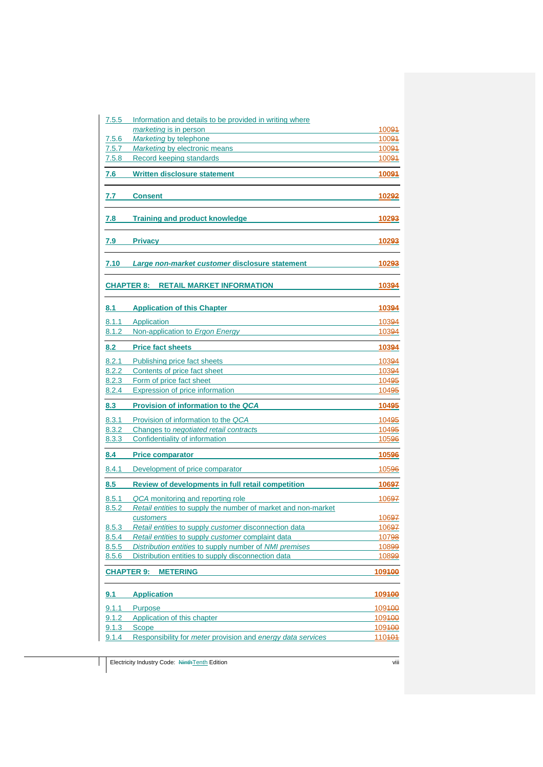| 7.5.5      | Information and details to be provided in writing where                   |        |
|------------|---------------------------------------------------------------------------|--------|
|            | marketing is in person                                                    | 10094  |
| 7.5.6      | Marketing by telephone                                                    | 10091  |
| 7.5.7      | <b>Marketing by electronic means</b>                                      | 10091  |
| 7.5.8      | Record keeping standards                                                  | 10091  |
| 7.6        | <b>Written disclosure statement</b>                                       | 10094  |
| 7.7        | <b>Consent</b>                                                            | 10292  |
| 7.8        | <b>Training and product knowledge</b>                                     | 10293  |
| 7.9        | <b>Privacy</b>                                                            | 10293  |
| 7.10       | Large non-market customer disclosure statement                            | 10293  |
|            | <b>RETAIL MARKET INFORMATION</b><br><b>CHAPTER 8:</b>                     | 10394  |
| 8.1        | <b>Application of this Chapter</b>                                        | 10394  |
| 8.1.1      | Application                                                               | 10394  |
| 8.1.2      | Non-application to Ergon Energy                                           | 10394  |
| 8.2        | <b>Price fact sheets</b>                                                  | 10394  |
| 8.2.1      | Publishing price fact sheets                                              | 10394  |
| 8.2.2      | Contents of price fact sheet                                              | 10394  |
| 8.2.3      | Form of price fact sheet                                                  | 10495  |
| 8.2.4      | Expression of price information                                           | 10495  |
| 8.3        | <b>Provision of information to the QCA</b>                                | 10495  |
| 8.3.1      | Provision of information to the QCA                                       | 10495  |
| 8.3.2      | Changes to negotiated retail contracts                                    | 10495  |
| 8.3.3      | Confidentiality of information                                            | 10596  |
| 8.4        | <b>Price comparator</b>                                                   | 10596  |
| 8.4.1      | Development of price comparator                                           | 10596  |
| 8.5        | <b>Review of developments in full retail competition</b>                  | 10697  |
| 8.5.1      | QCA monitoring and reporting role                                         | 10697  |
| 8.5.2      | Retail entities to supply the number of market and non-market             |        |
|            | customers                                                                 | 10697  |
| 8.5.3      | Retail entities to supply customer disconnection data                     | 10697  |
| 8.5.4      | Retail entities to supply customer complaint data                         | 10798  |
| 8.5.5      | Distribution entities to supply number of NMI premises                    | 10899  |
| 8.5.6      | Distribution entities to supply disconnection data                        | 10899  |
|            | <b>CHAPTER 9:</b><br><b>METERING</b>                                      | 109400 |
| <u>9.1</u> | <b>Application</b>                                                        | 109100 |
| 9.1.1      | <b>Purpose</b>                                                            | 109400 |
| 9.1.2      | Application of this chapter                                               | 109400 |
| 9.1.3      | <b>Scope</b>                                                              | 109100 |
| 9.1.4      | Responsibility for <i>meter</i> provision and <i>energy data services</i> | 110404 |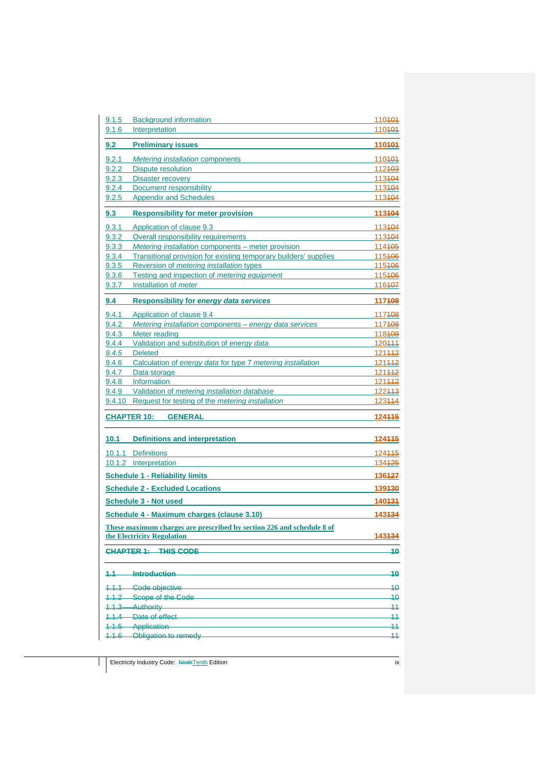| 9.1.5 | <b>Background information</b>                                         | 110 <del>101</del> |
|-------|-----------------------------------------------------------------------|--------------------|
| 9.1.6 | Interpretation                                                        | 110404             |
| 9.2   | <b>Preliminary issues</b>                                             | 110101             |
| 9.2.1 | <i>Metering installation components</i>                               | 110404             |
| 9.2.2 | Dispute resolution                                                    | 112403             |
|       | 9.2.3 Disaster recovery                                               | 113404             |
| 9.2.4 | Document responsibility                                               | 113404             |
| 9.2.5 | <b>Appendix and Schedules</b>                                         | 113104             |
| 9.3   | <b>Responsibility for meter provision</b>                             | 113104             |
| 9.3.1 | Application of clause 9.3                                             | 113404             |
| 9.3.2 | Overall responsibility requirements                                   | 113404             |
| 9.3.3 | Metering installation components - meter provision                    | 114405             |
| 9.3.4 | Transitional provision for existing temporary builders' supplies      | 115406             |
| 9.3.5 | Reversion of <i>metering installation</i> types                       | 115406             |
| 9.3.6 | Testing and inspection of <i>metering equipment</i>                   | 115406             |
| 9.3.7 | Installation of <i>meter</i>                                          | 116407             |
| 9.4   | <b>Responsibility for energy data services</b>                        | 117108             |
| 9.4.1 | Application of clause 9.4                                             | 117408             |
| 9.4.2 | Metering installation components - energy data services               | 117408             |
| 9.4.3 | Meter reading                                                         | 118409             |
| 9.4.4 | Validation and substitution of energy data                            | 120444             |
| 9.4.5 | Deleted                                                               | 121442             |
|       | 9.4.6 Calculation of energy data for type 7 metering installation     | 121442             |
|       | 9.4.7 Data storage                                                    | 121442             |
|       | 9.4.8 Information                                                     | 121442             |
|       | 9.4.9 Validation of metering installation database                    | 122413             |
|       | 9.4.10 Request for testing of the <i>metering installation</i>        | 123444             |
|       | <b>CHAPTER 10:</b><br><b>GENERAL</b>                                  | 124445             |
| 10.1  | <b>Definitions and interpretation</b>                                 | <u> 124445</u>     |
|       | 10.1.1 Definitions                                                    | 124445             |
|       | 10.1.2 Interpretation                                                 | 134 <del>125</del> |
|       | <b>Schedule 1 - Reliability limits</b>                                | 136427             |
|       | <b>Schedule 2 - Excluded Locations</b>                                | 139130             |
|       | <b>Schedule 3 - Not used</b>                                          | 140131             |
|       | Schedule 4 - Maximum charges (clause 3.10)                            | 143134             |
|       | These maximum charges are prescribed by section 226 and schedule 8 of |                    |
|       | the Electricity Regulation                                            | 143434             |
|       | <b>CHAPTER 1: THIS CODE</b>                                           | 40                 |
| 4.1   | Introduction                                                          | 40                 |
|       | 1.1.1 Code objective                                                  | 40                 |
|       | 1.1.2 Scope of the Code <b>Communication</b> Scope of the Code        | 40                 |
|       | 1.1.3 Authority 2008 2014 2022 2023                                   | 11                 |
|       | 1.1.4 Date of effect                                                  | 11                 |
|       | 1.1.5 Application                                                     | 11                 |
|       | 1.1.6-Obligation to remedy                                            | $\overline{11}$    |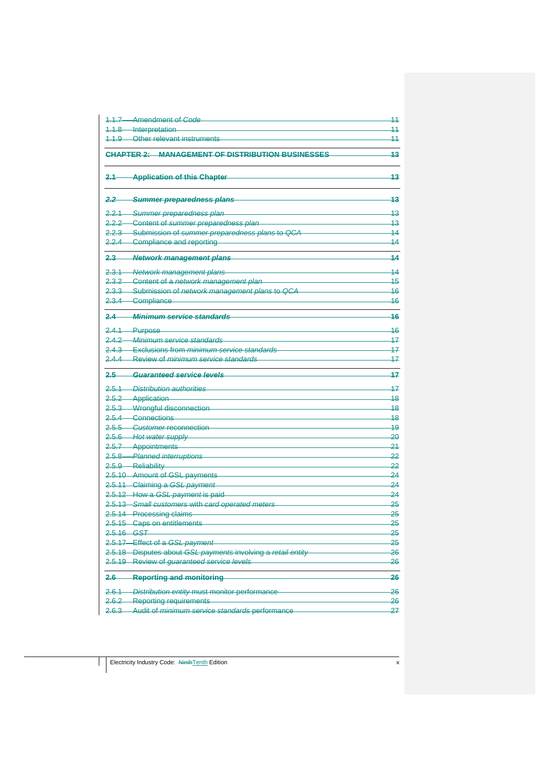|                    | 1.1.7-Amendment of Code                                                              | 11                    |
|--------------------|--------------------------------------------------------------------------------------|-----------------------|
|                    | 1.1.8 Interpretation                                                                 | 11                    |
|                    | 1.1.9 Other relevant instruments                                                     | 11                    |
|                    | <b>CHAPTER 2: MANAGEMENT OF DISTRIBUTION BUSINESSES</b>                              | 43                    |
|                    | 2.1 Application of this Chapter                                                      | 43                    |
|                    | 2.2 - Summer preparedness plans                                                      | 13                    |
|                    | 2.2.1 Summer preparedness plan-                                                      | 43                    |
|                    | 2.2.2-Content of summer preparedness plan                                            | 13                    |
|                    | 2.2.3 - Submission of summer preparedness plans to QCA                               | 14                    |
|                    | 2.2.4 Compliance and reporting                                                       | $\overline{14}$       |
|                    | 2.3 Network management plans                                                         | 44                    |
|                    | 2.3.1 Network management plans                                                       | 14                    |
|                    | 2.3.2 Content of a network management plan                                           | 15                    |
|                    | 2.3.3 Submission of network management plans to QCA                                  | 46                    |
|                    | 2.3.4 Compliance                                                                     | 46                    |
|                    | 2.4 Minimum service standards                                                        | 46                    |
|                    | 2.4.1 Purpose                                                                        | 46                    |
|                    | 2.4.2 Minimum service standards                                                      | 17                    |
|                    | 2.4.3 Exclusions from minimum service standards                                      | 17                    |
|                    | 2.4.4 Review of minimum service standards                                            | 17                    |
| 2.5                | Guaranteed service levels                                                            | 47                    |
|                    | 2.5.1 Distribution authorities                                                       | 47                    |
|                    | 2.5.2 Application                                                                    | 48                    |
|                    | 2.5.3 Wrongful disconnection                                                         | 48                    |
|                    | 2.5.4 Connections                                                                    | 48                    |
|                    | 2.5.5 Customer reconnection                                                          | 49                    |
|                    | 2.5.6 Hot water supply                                                               | -20                   |
|                    | 2.5.7 Appointments                                                                   | $-24$                 |
|                    | 2.5.8 Planned interruptions                                                          | -22                   |
|                    | 2.5.9 Reliability                                                                    | 22                    |
|                    | 2.5.10 Amount of GSL payments                                                        | $\overline{24}$       |
|                    | 2.5.11 Claiming a GSL payment                                                        | $\overline{24}$       |
|                    | 2.5.12-How a GSL payment is paid<br>2.5.13-Small customers with card operated meters | $\overline{24}$<br>25 |
|                    | 2.5.14 Processing claims                                                             | 25                    |
|                    | 2.5.15 Caps on entitlements                                                          | 25                    |
|                    | <del>2.5.16—GST</del>                                                                | 25                    |
|                    | 2.5.17-Effect of a GSL payment                                                       | 25                    |
|                    | 2.5.18-Disputes about GSL payments involving a retail entity                         | 26                    |
|                    | 2.5.19 Review of guaranteed service levels                                           | 26                    |
| <u> 2.6—</u>       | -Reporting and monitoring                                                            | 26                    |
| <u>2.6.1-</u>      | <i>-Distribution entity</i> must monitor performance                                 | 26                    |
| <u>2.6.2-</u>      | <b>Reporting requirements</b>                                                        | 26                    |
| <del>2.</del> 6.3- | Audit of minimum service standards performance                                       | 27                    |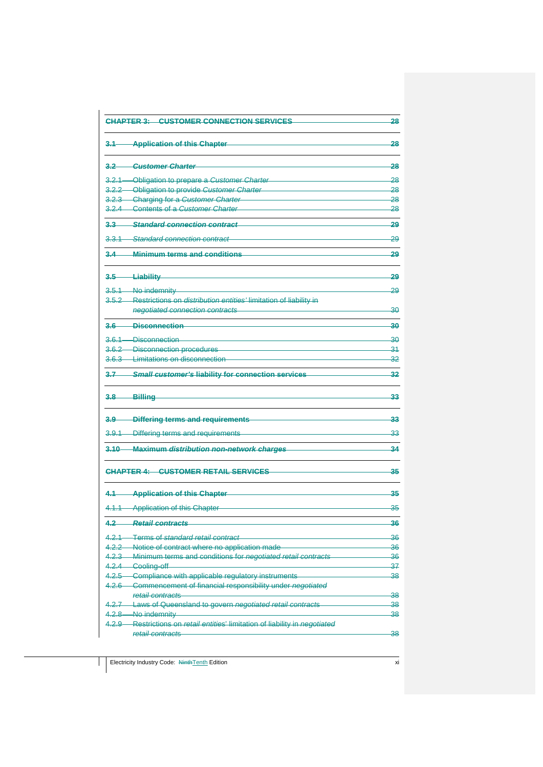|           | <b>CHAPTER 3: CUSTOMER CONNECTION SERVICES</b>                                                     | 28              |
|-----------|----------------------------------------------------------------------------------------------------|-----------------|
|           | 3.1 Application of this Chapter-                                                                   | -28             |
| $3.2 -$   | -Customer Charter                                                                                  | 28              |
|           | 3.2.1-Obligation to prepare a Customer Charter                                                     | 28              |
|           | 3.2.2 - Obligation to provide Customer Charter                                                     | 28              |
|           | 3.2.3 Charging for a Customer Charter                                                              | 28              |
|           | 3.2.4 Contents of a Customer Charter                                                               | 28              |
|           | 3.3 Standard connection contract                                                                   | 29              |
|           | 3.3.1 Standard connection contract                                                                 | 29              |
|           | 3.4 Minimum terms and conditions                                                                   | 29              |
|           | 3.5-Liability                                                                                      | 29              |
|           | 3.5.1-No indemnity                                                                                 | 29              |
|           | 3.5.2-Restrictions on <i>distribution entities'</i> limitation of liability in                     |                 |
|           | negotiated connection contracts                                                                    | 30              |
|           | 3.6 Disconnection                                                                                  | 30              |
|           | 3.6.1-Disconnection                                                                                | 30              |
|           | 3.6.2-Disconnection procedures                                                                     | 34              |
|           | 3.6.3 Limitations on disconnection                                                                 | 32              |
|           |                                                                                                    |                 |
| $3.7 -$   | <b>Small customer's liability for connection services</b>                                          | 32              |
| $3.8 -$   | <b>Billing</b>                                                                                     | 33              |
|           | 3.9 Differing terms and requirements                                                               |                 |
|           |                                                                                                    | -33             |
|           | 3.9.1 Differing terms and requirements                                                             | $\overline{33}$ |
|           | 3.10 Maximum distribution non-network charges                                                      | 34              |
|           | <b>CHAPTER 4: CUSTOMER RETAIL SERVICES</b>                                                         | 35              |
|           | 4.1-Application of this Chapter                                                                    | 35              |
|           | 4.1.1-Application of this Chapter                                                                  | 35              |
| 4.2       | <del>Retail contract:</del>                                                                        | 36              |
|           | 4.2.1—Terms of standard retail contract                                                            | 36              |
|           | 4.2.2-Notice of contract where no application made                                                 | 36              |
|           | 4.2.3 - Minimum terms and conditions for negotiated retail contracts                               | 36              |
|           | 4.2.4 Cooling-off                                                                                  | 37              |
|           | 4.2.5 Compliance with applicable regulatory instruments                                            | 38              |
|           | 4.2.6 Commencement of financial responsibility under negotiated                                    |                 |
|           | retail contracts                                                                                   | 38              |
| $4.2.7 -$ | -Laws of Queensland to govern negotiated retail contracts                                          | 38              |
|           | 4.2.8 No indemnity<br>4.2.9 Restrictions on retail entities' limitation of liability in negotiated | 38              |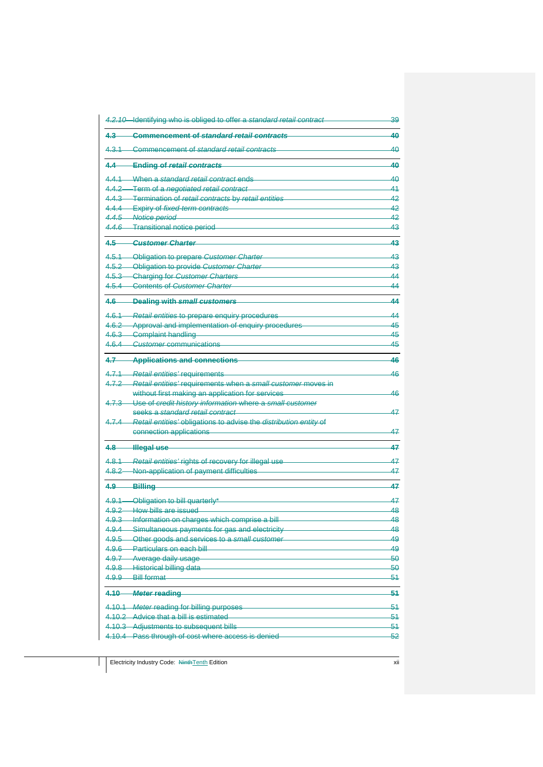| 4.2.10 Identifying who is obliged to offer a standard retail contract                  | 39       |
|----------------------------------------------------------------------------------------|----------|
| $4.3 -$<br><b>Commencement of standard retail contracts</b>                            | 40       |
| -Commencement of standard retail contracts<br>$4.3.1 -$                                | 40       |
| 4.4<br><b>Ending of retail contracts</b>                                               | 40       |
| 4.4.1 When a standard retail contract ends                                             | 40       |
| 4.4.2-Term of a negotiated retail contract                                             | 41       |
| 4.4.3 Termination of retail contracts by retail entities                               | 42       |
| 4.4.4 Expiry of fixed-term contracts                                                   | 42       |
| 4.4.5 Notice period                                                                    | 42       |
| 4.4.6 Transitional notice period                                                       | 43       |
| -Customer Charter<br>$4.5 -$                                                           | 43       |
| 4.5.1-Obligation to prepare Customer Charter                                           | 43       |
| 4.5.2 Obligation to provide Customer Charter                                           | 43       |
| 4.5.3 Charging for Customer Charters                                                   | 44       |
| 4.5.4 Contents of Customer Charter                                                     | 44       |
| 4.6 Dealing with small customers                                                       | 44       |
| 4.6.1-Retail entities to prepare enquiry procedures                                    | 44       |
| 4.6.2 Approval and implementation of enquiry procedures                                | 45       |
| 4.6.3 Complaint handling                                                               | 45       |
| 4.6.4 Customer communications                                                          | 45       |
| 4.7 Applications and connections                                                       | 46       |
| 4.7.1<br><b>Retail entities' requirements</b>                                          | 46       |
| Retail entities' requirements when a small customer moves in<br>4.7.2                  |          |
| without first making an application for services                                       | 46       |
| Use of credit history information where a small customer<br>4.7.3                      |          |
| seeks a standard retail contract                                                       | 47       |
| 4.7.4 Retail entities' obligations to advise the distribution entity of                |          |
| connection applications                                                                | 47       |
| 4.8 <b>Illegal use</b>                                                                 | 47       |
| Retail entities' rights of recovery for illegal use<br>4,8.1                           | 47       |
| Non-application of payment difficulties<br>4.8.2                                       | 47       |
|                                                                                        |          |
| 4.9<br>Billing                                                                         | 47       |
| 4.9.1 Obligation to bill quarterly*                                                    | 47       |
| 4.9.2-How bills are issued                                                             | 48       |
| 4.9.3-Information on charges which comprise a bill                                     | 48       |
| 4.9.4 - Simultaneous payments for gas and electricity                                  | 48       |
| 4.9.5 - Other goods and services to a small customer<br>4.9.6 Particulars on each bill | 49<br>49 |
| $4.9.7 -$<br>-Average daily usage                                                      | 50       |
| $4.9.8 -$<br>Historical billing data                                                   | 50       |
| 4.9.9-<br><b>Bill format</b>                                                           | 51       |
| 4.10-<br><i>–Meter</i> reading                                                         | 54       |
| 4.10.1-Meter reading for billing purposes                                              | 51       |
| 4.10.2-Advice that a bill is estimated                                                 | 51       |
| 4.10.3-Adjustments to subsequent bills                                                 | 51       |
| 4.10.4 Pass through of cost where access is denied                                     | 52       |
|                                                                                        |          |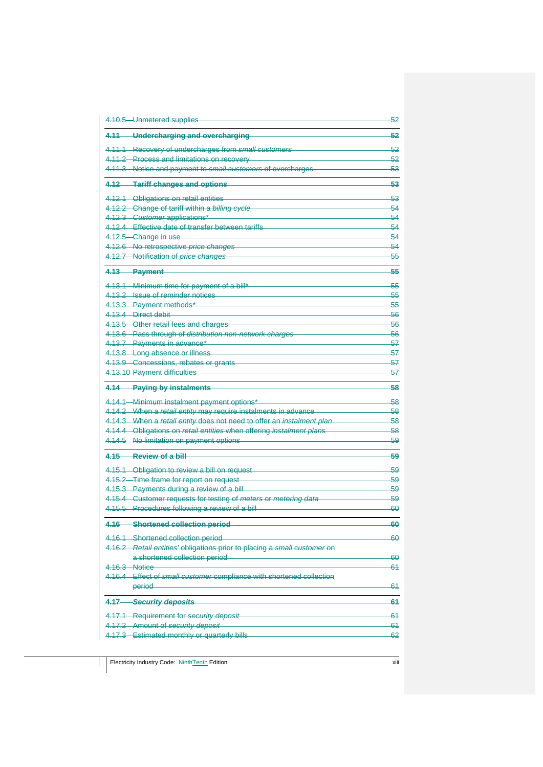| 4.10.5-Unmetered supplies                                                                                 | 52            |
|-----------------------------------------------------------------------------------------------------------|---------------|
| -Undercharging and overcharging<br>4.11                                                                   | 52            |
| 4.11.1-Recovery of undercharges from small customers                                                      | 52            |
| 4.11.2-Process and limitations on recovery                                                                | 52            |
| 4.11.3-Notice and payment to small customers of overcharges                                               | 53            |
| 4.12-Tariff changes and options                                                                           | 53            |
| 4.12.1-Obligations on retail entities                                                                     | 53            |
| 4.12.2-Change of tariff within a billing cycle                                                            | 54            |
| 4.12.3-Customer applications*                                                                             | 54            |
| 4.12.4 Effective date of transfer between tariffs                                                         | 54            |
| 4.12.5 Change in use                                                                                      | 54            |
| 4.12.6 No retrospective price changes                                                                     | 54            |
| 4.12.7-Notification of price changes                                                                      | 55            |
| 4.13 Payment                                                                                              | 55            |
| 4.13.1-Minimum time for payment of a bill*                                                                | 55            |
| 4.13.2 Issue of reminder notices                                                                          | <del>55</del> |
| 4.13.3 Payment methods*                                                                                   | 55            |
| 4.13.4 Direct debit                                                                                       | 56            |
| 4.13.5 Other retail fees and charges                                                                      | 56            |
| 4.13.6 Pass through of distribution non-network charges                                                   | -56           |
| 4.13.7-Payments in advance*                                                                               | 57            |
| 4.13.8 Long absence or illness                                                                            | -57           |
| 4.13.9 Concessions, rebates or grants                                                                     | 57            |
| 4.13.10 Payment difficulties                                                                              | 57            |
|                                                                                                           |               |
| 4.14 Paying by instalments                                                                                | 58            |
| 4.14.1 Minimum instalment payment options*                                                                | -58           |
| 4.14.2 When a retail entity may require instalments in advance                                            | 58            |
| 4.14.3 When a retail entity does not need to offer an instalment plan                                     | -58           |
| 4.14.4 Obligations on retail entities when offering instalment plans                                      | 58            |
| 4.14.5 No limitation on payment options                                                                   | -59           |
| 4.15 Review of a bill                                                                                     | 59            |
| 4.15.1 Obligation to review a bill on request                                                             | 59            |
| 4.15.2 Time frame for report on request                                                                   | 59            |
| 4.15.3 Payments during a review of a bill                                                                 | -59           |
| 4.15.4 Customer requests for testing of meters or metering data                                           | 59            |
| 4.15.5 Procedures following a review of a bill                                                            | -60           |
| 4.16<br><b>Shortened collection period</b>                                                                | 60            |
|                                                                                                           | 60            |
| 4.16.1 Shortened collection period                                                                        |               |
| 4.16.2-Retail entities' obligations prior to placing a small customer on<br>a shortened collection period | 60            |
| 4.16.3 Notice                                                                                             | 61            |
| 4.16.4-Effect of small customer compliance with shortened collection                                      |               |
| period                                                                                                    | 61            |
| -Security deposits<br>4.17                                                                                | 61            |
|                                                                                                           |               |
| 4.17.1-Requirement for security deposit                                                                   | 61<br>61      |
| 4.17.2-Amount of security deposit<br>4.17.3-Estimated monthly or quarterly bills                          | 62            |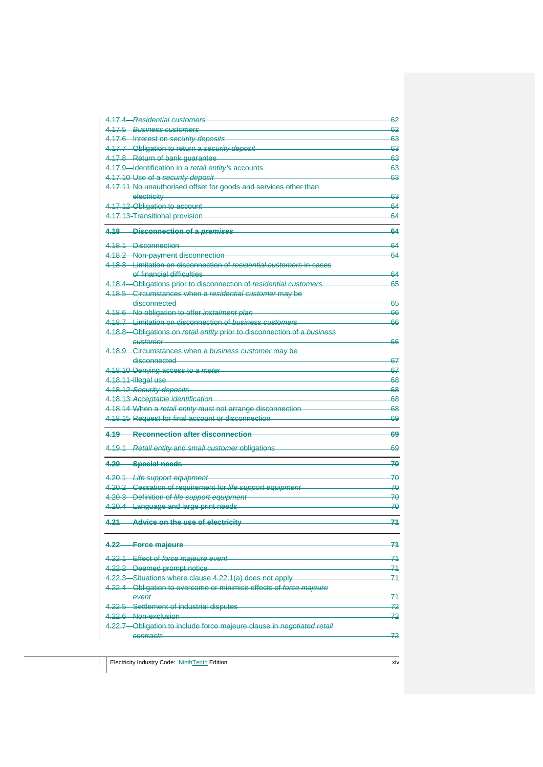| 4.17.4 Residential customers                                             | 62        |
|--------------------------------------------------------------------------|-----------|
| 4.17.5 Business customers                                                | 62        |
| 4.17.6-Interest on security deposits                                     | 63        |
| 4.17.7-Obligation to return a security deposit                           | 63        |
| 4.17.8-Return of bank guarantee                                          | 63        |
| 4.17.9 Identification in a retail entity's accounts                      | 63<br>63  |
| 4.17.10-Use of a security deposit                                        |           |
| 4.17.11-No unauthorised offset for goods and services other than         |           |
| electricity                                                              | 63        |
| 4.17.12-Obligation to account                                            | 64<br>64  |
| 4.17.13-Transitional provision                                           |           |
| 4.18 Disconnection of a premises                                         | 64        |
| 4.18.1-Disconnection                                                     | 64        |
| 4.18.2-Non-payment disconnection                                         | 64        |
| 4.18.3 - Limitation on disconnection of residential customers in cases   |           |
| of financial difficulties                                                | 64        |
| 4.18.4 - Obligations prior to disconnection of residential customers     | 65        |
| 4.18.5-Circumstances when a residential customer may be                  |           |
| disconnected                                                             | 65        |
| 4.18.6 No obligation to offer instalment plan                            | 66        |
| 4.18.7 Limitation on disconnection of business customers                 | 66        |
| 4.18.8 Obligations on retail entity prior to disconnection of a business |           |
| customer                                                                 | 66        |
| 4.18.9 Circumstances when a business customer may be                     |           |
| disconnected                                                             | 67        |
| 4.18.10-Denying access to a meter                                        | 67        |
| 4.18.11-Illegal use                                                      | 68        |
| 4.18.12 Security deposits                                                | 68        |
| 4.18.13-Acceptable identification                                        | 68        |
| 4.18.14-When a retail entity must not arrange disconnection              | 68        |
| 4.18.15 Request for final account or disconnection                       | 69        |
|                                                                          |           |
| 4.19 Reconnection after disconnection                                    | 69        |
| 4.19.1 Retail entity and small customer obligations                      | 69        |
| 4.20<br><b>Special needs</b>                                             | 70        |
|                                                                          |           |
| 4.20.1 Life support equipment                                            | 70        |
| 4.20.2 Cessation of requirement for life support equipment               | -70       |
| 4.20.3 Definition of life support equipment                              | -70       |
| 4.20.4 Language and large print needs                                    | -70       |
| 4.21<br>Advice on the use of electricity                                 | 71        |
|                                                                          |           |
|                                                                          | 74        |
| 4.22-Force majeure                                                       |           |
| 4.22.1 Effect of force majeure event                                     | -71       |
| 4.22.2-Deemed prompt notice                                              | 71        |
| 4.22.3 Situations where clause 4.22.1(a) does not apply                  | 71        |
| 4.22.4 Obligation to overcome or minimise effects of force majeure       |           |
| event                                                                    | -71       |
|                                                                          |           |
| 4.22.5 Settlement of industrial disputes                                 |           |
| 4.22.6 Non exclusion                                                     |           |
| 4.22.7 Obligation to include force majeure clause in negotiated retail   | 72<br>-72 |
| contracts                                                                | -72       |

Electricity Industry Code: NinthTenth Edition xiv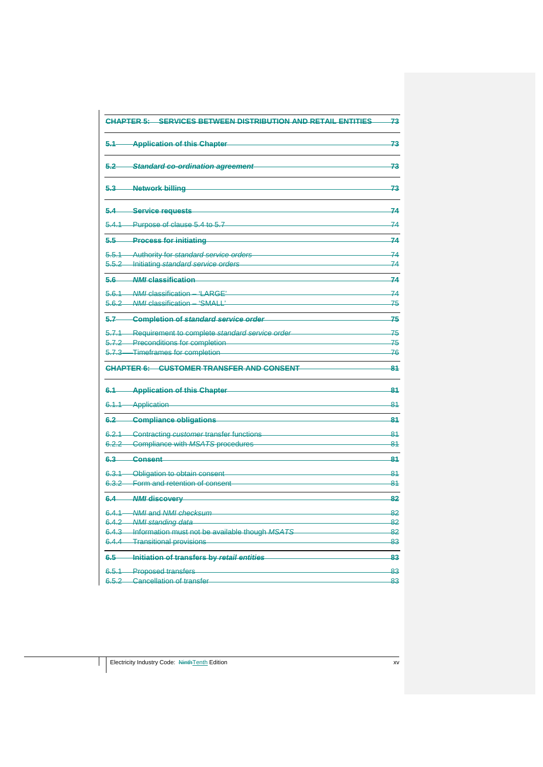| <b>CHAPTER 5: SERVICES BETWEEN DISTRIBUTION AND RETAIL ENTITIES</b> | 73  |
|---------------------------------------------------------------------|-----|
| $5.1 -$<br><b>Application of this Chapter</b>                       | 73  |
| $5.2 -$<br>Standard co-ordination agreement                         | 73  |
| 5.3-Network billing                                                 | 73  |
| -Service requests<br>$5.4-$                                         | 74  |
| Purpose of clause 5.4 to 5.7<br>$5.4.1 -$                           | 74  |
| 5,5<br><b>Process for initiating</b>                                | 74  |
| 5.5.1<br>Authority for standard service orders                      | 74  |
| Initiating standard service orders<br>5.5.2                         | 74  |
| 5.6 MMI classification                                              | 74  |
| 5.6.1 MMI classification - 'LARGE'                                  | 74  |
| -NMI classification - 'SMALL'<br>$5.6.2 -$                          | 75  |
| 5.7<br><b>Completion of standard service order</b>                  | 75  |
| 5.7.1 Requirement to complete standard service order                | 75  |
| 5.7.2 Preconditions for completion                                  | 75  |
| 5.7.3 Timeframes for completion                                     | -76 |
| <b>CUSTOMER TRANSFER AND CONSENT</b><br><b>CHAPTER 6:</b>           | 81  |
| <b>Application of this Chapter</b><br>6.1                           | 81  |
| 6.1.1 Application                                                   | 81  |
| 6.2<br><b>Compliance obligations</b>                                | 81  |
| Contracting customer transfer functions<br>6.2.1                    | 81  |
| Compliance with MSATS procedures<br>$6.2.2 -$                       | 81  |
| $6.3 -$<br><b>Consent</b>                                           | 81  |
| 6.3.1 Obligation to obtain consent                                  | -84 |
| 6.3.2 Form and retention of consent                                 | 81  |
| 6.4<br><b>NMI discovery</b>                                         | 82  |
| 6.4.1 NMI and NMI checksum                                          | 82  |
| 6.4.2 NMI standing data                                             | 82  |
| 6.4.3-Information must not be available though MSATS                | 82  |
| 6.4.4 Transitional provisions                                       | 83  |
| 6.5<br>Initiation of transfers by retail entities                   | 83  |
| 6.5.1-Proposed transfers                                            | 83  |
| 6.5.2 Cancellation of transfer                                      | 83  |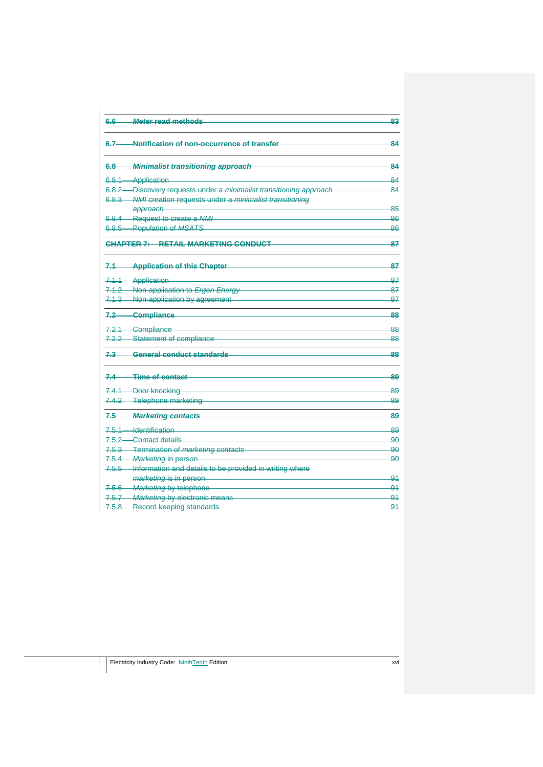| 6.6- | <b>Meter read methods</b>                                           | 83  |
|------|---------------------------------------------------------------------|-----|
| 6.7  | Notification of non-occurrence of transfer                          | 84  |
| 6.8- | Minimalist transitioning approach                                   | 84  |
|      | 6.8.1-Application                                                   | 84  |
|      | 6.8.2- Discovery requests under a minimalist transitioning approach | 84  |
|      | 6.8.3- NMI creation requests under a minimalist transitioning       |     |
|      | approach                                                            | 85  |
|      | 6.8.4 Request to create a NMI                                       | -86 |
|      | 6.8.5 Population of MSATS                                           | 86  |
|      | CHAPTER 7: RETAIL MARKETING CONDUCT                                 | 87  |
|      | 7.1-Application of this Chapter                                     | 87  |
|      | 7.1.1-Application                                                   | 87  |
|      | 7.1.2-Non-application to Ergon Energy                               | 87  |
|      | 7.1.3-Non-application by agreement                                  | -87 |
|      | 7.2 Compliance                                                      | 88  |
|      | 7.2.1-Compliance                                                    | 88  |
|      | 7.2.2-Statement of compliance                                       | -88 |
|      | 7.3 General conduct standards                                       | 88  |
|      | 7.4 -- Time of contact                                              | 89  |
|      | 7.4.1 Door knocking                                                 | 89  |
|      | 7.4.2-Telephone marketing                                           | 89  |
|      | 7.5-Marketing contacts                                              | 89  |
|      | 7.5.1 Identification                                                | 89  |
|      | 7.5.2 Contact details                                               | 90  |
|      | 7.5.3 Termination of marketing contacts                             | 90  |
|      | 7.5.4-Marketing in person-                                          | 90  |
|      | 7.5.5-Information and details to be provided in writing where       |     |
|      | marketing is in person-                                             | 91  |
|      | 7.5.6-Marketing by telephone                                        | 91  |
|      | 7.5.7-Marketing by electronic means                                 | 91  |
|      | 7.5.8-Record keeping standards                                      | 91  |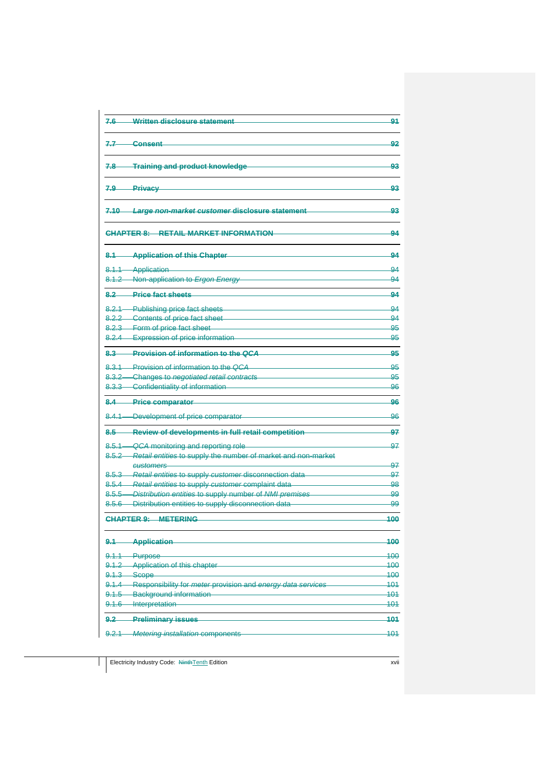| <b>Written disclosure statement</b><br>$7.6 -$                                    | 91            |
|-----------------------------------------------------------------------------------|---------------|
| <b>Consent</b><br>7.7                                                             | 92            |
| 7.8-Training and product knowledge                                                | 93            |
| -Privacy<br>$7.9 -$                                                               | 93            |
| 7.10 Large non-market customer disclosure statement                               | 93            |
| <b>CHAPTER 8: RETAIL MARKET INFORMATION</b>                                       | 94            |
| <b>Application of this Chapter</b><br>$8.1 -$                                     | 94            |
| 8.1.1 Application                                                                 | -94           |
| 8.1.2 Non-application to Ergon Energy                                             | -94           |
| <b>Price fact sheets</b><br>$8.2 -$                                               | 94            |
|                                                                                   |               |
| 8.2.1 Publishing price fact sheets                                                | 94            |
| 8.2.2-Contents of price fact sheet                                                | 94            |
| 8.2.3 Form of price fact sheet<br>8.2.4 Expression of price information           | -95           |
|                                                                                   | <del>95</del> |
| 8.3 Provision of information to the QCA                                           | 95            |
| 8.3.1 Provision of information to the OCA                                         | 95            |
| 8.3.2-Changes to negotiated retail contracts                                      | -95           |
| 8.3.3 Confidentiality of information                                              | 96            |
| 8.4 Price comparator                                                              | 96            |
| 8.4.1-Development of price comparator                                             | 96            |
| 8.5 Review of developments in full retail competition                             | 97            |
|                                                                                   |               |
| 8.5.1— QCA monitoring and reporting role                                          | 97            |
| 8.5.2-Retail entities to supply the number of market and non-market<br>customers  | 97            |
| 8.5.3-Retail entities to supply customer disconnection data                       | 97            |
| 8.5.4 Retail entities to supply customer complaint data                           | -98           |
| 8.5.5-Distribution entities to supply number of NMI premises                      | 99            |
| 8.5.6 - Distribution entities to supply disconnection data                        | 99            |
| CHAPTER 9: METERING                                                               | 100           |
| <b>Application</b><br><u>9.1—</u>                                                 | 100           |
| $9.1.1 -$<br>-Purpose                                                             | 100           |
| 9.1.2-Application of this chapter                                                 | 100           |
| $9.1.3 -$<br>-Scope                                                               | 100           |
| -Responsibility for meter provision and energy data services<br><del>9.1.4-</del> | 101           |
| Background information<br><del>9.1.5-</del>                                       | 101           |
| 9.1.6-Interpretation                                                              | 101           |
| <b>Preliminary issues</b><br><u>9.2</u>                                           | 101           |
|                                                                                   |               |
| <b>Metering installation components</b><br><u>9.2.1</u>                           | 101           |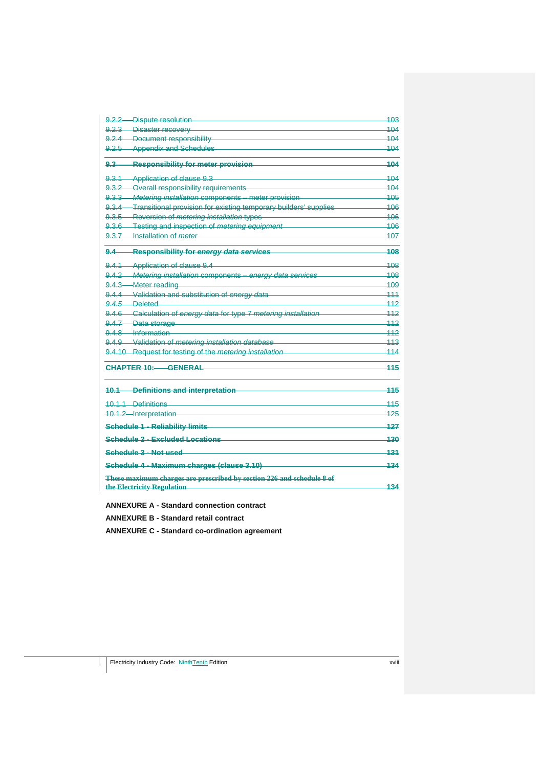| 9.2.2-Dispute resolution                                               | 103 |
|------------------------------------------------------------------------|-----|
| 9.2.3 Disaster recovery                                                | 104 |
| 9.2.4 Document responsibility                                          | 104 |
| 9.2.5 Appendix and Schedules                                           | 104 |
| $9.3 -$<br><b>Responsibility for meter provision</b>                   | 104 |
| 9.3.1-Application of clause 9.3                                        | 104 |
| 9.3.2-Overall responsibility requirements                              | 104 |
| 9.3.3 Metering installation components - meter provision               | 105 |
| 9.3.4-Transitional provision for existing temporary builders' supplies | 106 |
| 9.3.5 Reversion of metering installation types                         | 106 |
| 9.3.6 Testing and inspection of metering equipment                     | 406 |
| 9.3.7-Installation of <i>meter</i>                                     | 107 |
| $9.4 -$<br><b>Responsibility for energy data services</b>              | 108 |
| 9.4.1-Application of clause 9.4                                        | 108 |
| 9.4.2-Metering installation components - energy data services          | 108 |
| 9.4.3 Meter reading                                                    | 109 |
| 9.4.4 Validation and substitution of energy data                       | 111 |
| 9.4.5 Deleted                                                          | 112 |
| 9.4.6 Calculation of energy data for type 7 metering installation      | 112 |
| 9.4.7-Data storage                                                     | 112 |
| 9.4.8 Information                                                      | 442 |
| 9.4.9 Validation of metering installation database                     | 113 |
| 9.4.10-Request for testing of the metering installation                | 114 |
| CHAPTER 10<br><b>CENEDAL</b>                                           | 115 |
| -Definitions and interpretation<br>$40.1 -$                            | 115 |
| 10.1.1 Definitions                                                     | 115 |
| 10.1.2-Interpretation                                                  | 125 |
| <b>Schedule 1 - Reliability limits</b>                                 | 127 |
| <b>Schedule 2 - Excluded Locations</b>                                 | 130 |
| Schedule 3 - Not used                                                  | 131 |
| Schedule 4 - Maximum charges (clause 3.10)                             | 134 |
| These maximum charges are prescribed by section 226 and schedule 8 of  | 134 |
| the Electricity Regulation                                             |     |
| <b>ANNEXURE A - Standard connection contract</b>                       |     |

**ANNEXURE B - Standard retail contract** 

**ANNEXURE C - Standard co-ordination agreement**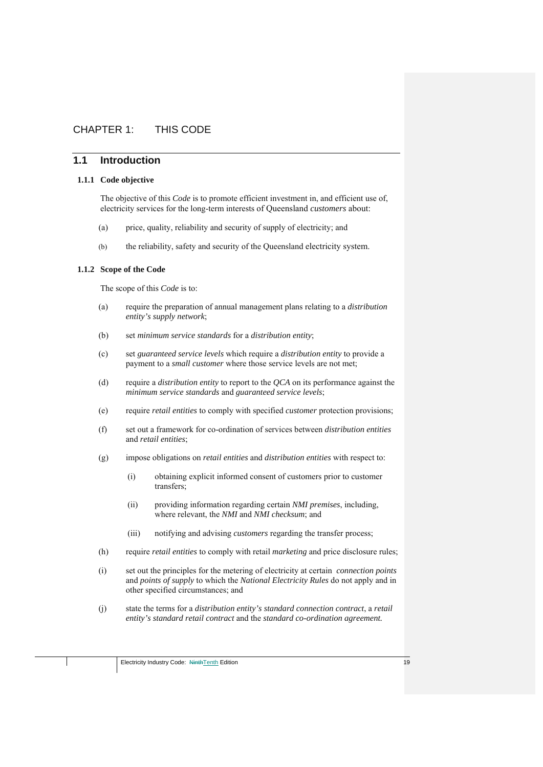# CHAPTER 1: THIS CODE

# **1.1 Introduction**

#### **1.1.1 Code objective**

The objective of this *Code* is to promote efficient investment in, and efficient use of, electricity services for the long-term interests of Queensland *customers* about:

- (a) price, quality, reliability and security of supply of electricity; and
- (b) the reliability, safety and security of the Queensland electricity system.

#### **1.1.2 Scope of the Code**

The scope of this *Code* is to:

- (a) require the preparation of annual management plans relating to a *distribution entity's supply network*;
- (b) set *minimum service standards* for a *distribution entity*;
- (c) set *guaranteed service levels* which require a *distribution entity* to provide a payment to a *small customer* where those service levels are not met;
- (d) require a *distribution entity* to report to the *QCA* on its performance against the *minimum service standards* and *guaranteed service levels*;
- (e) require *retail entities* to comply with specified *customer* protection provisions;
- (f) set out a framework for co-ordination of services between *distribution entities*  and *retail entities*;
- (g) impose obligations on *retail entities* and *distribution entities* with respect to:
	- (i) obtaining explicit informed consent of customers prior to customer transfers;
	- (ii) providing information regarding certain *NMI premises*, including, where relevant, the *NMI* and *NMI checksum*; and
	- (iii) notifying and advising *customers* regarding the transfer process;
- (h) require *retail entities* to comply with retail *marketing* and price disclosure rules;
- (i) set out the principles for the metering of electricity at certain *connection points*  and *points of supply* to which the *National Electricity Rules* do not apply and in other specified circumstances; and
- (j) state the terms for a *distribution entity's standard connection contract*, a *retail entity's standard retail contract* and the *standard co-ordination agreement.*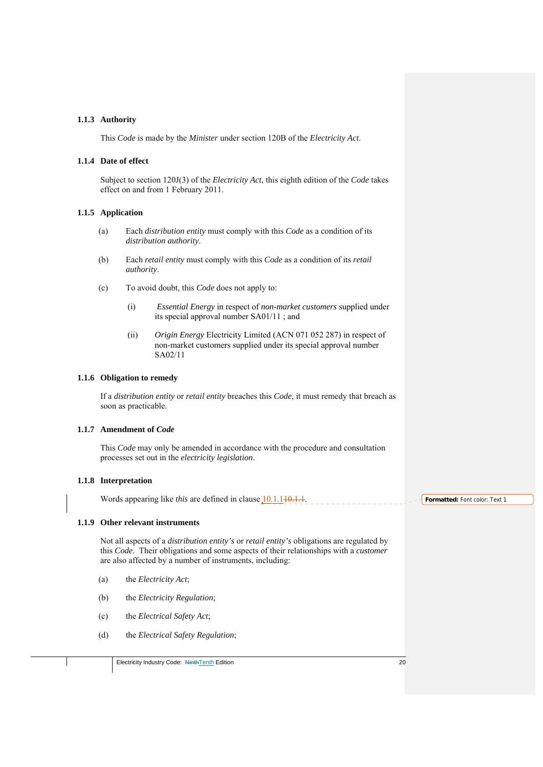#### **1.1.3 Authority**

This *Code* is made by the *Minister* under section 120B of the *Electricity Act*.

#### **1.1.4 Date of effect**

Subject to section 120J(3) of the *Electricity Act*, this eighth edition of the *Code* takes effect on and from 1 February 2011.

#### **1.1.5 Application**

- (a) Each *distribution entity* must comply with this *Code* as a condition of its *distribution authority*.
- (b) Each *retail entity* must comply with this *Code* as a condition of its *retail authority*.
- (c) To avoid doubt, this *Code* does not apply to:
	- (i) *Essential Energy* in respect of *non-market customers* supplied under its special approval number SA01/11 ; and
	- (ii) *Origin Energy* Electricity Limited (ACN 071 052 287) in respect of non-market customers supplied under its special approval number SA02/11

#### **1.1.6 Obligation to remedy**

If a *distribution entity* or *retail entity* breaches this *Code*, it must remedy that breach as soon as practicable.

#### **1.1.7 Amendment of** *Code*

This *Code* may only be amended in accordance with the procedure and consultation processes set out in the *electricity legislation*.

#### **1.1.8 Interpretation**

Words appearing like *this* are defined in clause 10.1.140.1.1.

#### **1.1.9 Other relevant instruments**

Not all aspects of a *distribution entity's* or *retail entity's* obligations are regulated by this *Code*. Their obligations and some aspects of their relationships with a *customer* are also affected by a number of instruments, including:

- (a) the *Electricity Act*;
- (b) the *Electricity Regulation*;
- (c) the *Electrical Safety Act*;
- (d) the *Electrical Safety Regulation*;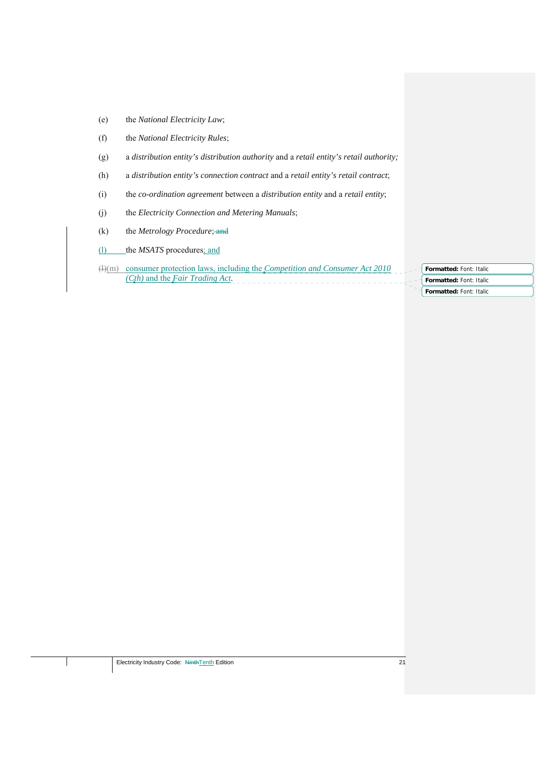- (e) the *National Electricity Law*;
- (f) the *National Electricity Rules*;
- (g) a *distribution entity's distribution authority* and a *retail entity's retail authority;*
- (h) a *distribution entity's connection contract* and a *retail entity's retail contract*;
- (i) the *co-ordination agreement* between a *distribution entity* and a *retail entity*;
- (j) the *Electricity Connection and Metering Manuals*;
- (k) the *Metrology Procedure*; and
- (l) the *MSATS* procedures; and
- (l)(m) consumer protection laws, including the *Competition and Consumer Act 2010 (Cth)* and the *Fair Trading Act*.
- **Formatted:** Font: Italic **Formatted:** Font: Italic **Formatted:** Font: Italic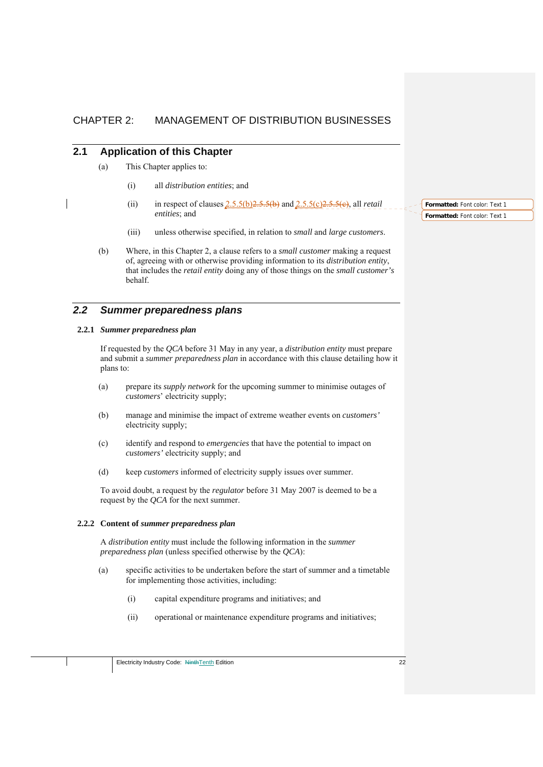# CHAPTER 2: MANAGEMENT OF DISTRIBUTION BUSINESSES

# **2.1 Application of this Chapter**

- (a) This Chapter applies to:
	- (i) all *distribution entities*; and
	- (ii) in respect of clauses  $2.5.5(b)2.5.5(b)$  and  $2.5.5(c)2.5.5(e)$ , all *retail entities*; and
	- (iii) unless otherwise specified, in relation to *small* and *large customers*.
- (b) Where, in this Chapter 2, a clause refers to a *small customer* making a request of, agreeing with or otherwise providing information to its *distribution entity*, that includes the *retail entity* doing any of those things on the *small customer's* behalf.

# *2.2 Summer preparedness plans*

#### **2.2.1** *Summer preparedness plan*

If requested by the *QCA* before 31 May in any year, a *distribution entity* must prepare and submit a *summer preparedness plan* in accordance with this clause detailing how it plans to:

- (a) prepare its *supply network* for the upcoming summer to minimise outages of *customers*' electricity supply;
- (b) manage and minimise the impact of extreme weather events on *customers'* electricity supply;
- (c) identify and respond to *emergencies* that have the potential to impact on *customers'* electricity supply; and
- (d) keep *customers* informed of electricity supply issues over summer.

To avoid doubt, a request by the *regulator* before 31 May 2007 is deemed to be a request by the *QCA* for the next summer.

#### **2.2.2 Content of** *summer preparedness plan*

A *distribution entity* must include the following information in the *summer preparedness plan* (unless specified otherwise by the *QCA*):

- (a) specific activities to be undertaken before the start of summer and a timetable for implementing those activities, including:
	- (i) capital expenditure programs and initiatives; and
	- (ii) operational or maintenance expenditure programs and initiatives;

**Formatted:** Font color: Text 1 **Formatted:** Font color: Text 1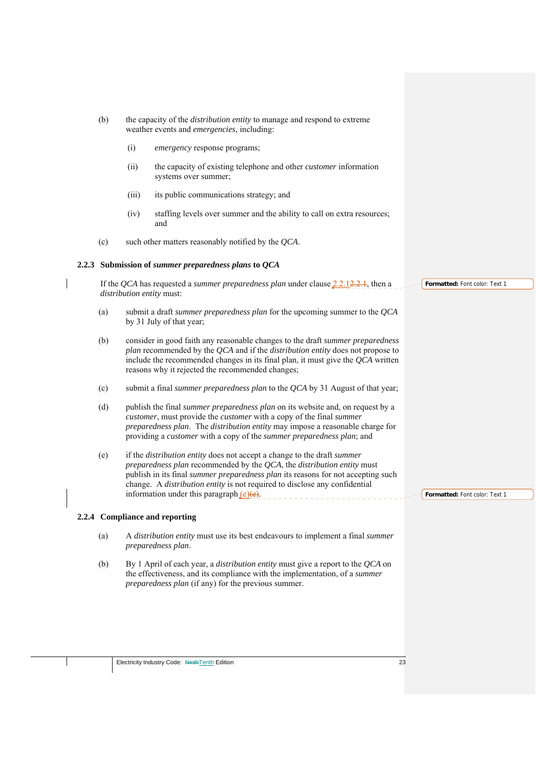- (b) the capacity of the *distribution entity* to manage and respond to extreme weather events and *emergencies*, including:
	- (i) *emergency* response programs;
	- (ii) the capacity of existing telephone and other *customer* information systems over summer;
	- (iii) its public communications strategy; and
	- (iv) staffing levels over summer and the ability to call on extra resources; and
- (c) such other matters reasonably notified by the *QCA*.

#### **2.2.3 Submission of** *summer preparedness plans* **to** *QCA*

If the *QCA* has requested a *summer preparedness plan* under clause 2.2.12.2.1, then a *distribution entity* must:

- (a) submit a draft *summer preparedness plan* for the upcoming summer to the *QCA* by 31 July of that year;
- (b) consider in good faith any reasonable changes to the draft *summer preparedness plan* recommended by the *QCA* and if the *distribution entity* does not propose to include the recommended changes in its final plan, it must give the *QCA* written reasons why it rejected the recommended changes;
- (c) submit a final *summer preparedness plan* to the *QCA* by 31 August of that year;
- (d) publish the final *summer preparedness plan* on its website and, on request by a *customer*, must provide the *customer* with a copy of the final *summer preparedness plan*. The *distribution entity* may impose a reasonable charge for providing a *customer* with a copy of the *summer preparedness plan*; and
- (e) if the *distribution entity* does not accept a change to the draft *summer preparedness plan* recommended by the *QCA*, the *distribution entity* must publish in its final *summer preparedness plan* its reasons for not accepting such change. A *distribution entity* is not required to disclose any confidential information under this paragraph  $(e)(e)$ .

#### **2.2.4 Compliance and reporting**

- (a) A *distribution entity* must use its best endeavours to implement a final *summer preparedness plan*.
- (b) By 1 April of each year, a *distribution entity* must give a report to the *QCA* on the effectiveness, and its compliance with the implementation, of a *summer preparedness plan* (if any) for the previous summer.

**Formatted:** Font color: Text 1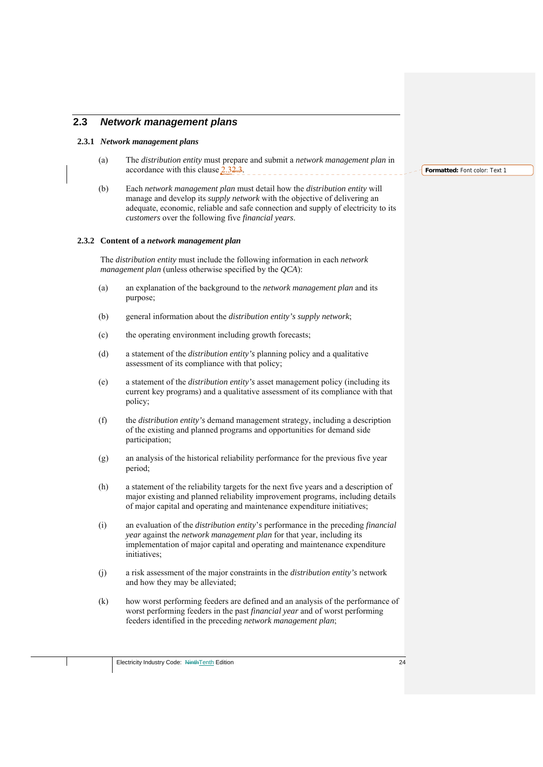# **2.3** *Network management plans*

#### **2.3.1** *Network management plans*

- (a) The *distribution entity* must prepare and submit a *network management plan* in accordance with this clause  $2.32.3$ .
- (b) Each *network management plan* must detail how the *distribution entity* will manage and develop its *supply network* with the objective of delivering an adequate, economic, reliable and safe connection and supply of electricity to its *customers* over the following five *financial years*.

#### **2.3.2 Content of a** *network management plan*

The *distribution entity* must include the following information in each *network management plan* (unless otherwise specified by the *QCA*):

- (a) an explanation of the background to the *network management plan* and its purpose;
- (b) general information about the *distribution entity's supply network*;
- (c) the operating environment including growth forecasts;
- (d) a statement of the *distribution entity's* planning policy and a qualitative assessment of its compliance with that policy;
- (e) a statement of the *distribution entity's* asset management policy (including its current key programs) and a qualitative assessment of its compliance with that policy;
- (f) the *distribution entity's* demand management strategy, including a description of the existing and planned programs and opportunities for demand side participation;
- (g) an analysis of the historical reliability performance for the previous five year period;
- (h) a statement of the reliability targets for the next five years and a description of major existing and planned reliability improvement programs, including details of major capital and operating and maintenance expenditure initiatives;
- (i) an evaluation of the *distribution entity*'*s* performance in the preceding *financial year* against the *network management plan* for that year, including its implementation of major capital and operating and maintenance expenditure initiatives;
- (j) a risk assessment of the major constraints in the *distribution entity's* network and how they may be alleviated;
- (k) how worst performing feeders are defined and an analysis of the performance of worst performing feeders in the past *financial year* and of worst performing feeders identified in the preceding *network management plan*;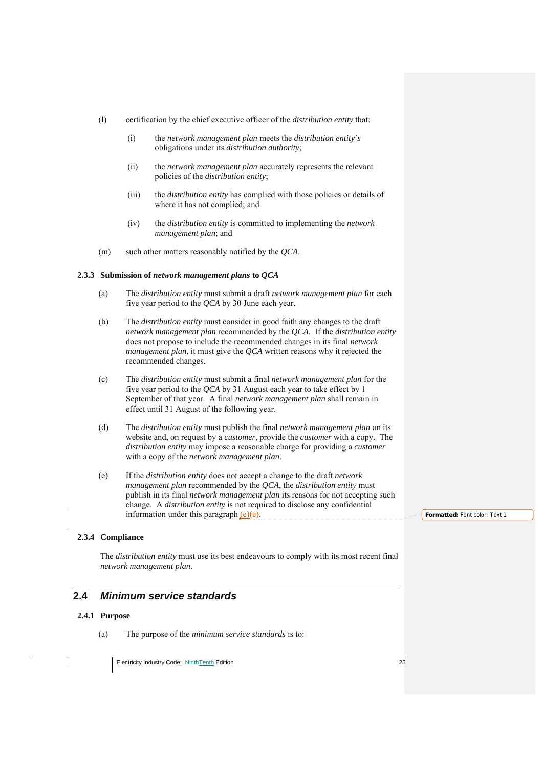- (l) certification by the chief executive officer of the *distribution entity* that:
	- (i) the *network management plan* meets the *distribution entity's* obligations under its *distribution authority*;
	- (ii) the *network management plan* accurately represents the relevant policies of the *distribution entity*;
	- (iii) the *distribution entity* has complied with those policies or details of where it has not complied; and
	- (iv) the *distribution entity* is committed to implementing the *network management plan*; and
- (m) such other matters reasonably notified by the *QCA*.

#### **2.3.3 Submission of** *network management plans* **to** *QCA*

- (a) The *distribution entity* must submit a draft *network management plan* for each five year period to the *QCA* by 30 June each year.
- (b) The *distribution entity* must consider in good faith any changes to the draft *network management plan* recommended by the *QCA*. If the *distribution entity* does not propose to include the recommended changes in its final *network management plan*, it must give the *QCA* written reasons why it rejected the recommended changes.
- (c) The *distribution entity* must submit a final *network management plan* for the five year period to the *QCA* by 31 August each year to take effect by 1 September of that year. A final *network management plan* shall remain in effect until 31 August of the following year.
- (d) The *distribution entity* must publish the final *network management plan* on its website and, on request by a *customer*, provide the *customer* with a copy. The *distribution entity* may impose a reasonable charge for providing a *customer* with a copy of the *network management plan*.
- (e) If the *distribution entity* does not accept a change to the draft *network management plan* recommended by the *QCA*, the *distribution entity* must publish in its final *network management plan* its reasons for not accepting such change. A *distribution entity* is not required to disclose any confidential information under this paragraph  $(e)(e)$ .

#### **2.3.4 Compliance**

The *distribution entity* must use its best endeavours to comply with its most recent final *network management plan*.

# **2.4** *Minimum service standards*

#### **2.4.1 Purpose**

(a) The purpose of the *minimum service standards* is to: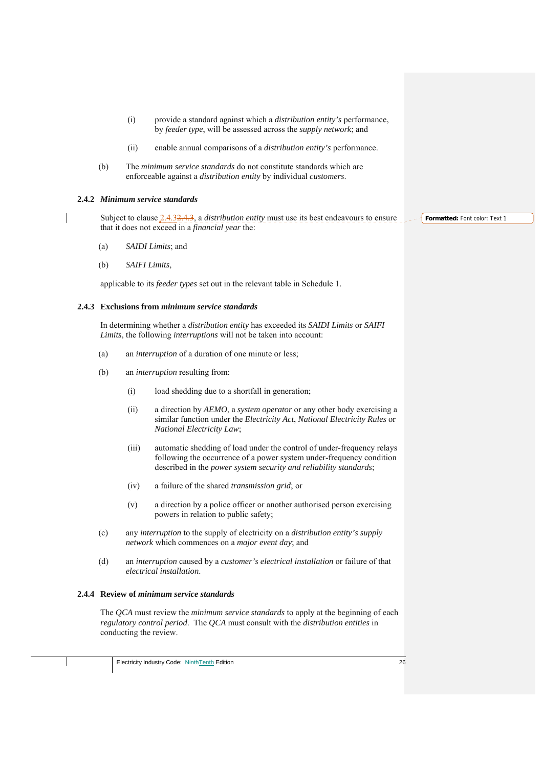- (i) provide a standard against which a *distribution entity's* performance, by *feeder type*, will be assessed across the *supply network*; and
- (ii) enable annual comparisons of a *distribution entity's* performance.
- (b) The *minimum service standards* do not constitute standards which are enforceable against a *distribution entity* by individual *customers*.

#### **2.4.2** *Minimum service standards*

Subject to clause 2.4.32.4.3, a *distribution entity* must use its best endeavours to ensure that it does not exceed in a *financial year* the:

- (a) *SAIDI Limits*; and
- (b) *SAIFI Limits*,

applicable to its *feeder types* set out in the relevant table in Schedule 1.

#### **2.4.3 Exclusions from** *minimum service standards*

In determining whether a *distribution entity* has exceeded its *SAIDI Limits* or *SAIFI Limits*, the following *interruptions* will not be taken into account:

- (a) an *interruption* of a duration of one minute or less;
- (b) an *interruption* resulting from:
	- (i) load shedding due to a shortfall in generation;
	- (ii) a direction by *AEMO*, a *system operator* or any other body exercising a similar function under the *Electricity Act*, *National Electricity Rules* or *National Electricity Law*;
	- (iii) automatic shedding of load under the control of under-frequency relays following the occurrence of a power system under-frequency condition described in the *power system security and reliability standards*;
	- (iv) a failure of the shared *transmission grid*; or
	- (v) a direction by a police officer or another authorised person exercising powers in relation to public safety;
- (c) any *interruption* to the supply of electricity on a *distribution entity's supply network* which commences on a *major event day*; and
- (d) an *interruption* caused by a *customer's electrical installation* or failure of that *electrical installation*.

#### **2.4.4 Review of** *minimum service standards*

The *QCA* must review the *minimum service standards* to apply at the beginning of each *regulatory control period*. The *QCA* must consult with the *distribution entities* in conducting the review.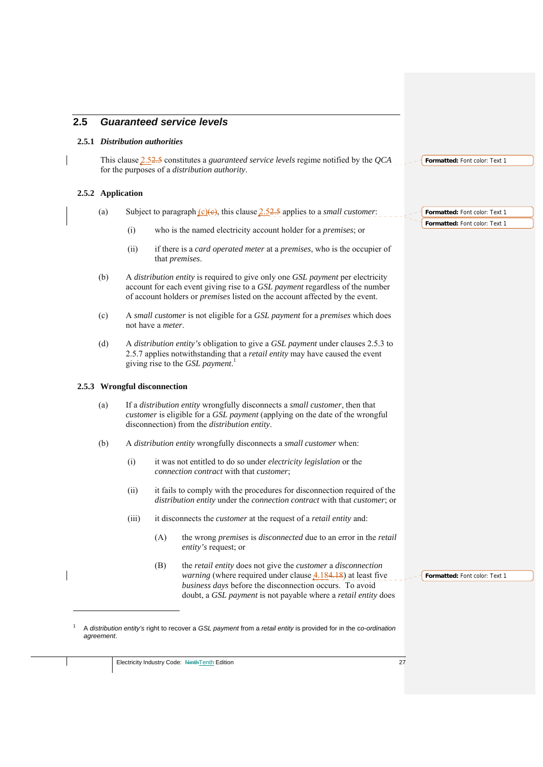# **2.5** *Guaranteed service levels*

#### **2.5.1** *Distribution authorities*

This clause 2.52.5 constitutes a *guaranteed service levels* regime notified by the *QCA* for the purposes of a *distribution authority*. **Formatted:** Font color: Text 1

#### **2.5.2 Application**

- (a) Subject to paragraph <u>(c)(e)</u>, this clause 2.52.5 applies to a *small customer*:
	- (i) who is the named electricity account holder for a *premises*; or
	- (ii) if there is a *card operated meter* at a *premises*, who is the occupier of that *premises*.
- (b) A *distribution entity* is required to give only one *GSL payment* per electricity account for each event giving rise to a *GSL payment* regardless of the number of account holders or *premises* listed on the account affected by the event.
- (c) A *small customer* is not eligible for a *GSL payment* for a *premises* which does not have a *meter*.
- (d) A *distribution entity's* obligation to give a *GSL payment* under clauses 2.5.3 to 2.5.7 applies notwithstanding that a *retail entity* may have caused the event giving rise to the *GSL payment*. 1

#### **2.5.3 Wrongful disconnection**

1 1

- (a) If a *distribution entity* wrongfully disconnects a *small customer*, then that *customer* is eligible for a *GSL payment* (applying on the date of the wrongful disconnection) from the *distribution entity*.
- (b) A *distribution entity* wrongfully disconnects a *small customer* when:
	- (i) it was not entitled to do so under *electricity legislation* or the *connection contract* with that *customer*;
	- (ii) it fails to comply with the procedures for disconnection required of the *distribution entity* under the *connection contract* with that *customer*; or
	- (iii) it disconnects the *customer* at the request of a *retail entity* and:
		- (A) the wrong *premises* is *disconnected* due to an error in the *retail entity's* request; or
		- (B) the *retail entity* does not give the *customer* a *disconnection warning* (where required under clause  $4.184.18$ ) at least five *business days* before the disconnection occurs. To avoid doubt, a *GSL payment* is not payable where a *retail entity* does

**Formatted:** Font color: Text 1

**Formatted:** Font color: Text 1 **Formatted:** Font color: Text 1

A *distribution entity's* right to recover a *GSL payment* from a *retail entity* is provided for in the c*o-ordination agreement*.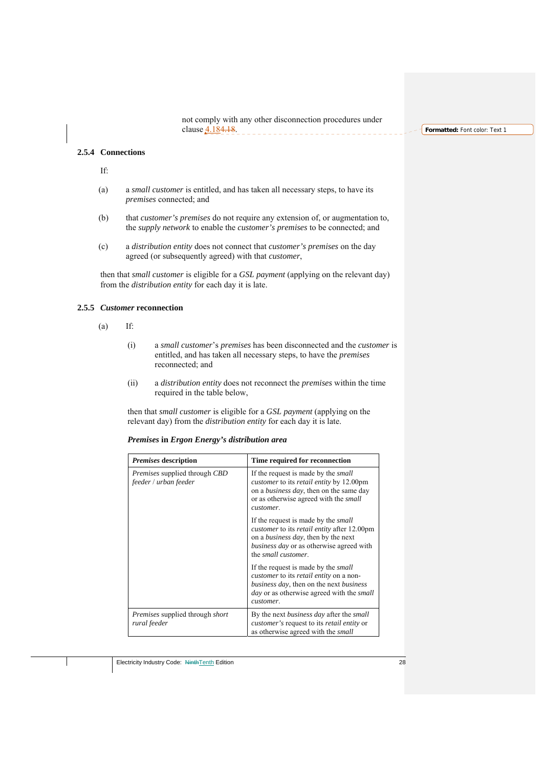not comply with any other disconnection procedures under clause 4.184.18. \_\_\_\_\_\_\_\_\_\_\_\_\_\_\_\_\_\_\_\_\_\_\_\_\_\_

**Formatted:** Font color: Text 1

#### **2.5.4 Connections**

If:

- (a) a *small customer* is entitled, and has taken all necessary steps, to have its *premises* connected; and
- (b) that *customer's premises* do not require any extension of, or augmentation to, the *supply network* to enable the *customer's premises* to be connected; and
- (c) a *distribution entity* does not connect that *customer's premises* on the day agreed (or subsequently agreed) with that *customer*,

then that *small customer* is eligible for a *GSL payment* (applying on the relevant day) from the *distribution entity* for each day it is late.

#### **2.5.5** *Customer* **reconnection**

- $(a)$  If:
	- (i) a *small customer*'s *premises* has been disconnected and the *customer* is entitled, and has taken all necessary steps, to have the *premises* reconnected; and
	- (ii) a *distribution entity* does not reconnect the *premises* within the time required in the table below,

then that *small customer* is eligible for a *GSL payment* (applying on the relevant day) from the *distribution entity* for each day it is late.

#### *Premises* **in** *Ergon Energy's distribution area*

| <i>Premises</i> description                                   | Time required for reconnection                                                                                                                                                                                                        |
|---------------------------------------------------------------|---------------------------------------------------------------------------------------------------------------------------------------------------------------------------------------------------------------------------------------|
| <i>Premises</i> supplied through CBD<br>feeder / urban feeder | If the request is made by the <i>small</i><br><i>customer</i> to its <i>retail entity</i> by 12.00pm<br>on a <i>business day</i> , then on the same day<br>or as otherwise agreed with the <i>small</i><br>customer.                  |
|                                                               | If the request is made by the <i>small</i><br><i>customer</i> to its <i>retail entity</i> after 12.00pm<br>on a <i>business day</i> , then by the next<br><i>business day</i> or as otherwise agreed with<br>the small customer.      |
|                                                               | If the request is made by the <i>small</i><br><i>customer</i> to its <i>retail entity</i> on a non-<br><i>business day</i> , then on the next <i>business</i><br><i>day</i> or as otherwise agreed with the <i>small</i><br>customer. |
| <i>Premises</i> supplied through <i>short</i><br>rural feeder | By the next <i>business day</i> after the <i>small</i><br><i>customer's</i> request to its <i>retail entity</i> or<br>as otherwise agreed with the <i>small</i>                                                                       |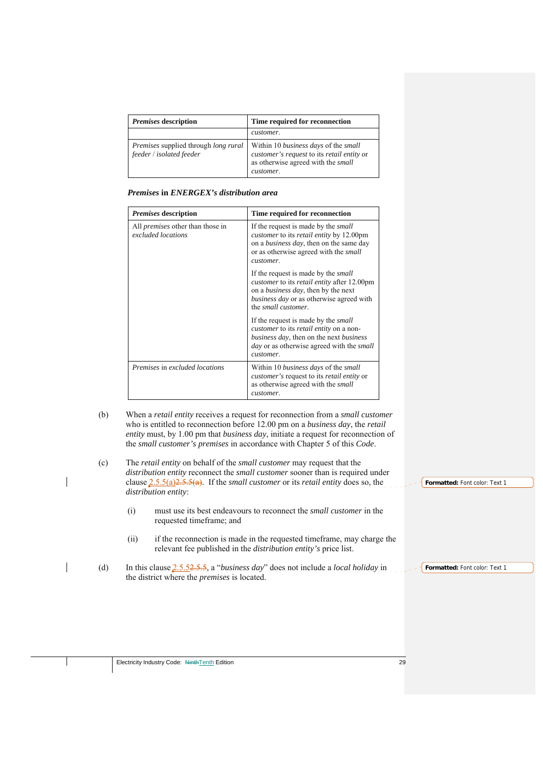| <i>Premises</i> description                                                    | Time required for reconnection                                                                                                        |
|--------------------------------------------------------------------------------|---------------------------------------------------------------------------------------------------------------------------------------|
|                                                                                | customer.                                                                                                                             |
| <i>Premises</i> supplied through <i>long rural</i><br>feeder / isolated feeder | Within 10 business days of the small<br>customer's request to its retail entity or<br>as otherwise agreed with the small<br>customer. |

|  |  | Premises in ENERGEX's distribution area |  |  |
|--|--|-----------------------------------------|--|--|
|--|--|-----------------------------------------|--|--|

| <i>Premises</i> description                                   | Time required for reconnection                                                                                                                                                                                                        |
|---------------------------------------------------------------|---------------------------------------------------------------------------------------------------------------------------------------------------------------------------------------------------------------------------------------|
| All <i>premises</i> other than those in<br>excluded locations | If the request is made by the <i>small</i><br><i>customer</i> to its <i>retail entity</i> by 12.00pm<br>on a <i>business day</i> , then on the same day<br>or as otherwise agreed with the <i>small</i><br>customer.                  |
|                                                               | If the request is made by the <i>small</i><br>customer to its retail entity after 12.00pm<br>on a <i>business day</i> , then by the next<br>business day or as otherwise agreed with<br>the <i>small</i> customer.                    |
|                                                               | If the request is made by the <i>small</i><br><i>customer</i> to its <i>retail entity</i> on a non-<br><i>business day</i> , then on the next <i>business</i><br><i>day</i> or as otherwise agreed with the <i>small</i><br>customer. |
| Premises in excluded locations                                | Within 10 <i>business days</i> of the <i>small</i><br><i>customer's</i> request to its <i>retail entity</i> or<br>as otherwise agreed with the <i>small</i><br>customer.                                                              |

- (b) When a *retail entity* receives a request for reconnection from a *small customer* who is entitled to reconnection before 12.00 pm on a *business day*, the *retail entity* must, by 1.00 pm that *business day*, initiate a request for reconnection of the *small customer's premises* in accordance with Chapter 5 of this *Code*.
- (c) The *retail entity* on behalf of the *small customer* may request that the *distribution entity* reconnect the *small customer* sooner than is required under clause 2.5.5(a)2.5.5(a). If the *small customer* or its *retail entity* does so, the *distribution entity*:
	- (i) must use its best endeavours to reconnect the *small customer* in the requested timeframe; and
	- (ii) if the reconnection is made in the requested timeframe, may charge the relevant fee published in the *distribution entity's* price list.
- (d) In this clause 2.5.52.5.5, a "*business day*" does not include a *local holiday* in the district where the *premises* is located.

**Formatted:** Font color: Text 1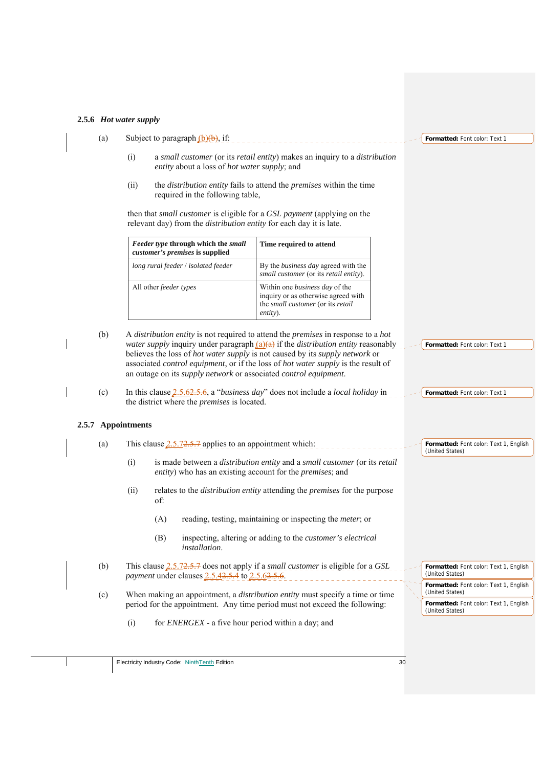#### **2.5.6** *Hot water supply*

- (a) Subject to paragraph  $(b)(b)$ , if:
	- (i) a *small customer* (or its *retail entity*) makes an inquiry to a *distribution entity* about a loss of *hot water supply*; and
	- (ii) the *distribution entity* fails to attend the *premises* within the time required in the following table,

then that *small customer* is eligible for a *GSL payment* (applying on the relevant day) from the *distribution entity* for each day it is late.

| Feeder type through which the small<br>customer's premises is supplied | Time required to attend                                                                                                       |
|------------------------------------------------------------------------|-------------------------------------------------------------------------------------------------------------------------------|
| long rural feeder / isolated feeder                                    | By the <i>business day</i> agreed with the<br>small customer (or its retail entity).                                          |
| All other <i>feeder</i> types                                          | Within one <i>business day</i> of the<br>inquiry or as otherwise agreed with<br>the small customer (or its retail<br>entity). |

- (b) A *distribution entity* is not required to attend the *premises* in response to a *hot water supply* inquiry under paragraph  $(a)(a)$  if the *distribution entity* reasonably believes the loss of *hot water supply* is not caused by its *supply network* or associated *control equipment*, or if the loss of *hot water supply* is the result of an outage on its *supply network* or associated *control equipment*.
- (c) In this clause 2.5.62.5.6, a "*business day*" does not include a *local holiday* in the district where the *premises* is located.

#### **2.5.7 Appointments**

- (a) This clause  $2.5.72.5.7$  applies to an appointment which:
	- (i) is made between a *distribution entity* and a *small customer* (or its *retail entity*) who has an existing account for the *premises*; and
	- (ii) relates to the *distribution entity* attending the *premises* for the purpose of:
		- (A) reading, testing, maintaining or inspecting the *meter*; or
		- (B) inspecting, altering or adding to the *customer's electrical installation*.
- (b) This clause 2.5.72.5.7 does not apply if a *small customer* is eligible for a *GSL payment* under clauses 2.5.42.5.4 to 2.5.62.5.6.
- (c) When making an appointment, a *distribution entity* must specify a time or time period for the appointment. Any time period must not exceed the following:
	- (i) for *ENERGEX* a five hour period within a day; and

**Formatted:** Font color: Text 1

**Formatted:** Font color: Text 1

**Formatted:** Font color: Text 1

**Formatted:** Font color: Text 1, English (United States)

**Formatted:** Font color: Text 1, English (United States) **Formatted:** Font color: Text 1, English (United States)

**Formatted:** Font color: Text 1, English (United States)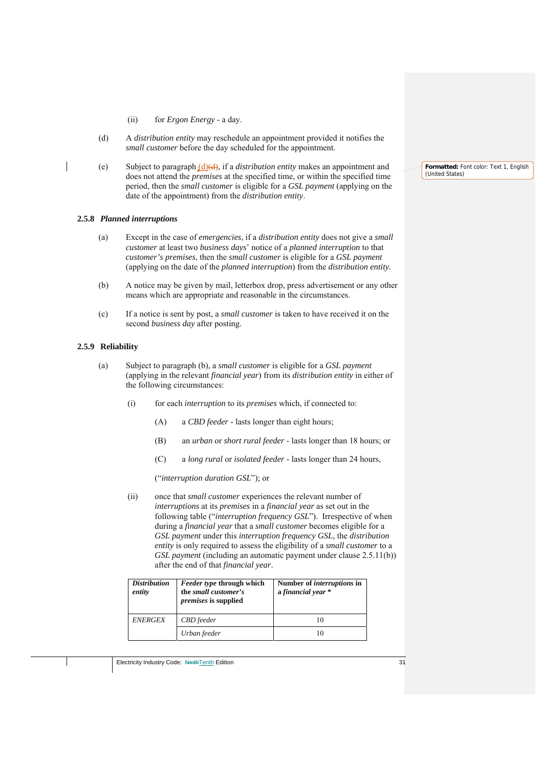- (ii) for *Ergon Energy* a day.
- (d) A *distribution entity* may reschedule an appointment provided it notifies the *small customer* before the day scheduled for the appointment.
- (e) Subject to paragraph (d)(d), if a *distribution entity* makes an appointment and does not attend the *premises* at the specified time, or within the specified time period, then the *small customer* is eligible for a *GSL payment* (applying on the date of the appointment) from the *distribution entity*.

#### **2.5.8** *Planned interruptions*

- (a) Except in the case of *emergencies*, if a *distribution entity* does not give a *small customer* at least two *business days*' notice of a *planned interruption* to that *customer's premises*, then the *small customer* is eligible for a *GSL payment* (applying on the date of the *planned interruption*) from the *distribution entity.*
- (b) A notice may be given by mail, letterbox drop, press advertisement or any other means which are appropriate and reasonable in the circumstances.
- (c) If a notice is sent by post, a *small customer* is taken to have received it on the second *business day* after posting.

#### **2.5.9 Reliability**

- (a) Subject to paragraph (b), a *small customer* is eligible for a *GSL payment* (applying in the relevant *financial year*) from its *distribution entity* in either of the following circumstances:
	- (i) for each *interruption* to its *premises* which, if connected to:
		- (A) a *CBD feeder*  lasts longer than eight hours;
		- (B) an *urban* or *short rural feeder*  lasts longer than 18 hours; or
		- (C) a *long rural* or *isolated feeder*  lasts longer than 24 hours,

("*interruption duration GSL*"); or

(ii) once that *small customer* experiences the relevant number of *interruptions* at its *premises* in a *financial year* as set out in the following table ("*interruption frequency GSL*"). Irrespective of when during a *financial year* that a *small customer* becomes eligible for a *GSL payment* under this *interruption frequency GSL*, the *distribution entity* is only required to assess the eligibility of a *small customer* to a *GSL payment* (including an automatic payment under clause 2.5.11(b)) after the end of that *financial year*.

| <i>Distribution</i><br>entity | <i>Feeder type through which</i><br>the small customer's<br><i>premises</i> is supplied | Number of <i>interruptions</i> in<br>a financial year * |
|-------------------------------|-----------------------------------------------------------------------------------------|---------------------------------------------------------|
| <b>ENERGEX</b>                | <b>CBD</b> feeder                                                                       |                                                         |
|                               | Urban feeder                                                                            |                                                         |

**Formatted:** Font color: Text 1, English (United States)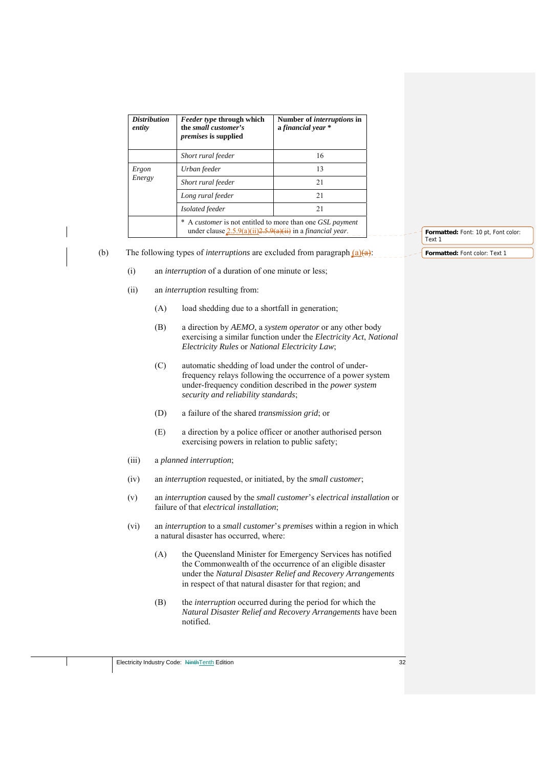| <b>Distribution</b><br>entity | <i>Feeder type through which</i><br>the small customer's<br><i>premises</i> is supplied                                         | Number of <i>interruptions</i> in<br>a financial year * |  |
|-------------------------------|---------------------------------------------------------------------------------------------------------------------------------|---------------------------------------------------------|--|
|                               | Short rural feeder                                                                                                              | 16                                                      |  |
| Ergon                         | Urban feeder                                                                                                                    | 13                                                      |  |
| Energy                        | Short rural feeder                                                                                                              | 21                                                      |  |
|                               | Long rural feeder                                                                                                               | 21                                                      |  |
|                               | Isolated feeder                                                                                                                 | 21                                                      |  |
|                               | A customer is not entitled to more than one GSL payment<br>under clause $2.5.9(a)(ii)2.5.9(a)(ii)$ in a <i>financial year</i> . |                                                         |  |

(b) The following types of *interruptions* are excluded from paragraph  $(a)(a)$ :

- (i) an *interruption* of a duration of one minute or less;
- (ii) an *interruption* resulting from:
	- (A) load shedding due to a shortfall in generation;
	- (B) a direction by *AEMO*, a *system operator* or any other body exercising a similar function under the *Electricity Act*, *National Electricity Rules* or *National Electricity Law*;
	- (C) automatic shedding of load under the control of underfrequency relays following the occurrence of a power system under-frequency condition described in the *power system security and reliability standards*;
	- (D) a failure of the shared *transmission grid*; or
	- (E) a direction by a police officer or another authorised person exercising powers in relation to public safety;
- (iii) a *planned interruption*;
- (iv) an *interruption* requested, or initiated, by the *small customer*;
- (v) an *interruption* caused by the *small customer*'s *electrical installation* or failure of that *electrical installation*;
- (vi) an *interruption* to a *small customer*'s *premises* within a region in which a natural disaster has occurred, where:
	- (A) the Queensland Minister for Emergency Services has notified the Commonwealth of the occurrence of an eligible disaster under the *Natural Disaster Relief and Recovery Arrangements*  in respect of that natural disaster for that region; and
	- (B) the *interruption* occurred during the period for which the *Natural Disaster Relief and Recovery Arrangements* have been notified.

Electricity Industry Code: NinthTenth Edition 32

**Formatted:** Font: 10 pt, Font color: Text 1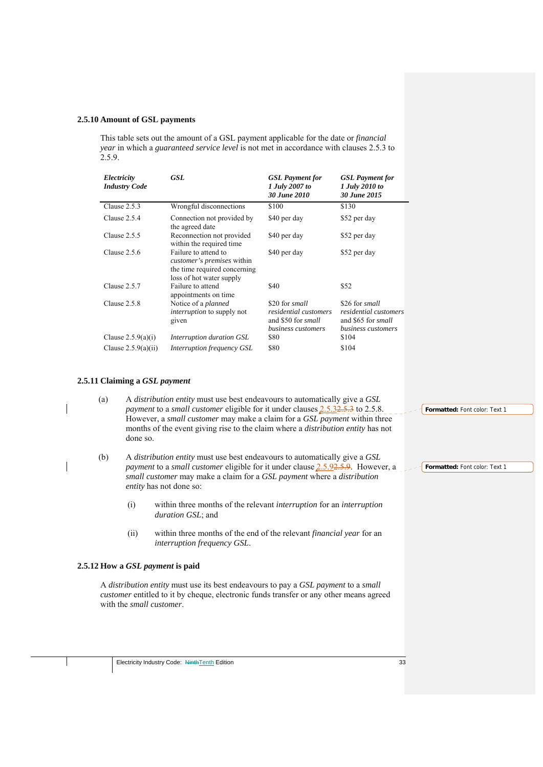#### **2.5.10 Amount of GSL payments**

This table sets out the amount of a GSL payment applicable for the date or *financial year* in which a *guaranteed service level* is not met in accordance with clauses 2.5.3 to 2.5.9.

| Electricity<br><b>Industry Code</b> | <b>GSL</b>                                                                                                            | <b>GSL</b> Payment for<br>1 July 2007 to<br>30 June 2010                                          | <b>GSL</b> Payment for<br>1 July 2010 to<br>30 June 2015                                   |
|-------------------------------------|-----------------------------------------------------------------------------------------------------------------------|---------------------------------------------------------------------------------------------------|--------------------------------------------------------------------------------------------|
| Clause 2.5.3                        | Wrongful disconnections                                                                                               | \$100                                                                                             | \$130                                                                                      |
| Clause $2.5.4$                      | Connection not provided by<br>the agreed date                                                                         | \$40 per day                                                                                      | \$52 per day                                                                               |
| Clause $2.5.5$                      | Reconnection not provided<br>within the required time.                                                                | \$40 per day                                                                                      | \$52 per day                                                                               |
| Clause $2.5.6$                      | Failure to attend to<br><i>customer's premises</i> within<br>the time required concerning<br>loss of hot water supply | \$40 per day                                                                                      | \$52 per day                                                                               |
| Clause $2.5.7$                      | Failure to attend<br>appointments on time                                                                             | \$40                                                                                              | \$52                                                                                       |
| Clause $2.5.8$                      | Notice of a <i>planned</i><br><i>interruption</i> to supply not<br>given                                              | \$20 for <i>small</i><br>residential customers<br>and \$50 for <i>small</i><br>business customers | \$26 for small<br>residential customers<br>and \$65 for <i>small</i><br>business customers |
| Clause $2.5.9(a)(i)$                | Interruption duration GSL                                                                                             | \$80                                                                                              | \$104                                                                                      |
| Clause $2.5.9(a)(ii)$               | <i>Interruption frequency GSL</i>                                                                                     | \$80                                                                                              | \$104                                                                                      |

#### **2.5.11 Claiming a** *GSL payment*

(a) A *distribution entity* must use best endeavours to automatically give a *GSL payment* to a *small customer* eligible for it under clauses 2.5.32.5.3 to 2.5.8. However, a *small customer* may make a claim for a *GSL payment* within three months of the event giving rise to the claim where a *distribution entity* has not done so.

- (b) A *distribution entity* must use best endeavours to automatically give a *GSL payment* to a *small customer* eligible for it under clause 2.5.92.5.9. However, a *small customer* may make a claim for a *GSL payment* where a *distribution entity* has not done so:
	- (i) within three months of the relevant *interruption* for an *interruption duration GSL*; and
	- (ii) within three months of the end of the relevant *financial year* for an *interruption frequency GSL*.

#### **2.5.12 How a** *GSL payment* **is paid**

A *distribution entity* must use its best endeavours to pay a *GSL payment* to a *small customer* entitled to it by cheque, electronic funds transfer or any other means agreed with the *small customer*.

**Formatted:** Font color: Text 1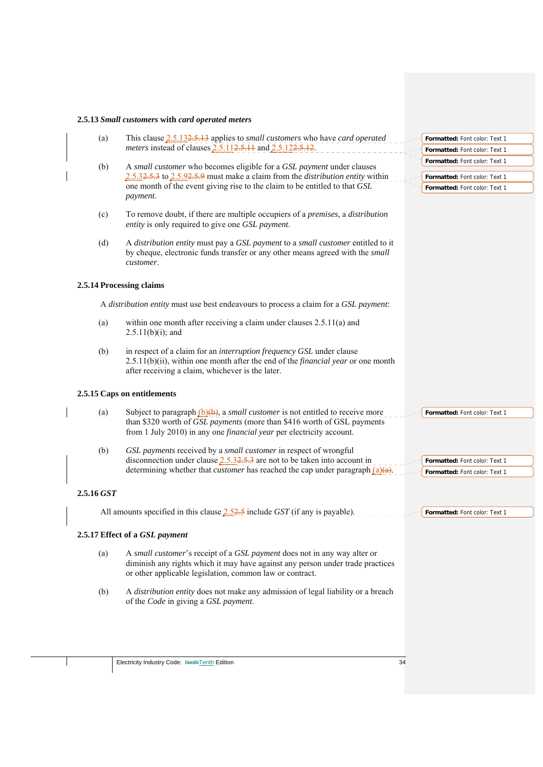# **2.5.13** *Small customers* **with** *card operated meters*

| (a)        |                                                                                           | This clause 2.5.132.5.13 applies to <i>small customers</i> who have <i>card operated</i>                                                                                                                                                   | Formatted: Font color: Text 1 |
|------------|-------------------------------------------------------------------------------------------|--------------------------------------------------------------------------------------------------------------------------------------------------------------------------------------------------------------------------------------------|-------------------------------|
|            | meters instead of clauses 2.5.112.5.11 and 2.5.122.5.12.                                  | Formatted: Font color: Text 1                                                                                                                                                                                                              |                               |
| (b)        | A small customer who becomes eligible for a GSL payment under clauses                     | Formatted: Font color: Text 1                                                                                                                                                                                                              |                               |
|            | $2.5.32.5.3$ to $2.5.92.5.9$ must make a claim from the <i>distribution entity</i> within | Formatted: Font color: Text 1                                                                                                                                                                                                              |                               |
|            |                                                                                           | one month of the event giving rise to the claim to be entitled to that GSL                                                                                                                                                                 | Formatted: Font color: Text 1 |
|            |                                                                                           | payment.                                                                                                                                                                                                                                   |                               |
|            | (c)                                                                                       | To remove doubt, if there are multiple occupiers of a premises, a distribution<br>entity is only required to give one GSL payment.                                                                                                         |                               |
|            | (d)                                                                                       | A distribution entity must pay a GSL payment to a small customer entitled to it<br>by cheque, electronic funds transfer or any other means agreed with the small<br>customer.                                                              |                               |
|            |                                                                                           | 2.5.14 Processing claims                                                                                                                                                                                                                   |                               |
|            |                                                                                           | A distribution entity must use best endeavours to process a claim for a GSL payment:                                                                                                                                                       |                               |
|            | (a)                                                                                       | within one month after receiving a claim under clauses $2.5.11(a)$ and<br>$2.5.11(b)(i)$ ; and                                                                                                                                             |                               |
|            | (b)                                                                                       | in respect of a claim for an interruption frequency GSL under clause<br>$2.5.11(b)(ii)$ , within one month after the end of the <i>financial year</i> or one month<br>after receiving a claim, whichever is the later.                     |                               |
|            |                                                                                           | 2.5.15 Caps on entitlements                                                                                                                                                                                                                |                               |
|            | (a)                                                                                       | Subject to paragraph $(b)(b)$ , a small customer is not entitled to receive more<br>than \$320 worth of GSL payments (more than \$416 worth of GSL payments<br>from 1 July 2010) in any one <i>financial year</i> per electricity account. | Formatted: Font color: Text 1 |
| (b)        |                                                                                           | GSL payments received by a small customer in respect of wrongful<br>disconnection under clause $2.5.32.5.3$ are not to be taken into account in                                                                                            | Formatted: Font color: Text 1 |
|            |                                                                                           | determining whether that <i>customer</i> has reached the cap under paragraph $(a)(a)$ .                                                                                                                                                    | Formatted: Font color: Text 1 |
| 2.5.16 GST |                                                                                           |                                                                                                                                                                                                                                            |                               |
|            |                                                                                           | All amounts specified in this clause $2.52.5$ include GST (if any is payable).                                                                                                                                                             | Formatted: Font color: Text 1 |
|            |                                                                                           | 2.5.17 Effect of a GSL payment                                                                                                                                                                                                             |                               |
|            | (a)                                                                                       | A small customer's receipt of a GSL payment does not in any way alter or<br>diminish any rights which it may have against any person under trade practices<br>or other applicable legislation, common law or contract.                     |                               |
|            | (b)                                                                                       | A distribution entity does not make any admission of legal liability or a breach<br>of the Code in giving a GSL payment.                                                                                                                   |                               |
|            |                                                                                           |                                                                                                                                                                                                                                            |                               |
|            |                                                                                           |                                                                                                                                                                                                                                            |                               |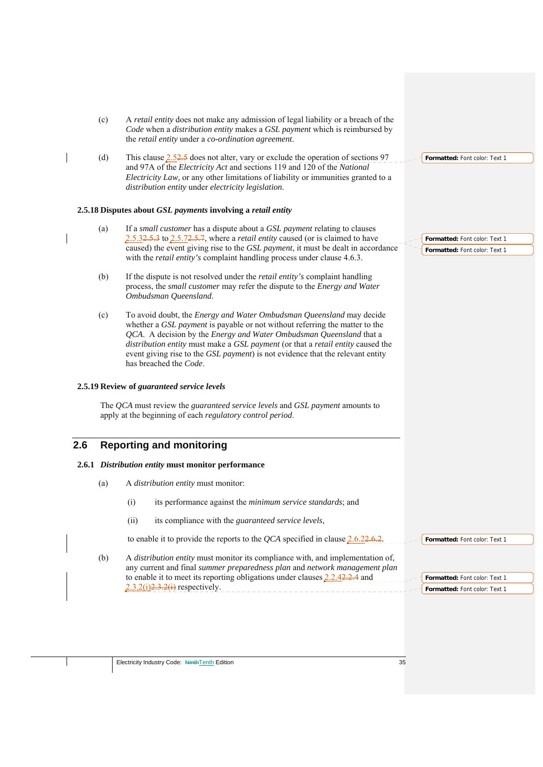- (c) A *retail entity* does not make any admission of legal liability or a breach of the *Code* when a *distribution entity* makes a *GSL payment* which is reimbursed by the *retail entity* under a *co-ordination agreement*.
- (d) This clause  $2.52.5$  does not alter, vary or exclude the operation of sections 97 and 97A of the *Electricity Act* and sections 119 and 120 of the *National Electricity Law,* or any other limitations of liability or immunities granted to a *distribution entity* under *electricity legislation*.

## **2.5.18 Disputes about** *GSL payments* **involving a** *retail entity*

- (a) If a *small customer* has a dispute about a *GSL payment* relating to clauses 2.5.32.5.3 to 2.5.72.5.7*,* where a *retail entity* caused (or is claimed to have caused) the event giving rise to the *GSL payment*, it must be dealt in accordance with the *retail entity's* complaint handling process under clause 4.6.3.
- (b) If the dispute is not resolved under the *retail entity's* complaint handling process, the *small customer* may refer the dispute to the *Energy and Water Ombudsman Queensland*.
- (c) To avoid doubt, the *Energy and Water Ombudsman Queensland* may decide whether a *GSL payment* is payable or not without referring the matter to the *QCA*. A decision by the *Energy and Water Ombudsman Queensland* that a *distribution entity* must make a *GSL payment* (or that a *retail entity* caused the event giving rise to the *GSL payment*) is not evidence that the relevant entity has breached the *Code*.

### **2.5.19 Review of** *guaranteed service levels*

The *QCA* must review the *guaranteed service levels* and *GSL payment* amounts to apply at the beginning of each *regulatory control period*.

## **2.6 Reporting and monitoring**

## **2.6.1** *Distribution entity* **must monitor performance**

- (a) A *distribution entity* must monitor:
	- (i) its performance against the *minimum service standards*; and
	- (ii) its compliance with the *guaranteed service levels*,

to enable it to provide the reports to the *QCA* specified in clause 2.6.22.6.2.

(b) A *distribution entity* must monitor its compliance with, and implementation of, any current and final *summer preparedness plan* and *network management plan* to enable it to meet its reporting obligations under clauses 2.2.42.2.4 and  $2.3.2(i)$  $2.3.2(i)$  respectively.

**Formatted:** Font color: Text 1

**Formatted:** Font color: Text 1 **Formatted:** Font color: Text 1

**Formatted:** Font color: Text 1

**Formatted:** Font color: Text 1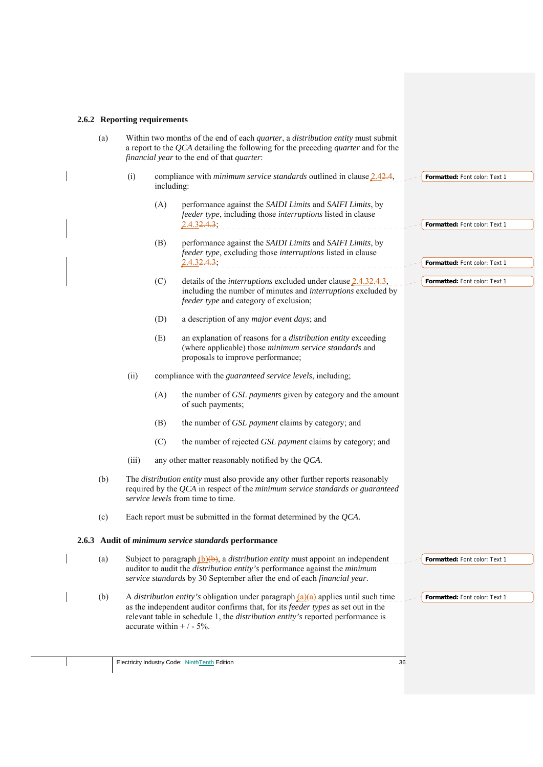# **2.6.2 Reporting requirements**

| (a) |       |            | Within two months of the end of each <i>quarter</i> , a <i>distribution entity</i> must submit<br>a report to the $QCA$ detailing the following for the preceding <i>quarter</i> and for the<br>financial year to the end of that quarter:                                                            |                               |
|-----|-------|------------|-------------------------------------------------------------------------------------------------------------------------------------------------------------------------------------------------------------------------------------------------------------------------------------------------------|-------------------------------|
|     | (i)   | including: | compliance with <i>minimum service standards</i> outlined in clause $2.42.4$ ,                                                                                                                                                                                                                        | Formatted: Font color: Text 1 |
|     |       | (A)        | performance against the SAIDI Limits and SAIFI Limits, by<br>feeder type, including those interruptions listed in clause<br>$2.4.32.4.3$ ;                                                                                                                                                            | Formatted: Font color: Text 1 |
|     |       | (B)        | performance against the SAIDI Limits and SAIFI Limits, by<br>feeder type, excluding those interruptions listed in clause<br>2.4.32.4.3;                                                                                                                                                               | Formatted: Font color: Text 1 |
|     |       | (C)        | details of the <i>interruptions</i> excluded under clause $2.4.32.4.3$ ,<br>including the number of minutes and interruptions excluded by<br>feeder type and category of exclusion;                                                                                                                   | Formatted: Font color: Text 1 |
|     |       | (D)        | a description of any <i>major event days</i> ; and                                                                                                                                                                                                                                                    |                               |
|     |       | (E)        | an explanation of reasons for a distribution entity exceeding<br>(where applicable) those minimum service standards and<br>proposals to improve performance;                                                                                                                                          |                               |
|     | (ii)  |            | compliance with the <i>guaranteed service levels</i> , including;                                                                                                                                                                                                                                     |                               |
|     |       | (A)        | the number of <i>GSL payments</i> given by category and the amount<br>of such payments;                                                                                                                                                                                                               |                               |
|     |       | (B)        | the number of GSL payment claims by category; and                                                                                                                                                                                                                                                     |                               |
|     |       | (C)        | the number of rejected GSL payment claims by category; and                                                                                                                                                                                                                                            |                               |
|     | (iii) |            | any other matter reasonably notified by the $QCA$ .                                                                                                                                                                                                                                                   |                               |
| (b) |       |            | The distribution entity must also provide any other further reports reasonably<br>required by the $QCA$ in respect of the minimum service standards or guaranteed<br>service levels from time to time.                                                                                                |                               |
| (c) |       |            | Each report must be submitted in the format determined by the QCA.                                                                                                                                                                                                                                    |                               |
|     |       |            | 2.6.3 Audit of minimum service standards performance                                                                                                                                                                                                                                                  |                               |
| (a) |       |            | Subject to paragraph $(b)(b)$ , a <i>distribution entity</i> must appoint an independent<br>auditor to audit the <i>distribution entity's</i> performance against the <i>minimum</i><br>service standards by 30 September after the end of each financial year.                                       | Formatted: Font color: Text 1 |
| (b) |       |            | A <i>distribution entity's</i> obligation under paragraph $(a)(a)$ applies until such time<br>as the independent auditor confirms that, for its feeder types as set out in the<br>relevant table in schedule 1, the <i>distribution entity's</i> reported performance is<br>accurate within $+/-5%$ . | Formatted: Font color: Text 1 |
|     |       |            |                                                                                                                                                                                                                                                                                                       |                               |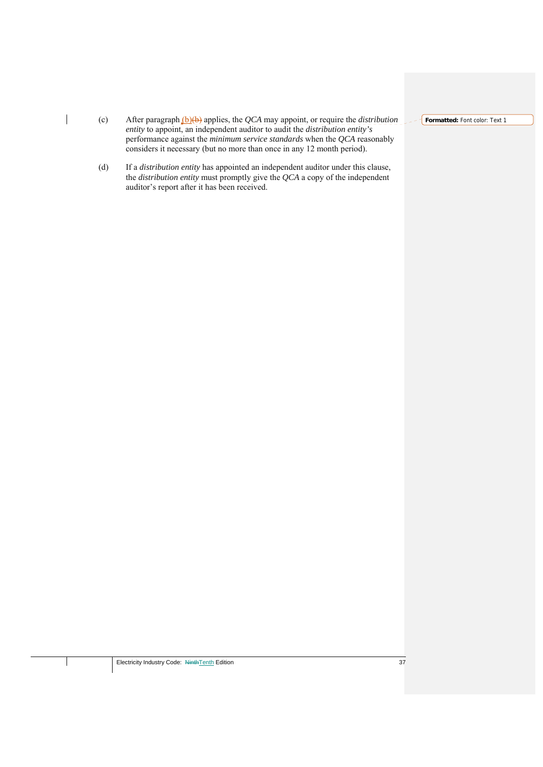(c) After paragraph (b)(b) applies, the *QCA* may appoint, or require the *distribution entity* to appoint, an independent auditor to audit the *distribution entity's* performance against the *minimum service standards* when the *QCA* reasonably considers it necessary (but no more than once in any 12 month period).

 $\overline{\phantom{a}}$ 

(d) If a *distribution entity* has appointed an independent auditor under this clause, the *distribution entity* must promptly give the *QCA* a copy of the independent auditor's report after it has been received.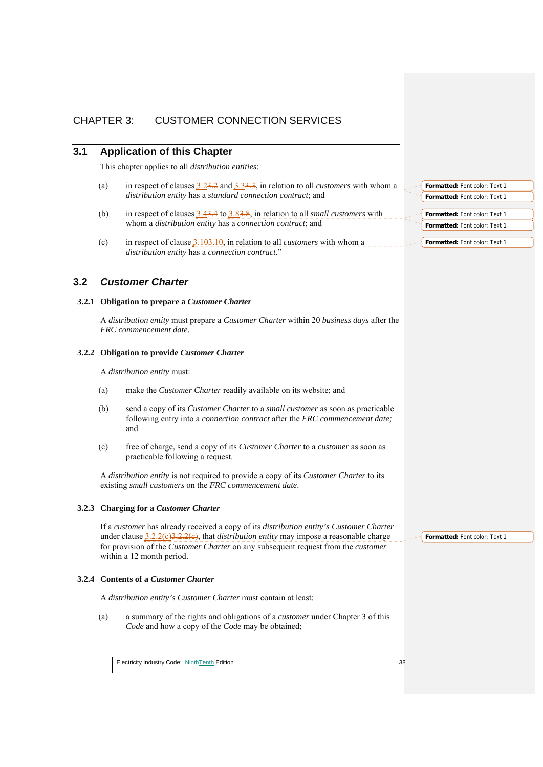# CHAPTER 3: CUSTOMER CONNECTION SERVICES

## **3.1 Application of this Chapter**

This chapter applies to all *distribution entities*:

- (a) in respect of clauses 3.23.2 and 3.33.3, in relation to all *customers* with whom a *distribution entity* has a *standard connection contract*; and
	- (b) in respect of clauses 3.43.4 to 3.83.8, in relation to all *small customers* with whom a *distribution entity* has a *connection contract*; and
	- (c) in respect of clause 3.103.10, in relation to all *customers* with whom a *distribution entity* has a *connection contract*."

## **3.2** *Customer Charter*

### **3.2.1 Obligation to prepare a** *Customer Charter*

A *distribution entity* must prepare a *Customer Charter* within 20 *business days* after the *FRC commencement date*.

## **3.2.2 Obligation to provide** *Customer Charter*

A *distribution entity* must:

- (a) make the *Customer Charter* readily available on its website; and
- (b) send a copy of its *Customer Charter* to a *small customer* as soon as practicable following entry into a *connection contract* after the *FRC commencement date;*  and
- (c) free of charge, send a copy of its *Customer Charter* to a *customer* as soon as practicable following a request.

A *distribution entity* is not required to provide a copy of its *Customer Charter* to its existing *small customers* on the *FRC commencement date*.

### **3.2.3 Charging for a** *Customer Charter*

If a *customer* has already received a copy of its *distribution entity's Customer Charter*  under clause 3.2.2(c)3.2.2(c), that *distribution entity* may impose a reasonable charge for provision of the *Customer Charter* on any subsequent request from the *customer*  within a 12 month period.

### **3.2.4 Contents of a** *Customer Charter*

A *distribution entity's Customer Charter* must contain at least:

(a) a summary of the rights and obligations of a *customer* under Chapter 3 of this *Code* and how a copy of the *Code* may be obtained;

| <b>Formatted: Font color: Text 1</b> |  |
|--------------------------------------|--|
| <b>Formatted:</b> Font color: Text 1 |  |
|                                      |  |
| <b>Formatted:</b> Font color: Text 1 |  |
| <b>Formatted: Font color: Text 1</b> |  |
|                                      |  |
| <b>Formatted: Font color: Text 1</b> |  |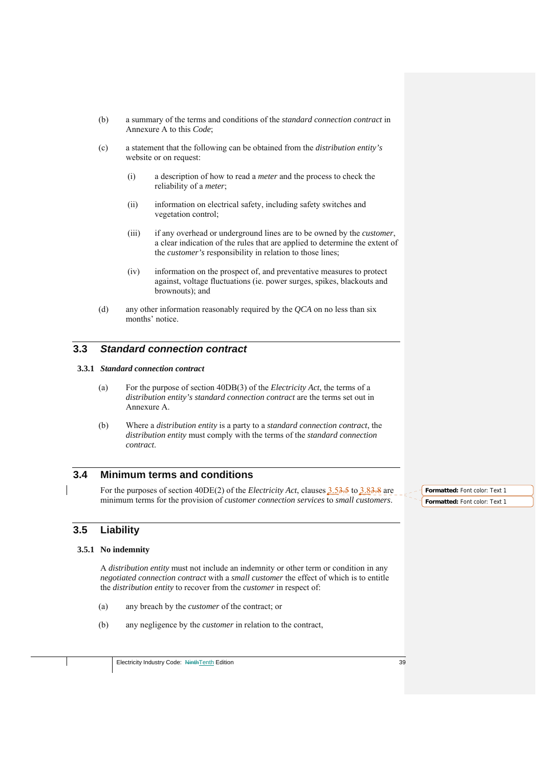- (b) a summary of the terms and conditions of the *standard connection contract* in Annexure A to this *Code*;
- (c) a statement that the following can be obtained from the *distribution entity's*  website or on request:
	- (i) a description of how to read a *meter* and the process to check the reliability of a *meter*;
	- (ii) information on electrical safety, including safety switches and vegetation control;
	- (iii) if any overhead or underground lines are to be owned by the *customer*, a clear indication of the rules that are applied to determine the extent of the *customer's* responsibility in relation to those lines;
	- (iv) information on the prospect of, and preventative measures to protect against, voltage fluctuations (ie. power surges, spikes, blackouts and brownouts); and
- (d) any other information reasonably required by the *QCA* on no less than six months' notice.

# **3.3** *Standard connection contract*

### **3.3.1** *Standard connection contract*

- (a) For the purpose of section 40DB(3) of the *Electricity Act*, the terms of a *distribution entity's standard connection contract* are the terms set out in Annexure A.
- (b) Where a *distribution entity* is a party to a *standard connection contract*, the *distribution entity* must comply with the terms of the *standard connection contract*.

# **3.4 Minimum terms and conditions**

For the purposes of section 40DE(2) of the *Electricity Act*, clauses 3.53.5 to 3.83.8 are minimum terms for the provision of *customer connection services* to *small customers*.

## **3.5 Liability**

## **3.5.1 No indemnity**

A *distribution entity* must not include an indemnity or other term or condition in any *negotiated connection contract* with a *small customer* the effect of which is to entitle the *distribution entity* to recover from the *customer* in respect of:

- (a) any breach by the *customer* of the contract; or
- (b) any negligence by the *customer* in relation to the contract,

Electricity Industry Code: NinthTenth Edition 39

**Formatted:** Font color: Text 1 **Formatted:** Font color: Text 1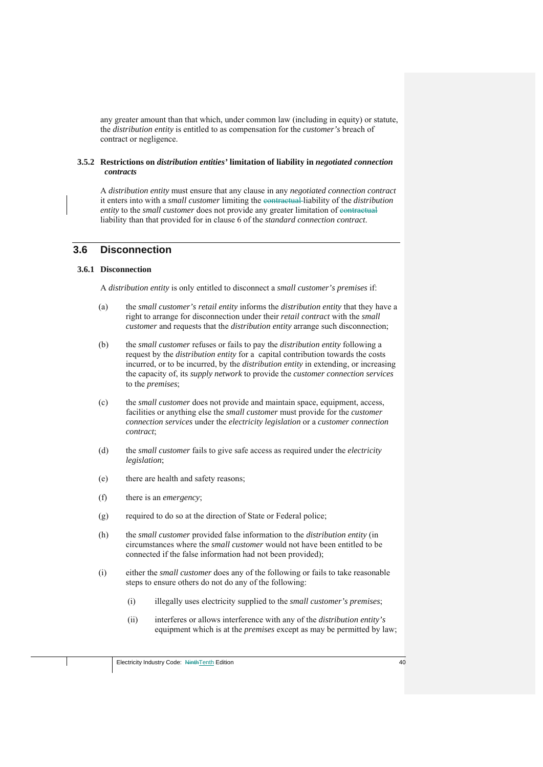any greater amount than that which, under common law (including in equity) or statute, the *distribution entity* is entitled to as compensation for the *customer's* breach of contract or negligence.

#### **3.5.2 Restrictions on** *distribution entities'* **limitation of liability in** *negotiated connection contracts*

A *distribution entity* must ensure that any clause in any *negotiated connection contract* it enters into with a *small customer* limiting the contractual liability of the *distribution entity* to the *small customer* does not provide any greater limitation of contractual liability than that provided for in clause 6 of the *standard connection contract*.

## **3.6 Disconnection**

### **3.6.1 Disconnection**

A *distribution entity* is only entitled to disconnect a *small customer's premises* if:

- (a) the *small customer's retail entity* informs the *distribution entity* that they have a right to arrange for disconnection under their *retail contract* with the *small customer* and requests that the *distribution entity* arrange such disconnection;
- (b) the *small customer* refuses or fails to pay the *distribution entity* following a request by the *distribution entity* for a capital contribution towards the costs incurred, or to be incurred, by the *distribution entity* in extending, or increasing the capacity of, its *supply network* to provide the *customer connection services* to the *premises*;
- (c) the *small customer* does not provide and maintain space, equipment, access, facilities or anything else the *small customer* must provide for the *customer connection services* under the *electricity legislation* or a *customer connection contract*;
- (d) the *small customer* fails to give safe access as required under the *electricity legislation*;
- (e) there are health and safety reasons;
- (f) there is an *emergency*;
- (g) required to do so at the direction of State or Federal police;
- (h) the *small customer* provided false information to the *distribution entity* (in circumstances where the *small customer* would not have been entitled to be connected if the false information had not been provided);
- (i) either the *small customer* does any of the following or fails to take reasonable steps to ensure others do not do any of the following:
	- (i) illegally uses electricity supplied to the *small customer's premises*;
	- (ii) interferes or allows interference with any of the *distribution entity's* equipment which is at the *premises* except as may be permitted by law;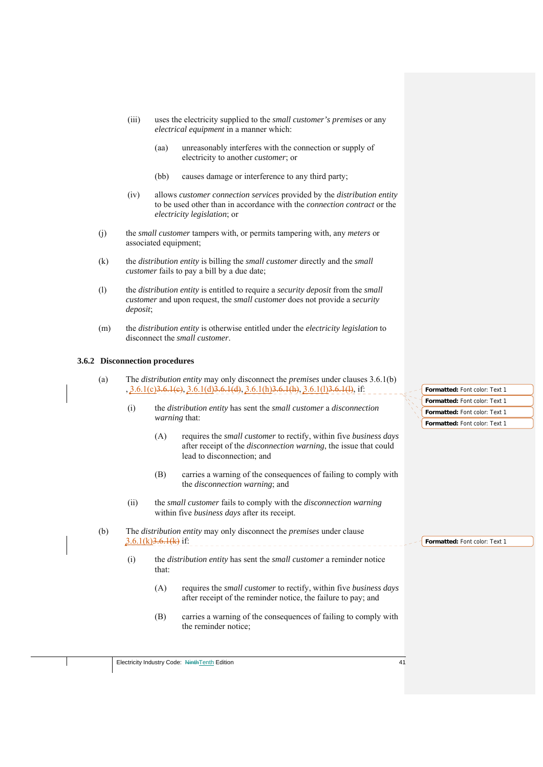- (iii) uses the electricity supplied to the *small customer's premises* or any *electrical equipment* in a manner which:
	- (aa) unreasonably interferes with the connection or supply of electricity to another *customer*; or
	- (bb) causes damage or interference to any third party;
- (iv) allows *customer connection services* provided by the *distribution entity* to be used other than in accordance with the *connection contract* or the *electricity legislation*; or
- (j) the *small customer* tampers with, or permits tampering with, any *meters* or associated equipment;
- (k) the *distribution entity* is billing the *small customer* directly and the *small customer* fails to pay a bill by a due date;
- (l) the *distribution entity* is entitled to require a *security deposit* from the *small customer* and upon request, the *small customer* does not provide a *security deposit*;
- (m) the *distribution entity* is otherwise entitled under the *electricity legislation* to disconnect the *small customer*.

## **3.6.2 Disconnection procedures**

- (a) The *distribution entity* may only disconnect the *premises* under clauses 3.6.1(b) , 3.6.1(c)3.6.1(c), 3.6.1(d)3.6.1(d), 3.6.1(h)3.6.1(h), 3.6.1(l)3.6.1(l), if:
	- (i) the *distribution entity* has sent the *small customer* a *disconnection warning* that:
		- (A) requires the *small customer* to rectify, within five *business days*  after receipt of the *disconnection warning*, the issue that could lead to disconnection; and
		- (B) carries a warning of the consequences of failing to comply with the *disconnection warning*; and
	- (ii) the *small customer* fails to comply with the *disconnection warning* within five *business days* after its receipt.
- (b) The *distribution entity* may only disconnect the *premises* under clause  $3.6.1(k)$  $3.6.1(k)$  if:
	- (i) the *distribution entity* has sent the *small customer* a reminder notice that:
		- (A) requires the *small customer* to rectify, within five *business days*  after receipt of the reminder notice, the failure to pay; and
		- (B) carries a warning of the consequences of failing to comply with the reminder notice;

**Formatted:** Font color: Text 1 **Formatted:** Font color: Text 1 **Formatted:** Font color: Text 1 **Formatted:** Font color: Text 1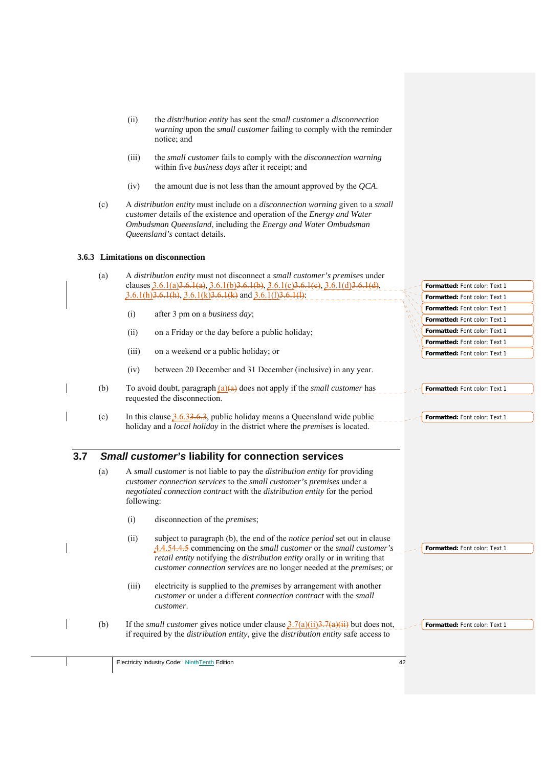- (ii) the *distribution entity* has sent the *small customer* a *disconnection warning* upon the *small customer* failing to comply with the reminder notice; and
- (iii) the *small customer* fails to comply with the *disconnection warning* within five *business days* after it receipt; and
- (iv) the amount due is not less than the amount approved by the *QCA*.
- (c) A *distribution entity* must include on a *disconnection warning* given to a *small customer* details of the existence and operation of the *Energy and Water Ombudsman Queensland*, including the *Energy and Water Ombudsman Queensland's* contact details.

## **3.6.3 Limitations on disconnection**

| (a)        |            | A distribution entity must not disconnect a small customer's premises under                                                                                                                                                                                                                                                |                               |
|------------|------------|----------------------------------------------------------------------------------------------------------------------------------------------------------------------------------------------------------------------------------------------------------------------------------------------------------------------------|-------------------------------|
|            |            | clauses $3.6.1(a)3.6.1(a)$ , $3.6.1(b)3.6.1(b)$ , $3.6.1(c)3.6.1(e)$ , $3.6.1(d)3.6.1(d)$ ,                                                                                                                                                                                                                                | Formatted: Font color: Text 1 |
|            |            | $3.6.1(h)3.6.1(h)$ , $3.6.1(k)3.6.1(k)$ and $3.6.1(l)3.6.1(l)$ :                                                                                                                                                                                                                                                           | Formatted: Font color: Text 1 |
|            | (i)        | after 3 pm on a business day;                                                                                                                                                                                                                                                                                              | Formatted: Font color: Text 1 |
|            |            |                                                                                                                                                                                                                                                                                                                            | Formatted: Font color: Text 1 |
|            | (ii)       | on a Friday or the day before a public holiday;                                                                                                                                                                                                                                                                            | Formatted: Font color: Text 1 |
|            |            |                                                                                                                                                                                                                                                                                                                            | Formatted: Font color: Text 1 |
|            | (iii)      | on a weekend or a public holiday; or                                                                                                                                                                                                                                                                                       | Formatted: Font color: Text 1 |
|            | (iv)       | between 20 December and 31 December (inclusive) in any year.                                                                                                                                                                                                                                                               |                               |
| (b)        |            | To avoid doubt, paragraph $(a)(a)$ does not apply if the <i>small customer</i> has<br>requested the disconnection.                                                                                                                                                                                                         | Formatted: Font color: Text 1 |
| (c)        |            | In this clause $3.6.33.6.3$ , public holiday means a Queensland wide public<br>holiday and a local holiday in the district where the premises is located.                                                                                                                                                                  | Formatted: Font color: Text 1 |
| 3.7<br>(a) | following: | <b>Small customer's liability for connection services</b><br>A small customer is not liable to pay the <i>distribution entity</i> for providing<br>customer connection services to the small customer's premises under a<br>negotiated connection contract with the distribution entity for the period                     |                               |
|            | (i)        |                                                                                                                                                                                                                                                                                                                            |                               |
|            |            | disconnection of the <i>premises</i> ;                                                                                                                                                                                                                                                                                     |                               |
|            | (ii)       | subject to paragraph (b), the end of the <i>notice period</i> set out in clause<br>4.4.54.4.5 commencing on the <i>small customer</i> or the <i>small customer's</i><br>retail entity notifying the distribution entity orally or in writing that<br>customer connection services are no longer needed at the premises; or | Formatted: Font color: Text 1 |
|            | (iii)      | electricity is supplied to the <i>premises</i> by arrangement with another<br><i>customer</i> or under a different <i>connection contract</i> with the <i>small</i><br>customer.                                                                                                                                           |                               |

 $\overline{\phantom{a}}$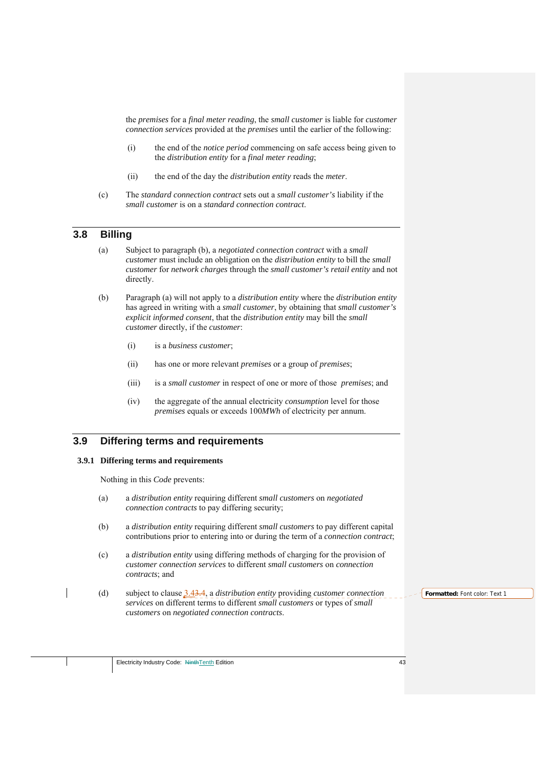the *premises* for a *final meter reading*, the *small customer* is liable for *customer connection services* provided at the *premises* until the earlier of the following:

- (i) the end of the *notice period* commencing on safe access being given to the *distribution entity* for a *final meter reading*;
- (ii) the end of the day the *distribution entity* reads the *meter*.
- (c) The *standard connection contract* sets out a *small customer's* liability if the *small customer* is on a *standard connection contract*.

# **3.8 Billing**

- (a) Subject to paragraph (b), a *negotiated connection contract* with a *small customer* must include an obligation on the *distribution entity* to bill the *small customer* for *network charges* through the *small customer's retail entity* and not directly.
- (b) Paragraph (a) will not apply to a *distribution entity* where the *distribution entity* has agreed in writing with a *small customer*, by obtaining that *small customer's explicit informed consent*, that the *distribution entity* may bill the *small customer* directly, if the *customer*:
	- (i) is a *business customer*;
	- (ii) has one or more relevant *premises* or a group of *premises*;
	- (iii) is a *small customer* in respect of one or more of those *premises*; and
	- (iv) the aggregate of the annual electricity *consumption* level for those *premises* equals or exceeds 100*MWh* of electricity per annum.

## **3.9 Differing terms and requirements**

### **3.9.1 Differing terms and requirements**

Nothing in this *Code* prevents:

- (a) a *distribution entity* requiring different *small customers* on *negotiated connection contracts* to pay differing security;
- (b) a *distribution entity* requiring different *small customers* to pay different capital contributions prior to entering into or during the term of a *connection contract*;
- (c) a *distribution entity* using differing methods of charging for the provision of *customer connection services* to different *small customers* on *connection contracts*; and
- (d) subject to clause 3.43.4, a *distribution entity* providing *customer connection services* on different terms to different *small customers* or types of *small customers* on *negotiated connection contracts*.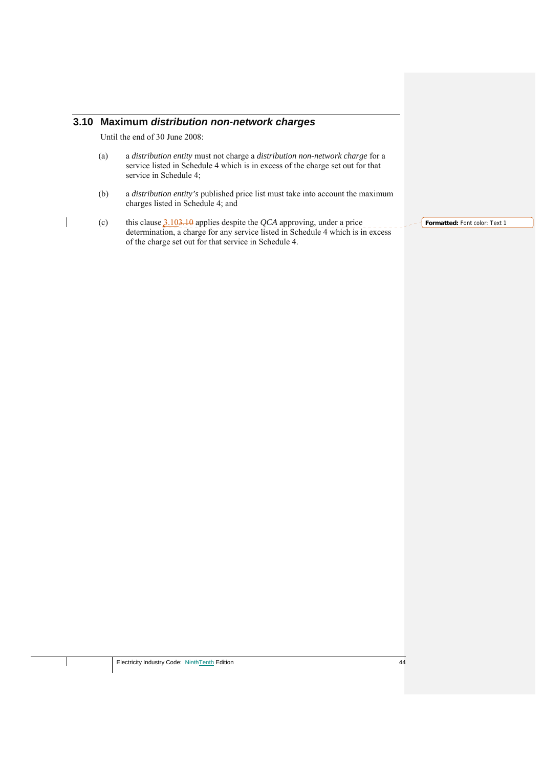# **3.10 Maximum** *distribution non-network charges*

Until the end of 30 June 2008:

- (a) a *distribution entity* must not charge a *distribution non-network charge* for a service listed in Schedule 4 which is in excess of the charge set out for that service in Schedule 4;
- (b) a *distribution entity's* published price list must take into account the maximum charges listed in Schedule 4; and
- (c) this clause 3.103.10 applies despite the *QCA* approving, under a price determination, a charge for any service listed in Schedule 4 which is in excess of the charge set out for that service in Schedule 4.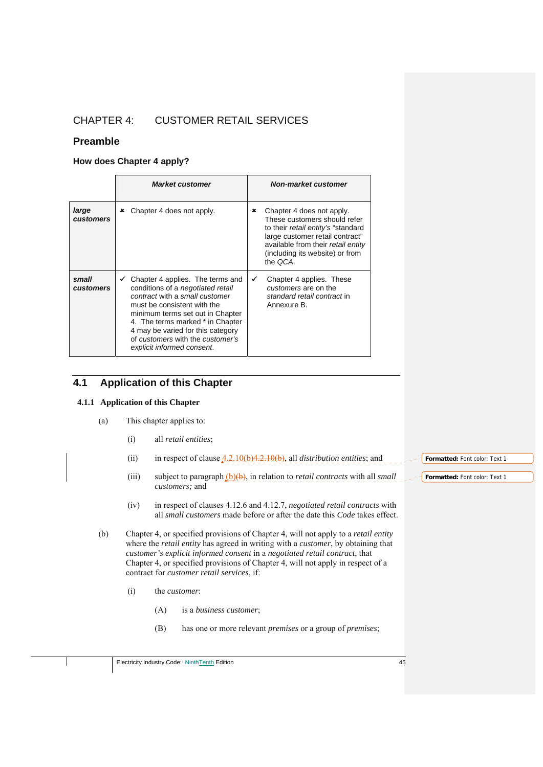# CHAPTER 4: CUSTOMER RETAIL SERVICES

## **Preamble**

## **How does Chapter 4 apply?**

|                    | <b>Market customer</b>                                                                                                                                                                                                                                                                                                       | <b>Non-market customer</b>                                                                                                                                                                                                          |
|--------------------|------------------------------------------------------------------------------------------------------------------------------------------------------------------------------------------------------------------------------------------------------------------------------------------------------------------------------|-------------------------------------------------------------------------------------------------------------------------------------------------------------------------------------------------------------------------------------|
| large<br>customers | Chapter 4 does not apply.<br>×                                                                                                                                                                                                                                                                                               | Chapter 4 does not apply.<br>×<br>These customers should refer<br>to their <i>retail entity's</i> "standard<br>large customer retail contract"<br>available from their retail entity<br>(including its website) or from<br>the QCA. |
| small<br>customers | Chapter 4 applies. The terms and<br>conditions of a <i>negotiated</i> retail<br>contract with a small customer<br>must be consistent with the<br>minimum terms set out in Chapter<br>4. The terms marked * in Chapter<br>4 may be varied for this category<br>of customers with the customer's<br>explicit informed consent. | Chapter 4 applies. These<br>✔<br>customers are on the<br>standard retail contract in<br>Annexure B.                                                                                                                                 |

# **4.1 Application of this Chapter**

### **4.1.1 Application of this Chapter**

- (a) This chapter applies to:
	- (i) all *retail entities*;
	- (ii) in respect of clause 4.2.10(b)4.2.10(b), all *distribution entities*; and
	- (iii) subject to paragraph (b)(b), in relation to *retail contracts* with all *small*  $\leq$  **Formatted:** Font color: Text 1 *customers;* and
	- (iv) in respect of clauses 4.12.6 and 4.12.7, *negotiated retail contracts* with all *small customers* made before or after the date this *Code* takes effect.
- (b) Chapter 4, or specified provisions of Chapter 4, will not apply to a *retail entity* where the *retail entity* has agreed in writing with a *customer*, by obtaining that *customer's explicit informed consent* in a *negotiated retail contract*, that Chapter 4, or specified provisions of Chapter 4, will not apply in respect of a contract for *customer retail services*, if:
	- (i) the *customer*:
		- (A) is a *business customer*;
		- (B) has one or more relevant *premises* or a group of *premises*;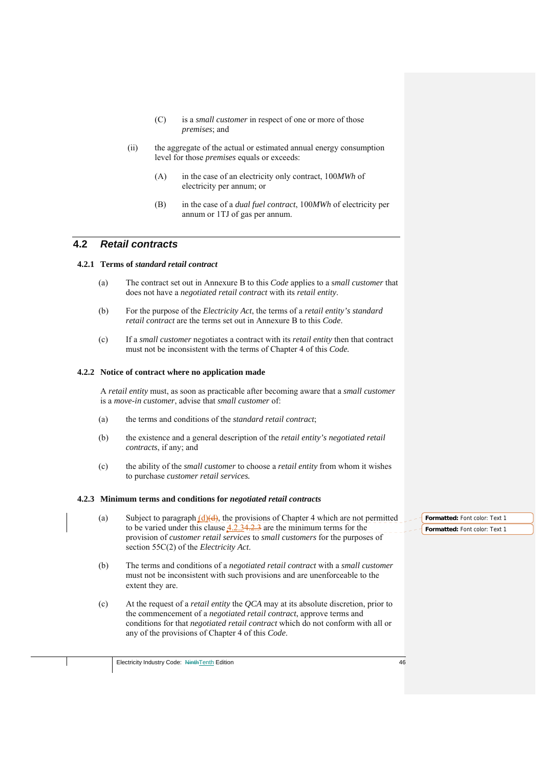- (C) is a *small customer* in respect of one or more of those *premises*; and
- (ii) the aggregate of the actual or estimated annual energy consumption level for those *premises* equals or exceeds:
	- (A) in the case of an electricity only contract, 100*MWh* of electricity per annum; or
	- (B) in the case of a *dual fuel contract*, 100*MWh* of electricity per annum or 1TJ of gas per annum.

# **4.2** *Retail contracts*

## **4.2.1 Terms of** *standard retail contract*

- (a) The contract set out in Annexure B to this *Code* applies to a s*mall customer* that does not have a *negotiated retail contract* with its *retail entity*.
- (b) For the purpose of the *Electricity Act*, the terms of a *retail entity's standard retail contract* are the terms set out in Annexure B to this *Code*.
- (c) If a *small customer* negotiates a contract with its *retail entity* then that contract must not be inconsistent with the terms of Chapter 4 of this *Code.*

#### **4.2.2 Notice of contract where no application made**

A *retail entity* must, as soon as practicable after becoming aware that a *small customer*  is a *move-in customer*, advise that *small customer* of:

- (a) the terms and conditions of the *standard retail contract*;
- (b) the existence and a general description of the *retail entity's negotiated retail contracts*, if any; and
- (c) the ability of the *small customer* to choose a *retail entity* from whom it wishes to purchase *customer retail services.*

#### **4.2.3 Minimum terms and conditions for** *negotiated retail contracts*

- (a) Subject to paragraph  $(d)(d)$ , the provisions of Chapter 4 which are not permitted to be varied under this clause  $4.2.34.2.3$  are the minimum terms for the provision of *customer retail services* to *small customers* for the purposes of section 55C(2) of the *Electricity Act*.
- (b) The terms and conditions of a *negotiated retail contract* with a *small customer* must not be inconsistent with such provisions and are unenforceable to the extent they are.
- (c) At the request of a *retail entity* the *QCA* may at its absolute discretion, prior to the commencement of a *negotiated retail contract*, approve terms and conditions for that *negotiated retail contract* which do not conform with all or any of the provisions of Chapter 4 of this *Code*.

**Formatted:** Font color: Text 1 **Formatted:** Font color: Text 1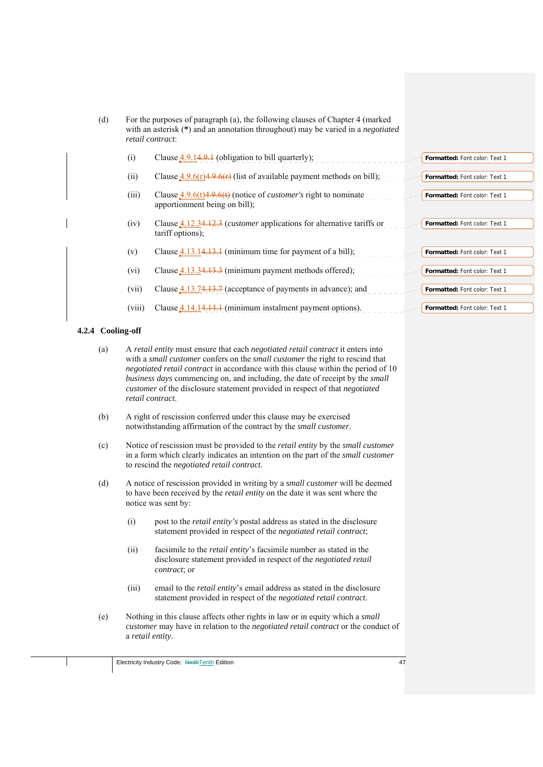| (d)               |        | For the purposes of paragraph (a), the following clauses of Chapter 4 (marked<br>with an asterisk (*) and an annotation throughout) may be varied in a <i>negotiated</i><br>retail contract: |                               |
|-------------------|--------|----------------------------------------------------------------------------------------------------------------------------------------------------------------------------------------------|-------------------------------|
|                   | (i)    | Clause $4.9.14.9.1$ (obligation to bill quarterly);                                                                                                                                          | Formatted: Font color: Text 1 |
|                   | (ii)   | Clause $\frac{4.9.6(r)4.9.6(r)}{2}$ (list of available payment methods on bill);                                                                                                             | Formatted: Font color: Text 1 |
|                   | (iii)  | Clause $4.9.6(t)4.9.6(t)$ (notice of <i>customer's</i> right to nominate<br>apportionment being on bill);                                                                                    | Formatted: Font color: Text 1 |
|                   | (iv)   | Clause $4.12.34.12.3$ ( <i>customer</i> applications for alternative tariffs or<br>tariff options);                                                                                          | Formatted: Font color: Text 1 |
|                   | (v)    | Clause $4.13.14.13.1$ (minimum time for payment of a bill);                                                                                                                                  | Formatted: Font color: Text 1 |
|                   | (vi)   | Clause $4.13.34.13.3$ (minimum payment methods offered);                                                                                                                                     | Formatted: Font color: Text 1 |
|                   | (vii)  | Clause $4.13.74.13.7$ (acceptance of payments in advance); and                                                                                                                               | Formatted: Font color: Text 1 |
|                   | (viii) | Clause 4.14.14.14.1 (minimum instalment payment options).                                                                                                                                    | Formatted: Font color: Text 1 |
| 4.2.4 Cooling-off |        |                                                                                                                                                                                              |                               |
| (a)               |        | A retail entity must ensure that each negotiated retail contract it enters into<br>with a small customer confers on the small customer the right to rescind that                             |                               |

| a) | A retail entity must ensure that each <i>negotiated retail contract</i> it enters must      |
|----|---------------------------------------------------------------------------------------------|
|    | with a <i>small customer</i> confers on the <i>small customer</i> the right to rescind that |
|    | <i>negotiated retail contract</i> in accordance with this clause within the period of 10    |
|    | <i>business days</i> commencing on, and including, the date of receipt by the <i>small</i>  |
|    | <i>customer</i> of the disclosure statement provided in respect of that <i>negotiated</i>   |
|    | retail contract.                                                                            |
|    |                                                                                             |

- (b) A right of rescission conferred under this clause may be exercised notwithstanding affirmation of the contract by the *small customer*.
- (c) Notice of rescission must be provided to the *retail entity* by the *small customer* in a form which clearly indicates an intention on the part of the *small customer* to rescind the *negotiated retail contract*.
- (d) A notice of rescission provided in writing by a *small customer* will be deemed to have been received by the *retail entity* on the date it was sent where the notice was sent by:
	- (i) post to the *retail entity's* postal address as stated in the disclosure statement provided in respect of the *negotiated retail contract*;
	- (ii) facsimile to the *retail entity*'s facsimile number as stated in the disclosure statement provided in respect of the *negotiated retail contract*; or
	- (iii) email to the *retail entity*'s email address as stated in the disclosure statement provided in respect of the *negotiated retail contract*.
- (e) Nothing in this clause affects other rights in law or in equity which a *small customer* may have in relation to the *negotiated retail contract* or the conduct of a *retail entity*.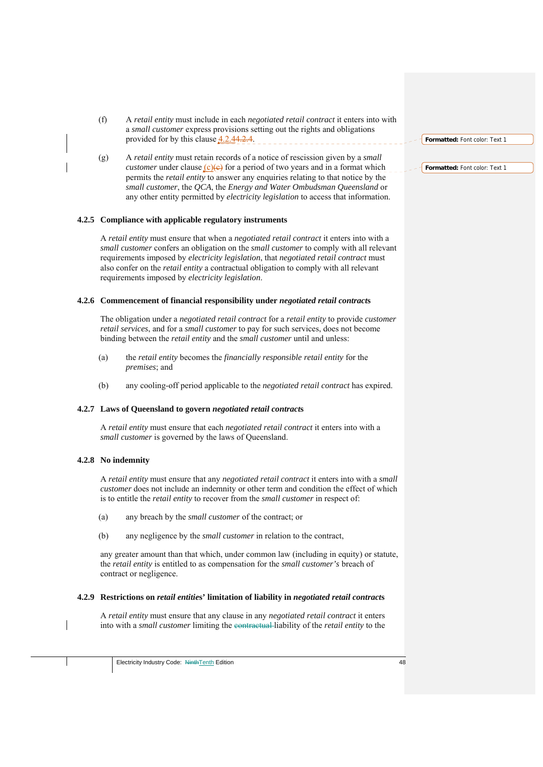- (f) A *retail entity* must include in each *negotiated retail contract* it enters into with a *small customer* express provisions setting out the rights and obligations provided for by this clause  $4.2.44.2.4$ .
- (g) A *retail entity* must retain records of a notice of rescission given by a *small customer* under clause  $(c)(e)$  for a period of two years and in a format which permits the *retail entity* to answer any enquiries relating to that notice by the *small customer*, the *QCA*, the *Energy and Water Ombudsman Queensland* or any other entity permitted by *electricity legislation* to access that information.

#### **4.2.5 Compliance with applicable regulatory instruments**

A *retail entity* must ensure that when a *negotiated retail contract* it enters into with a *small customer* confers an obligation on the *small customer* to comply with all relevant requirements imposed by *electricity legislation*, that *negotiated retail contract* must also confer on the *retail entity* a contractual obligation to comply with all relevant requirements imposed by *electricity legislation*.

#### **4.2.6 Commencement of financial responsibility under** *negotiated retail contract***s**

The obligation under a *negotiated retail contract* for a *retail entity* to provide *customer retail services*, and for a *small customer* to pay for such services, does not become binding between the *retail entity* and the *small customer* until and unless:

- (a) the *retail entity* becomes the *financially responsible retail entity* for the *premises*; and
- (b) any cooling-off period applicable to the *negotiated retail contract* has expired.

#### **4.2.7 Laws of Queensland to govern** *negotiated retail contract***s**

A *retail entity* must ensure that each *negotiated retail contract* it enters into with a *small customer* is governed by the laws of Queensland.

#### **4.2.8 No indemnity**

A *retail entity* must ensure that any *negotiated retail contract* it enters into with a *small customer* does not include an indemnity or other term and condition the effect of which is to entitle the *retail entity* to recover from the *small customer* in respect of:

- (a) any breach by the *small customer* of the contract; or
- (b) any negligence by the *small customer* in relation to the contract,

any greater amount than that which, under common law (including in equity) or statute, the *retail entity* is entitled to as compensation for the *small customer's* breach of contract or negligence.

### **4.2.9 Restrictions on** *retail entitie***s' limitation of liability in** *negotiated retail contract***s**

A *retail entity* must ensure that any clause in any *negotiated retail contract* it enters into with a *small customer* limiting the contractual liability of the *retail entity* to the

# **Formatted:** Font color: Text 1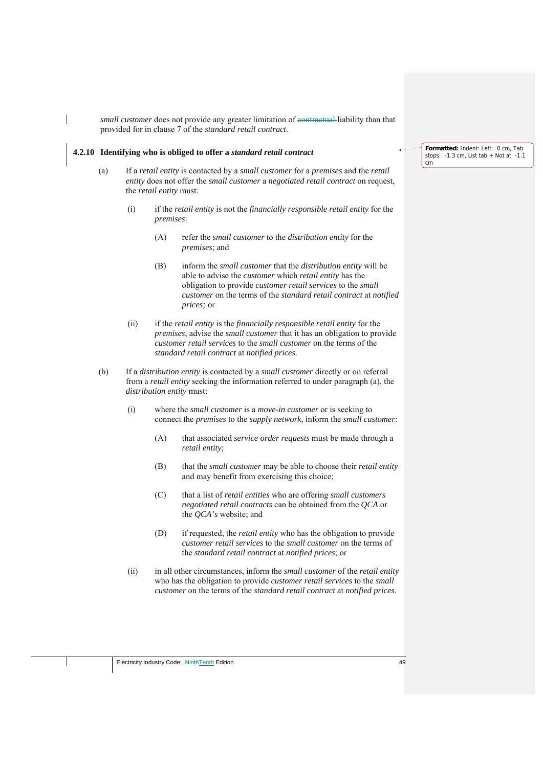*small customer* does not provide any greater limitation of contractual liability than that provided for in clause 7 of the *standard retail contract*.

#### **4.2.10 Identifying who is obliged to offer a** *standard retail contract*

- (a) If a *retail entity* is contacted by a *small customer* for a *premises* and the *retail entity* does not offer the *small customer* a *negotiated retail contract* on request, the *retail entity* must:
	- (i) if the *retail entity* is not the *financially responsible retail entity* for the *premises*:
		- (A) refer the *small customer* to the *distribution entity* for the *premises*; and
		- (B) inform the *small customer* that the *distribution entity* will be able to advise the *customer* which *retail entity* has the obligation to provide *customer retail services* to the *small customer* on the terms of the *standard retail contract* at *notified prices;* or
	- (ii) if the *retail entity* is the *financially responsible retail entity* for the *premises*, advise the *small customer* that it has an obligation to provide *customer retail services* to the *small customer* on the terms of the *standard retail contract* at *notified prices*.
- (b) If a *distribution entity* is contacted by a *small customer* directly or on referral from a *retail entity* seeking the information referred to under paragraph (a), the *distribution entity* must:
	- (i) where the *small customer* is a *move-in customer* or is seeking to connect the *premises* to the *supply network*, inform the *small customer*:
		- (A) that associated *service order requests* must be made through a *retail entity*;
		- (B) that the *small customer* may be able to choose their *retail entity* and may benefit from exercising this choice;
		- (C) that a list of *retail entities* who are offering *small customers negotiated retail contracts* can be obtained from the *QCA* or the *QCA's* website; and
		- (D) if requested, the *retail entity* who has the obligation to provide *customer retail services* to the *small customer* on the terms of the *standard retail contract* at *notified prices*; or
	- (ii) in all other circumstances, inform the *small customer* of the *retail entity* who has the obligation to provide *customer retail services* to the *small customer* on the terms of the *standard retail contract* at *notified prices*.

**Formatted:** Indent: Left: 0 cm, Tab stops: -1.3 cm, List tab + Not at -1.1 cm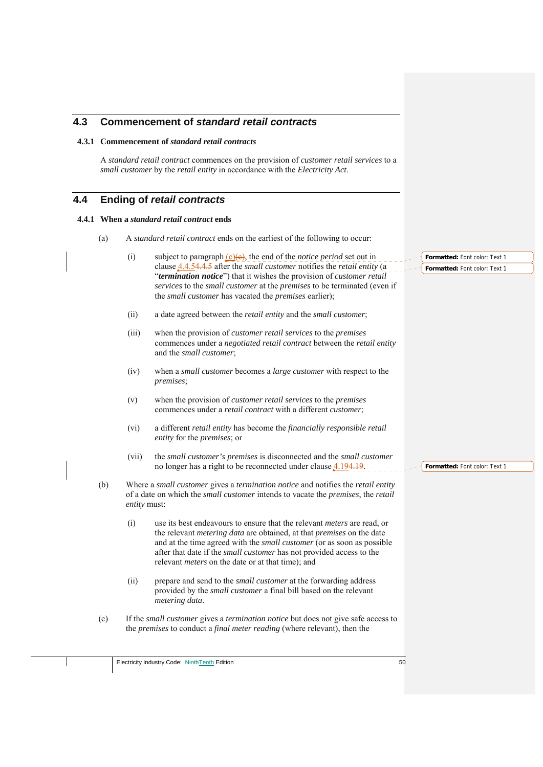| 4.3 |     |                     | <b>Commencement of standard retail contracts</b>                                                                                                                                                                                                                                                                                                                                              |                                                                |
|-----|-----|---------------------|-----------------------------------------------------------------------------------------------------------------------------------------------------------------------------------------------------------------------------------------------------------------------------------------------------------------------------------------------------------------------------------------------|----------------------------------------------------------------|
|     |     |                     | 4.3.1 Commencement of <i>standard retail contracts</i>                                                                                                                                                                                                                                                                                                                                        |                                                                |
|     |     |                     | A standard retail contract commences on the provision of customer retail services to a<br>small customer by the retail entity in accordance with the Electricity Act.                                                                                                                                                                                                                         |                                                                |
| 4.4 |     |                     | <b>Ending of retail contracts</b>                                                                                                                                                                                                                                                                                                                                                             |                                                                |
|     |     |                     | 4.4.1 When a standard retail contract ends                                                                                                                                                                                                                                                                                                                                                    |                                                                |
|     | (a) |                     | A standard retail contract ends on the earliest of the following to occur:                                                                                                                                                                                                                                                                                                                    |                                                                |
|     |     | (i)                 | subject to paragraph $(c)(e)$ , the end of the <i>notice period</i> set out in<br>clause <b>4.4.54.4.5</b> after the <i>small customer</i> notifies the <i>retail entity</i> (a<br>"termination notice") that it wishes the provision of customer retail<br>services to the small customer at the premises to be terminated (even if<br>the small customer has vacated the premises earlier); | Formatted: Font color: Text 1<br>Formatted: Font color: Text 1 |
|     |     | (ii)                | a date agreed between the retail entity and the small customer;                                                                                                                                                                                                                                                                                                                               |                                                                |
|     |     | (iii)               | when the provision of <i>customer retail services</i> to the <i>premises</i><br>commences under a negotiated retail contract between the retail entity<br>and the small customer;                                                                                                                                                                                                             |                                                                |
|     |     | (iv)                | when a small customer becomes a large customer with respect to the<br><i>premises</i> ;                                                                                                                                                                                                                                                                                                       |                                                                |
|     |     | (v)                 | when the provision of <i>customer retail services</i> to the <i>premises</i><br>commences under a retail contract with a different customer;                                                                                                                                                                                                                                                  |                                                                |
|     |     | (vi)                | a different retail entity has become the financially responsible retail<br>entity for the premises; or                                                                                                                                                                                                                                                                                        |                                                                |
|     |     | (vii)               | the small customer's premises is disconnected and the small customer<br>no longer has a right to be reconnected under clause 4.194.19.                                                                                                                                                                                                                                                        | Formatted: Font color: Text 1                                  |
|     | (b) | <i>entity</i> must: | Where a small customer gives a termination notice and notifies the retail entity<br>of a date on which the <i>small customer</i> intends to vacate the <i>premises</i> , the <i>retail</i>                                                                                                                                                                                                    |                                                                |
|     |     | (i)                 | use its best endeavours to ensure that the relevant <i>meters</i> are read, or<br>the relevant <i>metering data</i> are obtained, at that <i>premises</i> on the date<br>and at the time agreed with the <i>small customer</i> (or as soon as possible<br>after that date if the small customer has not provided access to the<br>relevant <i>meters</i> on the date or at that time); and    |                                                                |
|     |     | (ii)                | prepare and send to the <i>small customer</i> at the forwarding address<br>provided by the small customer a final bill based on the relevant<br>metering data.                                                                                                                                                                                                                                |                                                                |
|     | (c) |                     | If the small customer gives a termination notice but does not give safe access to<br>the <i>premises</i> to conduct a <i>final meter reading</i> (where relevant), then the                                                                                                                                                                                                                   |                                                                |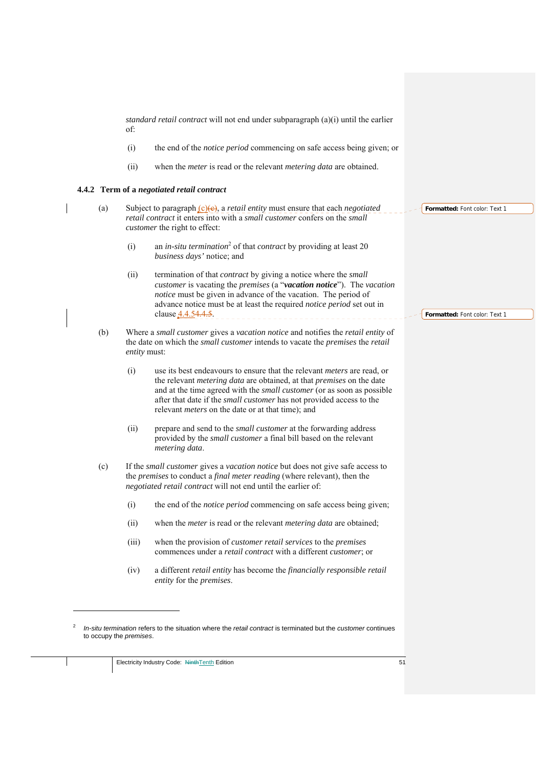*standard retail contract* will not end under subparagraph (a)(i) until the earlier of:

- (i) the end of the *notice period* commencing on safe access being given; or
- (ii) when the *meter* is read or the relevant *metering data* are obtained.

#### **4.4.2 Term of a** *negotiated retail contract*

- (a) Subject to paragraph (c)(c), a *retail entity* must ensure that each *negotiated retail contract* it enters into with a *small customer* confers on the *small customer* the right to effect:
	- (i) an *in-situ termination*<sup>2</sup> of that *contract* by providing at least 20 *business days'* notice; and
	- (ii) termination of that *contract* by giving a notice where the *small customer* is vacating the *premises* (a "*vacation notice*"). The *vacation notice* must be given in advance of the vacation. The period of advance notice must be at least the required *notice period* set out in clause 4.4.54.4.5.
	- (b) Where a *small customer* gives a *vacation notice* and notifies the *retail entity* of the date on which the *small customer* intends to vacate the *premises* the *retail entity* must:
		- (i) use its best endeavours to ensure that the relevant *meters* are read, or the relevant *metering data* are obtained, at that *premises* on the date and at the time agreed with the *small customer* (or as soon as possible after that date if the *small customer* has not provided access to the relevant *meters* on the date or at that time); and
		- (ii) prepare and send to the *small customer* at the forwarding address provided by the *small customer* a final bill based on the relevant *metering data*.
	- (c) If the *small customer* gives a *vacation notice* but does not give safe access to the *premises* to conduct a *final meter reading* (where relevant), then the *negotiated retail contract* will not end until the earlier of:
		- (i) the end of the *notice period* commencing on safe access being given;
		- (ii) when the *meter* is read or the relevant *metering data* are obtained;
		- (iii) when the provision of *customer retail services* to the *premises* commences under a *retail contract* with a different *customer*; or
		- (iv) a different *retail entity* has become the *financially responsible retail entity* for the *premises*.

1

**Formatted:** Font color: Text 1

<sup>2</sup> *In-situ termination* refers to the situation where the *retail contract* is terminated but the *customer* continues to occupy the *premises*.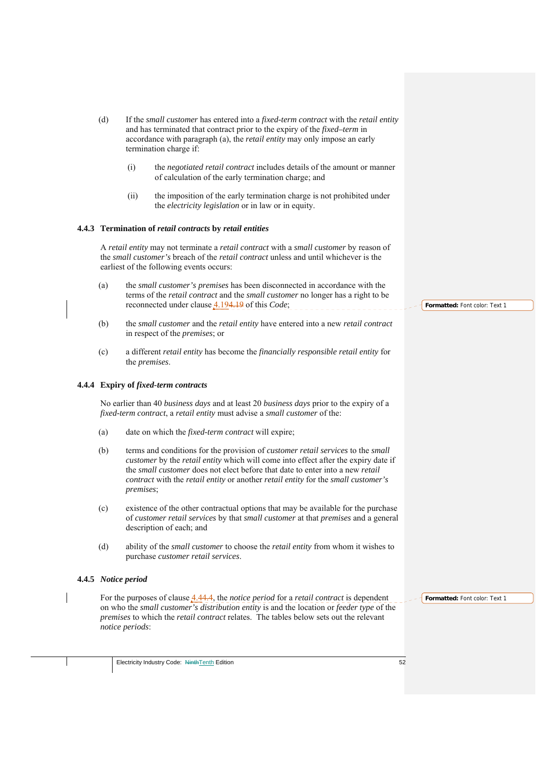| (d) |                       | If the small customer has entered into a fixed-term contract with the retail entity<br>and has terminated that contract prior to the expiry of the <i>fixed-term</i> in<br>accordance with paragraph (a), the <i>retail entity</i> may only impose an early<br>termination charge if: |                               |
|-----|-----------------------|---------------------------------------------------------------------------------------------------------------------------------------------------------------------------------------------------------------------------------------------------------------------------------------|-------------------------------|
|     | (i)                   | the negotiated retail contract includes details of the amount or manner<br>of calculation of the early termination charge; and                                                                                                                                                        |                               |
|     | (ii)                  | the imposition of the early termination charge is not prohibited under<br>the <i>electricity legislation</i> or in law or in equity.                                                                                                                                                  |                               |
|     |                       | 4.4.3 Termination of retail contracts by retail entities                                                                                                                                                                                                                              |                               |
|     |                       | A retail entity may not terminate a retail contract with a small customer by reason of<br>the small customer's breach of the retail contract unless and until whichever is the<br>earliest of the following events occurs:                                                            |                               |
| (a) |                       | the small customer's premises has been disconnected in accordance with the<br>terms of the <i>retail contract</i> and the <i>small customer</i> no longer has a right to be<br>reconnected under clause 4.194.19 of this Code;                                                        | Formatted: Font color: Text 1 |
| (b) |                       | the small customer and the retail entity have entered into a new retail contract<br>in respect of the <i>premises</i> ; or                                                                                                                                                            |                               |
| (c) | the <i>premises</i> . | a different retail entity has become the financially responsible retail entity for                                                                                                                                                                                                    |                               |
|     |                       | 4.4.4 Expiry of fixed-term contracts                                                                                                                                                                                                                                                  |                               |
|     |                       | No earlier than 40 business days and at least 20 business days prior to the expiry of a                                                                                                                                                                                               |                               |

No earlier than 40 *business days* and at least 20 *business days* prior to the expiry of a *fixed-term contract*, a *retail entity* must advise a *small customer* of the:

- (a) date on which the *fixed-term contract* will expire;
- (b) terms and conditions for the provision of *customer retail services* to the *small customer* by the *retail entity* which will come into effect after the expiry date if the *small customer* does not elect before that date to enter into a new *retail contract* with the *retail entity* or another *retail entity* for the *small customer's premises*;
- (c) existence of the other contractual options that may be available for the purchase of *customer retail services* by that *small customer* at that *premises* and a general description of each; and
- (d) ability of the *small customer* to choose the *retail entity* from whom it wishes to purchase *customer retail services*.

## **4.4.5** *Notice period*

For the purposes of clause 4.44.4, the *notice period* for a *retail contract* is dependent on who the *small customer's distribution entity* is and the location or *feeder type* of the *premises* to which the *retail contract* relates. The tables below sets out the relevant *notice periods*: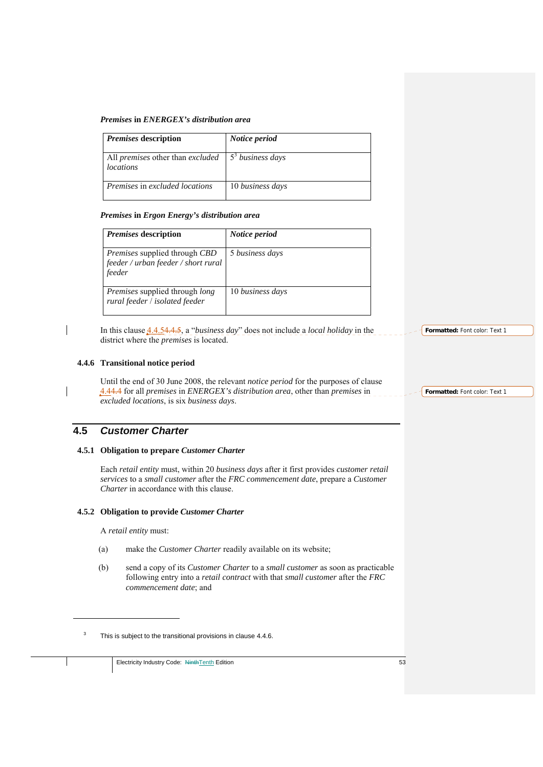### *Premises* **in** *ENERGEX's distribution area*

| <i>Premises</i> description                                                   | Notice period    |
|-------------------------------------------------------------------------------|------------------|
| All premises other than excluded $\frac{5^3}{5^3}$ business days<br>locations |                  |
| Premises in excluded locations                                                | 10 business days |

## *Premises* **in** *Ergon Energy's distribution area*

| <i>Premises</i> description                                                                  | Notice period    |
|----------------------------------------------------------------------------------------------|------------------|
| <i>Premises</i> supplied through <i>CBD</i><br>feeder / urban feeder / short rural<br>feeder | 5 business days  |
| <i>Premises</i> supplied through <i>long</i><br>rural feeder / isolated feeder               | 10 business days |

In this clause 4.4.54.4.5, a "*business day*" does not include a *local holiday* in the district where the *premises* is located.

### **4.4.6 Transitional notice period**

Until the end of 30 June 2008, the relevant *notice period* for the purposes of clause 4.44.4 for all *premises* in *ENERGEX's distribution area*, other than *premises* in *excluded locations*, is six *business days*.

## **4.5** *Customer Charter*

### **4.5.1 Obligation to prepare** *Customer Charter*

Each *retail entity* must, within 20 *business days* after it first provides *customer retail services* to a *small customer* after the *FRC commencement date*, prepare a *Customer Charter* in accordance with this clause.

## **4.5.2 Obligation to provide** *Customer Charter*

A *retail entity* must:

- (a) make the *Customer Charter* readily available on its website;
- (b) send a copy of its *Customer Charter* to a *small customer* as soon as practicable following entry into a *retail contract* with that *small customer* after the *FRC commencement date*; and

**Formatted:** Font color: Text 1

**Formatted:** Font color: Text 1

<u>.</u>

<sup>3</sup> This is subject to the transitional provisions in clause 4.4.6.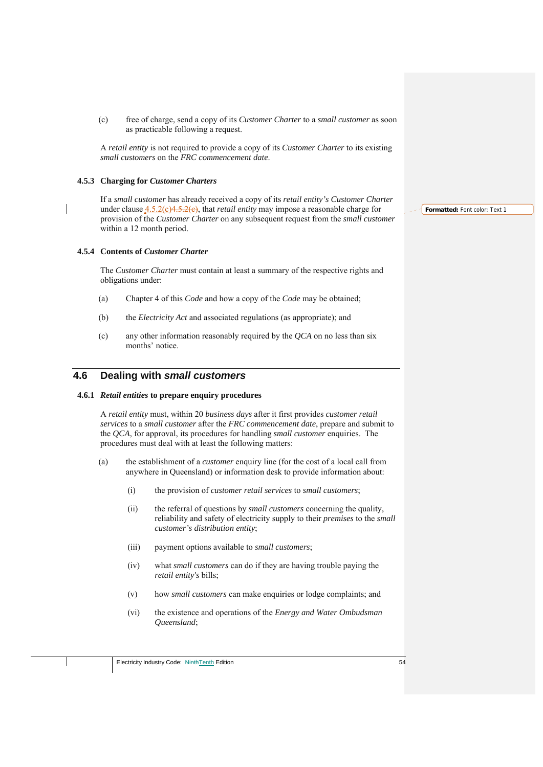(c) free of charge, send a copy of its *Customer Charter* to a *small customer* as soon as practicable following a request.

A *retail entity* is not required to provide a copy of its *Customer Charter* to its existing *small customers* on the *FRC commencement date*.

## **4.5.3 Charging for** *Customer Charters*

If a *small customer* has already received a copy of its *retail entity's Customer Charter*  under clause  $4.5.2(c)4.5.2(e)$ , that *retail entity* may impose a reasonable charge for provision of the *Customer Charter* on any subsequent request from the *small customer*  within a 12 month period.

### **4.5.4 Contents of** *Customer Charter*

The *Customer Charter* must contain at least a summary of the respective rights and obligations under:

- (a) Chapter 4 of this *Code* and how a copy of the *Code* may be obtained;
- (b) the *Electricity Act* and associated regulations (as appropriate); and
- (c) any other information reasonably required by the *QCA* on no less than six months' notice

## **4.6 Dealing with** *small customers*

### **4.6.1** *Retail entities* **to prepare enquiry procedures**

A *retail entity* must, within 20 *business days* after it first provides *customer retail services* to a *small customer* after the *FRC commencement date*, prepare and submit to the *QCA*, for approval, its procedures for handling *small customer* enquiries. The procedures must deal with at least the following matters:

- (a) the establishment of a *customer* enquiry line (for the cost of a local call from anywhere in Queensland) or information desk to provide information about:
	- (i) the provision of *customer retail services* to *small customers*;
	- (ii) the referral of questions by *small customers* concerning the quality, reliability and safety of electricity supply to their *premises* to the *small customer's distribution entity*;
	- (iii) payment options available to *small customers*;
	- (iv) what *small customers* can do if they are having trouble paying the *retail entity's* bills;
	- (v) how *small customers* can make enquiries or lodge complaints; and
	- (vi) the existence and operations of the *Energy and Water Ombudsman Queensland*;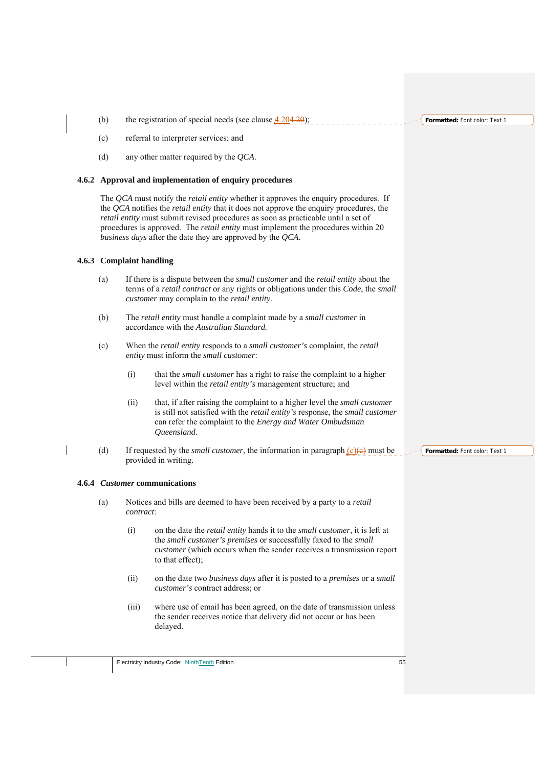(b) the registration of special needs (see clause  $4.204.20$ );

- (c) referral to interpreter services; and
- (d) any other matter required by the *QCA*.

### **4.6.2 Approval and implementation of enquiry procedures**

The *QCA* must notify the *retail entity* whether it approves the enquiry procedures. If the *QCA* notifies the *retail entity* that it does not approve the enquiry procedures, the *retail entity* must submit revised procedures as soon as practicable until a set of procedures is approved. The *retail entity* must implement the procedures within 20 *business days* after the date they are approved by the *QCA*.

### **4.6.3 Complaint handling**

- (a) If there is a dispute between the *small customer* and the *retail entity* about the terms of a *retail contract* or any rights or obligations under this *Code*, the *small customer* may complain to the *retail entity*.
- (b) The *retail entity* must handle a complaint made by a *small customer* in accordance with the *Australian Standard.*
- (c) When the *retail entity* responds to a *small customer's* complaint, the *retail entity* must inform the *small customer*:
	- (i) that the *small customer* has a right to raise the complaint to a higher level within the *retail entity's* management structure; and
	- (ii) that, if after raising the complaint to a higher level the *small customer*  is still not satisfied with the *retail entity's* response, the *small customer*  can refer the complaint to the *Energy and Water Ombudsman Queensland*.
- (d) If requested by the *small customer*, the information in paragraph  $(c)(e)$  must be provided in writing.

### **4.6.4** *Customer* **communications**

- (a) Notices and bills are deemed to have been received by a party to a *retail contract*:
	- (i) on the date the *retail entity* hands it to the *small customer*, it is left at the *small customer's premises* or successfully faxed to the *small customer* (which occurs when the sender receives a transmission report to that effect);
	- (ii) on the date two *business days* after it is posted to a *premises* or a *small customer's* contract address; or
	- (iii) where use of email has been agreed, on the date of transmission unless the sender receives notice that delivery did not occur or has been delayed.

**Formatted:** Font color: Text 1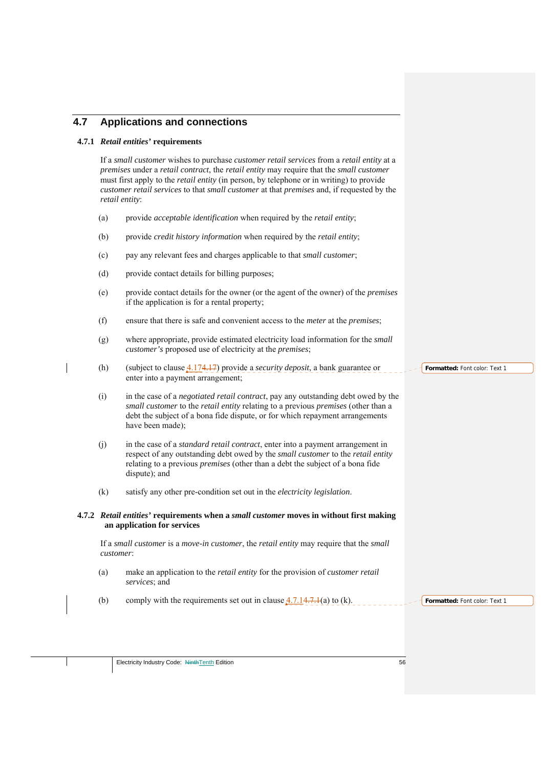# **4.7 Applications and connections**

## **4.7.1** *Retail entities'* **requirements**

If a *small customer* wishes to purchase *customer retail services* from a *retail entity* at a *premises* under a *retail contract*, the *retail entity* may require that the *small customer*  must first apply to the *retail entity* (in person, by telephone or in writing) to provide *customer retail services* to that *small customer* at that *premises* and, if requested by the *retail entity*:

- (a) provide *acceptable identification* when required by the *retail entity*;
- (b) provide *credit history information* when required by the *retail entity*;
- (c) pay any relevant fees and charges applicable to that *small customer*;
- (d) provide contact details for billing purposes;
- (e) provide contact details for the owner (or the agent of the owner) of the *premises* if the application is for a rental property;
- (f) ensure that there is safe and convenient access to the *meter* at the *premises*;
- (g) where appropriate, provide estimated electricity load information for the *small customer's* proposed use of electricity at the *premises*;
- (h) (subject to clause 4.174.17) provide a *security deposit*, a bank guarantee or enter into a payment arrangement;
- (i) in the case of a *negotiated retail contract*, pay any outstanding debt owed by the *small customer* to the *retail entity* relating to a previous *premises* (other than a debt the subject of a bona fide dispute, or for which repayment arrangements have been made);
- (j) in the case of a *standard retail contract*, enter into a payment arrangement in respect of any outstanding debt owed by the *small customer* to the *retail entity*  relating to a previous *premises* (other than a debt the subject of a bona fide dispute); and
- (k) satisfy any other pre-condition set out in the *electricity legislation*.
- **4.7.2** *Retail entities'* **requirements when a** *small customer* **moves in without first making an application for services**

If a *small customer* is a *move-in customer*, the *retail entity* may require that the *small customer*:

- (a) make an application to the *retail entity* for the provision of *customer retail services*; and
- (b) comply with the requirements set out in clause  $4.7.14.7.1(a)$  to (k).

**Formatted:** Font color: Text 1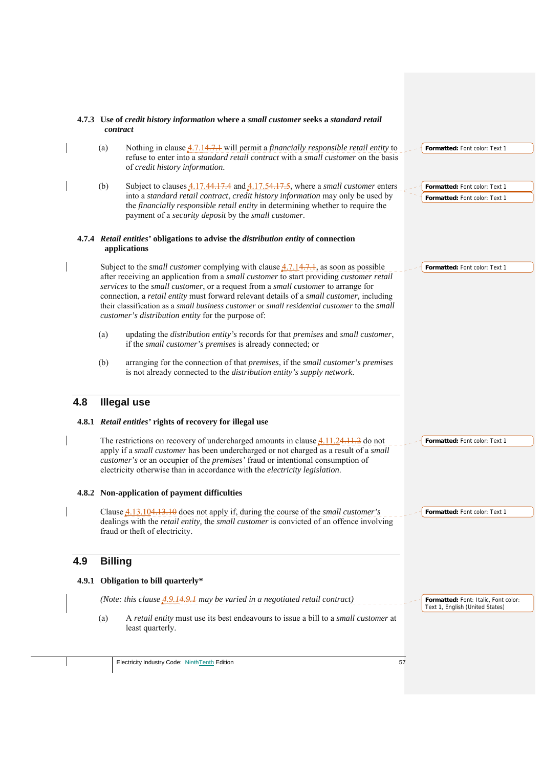|     | contract       | 4.7.3 Use of credit history information where a small customer seeks a standard retail                                                                                                                                                                                                                                                                                                                                                                                                                                          |                                                                         |
|-----|----------------|---------------------------------------------------------------------------------------------------------------------------------------------------------------------------------------------------------------------------------------------------------------------------------------------------------------------------------------------------------------------------------------------------------------------------------------------------------------------------------------------------------------------------------|-------------------------------------------------------------------------|
|     | (a)            | Nothing in clause 4.7.14.7.1 will permit a <i>financially responsible retail entity</i> to<br>refuse to enter into a <i>standard retail contract</i> with a <i>small customer</i> on the basis<br>of credit history information.                                                                                                                                                                                                                                                                                                | Formatted: Font color: Text 1                                           |
|     | (b)            | Subject to clauses $4.17.44.17.4$ and $4.17.54.17.5$ , where a small customer enters<br>into a standard retail contract, credit history information may only be used by<br>the financially responsible retail entity in determining whether to require the<br>payment of a security deposit by the small customer.                                                                                                                                                                                                              | Formatted: Font color: Text 1<br>Formatted: Font color: Text 1          |
|     |                | 4.7.4 Retail entities' obligations to advise the distribution entity of connection<br>applications                                                                                                                                                                                                                                                                                                                                                                                                                              |                                                                         |
|     |                | Subject to the <i>small customer</i> complying with clause $4.7.14.7.1$ , as soon as possible<br>after receiving an application from a small customer to start providing customer retail<br>services to the small customer, or a request from a small customer to arrange for<br>connection, a retail entity must forward relevant details of a small customer, including<br>their classification as a small business customer or small residential customer to the small<br>customer's distribution entity for the purpose of: | Formatted: Font color: Text 1                                           |
|     | (a)            | updating the distribution entity's records for that premises and small customer,<br>if the small customer's premises is already connected; or                                                                                                                                                                                                                                                                                                                                                                                   |                                                                         |
|     | (b)            | arranging for the connection of that premises, if the small customer's premises<br>is not already connected to the distribution entity's supply network.                                                                                                                                                                                                                                                                                                                                                                        |                                                                         |
| 4.8 |                | <b>Illegal use</b>                                                                                                                                                                                                                                                                                                                                                                                                                                                                                                              |                                                                         |
|     |                | 4.8.1 Retail entities' rights of recovery for illegal use                                                                                                                                                                                                                                                                                                                                                                                                                                                                       |                                                                         |
|     |                | The restrictions on recovery of undercharged amounts in clause $4.11.24.11.2$ do not<br>apply if a small customer has been undercharged or not charged as a result of a small<br>customer's or an occupier of the <i>premises</i> ' fraud or intentional consumption of<br>electricity otherwise than in accordance with the <i>electricity legislation</i> .                                                                                                                                                                   | Formatted: Font color: Text 1                                           |
|     |                | 4.8.2 Non-application of payment difficulties                                                                                                                                                                                                                                                                                                                                                                                                                                                                                   |                                                                         |
|     |                |                                                                                                                                                                                                                                                                                                                                                                                                                                                                                                                                 |                                                                         |
|     |                | Clause 4.13.104.13.10 does not apply if, during the course of the <i>small customer's</i><br>dealings with the retail entity, the small customer is convicted of an offence involving<br>fraud or theft of electricity.                                                                                                                                                                                                                                                                                                         | Formatted: Font color: Text 1                                           |
| 4.9 | <b>Billing</b> |                                                                                                                                                                                                                                                                                                                                                                                                                                                                                                                                 |                                                                         |
|     |                | 4.9.1 Obligation to bill quarterly*                                                                                                                                                                                                                                                                                                                                                                                                                                                                                             |                                                                         |
|     |                | (Note: this clause $4.9.14.9.1$ may be varied in a negotiated retail contract)                                                                                                                                                                                                                                                                                                                                                                                                                                                  | Formatted: Font: Italic, Font color:<br>Text 1, English (United States) |
|     | (a)            | A retail entity must use its best endeavours to issue a bill to a small customer at<br>least quarterly.                                                                                                                                                                                                                                                                                                                                                                                                                         |                                                                         |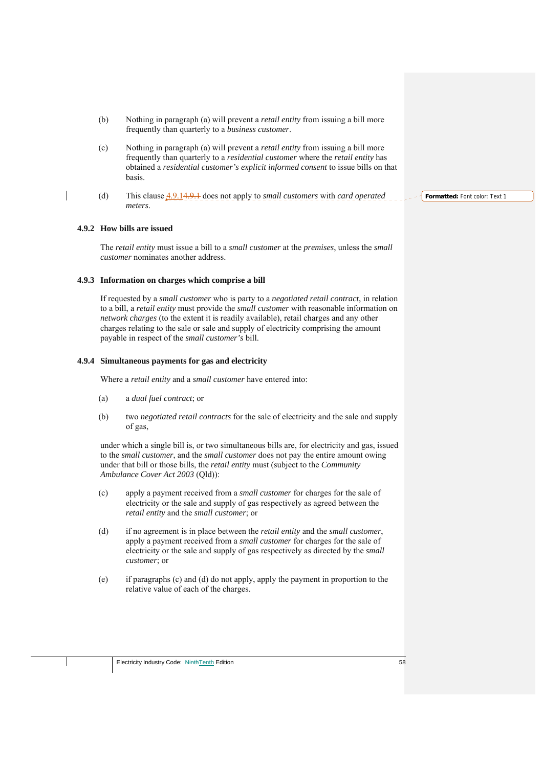- (b) Nothing in paragraph (a) will prevent a *retail entity* from issuing a bill more frequently than quarterly to a *business customer*.
- (c) Nothing in paragraph (a) will prevent a *retail entity* from issuing a bill more frequently than quarterly to a *residential customer* where the *retail entity* has obtained a *residential customer's explicit informed consent* to issue bills on that basis.
- (d) This clause 4.9.14.9.1 does not apply to *small customers* with *card operated meters*.

## **4.9.2 How bills are issued**

The *retail entity* must issue a bill to a *small customer* at the *premises*, unless the *small customer* nominates another address.

#### **4.9.3 Information on charges which comprise a bill**

If requested by a *small customer* who is party to a *negotiated retail contract*, in relation to a bill, a *retail entity* must provide the *small customer* with reasonable information on *network charges* (to the extent it is readily available), retail charges and any other charges relating to the sale or sale and supply of electricity comprising the amount payable in respect of the *small customer's* bill.

#### **4.9.4 Simultaneous payments for gas and electricity**

Where a *retail entity* and a *small customer* have entered into:

- (a) a *dual fuel contract*; or
- (b) two *negotiated retail contracts* for the sale of electricity and the sale and supply of gas,

under which a single bill is, or two simultaneous bills are, for electricity and gas, issued to the *small customer*, and the *small customer* does not pay the entire amount owing under that bill or those bills, the *retail entity* must (subject to the *Community Ambulance Cover Act 2003* (Qld)):

- (c) apply a payment received from a *small customer* for charges for the sale of electricity or the sale and supply of gas respectively as agreed between the *retail entity* and the *small customer*; or
- (d) if no agreement is in place between the *retail entity* and the *small customer*, apply a payment received from a *small customer* for charges for the sale of electricity or the sale and supply of gas respectively as directed by the *small customer*; or
- (e) if paragraphs (c) and (d) do not apply, apply the payment in proportion to the relative value of each of the charges.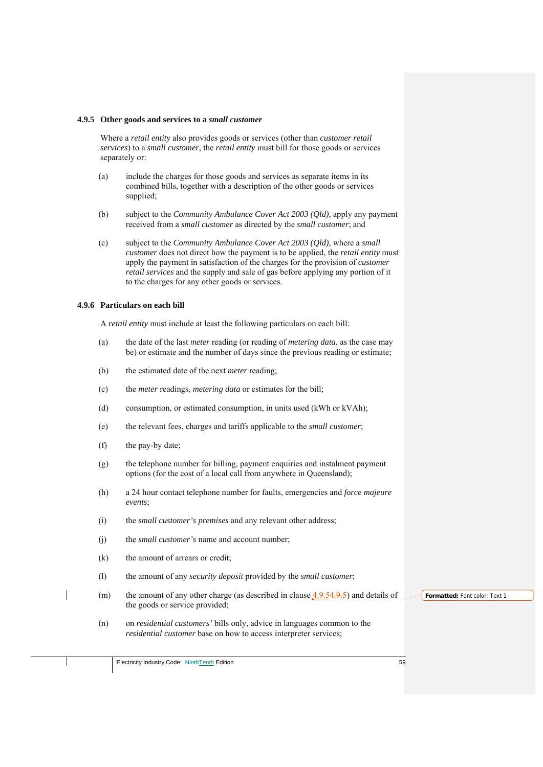#### **4.9.5 Other goods and services to a** *small customer*

Where a *retail entity* also provides goods or services (other than *customer retail services*) to a *small customer*, the *retail entity* must bill for those goods or services separately or:

- (a) include the charges for those goods and services as separate items in its combined bills, together with a description of the other goods or services supplied;
- (b) subject to the *Community Ambulance Cover Act 2003 (Qld),* apply any payment received from a *small customer* as directed by the *small customer*; and
- (c) subject to the *Community Ambulance Cover Act 2003 (Qld),* where a *small customer* does not direct how the payment is to be applied, the *retail entity* must apply the payment in satisfaction of the charges for the provision of *customer retail services* and the supply and sale of gas before applying any portion of it to the charges for any other goods or services.

### **4.9.6 Particulars on each bill**

A *retail entity* must include at least the following particulars on each bill:

- (a) the date of the last *meter* reading (or reading of *metering data*, as the case may be) or estimate and the number of days since the previous reading or estimate;
- (b) the estimated date of the next *meter* reading;
- (c) the *meter* readings, *metering data* or estimates for the bill;
- (d) consumption, or estimated consumption, in units used (kWh or kVAh);
- (e) the relevant fees, charges and tariffs applicable to the *small customer*;
- (f) the pay-by date;
- (g) the telephone number for billing, payment enquiries and instalment payment options (for the cost of a local call from anywhere in Queensland);
- (h) a 24 hour contact telephone number for faults, emergencies and *force majeure events*;
- (i) the *small customer's premises* and any relevant other address;
- (j) the *small customer's* name and account number;
- (k) the amount of arrears or credit;
- (l) the amount of any *security deposit* provided by the *small customer*;
- (m) the amount of any other charge (as described in clause  $4.9.54.9.5$ ) and details of **Formatted:** Font color: Text 1 the goods or service provided;
	- (n) on *residential customers'* bills only, advice in languages common to the *residential customer* base on how to access interpreter services;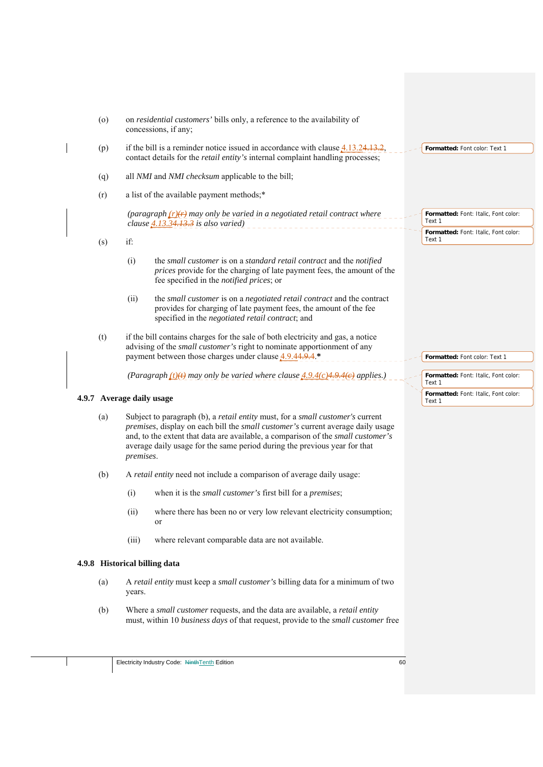| $\left( 0 \right)$ | on <i>residential customers'</i> bills only, a reference to the availability of<br>concessions, if any;                                                                                                                                                                                                                                         |                                                |
|--------------------|-------------------------------------------------------------------------------------------------------------------------------------------------------------------------------------------------------------------------------------------------------------------------------------------------------------------------------------------------|------------------------------------------------|
| (p)                | if the bill is a reminder notice issued in accordance with clause $4.13.24.13.2$<br>contact details for the <i>retail entity's</i> internal complaint handling processes;                                                                                                                                                                       | Formatted: Font color: Text 1                  |
| (q)                | all NMI and NMI checksum applicable to the bill;                                                                                                                                                                                                                                                                                                |                                                |
| (r)                | a list of the available payment methods;*                                                                                                                                                                                                                                                                                                       |                                                |
|                    | (paragraph $(r)(r)$ may only be varied in a negotiated retail contract where<br>clause $4.13.34.13.3$ is also varied)                                                                                                                                                                                                                           | Formatted: Font: Italic, Font color:<br>Text 1 |
| (s)                | if:                                                                                                                                                                                                                                                                                                                                             | Formatted: Font: Italic, Font color:<br>Text 1 |
|                    | (i)<br>the small customer is on a standard retail contract and the notified<br>prices provide for the charging of late payment fees, the amount of the<br>fee specified in the notified prices; or                                                                                                                                              |                                                |
|                    | (ii)<br>the small customer is on a negotiated retail contract and the contract<br>provides for charging of late payment fees, the amount of the fee<br>specified in the negotiated retail contract; and                                                                                                                                         |                                                |
| (t)                | if the bill contains charges for the sale of both electricity and gas, a notice<br>advising of the <i>small customer's</i> right to nominate apportionment of any<br>payment between those charges under clause 4.9.44.9.4.*                                                                                                                    | Formatted: Font color: Text 1                  |
|                    |                                                                                                                                                                                                                                                                                                                                                 |                                                |
|                    | (Paragraph $(t)(t)$ ) may only be varied where clause $4.9.4(c)(4.9.4(e)$ applies.)                                                                                                                                                                                                                                                             | Formatted: Font: Italic, Font color:<br>Text 1 |
|                    | 4.9.7 Average daily usage                                                                                                                                                                                                                                                                                                                       | Formatted: Font: Italic, Font color:<br>Text 1 |
| (a)                | Subject to paragraph (b), a retail entity must, for a small customer's current<br>premises, display on each bill the small customer's current average daily usage<br>and, to the extent that data are available, a comparison of the small customer's<br>average daily usage for the same period during the previous year for that<br>premises. |                                                |
| (b)                | A retail entity need not include a comparison of average daily usage:                                                                                                                                                                                                                                                                           |                                                |
|                    | (i)<br>when it is the <i>small customer's</i> first bill for a <i>premises</i> ;                                                                                                                                                                                                                                                                |                                                |
|                    | (ii)<br>where there has been no or very low relevant electricity consumption;<br><sub>or</sub>                                                                                                                                                                                                                                                  |                                                |
|                    | where relevant comparable data are not available.<br>(iii)                                                                                                                                                                                                                                                                                      |                                                |
|                    | 4.9.8 Historical billing data                                                                                                                                                                                                                                                                                                                   |                                                |
| (a)                | A retail entity must keep a small customer's billing data for a minimum of two<br>years.                                                                                                                                                                                                                                                        |                                                |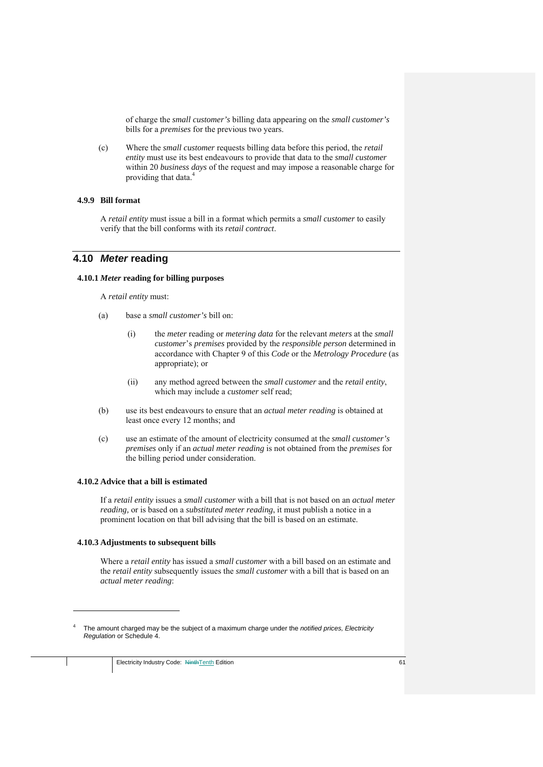of charge the *small customer's* billing data appearing on the *small customer's*  bills for a *premises* for the previous two years.

(c) Where the *small customer* requests billing data before this period, the *retail entity* must use its best endeavours to provide that data to the *small customer*  within 20 *business days* of the request and may impose a reasonable charge for providing that data.4

### **4.9.9 Bill format**

A *retail entity* must issue a bill in a format which permits a *small customer* to easily verify that the bill conforms with its *retail contract*.

## **4.10** *Meter* **reading**

#### **4.10.1** *Meter* **reading for billing purposes**

A *retail entity* must:

- (a) base a *small customer's* bill on:
	- (i) the *meter* reading or *metering data* for the relevant *meters* at the *small customer*'s *premises* provided by the *responsible person* determined in accordance with Chapter 9 of this *Code* or the *Metrology Procedure* (as appropriate); or
	- (ii) any method agreed between the *small customer* and the *retail entity*, which may include a *customer* self read;
- (b) use its best endeavours to ensure that an *actual meter reading* is obtained at least once every 12 months; and
- (c) use an estimate of the amount of electricity consumed at the *small customer's premises* only if an *actual meter reading* is not obtained from the *premises* for the billing period under consideration.

#### **4.10.2 Advice that a bill is estimated**

If a *retail entity* issues a *small customer* with a bill that is not based on an *actual meter reading,* or is based on a *substituted meter reading*, it must publish a notice in a prominent location on that bill advising that the bill is based on an estimate.

## **4.10.3 Adjustments to subsequent bills**

1

Where a *retail entity* has issued a *small customer* with a bill based on an estimate and the *retail entity* subsequently issues the *small customer* with a bill that is based on an *actual meter reading*:

<sup>4</sup> The amount charged may be the subject of a maximum charge under the *notified prices, Electricity Regulation* or Schedule 4.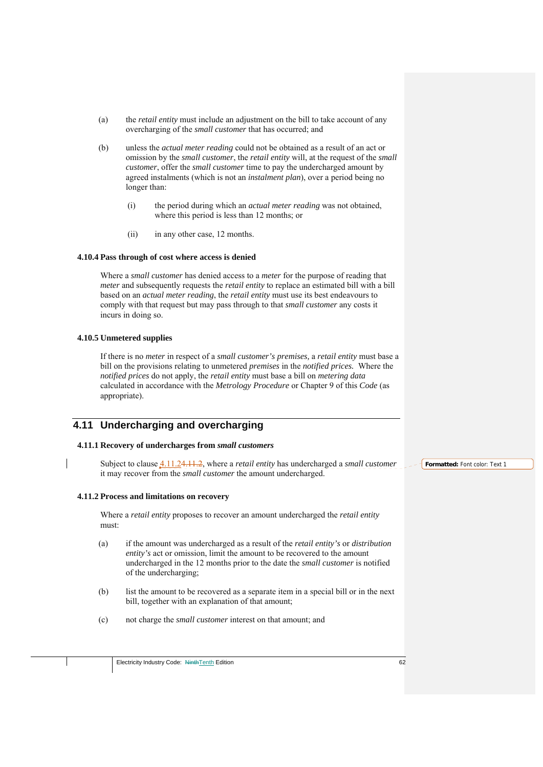- (a) the *retail entity* must include an adjustment on the bill to take account of any overcharging of the *small customer* that has occurred; and
- (b) unless the *actual meter reading* could not be obtained as a result of an act or omission by the *small customer*, the *retail entity* will, at the request of the *small customer*, offer the *small customer* time to pay the undercharged amount by agreed instalments (which is not an *instalment plan*), over a period being no longer than:
	- (i) the period during which an *actual meter reading* was not obtained, where this period is less than 12 months; or
	- (ii) in any other case, 12 months.

## **4.10.4 Pass through of cost where access is denied**

Where a *small customer* has denied access to a *meter* for the purpose of reading that *meter* and subsequently requests the *retail entity* to replace an estimated bill with a bill based on an *actual meter reading*, the *retail entity* must use its best endeavours to comply with that request but may pass through to that *small customer* any costs it incurs in doing so.

## **4.10.5 Unmetered supplies**

If there is no *meter* in respect of a *small customer's premises,* a *retail entity* must base a bill on the provisions relating to unmetered *premises* in the *notified prices.* Where the *notified prices* do not apply, the *retail entity* must base a bill on *metering data*  calculated in accordance with the *Metrology Procedure* or Chapter 9 of this *Code* (as appropriate).

# **4.11 Undercharging and overcharging**

## **4.11.1 Recovery of undercharges from** *small customers*

Subject to clause 4.11.24.11.2, where a *retail entity* has undercharged a *small customer*  it may recover from the *small customer* the amount undercharged.

## **4.11.2 Process and limitations on recovery**

Where a *retail entity* proposes to recover an amount undercharged the *retail entity*  must:

- (a) if the amount was undercharged as a result of the *retail entity's* or *distribution entity's* act or omission, limit the amount to be recovered to the amount undercharged in the 12 months prior to the date the *small customer* is notified of the undercharging;
- (b) list the amount to be recovered as a separate item in a special bill or in the next bill, together with an explanation of that amount;
- (c) not charge the *small customer* interest on that amount; and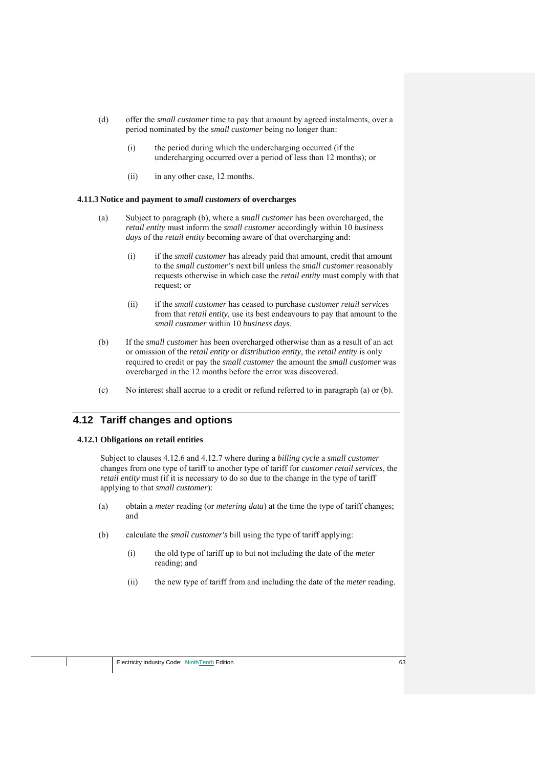- (d) offer the *small customer* time to pay that amount by agreed instalments, over a period nominated by the *small customer* being no longer than:
	- (i) the period during which the undercharging occurred (if the undercharging occurred over a period of less than 12 months); or
	- (ii) in any other case, 12 months.

#### **4.11.3 Notice and payment to** *small customers* **of overcharges**

- (a) Subject to paragraph (b), where a *small customer* has been overcharged, the *retail entity* must inform the *small customer* accordingly within 10 *business days* of the *retail entity* becoming aware of that overcharging and:
	- (i) if the *small customer* has already paid that amount, credit that amount to the *small customer's* next bill unless the *small customer* reasonably requests otherwise in which case the *retail entity* must comply with that request; or
	- (ii) if the *small customer* has ceased to purchase *customer retail services*  from that *retail entity*, use its best endeavours to pay that amount to the *small customer* within 10 *business days*.
- (b) If the *small customer* has been overcharged otherwise than as a result of an act or omission of the *retail entity* or *distribution entity*, the *retail entity* is only required to credit or pay the *small customer* the amount the *small customer* was overcharged in the 12 months before the error was discovered.
- (c) No interest shall accrue to a credit or refund referred to in paragraph (a) or (b).

# **4.12 Tariff changes and options**

#### **4.12.1 Obligations on retail entities**

Subject to clauses 4.12.6 and 4.12.7 where during a *billing cycle* a *small customer* changes from one type of tariff to another type of tariff for *customer retail services*, the *retail entity* must (if it is necessary to do so due to the change in the type of tariff applying to that *small customer*):

- (a) obtain a *meter* reading (or *metering data*) at the time the type of tariff changes; and
- (b) calculate the *small customer's* bill using the type of tariff applying:
	- (i) the old type of tariff up to but not including the date of the *meter* reading; and
	- (ii) the new type of tariff from and including the date of the *meter* reading.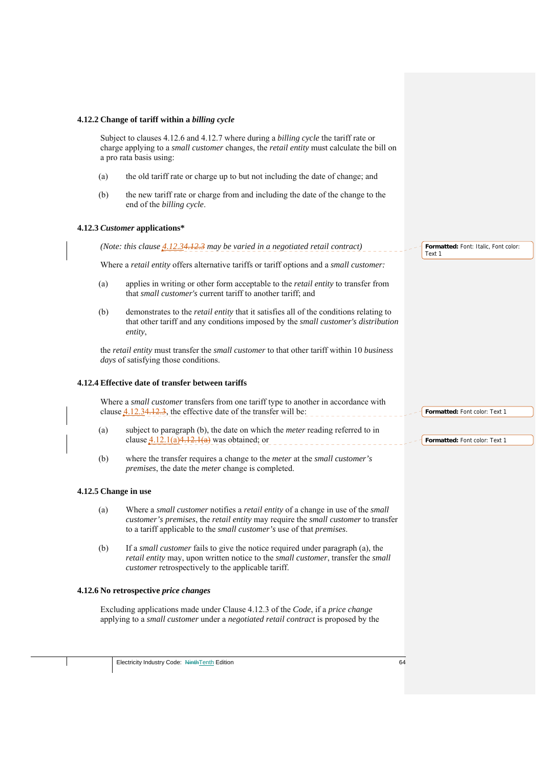#### **4.12.2 Change of tariff within a** *billing cycle*

Subject to clauses 4.12.6 and 4.12.7 where during a *billing cycle* the tariff rate or charge applying to a *small customer* changes, the *retail entity* must calculate the bill on a pro rata basis using:

- (a) the old tariff rate or charge up to but not including the date of change; and
- (b) the new tariff rate or charge from and including the date of the change to the end of the *billing cycle*.

#### **4.12.3** *Customer* **applications\***

*(Note: this clause 4.12.34.12.3 may be varied in a negotiated retail contract)* **Formatted:** Font: Italic, Font color: Text 1

Where a *retail entity* offers alternative tariffs or tariff options and a *small customer:*

- (a) applies in writing or other form acceptable to the *retail entity* to transfer from that *small customer's* current tariff to another tariff; and
- (b) demonstrates to the *retail entity* that it satisfies all of the conditions relating to that other tariff and any conditions imposed by the *small customer's distribution entity*,

the *retail entity* must transfer the *small customer* to that other tariff within 10 *business days* of satisfying those conditions.

#### **4.12.4 Effective date of transfer between tariffs**

Where a *small customer* transfers from one tariff type to another in accordance with clause 4.12.34.12.3, the effective date of the transfer will be:

- (a) subject to paragraph (b), the date on which the *meter* reading referred to in clause  $4.12.1(a)4.12.1(a)$  was obtained; or
- (b) where the transfer requires a change to the *meter* at the *small customer's premises*, the date the *meter* change is completed.

#### **4.12.5 Change in use**

- (a) Where a *small customer* notifies a *retail entity* of a change in use of the *small customer's premises*, the *retail entity* may require the *small customer* to transfer to a tariff applicable to the *small customer's* use of that *premises*.
- (b) If a *small customer* fails to give the notice required under paragraph (a), the *retail entity* may, upon written notice to the *small customer*, transfer the *small customer* retrospectively to the applicable tariff.

#### **4.12.6 No retrospective** *price changes*

Excluding applications made under Clause 4.12.3 of the *Code*, if a *price change* applying to a *small customer* under a *negotiated retail contract* is proposed by the **Formatted:** Font color: Text 1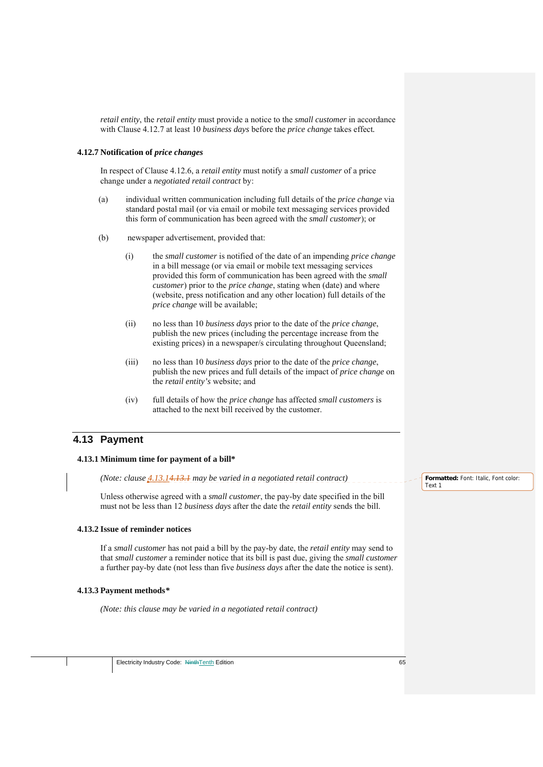*retail entity*, the *retail entity* must provide a notice to the *small customer* in accordance with Clause 4.12.7 at least 10 *business days* before the *price change* takes effect*.* 

#### **4.12.7 Notification of** *price changes*

In respect of Clause 4.12.6, a *retail entity* must notify a *small customer* of a price change under a *negotiated retail contract* by:

- (a) individual written communication including full details of the *price change* via standard postal mail (or via email or mobile text messaging services provided this form of communication has been agreed with the *small customer*); or
- (b) newspaper advertisement, provided that:
	- (i) the *small customer* is notified of the date of an impending *price change* in a bill message (or via email or mobile text messaging services provided this form of communication has been agreed with the *small customer*) prior to the *price change*, stating when (date) and where (website, press notification and any other location) full details of the *price change* will be available;
	- (ii) no less than 10 *business days* prior to the date of the *price change*, publish the new prices (including the percentage increase from the existing prices) in a newspaper/s circulating throughout Queensland;
	- (iii) no less than 10 *business days* prior to the date of the *price change*, publish the new prices and full details of the impact of *price change* on the *retail entity's* website; and
	- (iv) full details of how the *price change* has affected *small customers* is attached to the next bill received by the customer.

# **4.13 Payment**

### **4.13.1 Minimum time for payment of a bill\***

*(Note: clause 4.13.14.13.1 may be varied in a negotiated retail contract)* 

Unless otherwise agreed with a *small customer*, the pay-by date specified in the bill must not be less than 12 *business days* after the date the *retail entity* sends the bill.

#### **4.13.2 Issue of reminder notices**

If a *small customer* has not paid a bill by the pay-by date, the *retail entity* may send to that *small customer* a reminder notice that its bill is past due, giving the *small customer*  a further pay-by date (not less than five *business days* after the date the notice is sent).

#### **4.13.3 Payment methods***\**

*(Note: this clause may be varied in a negotiated retail contract)* 

**Formatted:** Font: Italic, Font color: Text 1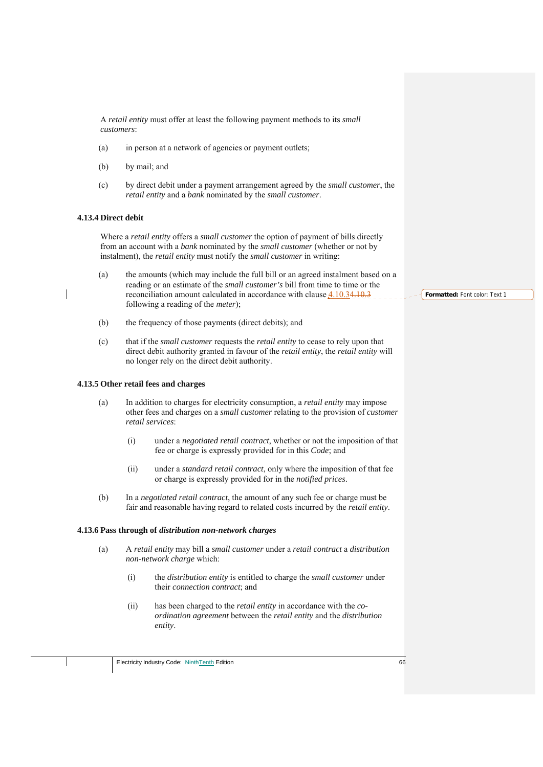A *retail entity* must offer at least the following payment methods to its *small customers*:

- (a) in person at a network of agencies or payment outlets;
- (b) by mail; and
- (c) by direct debit under a payment arrangement agreed by the *small customer*, the *retail entity* and a *bank* nominated by the *small customer*.

## **4.13.4 Direct debit**

Where a *retail entity* offers a *small customer* the option of payment of bills directly from an account with a *bank* nominated by the *small customer* (whether or not by instalment), the *retail entity* must notify the *small customer* in writing:

- (a) the amounts (which may include the full bill or an agreed instalment based on a reading or an estimate of the *small customer's* bill from time to time or the reconciliation amount calculated in accordance with clause 4.10.34.10.3 following a reading of the *meter*);
- (b) the frequency of those payments (direct debits); and
- (c) that if the *small customer* requests the *retail entity* to cease to rely upon that direct debit authority granted in favour of the *retail entity*, the *retail entity* will no longer rely on the direct debit authority.

## **4.13.5 Other retail fees and charges**

- (a) In addition to charges for electricity consumption, a *retail entity* may impose other fees and charges on a *small customer* relating to the provision of *customer retail services*:
	- (i) under a *negotiated retail contract*, whether or not the imposition of that fee or charge is expressly provided for in this *Code*; and
	- (ii) under a *standard retail contract*, only where the imposition of that fee or charge is expressly provided for in the *notified prices*.
- (b) In a *negotiated retail contract*, the amount of any such fee or charge must be fair and reasonable having regard to related costs incurred by the *retail entity*.

#### **4.13.6 Pass through of** *distribution non-network charges*

- (a) A *retail entity* may bill a *small customer* under a *retail contract* a *distribution non-network charge* which:
	- (i) the *distribution entity* is entitled to charge the *small customer* under their *connection contract*; and
	- (ii) has been charged to the *retail entity* in accordance with the *coordination agreement* between the *retail entity* and the *distribution entity*.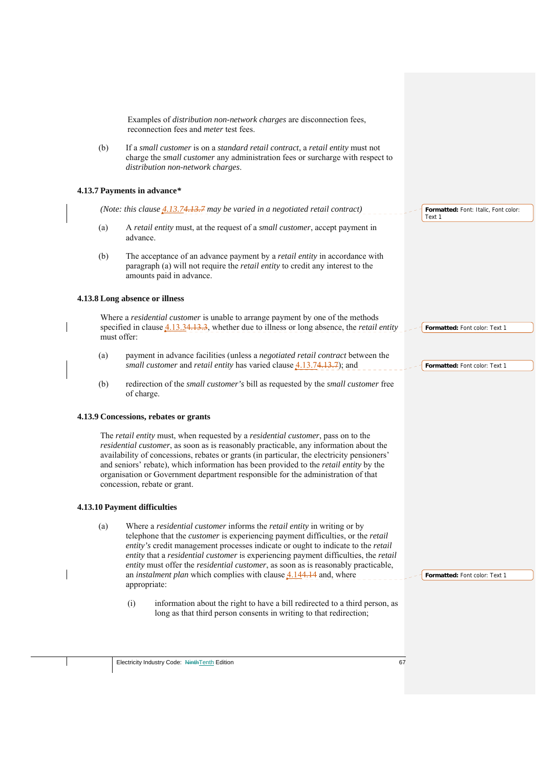Examples of *distribution non-network charges* are disconnection fees, reconnection fees and *meter* test fees.

(b) If a *small customer* is on a *standard retail contract*, a *retail entity* must not charge the *small customer* any administration fees or surcharge with respect to *distribution non-network charges*.

### **4.13.7 Payments in advance***\**

*(Note: this clause 4.13.74.13.7 may be varied in a negotiated retail contract)* 

- (a) A *retail entity* must, at the request of a *small customer*, accept payment in advance.
- (b) The acceptance of an advance payment by a *retail entity* in accordance with paragraph (a) will not require the *retail entity* to credit any interest to the amounts paid in advance.

### **4.13.8 Long absence or illness**

Where a *residential customer* is unable to arrange payment by one of the methods specified in clause 4.13.34.13.3, whether due to illness or long absence, the *retail entity*  must offer:

- (a) payment in advance facilities (unless a *negotiated retail contract* between the *small customer* and *retail entity* has varied clause 4.13.74.13.7); and
- (b) redirection of the *small customer's* bill as requested by the *small customer* free of charge.

### **4.13.9 Concessions, rebates or grants**

The *retail entity* must, when requested by a *residential customer*, pass on to the *residential customer*, as soon as is reasonably practicable, any information about the availability of concessions, rebates or grants (in particular, the electricity pensioners' and seniors' rebate), which information has been provided to the *retail entity* by the organisation or Government department responsible for the administration of that concession, rebate or grant.

### **4.13.10 Payment difficulties**

- (a) Where a *residential customer* informs the *retail entity* in writing or by telephone that the *customer* is experiencing payment difficulties, or the *retail entity's* credit management processes indicate or ought to indicate to the *retail entity* that a *residential customer* is experiencing payment difficulties, the *retail entity* must offer the *residential customer*, as soon as is reasonably practicable, an *instalment plan* which complies with clause 4.144.14 and, where appropriate:
	- (i) information about the right to have a bill redirected to a third person, as long as that third person consents in writing to that redirection;

**Formatted:** Font: Italic, Font color: Text 1

**Formatted:** Font color: Text 1

**Formatted:** Font color: Text 1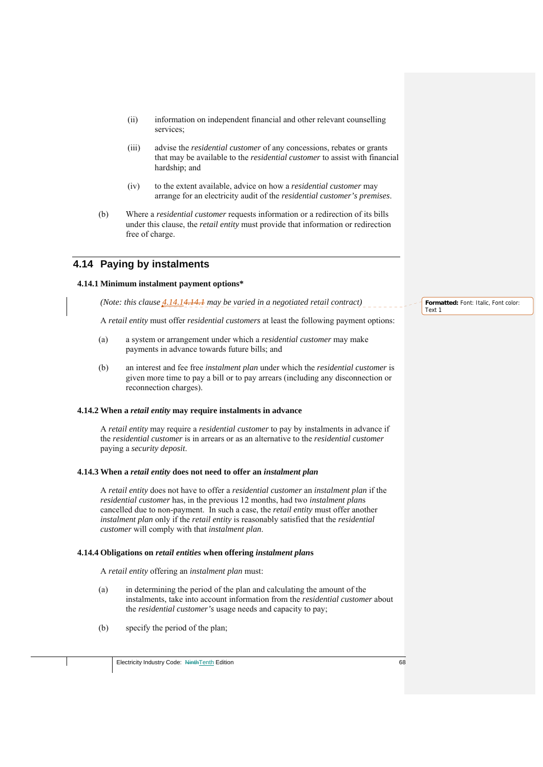- (ii) information on independent financial and other relevant counselling services;
- (iii) advise the *residential customer* of any concessions, rebates or grants that may be available to the *residential customer* to assist with financial hardship; and
- (iv) to the extent available, advice on how a *residential customer* may arrange for an electricity audit of the *residential customer's premises*.
- (b) Where a *residential customer* requests information or a redirection of its bills under this clause, the *retail entity* must provide that information or redirection free of charge.

## **4.14 Paying by instalments**

### **4.14.1 Minimum instalment payment options\***

*(Note: this clause*  $4.14.14.14.1$  *may be varied in a negotiated retail contract)* 

A *retail entity* must offer *residential customers* at least the following payment options:

- (a) a system or arrangement under which a *residential customer* may make payments in advance towards future bills; and
- (b) an interest and fee free *instalment plan* under which the *residential customer* is given more time to pay a bill or to pay arrears (including any disconnection or reconnection charges).

#### **4.14.2 When a** *retail entity* **may require instalments in advance**

A *retail entity* may require a *residential customer* to pay by instalments in advance if the *residential customer* is in arrears or as an alternative to the *residential customer*  paying a *security deposit*.

#### **4.14.3 When a** *retail entity* **does not need to offer an** *instalment plan*

A *retail entity* does not have to offer a *residential customer* an *instalment plan* if the *residential customer* has, in the previous 12 months, had two *instalment plan*s cancelled due to non-payment. In such a case, the *retail entity* must offer another *instalment plan* only if the *retail entity* is reasonably satisfied that the *residential customer* will comply with that *instalment plan*.

### **4.14.4 Obligations on** *retail entities* **when offering** *instalment plan***s**

A *retail entity* offering an *instalment plan* must:

- (a) in determining the period of the plan and calculating the amount of the instalments, take into account information from the *residential customer* about the *residential customer's* usage needs and capacity to pay;
- (b) specify the period of the plan;

**Formatted:** Font: Italic, Font color: Text 1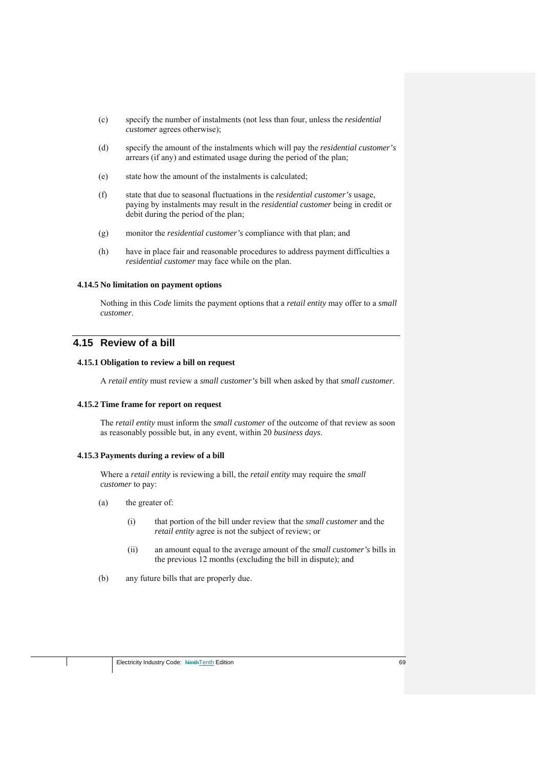- (c) specify the number of instalments (not less than four, unless the *residential customer* agrees otherwise);
- (d) specify the amount of the instalments which will pay the *residential customer's*  arrears (if any) and estimated usage during the period of the plan;
- (e) state how the amount of the instalments is calculated;
- (f) state that due to seasonal fluctuations in the *residential customer's* usage, paying by instalments may result in the *residential customer* being in credit or debit during the period of the plan;
- (g) monitor the *residential customer's* compliance with that plan; and
- (h) have in place fair and reasonable procedures to address payment difficulties a *residential customer* may face while on the plan.

## **4.14.5 No limitation on payment options**

Nothing in this *Code* limits the payment options that a *retail entity* may offer to a *small customer*.

# **4.15 Review of a bill**

#### **4.15.1 Obligation to review a bill on request**

A *retail entity* must review a *small customer's* bill when asked by that *small customer*.

## **4.15.2 Time frame for report on request**

The *retail entity* must inform the *small customer* of the outcome of that review as soon as reasonably possible but, in any event, within 20 *business days*.

## **4.15.3 Payments during a review of a bill**

Where a *retail entity* is reviewing a bill, the *retail entity* may require the *small customer* to pay:

- (a) the greater of:
	- (i) that portion of the bill under review that the *small customer* and the *retail entity* agree is not the subject of review; or
	- (ii) an amount equal to the average amount of the *small customer's* bills in the previous 12 months (excluding the bill in dispute); and
- (b) any future bills that are properly due.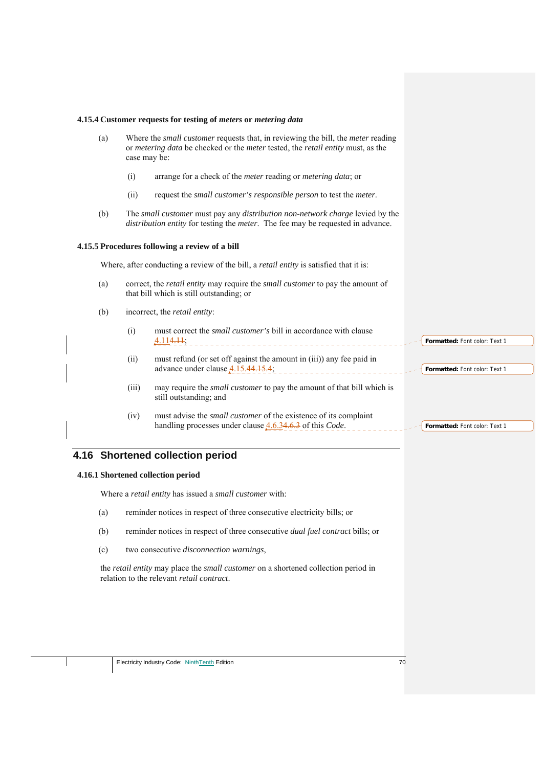#### **4.15.4 Customer requests for testing of** *meters* **or** *metering data*

- (a) Where the *small customer* requests that, in reviewing the bill, the *meter* reading or *metering data* be checked or the *meter* tested, the *retail entity* must, as the case may be:
	- (i) arrange for a check of the *meter* reading or *metering data*; or
	- (ii) request the *small customer's responsible person* to test the *meter*.
- (b) The *small customer* must pay any *distribution non-network charge* levied by the *distribution entity* for testing the *meter*. The fee may be requested in advance.

#### **4.15.5 Procedures following a review of a bill**

Where, after conducting a review of the bill, a *retail entity* is satisfied that it is:

- (a) correct, the *retail entity* may require the *small customer* to pay the amount of that bill which is still outstanding; or
- (b) incorrect, the *retail entity*:
	- (i) must correct the *small customer's* bill in accordance with clause 4.114.11; **Formatted:** Font color: Text 1
	- (ii) must refund (or set off against the amount in (iii)) any fee paid in advance under clause  $4.15.44.15.4$ ;
	- (iii) may require the *small customer* to pay the amount of that bill which is still outstanding; and
	- (iv) must advise the *small customer* of the existence of its complaint handling processes under clause 4.6.34.6.3 of this *Code*.

# **4.16 Shortened collection period**

## **4.16.1 Shortened collection period**

Where a *retail entity* has issued a *small customer* with:

- (a) reminder notices in respect of three consecutive electricity bills; or
- (b) reminder notices in respect of three consecutive *dual fuel contract* bills; or
- (c) two consecutive *disconnection warnings*,

the *retail entity* may place the *small customer* on a shortened collection period in relation to the relevant *retail contract*.

**Formatted:** Font color: Text 1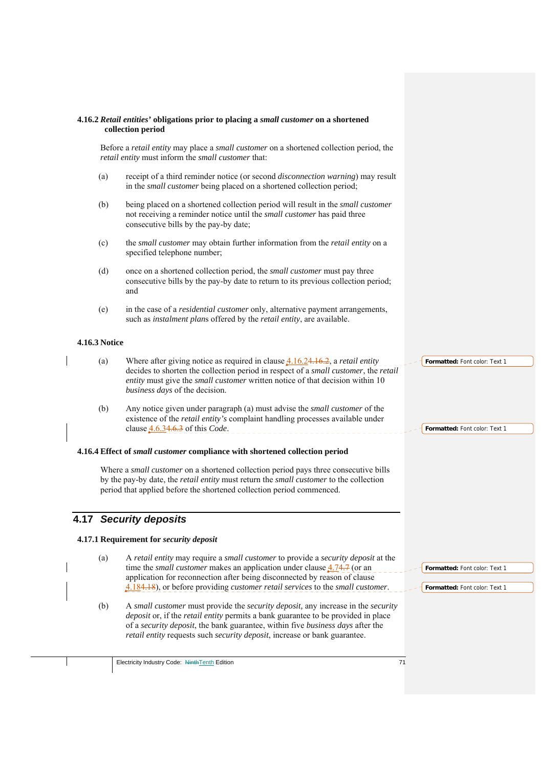#### **4.16.2** *Retail entities'* **obligations prior to placing a** *small customer* **on a shortened collection period**

Before a *retail entity* may place a *small customer* on a shortened collection period, the *retail entity* must inform the *small customer* that:

- (a) receipt of a third reminder notice (or second *disconnection warning*) may result in the *small customer* being placed on a shortened collection period;
- (b) being placed on a shortened collection period will result in the *small customer*  not receiving a reminder notice until the *small customer* has paid three consecutive bills by the pay-by date;
- (c) the *small customer* may obtain further information from the *retail entity* on a specified telephone number;
- (d) once on a shortened collection period, the *small customer* must pay three consecutive bills by the pay-by date to return to its previous collection period; and
- (e) in the case of a *residential customer* only, alternative payment arrangements, such as *instalment plan*s offered by the *retail entity*, are available.

## **4.16.3 Notice**

- (a) Where after giving notice as required in clause 4.16.24.16.2, a *retail entity*  decides to shorten the collection period in respect of a *small customer*, the *retail entity* must give the *small customer* written notice of that decision within 10 *business days* of the decision.
- (b) Any notice given under paragraph (a) must advise the *small customer* of the existence of the *retail entity's* complaint handling processes available under clause 4.6.34.6.3 of this *Code*.

#### **4.16.4 Effect of** *small customer* **compliance with shortened collection period**

Where a *small customer* on a shortened collection period pays three consecutive bills by the pay-by date, the *retail entity* must return the *small customer* to the collection period that applied before the shortened collection period commenced.

## **4.17** *Security deposits*

#### **4.17.1 Requirement for** *security deposit*

- (a) A *retail entity* may require a *small customer* to provide a *security deposit* at the time the *small customer* makes an application under clause  $4.74.7$  (or an application for reconnection after being disconnected by reason of clause 4.184.18), or before providing *customer retail services* to the *small customer*.
	- (b) A *small customer* must provide the *security deposit,* any increase in the *security deposit* or, if the *retail entity* permits a bank guarantee to be provided in place of a *security deposit*, the bank guarantee, within five *business days* after the *retail entity* requests such *security deposit*, increase or bank guarantee.

**Formatted:** Font color: Text 1

**Formatted:** Font color: Text 1

**Formatted:** Font color: Text 1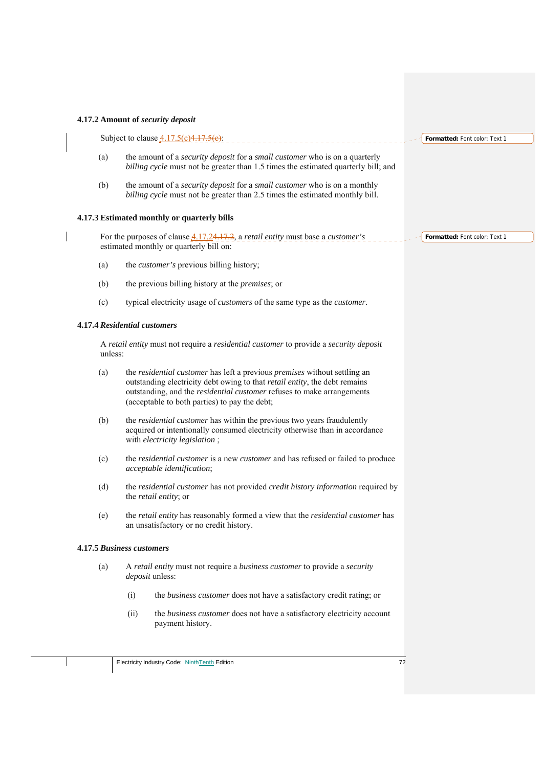## **4.17.2 Amount of** *security deposit*

 $\overline{\phantom{a}}$ 

|                           |      | Subject to clause $\frac{4.17.5(c)}{4.17.5(e)}$ :                                                                                                                                                                                                                                         | Formatted: Font color: Text 1 |
|---------------------------|------|-------------------------------------------------------------------------------------------------------------------------------------------------------------------------------------------------------------------------------------------------------------------------------------------|-------------------------------|
| (a)                       |      | the amount of a <i>security deposit</i> for a <i>small customer</i> who is on a quarterly<br>billing cycle must not be greater than 1.5 times the estimated quarterly bill; and                                                                                                           |                               |
| (b)                       |      | the amount of a <i>security deposit</i> for a <i>small customer</i> who is on a monthly<br>billing cycle must not be greater than 2.5 times the estimated monthly bill.                                                                                                                   |                               |
|                           |      | 4.17.3 Estimated monthly or quarterly bills                                                                                                                                                                                                                                               |                               |
|                           |      | For the purposes of clause $4.17.24.17.2$ , a <i>retail entity</i> must base a <i>customer's</i><br>estimated monthly or quarterly bill on:                                                                                                                                               | Formatted: Font color: Text 1 |
| (a)                       |      | the <i>customer's</i> previous billing history;                                                                                                                                                                                                                                           |                               |
| (b)                       |      | the previous billing history at the <i>premises</i> ; or                                                                                                                                                                                                                                  |                               |
| (c)                       |      | typical electricity usage of <i>customers</i> of the same type as the <i>customer</i> .                                                                                                                                                                                                   |                               |
|                           |      | <b>4.17.4 Residential customers</b>                                                                                                                                                                                                                                                       |                               |
| unless:                   |      | A retail entity must not require a residential customer to provide a security deposit                                                                                                                                                                                                     |                               |
| (a)                       |      | the residential customer has left a previous premises without settling an<br>outstanding electricity debt owing to that retail entity, the debt remains<br>outstanding, and the <i>residential customer</i> refuses to make arrangements<br>(acceptable to both parties) to pay the debt; |                               |
| (b)                       |      | the <i>residential customer</i> has within the previous two years fraudulently<br>acquired or intentionally consumed electricity otherwise than in accordance<br>with electricity legislation;                                                                                            |                               |
| (c)                       |      | the <i>residential customer</i> is a new <i>customer</i> and has refused or failed to produce<br>acceptable identification;                                                                                                                                                               |                               |
| (d)                       |      | the residential customer has not provided credit history information required by<br>the retail entity; or                                                                                                                                                                                 |                               |
| (e)                       |      | the retail entity has reasonably formed a view that the residential customer has<br>an unsatisfactory or no credit history.                                                                                                                                                               |                               |
| 4.17.5 Business customers |      |                                                                                                                                                                                                                                                                                           |                               |
| (a)                       |      | A retail entity must not require a business customer to provide a security<br>deposit unless:                                                                                                                                                                                             |                               |
|                           | (i)  | the business customer does not have a satisfactory credit rating; or                                                                                                                                                                                                                      |                               |
|                           | (ii) | the business customer does not have a satisfactory electricity account<br>payment history.                                                                                                                                                                                                |                               |
|                           |      |                                                                                                                                                                                                                                                                                           |                               |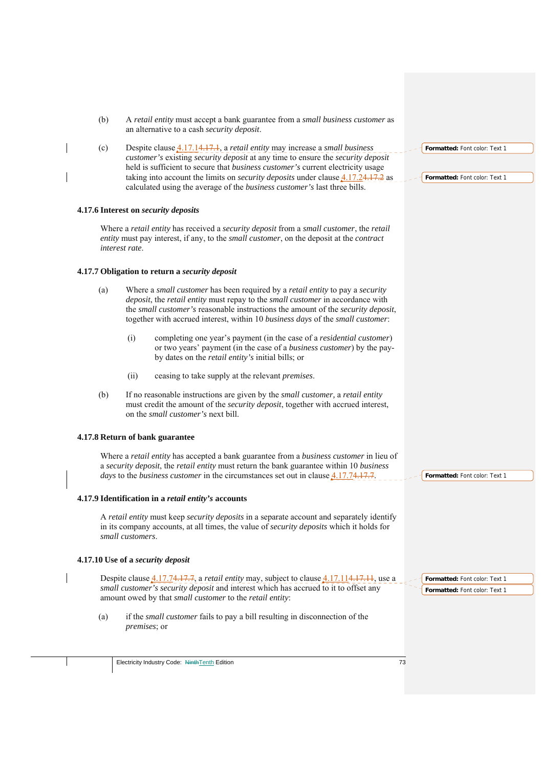| (b) | A retail entity must accept a bank guarantee from a small business customer as<br>an alternative to a cash security deposit.                                                                                                                                                                                                          |
|-----|---------------------------------------------------------------------------------------------------------------------------------------------------------------------------------------------------------------------------------------------------------------------------------------------------------------------------------------|
| (c) | Despite clause 4.17.14.17.1, a retail entity may increase a small business<br>Formatted: Font color: Text 1<br>customer's existing security deposit at any time to ensure the security deposit                                                                                                                                        |
|     | held is sufficient to secure that business customer's current electricity usage<br>taking into account the limits on <i>security deposits</i> under clause $4.17.24.17.2$ as<br>Formatted: Font color: Text 1<br>calculated using the average of the business customer's last three bills.                                            |
|     | 4.17.6 Interest on security deposits                                                                                                                                                                                                                                                                                                  |
|     | Where a retail entity has received a security deposit from a small customer, the retail<br>entity must pay interest, if any, to the small customer, on the deposit at the contract<br>interest rate.                                                                                                                                  |
|     | 4.17.7 Obligation to return a security deposit                                                                                                                                                                                                                                                                                        |
| (a) | Where a small customer has been required by a retail entity to pay a security<br>deposit, the retail entity must repay to the small customer in accordance with<br>the small customer's reasonable instructions the amount of the security deposit,<br>together with accrued interest, within 10 business days of the small customer: |
|     | (i)<br>completing one year's payment (in the case of a <i>residential customer</i> )<br>or two years' payment (in the case of a business customer) by the pay-<br>by dates on the <i>retail entity's</i> initial bills; or                                                                                                            |
|     | (ii)<br>ceasing to take supply at the relevant <i>premises</i> .                                                                                                                                                                                                                                                                      |
| (b) | If no reasonable instructions are given by the <i>small customer</i> , a <i>retail entity</i><br>must credit the amount of the security deposit, together with accrued interest,<br>on the <i>small customer's</i> next bill.                                                                                                         |
|     | 4.17.8 Return of bank guarantee                                                                                                                                                                                                                                                                                                       |
|     | Where a retail entity has accepted a bank guarantee from a business customer in lieu of<br>a security deposit, the retail entity must return the bank guarantee within 10 business<br>days to the business customer in the circumstances set out in clause 4.17.74.17.7.<br>Formatted: Font color: Text 1                             |
|     | 4.17.9 Identification in a retail entity's accounts                                                                                                                                                                                                                                                                                   |
|     | A retail entity must keep security deposits in a separate account and separately identify<br>in its company accounts, at all times, the value of security deposits which it holds for<br>small customers.                                                                                                                             |
|     | 4.17.10 Use of a security deposit                                                                                                                                                                                                                                                                                                     |
|     | Despite clause <i>A.17.74.17.7, a retail entity</i> may, subject to clause <i>A.17.114.17.11</i> , use a<br>Formatted: Font color: Text 1<br>small customer's security deposit and interest which has accrued to it to offset any<br>Formatted: Font color: Text 1<br>amount owed by that small customer to the retail entity:        |
| (a) | if the <i>small customer</i> fails to pay a bill resulting in disconnection of the<br><i>premises</i> ; or                                                                                                                                                                                                                            |
|     | Electricity Industry Code: NinthTenth Edition<br>73                                                                                                                                                                                                                                                                                   |
|     |                                                                                                                                                                                                                                                                                                                                       |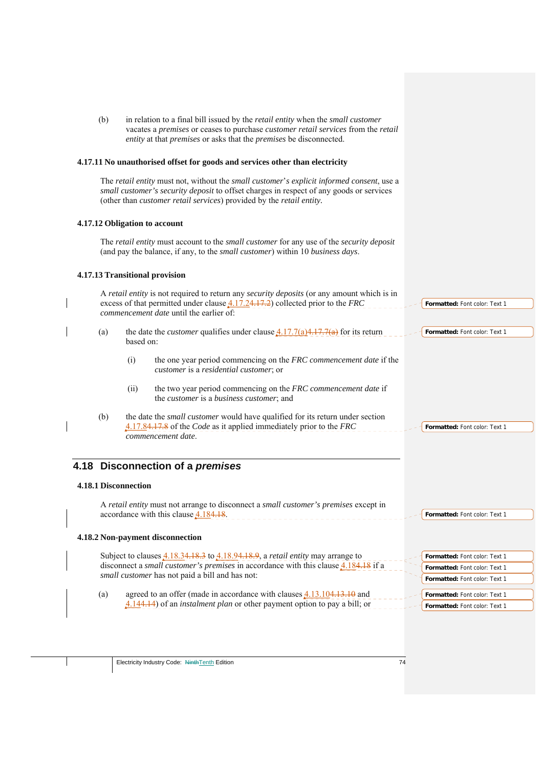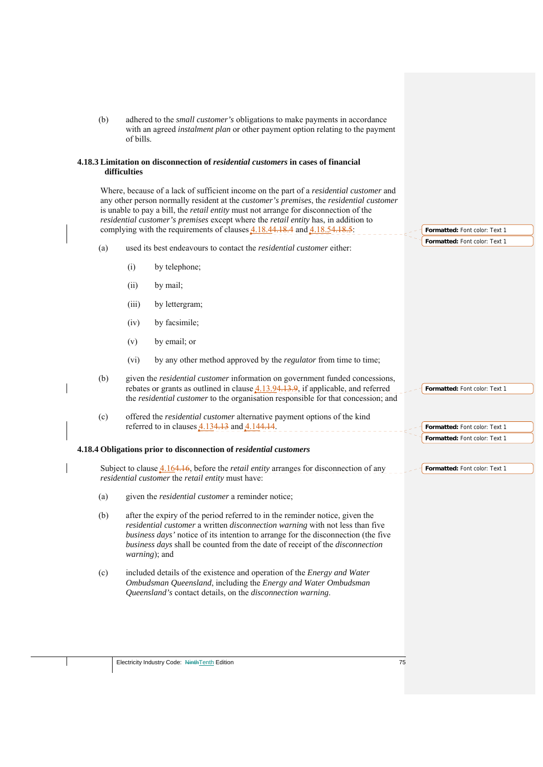| adhered to the <i>small customer's</i> obligations to make payments in accordance<br>(b)<br>with an agreed <i>instalment plan</i> or other payment option relating to the payment<br>of bills.                                                                                                                                                                                                                                                                                  |                               |
|---------------------------------------------------------------------------------------------------------------------------------------------------------------------------------------------------------------------------------------------------------------------------------------------------------------------------------------------------------------------------------------------------------------------------------------------------------------------------------|-------------------------------|
| 4.18.3 Limitation on disconnection of <i>residential customers</i> in cases of financial<br>difficulties                                                                                                                                                                                                                                                                                                                                                                        |                               |
| Where, because of a lack of sufficient income on the part of a <i>residential customer</i> and<br>any other person normally resident at the <i>customer's premises</i> , the <i>residential customer</i><br>is unable to pay a bill, the <i>retail entity</i> must not arrange for disconnection of the<br>residential customer's premises except where the retail entity has, in addition to<br>complying with the requirements of clauses $4.18.44.18.4$ and $4.18.54.18.5$ : | Formatted: Font color: Text 1 |
| used its best endeavours to contact the <i>residential customer</i> either:<br>(a)                                                                                                                                                                                                                                                                                                                                                                                              | Formatted: Font color: Text 1 |
| (i)<br>by telephone;                                                                                                                                                                                                                                                                                                                                                                                                                                                            |                               |
| (ii)<br>by mail;                                                                                                                                                                                                                                                                                                                                                                                                                                                                |                               |
| (iii)<br>by lettergram;                                                                                                                                                                                                                                                                                                                                                                                                                                                         |                               |
| by facsimile;<br>(iv)                                                                                                                                                                                                                                                                                                                                                                                                                                                           |                               |
| by email; or<br>(v)                                                                                                                                                                                                                                                                                                                                                                                                                                                             |                               |
| by any other method approved by the <i>regulator</i> from time to time;<br>(vi)                                                                                                                                                                                                                                                                                                                                                                                                 |                               |
| given the residential customer information on government funded concessions,<br>(b)<br>rebates or grants as outlined in clause 4.13.94.13.9, if applicable, and referred<br>the <i>residential customer</i> to the organisation responsible for that concession; and                                                                                                                                                                                                            | Formatted: Font color: Text 1 |
| offered the <i>residential customer</i> alternative payment options of the kind<br>(c)<br>referred to in clauses $4.134.13$ and $4.144.14$ .                                                                                                                                                                                                                                                                                                                                    | Formatted: Font color: Text 1 |
| 4.18.4 Obligations prior to disconnection of residential customers                                                                                                                                                                                                                                                                                                                                                                                                              | Formatted: Font color: Text 1 |
| Subject to clause <b>4.164.16</b> , before the <i>retail entity</i> arranges for disconnection of any<br>residential customer the retail entity must have:                                                                                                                                                                                                                                                                                                                      | Formatted: Font color: Text 1 |
| given the <i>residential customer</i> a reminder notice;<br>(a)                                                                                                                                                                                                                                                                                                                                                                                                                 |                               |
| (b)<br>after the expiry of the period referred to in the reminder notice, given the<br>residential customer a written disconnection warning with not less than five<br>business days' notice of its intention to arrange for the disconnection (the five<br>business days shall be counted from the date of receipt of the disconnection<br>warning); and                                                                                                                       |                               |
| included details of the existence and operation of the <i>Energy and Water</i><br>(c)<br>Ombudsman Queensland, including the Energy and Water Ombudsman<br>Queensland's contact details, on the disconnection warning.                                                                                                                                                                                                                                                          |                               |
|                                                                                                                                                                                                                                                                                                                                                                                                                                                                                 |                               |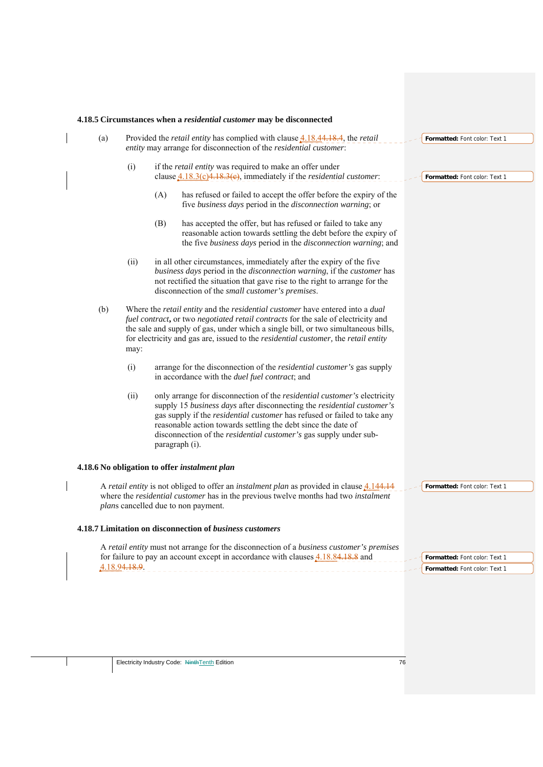|     |               | 4.18.5 Circumstances when a residential customer may be disconnected                                                                                                                                                                                                                                                                                                                                 |                                                                |
|-----|---------------|------------------------------------------------------------------------------------------------------------------------------------------------------------------------------------------------------------------------------------------------------------------------------------------------------------------------------------------------------------------------------------------------------|----------------------------------------------------------------|
| (a) |               | Provided the <i>retail entity</i> has complied with clause <b>4.18.44.18.4</b> , the <i>retail</i><br>entity may arrange for disconnection of the residential customer:                                                                                                                                                                                                                              | Formatted: Font color: Text 1                                  |
|     | (i)           | if the <i>retail entity</i> was required to make an offer under<br>clause $4.18.3(c)4.18.3(e)$ , immediately if the <i>residential customer</i> :                                                                                                                                                                                                                                                    | Formatted: Font color: Text 1                                  |
|     |               | has refused or failed to accept the offer before the expiry of the<br>(A)<br>five business days period in the disconnection warning; or                                                                                                                                                                                                                                                              |                                                                |
|     |               | (B)<br>has accepted the offer, but has refused or failed to take any<br>reasonable action towards settling the debt before the expiry of<br>the five business days period in the disconnection warning; and                                                                                                                                                                                          |                                                                |
|     | (ii)          | in all other circumstances, immediately after the expiry of the five<br>business days period in the disconnection warning, if the customer has<br>not rectified the situation that gave rise to the right to arrange for the<br>disconnection of the small customer's premises.                                                                                                                      |                                                                |
| (b) | may:          | Where the retail entity and the residential customer have entered into a dual<br>fuel contract, or two negotiated retail contracts for the sale of electricity and<br>the sale and supply of gas, under which a single bill, or two simultaneous bills,<br>for electricity and gas are, issued to the <i>residential customer</i> , the <i>retail entity</i>                                         |                                                                |
|     | (i)           | arrange for the disconnection of the <i>residential customer's</i> gas supply<br>in accordance with the <i>duel fuel contract</i> ; and                                                                                                                                                                                                                                                              |                                                                |
|     | (ii)          | only arrange for disconnection of the residential customer's electricity<br>supply 15 business days after disconnecting the residential customer's<br>gas supply if the <i>residential customer</i> has refused or failed to take any<br>reasonable action towards settling the debt since the date of<br>disconnection of the <i>residential customer's</i> gas supply under sub-<br>paragraph (i). |                                                                |
|     |               | 4.18.6 No obligation to offer instalment plan                                                                                                                                                                                                                                                                                                                                                        |                                                                |
|     |               | A retail entity is not obliged to offer an instalment plan as provided in clause 4.144.14<br>where the residential customer has in the previous twelve months had two instalment<br>plans cancelled due to non payment.                                                                                                                                                                              | Formatted: Font color: Text 1                                  |
|     |               | 4.18.7 Limitation on disconnection of business customers                                                                                                                                                                                                                                                                                                                                             |                                                                |
|     | 4.18.94.18.9. | A retail entity must not arrange for the disconnection of a business customer's premises<br>for failure to pay an account except in accordance with clauses 4.18.84.18.8 and<br>_________________________________                                                                                                                                                                                    | Formatted: Font color: Text 1<br>Formatted: Font color: Text 1 |
|     |               |                                                                                                                                                                                                                                                                                                                                                                                                      |                                                                |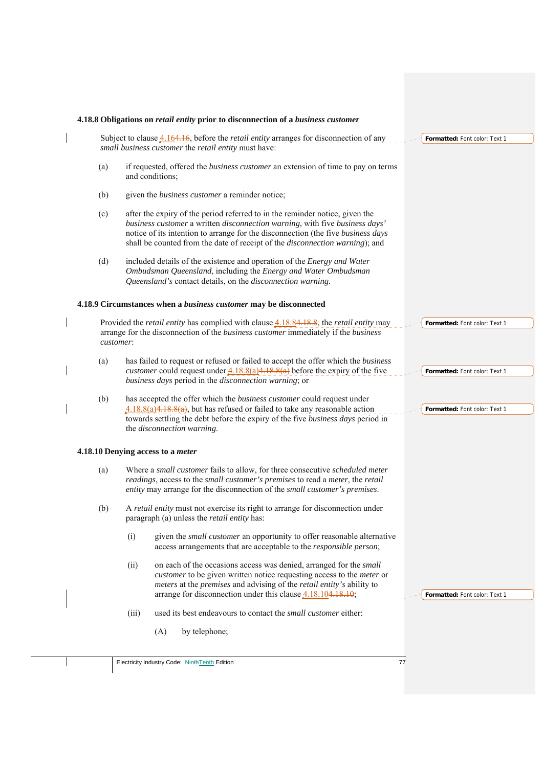|     | Subject to clause <b>4.164.16</b> , before the <i>retail entity</i> arranges for disconnection of any<br>Formatted: Font color: Text 1<br>small business customer the retail entity must have:                                                                                                                                  |
|-----|---------------------------------------------------------------------------------------------------------------------------------------------------------------------------------------------------------------------------------------------------------------------------------------------------------------------------------|
| (a) | if requested, offered the <i>business customer</i> an extension of time to pay on terms<br>and conditions;                                                                                                                                                                                                                      |
| (b) | given the <i>business customer</i> a reminder notice;                                                                                                                                                                                                                                                                           |
| (c) | after the expiry of the period referred to in the reminder notice, given the<br>business customer a written disconnection warning, with five business days'<br>notice of its intention to arrange for the disconnection (the five business days<br>shall be counted from the date of receipt of the disconnection warning); and |
| (d) | included details of the existence and operation of the Energy and Water<br>Ombudsman Queensland, including the Energy and Water Ombudsman<br>Queensland's contact details, on the disconnection warning.                                                                                                                        |
|     | 4.18.9 Circumstances when a business customer may be disconnected                                                                                                                                                                                                                                                               |
|     | Provided the <i>retail entity</i> has complied with clause 4.18.84.18.8, the <i>retail entity</i> may<br>Formatted: Font color: Text 1<br>arrange for the disconnection of the business customer immediately if the business<br>customer:                                                                                       |
| (a) | has failed to request or refused or failed to accept the offer which the business<br><i>customer</i> could request under $4.18.8(a)4.18.8(a)$ before the expiry of the five<br>Formatted: Font color: Text 1<br>business days period in the disconnection warning; or                                                           |
| (b) | has accepted the offer which the business customer could request under<br>$4.18.8(a)4.18.8(a)$ , but has refused or failed to take any reasonable action<br>Formatted: Font color: Text 1<br>towards settling the debt before the expiry of the five business days period in<br>the disconnection warning.                      |
|     | 4.18.10 Denying access to a meter                                                                                                                                                                                                                                                                                               |
| (a) | Where a small customer fails to allow, for three consecutive scheduled meter<br>readings, access to the small customer's premises to read a meter, the retail<br>entity may arrange for the disconnection of the small customer's premises.                                                                                     |
| (b) | A retail entity must not exercise its right to arrange for disconnection under<br>paragraph (a) unless the <i>retail entity</i> has:                                                                                                                                                                                            |
|     | (i)<br>given the <i>small customer</i> an opportunity to offer reasonable alternative<br>access arrangements that are acceptable to the <i>responsible person</i> ;                                                                                                                                                             |
|     | on each of the occasions access was denied, arranged for the small<br>(ii)<br>customer to be given written notice requesting access to the meter or<br>meters at the premises and advising of the retail entity's ability to<br>arrange for disconnection under this clause $4.18.104.18.10$ ;<br>Formatted: Font color: Text 1 |
|     | used its best endeavours to contact the small customer either:<br>(iii)                                                                                                                                                                                                                                                         |
|     | (A)<br>by telephone;                                                                                                                                                                                                                                                                                                            |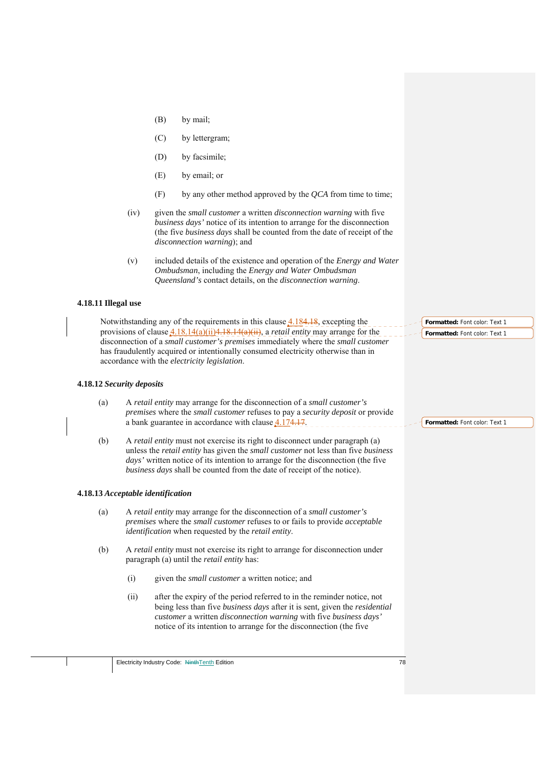(B) by mail; (C) by lettergram; (D) by facsimile; (E) by email; or (F) by any other method approved by the *QCA* from time to time; (iv) given the *small customer* a written *disconnection warning* with five *business days'* notice of its intention to arrange for the disconnection (the five *business days* shall be counted from the date of receipt of the *disconnection warning*); and (v) included details of the existence and operation of the *Energy and Water Ombudsman*, including the *Energy and Water Ombudsman Queensland's* contact details, on the *disconnection warning*.

## **4.18.11 Illegal use**

Notwithstanding any of the requirements in this clause 4.184.18, excepting the provisions of clause 4.18.14(a)(ii)4.18.14(a)(ii), a *retail entity* may arrange for the disconnection of a *small customer's premises* immediately where the *small customer*  has fraudulently acquired or intentionally consumed electricity otherwise than in accordance with the *electricity legislation*.

## **4.18.12** *Security deposits*

| (a) | A retail entity may arrange for the disconnection of a small customer's                             |
|-----|-----------------------------------------------------------------------------------------------------|
|     | <i>premises</i> where the <i>small customer</i> refuses to pay a <i>security deposit</i> or provide |
|     | a bank guarantee in accordance with clause 4.174.17.                                                |

(b) A *retail entity* must not exercise its right to disconnect under paragraph (a) unless the *retail entity* has given the *small customer* not less than five *business days'* written notice of its intention to arrange for the disconnection (the five *business days* shall be counted from the date of receipt of the notice).

## **4.18.13** *Acceptable identification*

- (a) A *retail entity* may arrange for the disconnection of a *small customer's premises* where the *small customer* refuses to or fails to provide *acceptable identification* when requested by the *retail entity*.
- (b) A *retail entity* must not exercise its right to arrange for disconnection under paragraph (a) until the *retail entity* has:
	- (i) given the *small customer* a written notice; and
	- (ii) after the expiry of the period referred to in the reminder notice, not being less than five *business days* after it is sent*,* given the *residential customer* a written *disconnection warning* with five *business days'*  notice of its intention to arrange for the disconnection (the five

**Formatted:** Font color: Text 1 **Formatted:** Font color: Text 1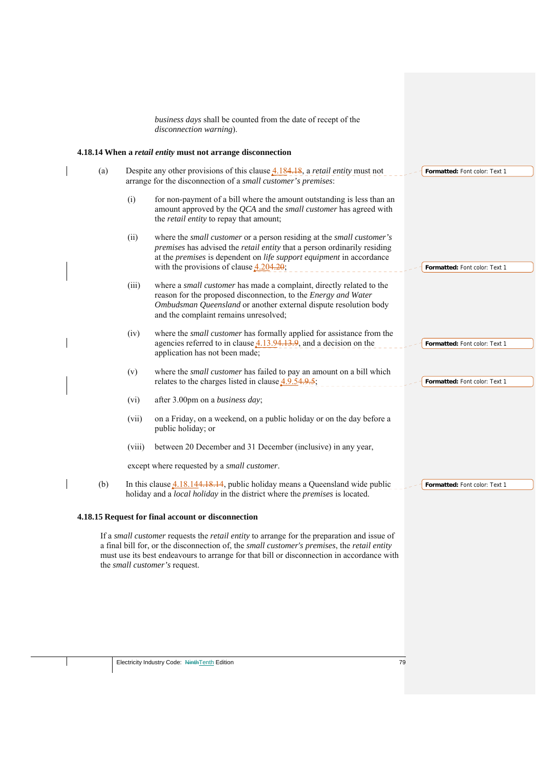*business days* shall be counted from the date of recept of the *disconnection warning*).

## **4.18.14 When a** *retail entity* **must not arrange disconnection**

| Despite any other provisions of this clause $4.184.18$ , a <i>retail entity</i> must not<br>(a)<br>arrange for the disconnection of a small customer's premises: |                                                                                                                                                                                                                                                                                                                                | Formatted: Font color: Text 1                                                                                                                                                                                                                                                                       |                               |
|------------------------------------------------------------------------------------------------------------------------------------------------------------------|--------------------------------------------------------------------------------------------------------------------------------------------------------------------------------------------------------------------------------------------------------------------------------------------------------------------------------|-----------------------------------------------------------------------------------------------------------------------------------------------------------------------------------------------------------------------------------------------------------------------------------------------------|-------------------------------|
|                                                                                                                                                                  | (i)                                                                                                                                                                                                                                                                                                                            | for non-payment of a bill where the amount outstanding is less than an<br>amount approved by the QCA and the small customer has agreed with<br>the <i>retail entity</i> to repay that amount;                                                                                                       |                               |
|                                                                                                                                                                  | (ii)                                                                                                                                                                                                                                                                                                                           | where the <i>small customer</i> or a person residing at the <i>small customer's</i><br>premises has advised the retail entity that a person ordinarily residing<br>at the <i>premises</i> is dependent on <i>life support equipment</i> in accordance<br>with the provisions of clause $4.204.20$ ; | Formatted: Font color: Text 1 |
|                                                                                                                                                                  | (iii)                                                                                                                                                                                                                                                                                                                          | where a small customer has made a complaint, directly related to the<br>reason for the proposed disconnection, to the <i>Energy and Water</i><br>Ombudsman Queensland or another external dispute resolution body<br>and the complaint remains unresolved;                                          |                               |
|                                                                                                                                                                  | (iv)                                                                                                                                                                                                                                                                                                                           | where the <i>small customer</i> has formally applied for assistance from the<br>agencies referred to in clause $4.13.94.13.9$ , and a decision on the<br>application has not been made;                                                                                                             | Formatted: Font color: Text 1 |
|                                                                                                                                                                  | (v)                                                                                                                                                                                                                                                                                                                            | where the <i>small customer</i> has failed to pay an amount on a bill which<br>relates to the charges listed in clause $4.9.54.9.5$ ;                                                                                                                                                               | Formatted: Font color: Text 1 |
|                                                                                                                                                                  | (vi)                                                                                                                                                                                                                                                                                                                           | after 3.00pm on a business day;                                                                                                                                                                                                                                                                     |                               |
|                                                                                                                                                                  | (vii)                                                                                                                                                                                                                                                                                                                          | on a Friday, on a weekend, on a public holiday or on the day before a<br>public holiday; or                                                                                                                                                                                                         |                               |
|                                                                                                                                                                  | (viii)                                                                                                                                                                                                                                                                                                                         | between 20 December and 31 December (inclusive) in any year,                                                                                                                                                                                                                                        |                               |
|                                                                                                                                                                  |                                                                                                                                                                                                                                                                                                                                | except where requested by a small customer.                                                                                                                                                                                                                                                         |                               |
| (b)                                                                                                                                                              |                                                                                                                                                                                                                                                                                                                                | In this clause $4.18.144.18.14$ , public holiday means a Queensland wide public<br>holiday and a local holiday in the district where the premises is located.                                                                                                                                       | Formatted: Font color: Text 1 |
| 4.18.15 Request for final account or disconnection                                                                                                               |                                                                                                                                                                                                                                                                                                                                |                                                                                                                                                                                                                                                                                                     |                               |
|                                                                                                                                                                  | If a small customer requests the <i>retail entity</i> to arrange for the preparation and issue of<br>a final bill for, or the disconnection of, the small customer's premises, the retail entity<br>must use its best endeavours to arrange for that bill or disconnection in accordance with<br>the small customer's request. |                                                                                                                                                                                                                                                                                                     |                               |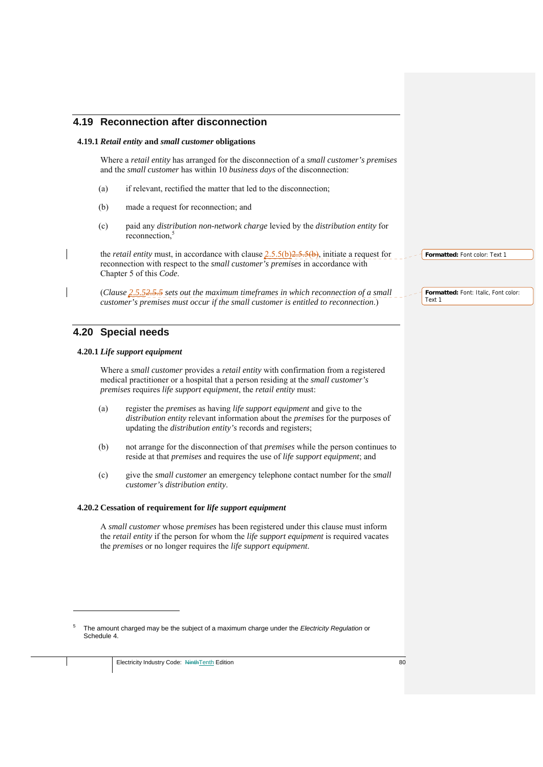## **4.19 Reconnection after disconnection**

#### **4.19.1** *Retail entity* **and** *small customer* **obligations**

Where a *retail entity* has arranged for the disconnection of a *small customer's premises* and the *small customer* has within 10 *business days* of the disconnection:

- (a) if relevant, rectified the matter that led to the disconnection;
- (b) made a request for reconnection; and
- (c) paid any *distribution non-network charge* levied by the *distribution entity* for reconnection,<sup>5</sup>

the *retail entity* must, in accordance with clause  $2.5.5(b)2.5.5(b)$ , initiate a request for reconnection with respect to the *small customer's premises* in accordance with Chapter 5 of this *Code*.

(*Clause 2.5.52.5.5 sets out the maximum timeframes in which reconnection of a small customer's premises must occur if the small customer is entitled to reconnection*.)

## **4.20 Special needs**

1

#### **4.20.1** *Life support equipment*

Where a *small customer* provides a *retail entity* with confirmation from a registered medical practitioner or a hospital that a person residing at the *small customer's premises* requires *life support equipment*, the *retail entity* must:

- (a) register the *premises* as having *life support equipment* and give to the *distribution entity* relevant information about the *premises* for the purposes of updating the *distribution entity's* records and registers;
- (b) not arrange for the disconnection of that *premises* while the person continues to reside at that *premises* and requires the use of *life support equipment*; and
- (c) give the *small customer* an emergency telephone contact number for the *small customer'*s *distribution entity*.

#### **4.20.2 Cessation of requirement for** *life support equipment*

A *small customer* whose *premises* has been registered under this clause must inform the *retail entity* if the person for whom the *life support equipment* is required vacates the *premises* or no longer requires the *life support equipment*.

**Formatted:** Font color: Text 1

**Formatted:** Font: Italic, Font color: Text 1

<sup>5</sup> The amount charged may be the subject of a maximum charge under the *Electricity Regulation* or Schedule 4.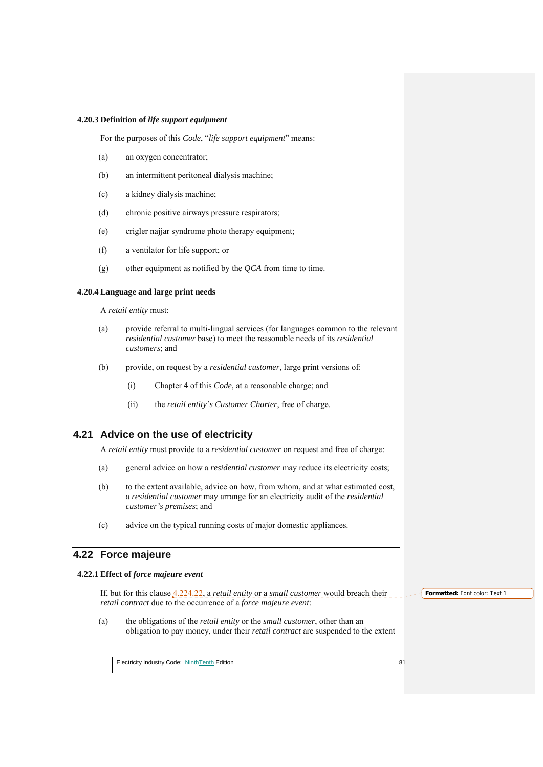#### **4.20.3 Definition of** *life support equipment*

For the purposes of this *Code*, "*life support equipment*" means:

- (a) an oxygen concentrator;
- (b) an intermittent peritoneal dialysis machine;
- (c) a kidney dialysis machine;
- (d) chronic positive airways pressure respirators;
- (e) crigler najjar syndrome photo therapy equipment;
- (f) a ventilator for life support; or
- (g) other equipment as notified by the *QCA* from time to time.

#### **4.20.4 Language and large print needs**

A *retail entity* must:

- (a) provide referral to multi-lingual services (for languages common to the relevant *residential customer* base) to meet the reasonable needs of its *residential customers*; and
- (b) provide, on request by a *residential customer*, large print versions of:
	- (i) Chapter 4 of this *Code*, at a reasonable charge; and
	- (ii) the *retail entity's Customer Charter*, free of charge.

## **4.21 Advice on the use of electricity**

A *retail entity* must provide to a *residential customer* on request and free of charge:

- (a) general advice on how a *residential customer* may reduce its electricity costs;
- (b) to the extent available, advice on how, from whom, and at what estimated cost, a *residential customer* may arrange for an electricity audit of the *residential customer's premises*; and
- (c) advice on the typical running costs of major domestic appliances.

## **4.22 Force majeure**

#### **4.22.1 Effect of** *force majeure event*

If, but for this clause 4.224.22, a *retail entity* or a *small customer* would breach their *retail contract* due to the occurrence of a *force majeure event*:

(a) the obligations of the *retail entity* or the *small customer*, other than an obligation to pay money, under their *retail contract* are suspended to the extent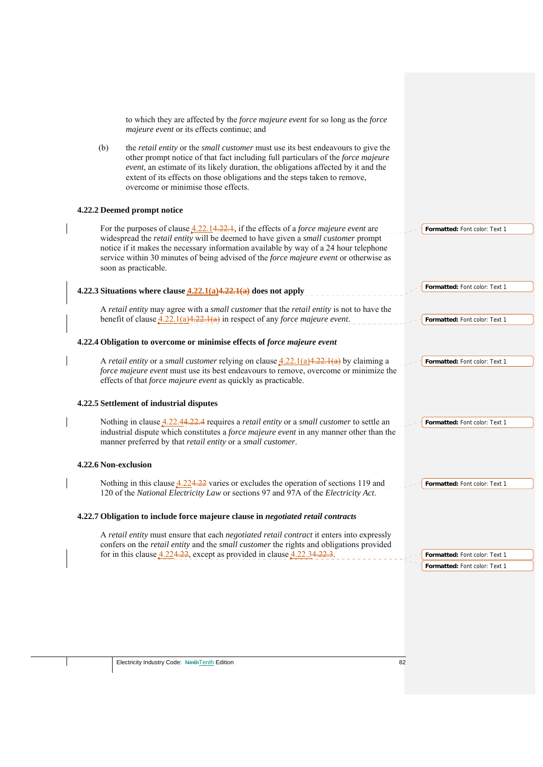|                      | to which they are affected by the force majeure event for so long as the force<br>majeure event or its effects continue; and                                                                                                                                                                                                                                                                 |                               |
|----------------------|----------------------------------------------------------------------------------------------------------------------------------------------------------------------------------------------------------------------------------------------------------------------------------------------------------------------------------------------------------------------------------------------|-------------------------------|
| (b)                  | the retail entity or the small customer must use its best endeavours to give the<br>other prompt notice of that fact including full particulars of the force majeure<br>event, an estimate of its likely duration, the obligations affected by it and the<br>extent of its effects on those obligations and the steps taken to remove,<br>overcome or minimise those effects.                |                               |
|                      | 4.22.2 Deemed prompt notice                                                                                                                                                                                                                                                                                                                                                                  |                               |
|                      | For the purposes of clause $4.22.14.22.1$ , if the effects of a <i>force majeure event</i> are<br>widespread the retail entity will be deemed to have given a small customer prompt<br>notice if it makes the necessary information available by way of a 24 hour telephone<br>service within 30 minutes of being advised of the force majeure event or otherwise as<br>soon as practicable. | Formatted: Font color: Text 1 |
|                      | 4.22.3 Situations where clause $4.22.1(a)4.22.1(a)$ does not apply                                                                                                                                                                                                                                                                                                                           | Formatted: Font color: Text 1 |
|                      | A retail entity may agree with a small customer that the retail entity is not to have the<br>benefit of clause $4.22.1(a)4.22.1(a)$ in respect of any <i>force majeure event</i> .                                                                                                                                                                                                           | Formatted: Font color: Text 1 |
|                      | 4.22.4 Obligation to overcome or minimise effects of force majeure event                                                                                                                                                                                                                                                                                                                     |                               |
|                      | A retail entity or a small customer relying on clause $\frac{4.22.1(a)4.22.1(a)}{4.22.1(a)}$ by claiming a<br>force majeure event must use its best endeavours to remove, overcome or minimize the<br>effects of that force majeure event as quickly as practicable.                                                                                                                         | Formatted: Font color: Text 1 |
|                      | 4.22.5 Settlement of industrial disputes                                                                                                                                                                                                                                                                                                                                                     |                               |
|                      | Nothing in clause 4.22.44.22.4 requires a <i>retail entity</i> or a <i>small customer</i> to settle an<br>industrial dispute which constitutes a force majeure event in any manner other than the<br>manner preferred by that retail entity or a small customer.                                                                                                                             | Formatted: Font color: Text 1 |
| 4.22.6 Non-exclusion |                                                                                                                                                                                                                                                                                                                                                                                              |                               |
|                      | Nothing in this clause $4.224.22$ varies or excludes the operation of sections 119 and<br>120 of the National Electricity Law or sections 97 and 97A of the Electricity Act.                                                                                                                                                                                                                 | Formatted: Font color: Text 1 |
|                      | 4.22.7 Obligation to include force majeure clause in negotiated retail contracts                                                                                                                                                                                                                                                                                                             |                               |
|                      | A retail entity must ensure that each negotiated retail contract it enters into expressly<br>confers on the retail entity and the small customer the rights and obligations provided<br>for in this clause $4.224.22$ , except as provided in clause $4.22.34.22.3$ .                                                                                                                        | Formatted: Font color: Text 1 |
|                      |                                                                                                                                                                                                                                                                                                                                                                                              | Formatted: Font color: Text 1 |
|                      |                                                                                                                                                                                                                                                                                                                                                                                              |                               |
|                      | Electricity Industry Code: NinthTenth Edition<br>82                                                                                                                                                                                                                                                                                                                                          |                               |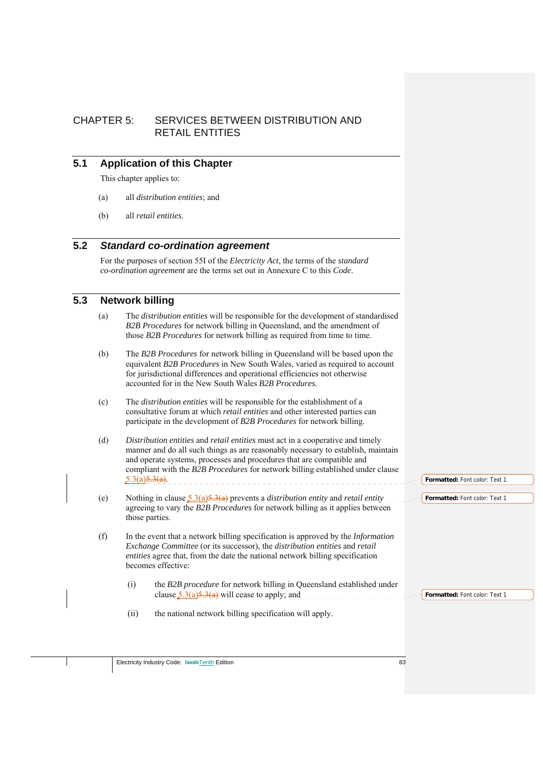## CHAPTER 5: SERVICES BETWEEN DISTRIBUTION AND RETAIL ENTITIES

## **5.1 Application of this Chapter**

This chapter applies to:

- (a) all *distribution entities*; and
- (b) all *retail entities*.

## **5.2** *Standard co-ordination agreement*

For the purposes of section 55I of the *Electricity Act*, the terms of the *standard co-ordination agreement* are the terms set out in Annexure C to this *Code*.

## **5.3 Network billing**

- (a) The *distribution entities* will be responsible for the development of standardised *B2B Procedures* for network billing in Queensland, and the amendment of those *B2B Procedures* for network billing as required from time to time.
- (b) The *B2B Procedures* for network billing in Queensland will be based upon the equivalent *B2B Procedures* in New South Wales, varied as required to account for jurisdictional differences and operational efficiencies not otherwise accounted for in the New South Wales *B2B Procedures.*
- (c) The *distribution entities* will be responsible for the establishment of a consultative forum at which *retail entities* and other interested parties can participate in the development of *B2B Procedures* for network billing.
- (d) *Distribution entities* and *retail entities* must act in a cooperative and timely manner and do all such things as are reasonably necessary to establish, maintain and operate systems, processes and procedures that are compatible and compliant with the *B2B Procedures* for network billing established under clause  $5.3(a)5.3(a)$ .
- (e) Nothing in clause 5.3(a)5.3(a) prevents a *distribution entity* and *retail entity* agreeing to vary the *B2B Procedures* for network billing as it applies between those parties.
- (f) In the event that a network billing specification is approved by the *Information Exchange Committee* (or its successor), the *distribution entities* and *retail entities* agree that, from the date the national network billing specification becomes effective:
	- (i) the *B2B procedure* for network billing in Queensland established under clause  $\frac{5.3(a)5.3(a)}{2.3(a)}$  will cease to apply; and
	- (ii) the national network billing specification will apply.

**Formatted:** Font color: Text 1

**Formatted:** Font color: Text 1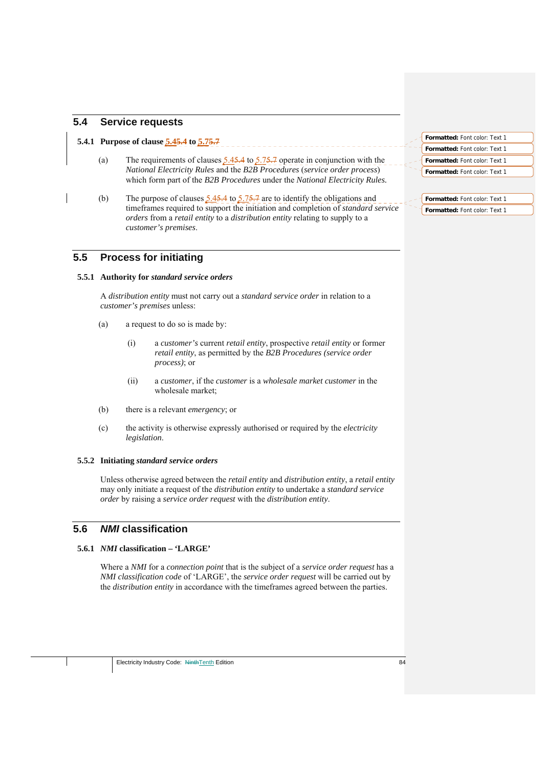## **5.4 Service requests**

#### **5.4.1 Purpose of clause 5.45.4 to 5.75.7**

- (a) The requirements of clauses  $\frac{5.45.4}{5.75.7}$  operate in conjunction with the *National Electricity Rules* and the *B2B Procedures* (*service order process*) which form part of the *B2B Procedures* under the *National Electricity Rules.*
- (b) The purpose of clauses  $\frac{5.45.4}{5.75.7}$  are to identify the obligations and timeframes required to support the initiation and completion of *standard service orders* from a *retail entity* to a *distribution entity* relating to supply to a *customer's premises*.

## **5.5 Process for initiating**

#### **5.5.1 Authority for** *standard service orders*

A *distribution entity* must not carry out a *standard service order* in relation to a *customer's premises* unless:

- (a) a request to do so is made by:
	- (i) a *customer's* current *retail entity*, prospective *retail entity* or former *retail entity*, as permitted by the *B2B Procedures (service order process)*; or
	- (ii) a *customer*, if the *customer* is a *wholesale market customer* in the wholesale market;
- (b) there is a relevant *emergency*; or
- (c) the activity is otherwise expressly authorised or required by the *electricity legislation*.

#### **5.5.2 Initiating** *standard service orders*

Unless otherwise agreed between the *retail entity* and *distribution entity*, a *retail entity* may only initiate a request of the *distribution entity* to undertake a *standard service order* by raising a *service order request* with the *distribution entity*.

## **5.6** *NMI* **classification**

## **5.6.1** *NMI* **classification – 'LARGE'**

Where a *NMI* for a *connection point* that is the subject of a *service order request* has a *NMI classification code* of 'LARGE', the *service order request* will be carried out by the *distribution entity* in accordance with the timeframes agreed between the parties.

| <b>Formatted: Font color: Text 1</b> |  |
|--------------------------------------|--|
| <b>Formatted: Font color: Text 1</b> |  |
| <b>Formatted: Font color: Text 1</b> |  |
| <b>Formatted: Font color: Text 1</b> |  |

**Formatted:** Font color: Text 1 **Formatted:** Font color: Text 1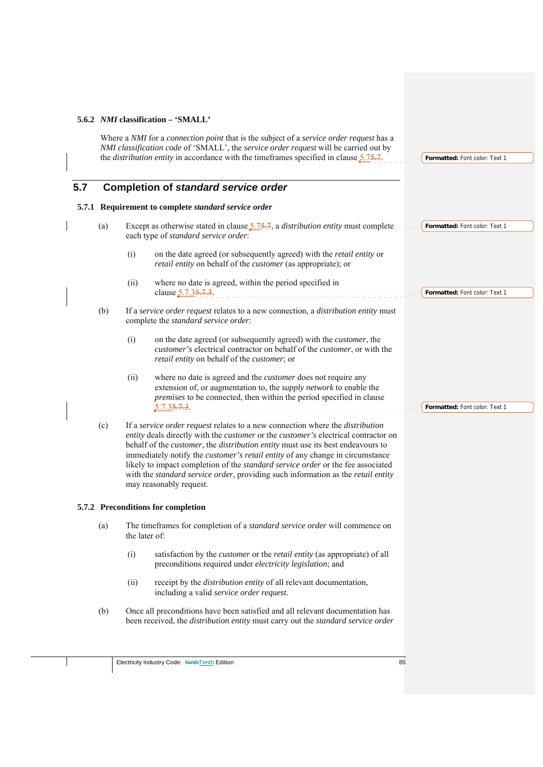## **5.6.2** *NMI* **classification – 'SMALL'**

Where a *NMI* for a *connection point* that is the subject of a *service order request* has a *NMI classification code* of 'SMALL', the *service order request* will be carried out by the *distribution entity* in accordance with the timeframes specified in clause 5.75.7.

## **5.7 Completion of** *standard service order*

#### **5.7.1 Requirement to complete** *standard service order*

- (a) Except as otherwise stated in clause 5.75.7, a *distribution entity* must complete each type of *standard service order*: **Formatted:** Font color: Text 1
	- (i) on the date agreed (or subsequently agreed) with the *retail entity* or *retail entity* on behalf of the *customer* (as appropriate); or
	- (ii) where no date is agreed, within the period specified in clause  $\frac{5.7.35.7.3}{2}$ . **Formatted:** Font color: Text 1
- (b) If a *service order request* relates to a new connection, a *distribution entity* must complete the *standard service order*:
	- (i) on the date agreed (or subsequently agreed) with the *customer*, the *customer's* electrical contractor on behalf of the *customer*, or with the *retail entity* on behalf of the *customer*; or
	- (ii) where no date is agreed and the *customer* does not require any extension of, or augmentation to, the *supply network* to enable the *premises* to be connected, then within the period specified in clause 5.7.35.7.3.
- (c) If a *service order request* relates to a new connection where the *distribution entity* deals directly with the *customer* or the *customer's* electrical contractor on behalf of the *customer*, the *distribution entity* must use its best endeavours to immediately notify the *customer's retail entity* of any change in circumstance likely to impact completion of the *standard service order* or the fee associated with the *standard service order*, providing such information as the *retail entity* may reasonably request.

#### **5.7.2 Preconditions for completion**

- (a) The timeframes for completion of a *standard service order* will commence on the later of:
	- (i) satisfaction by the *customer* or the *retail entity* (as appropriate) of all preconditions required under *electricity legislation*; and
	- (ii) receipt by the *distribution entity* of all relevant documentation, including a valid *service order request.*
- (b) Once all preconditions have been satisfied and all relevant documentation has been received, the *distribution entity* must carry out the *standard service order*

**Formatted:** Font color: Text 1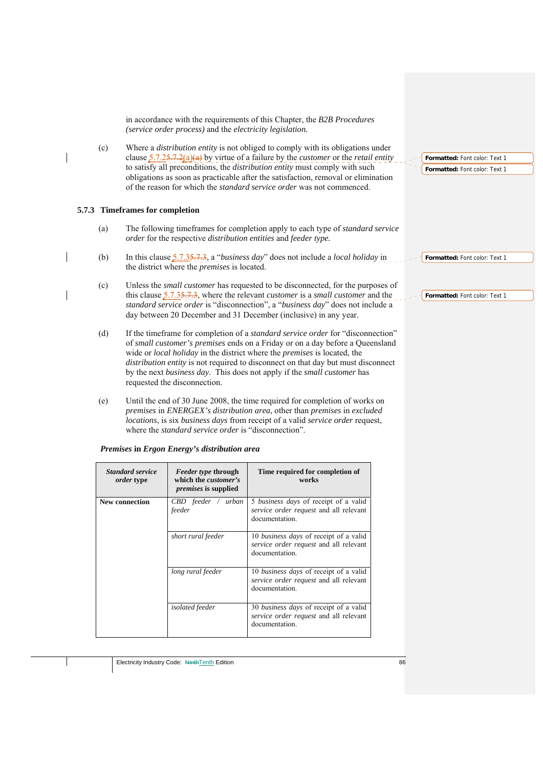in accordance with the requirements of this Chapter, the *B2B Procedures (service order process)* and the *electricity legislation.*

(c) Where a *distribution entity* is not obliged to comply with its obligations under clause 5.7.25.7.2(a)(a) by virtue of a failure by the *customer* or the *retail entity*  to satisfy all preconditions, the *distribution entity* must comply with such obligations as soon as practicable after the satisfaction, removal or elimination of the reason for which the *standard service order* was not commenced.

#### **5.7.3 Timeframes for completion**

- (a) The following timeframes for completion apply to each type of *standard service order* for the respective *distribution entities* and *feeder type.*
- (b) In this clause 5.7.35.7.3, a "*business day*" does not include a *local holiday* in the district where the *premises* is located.
- (c) Unless the *small customer* has requested to be disconnected, for the purposes of this clause 5.7.35.7.3, where the relevant *customer* is a *small customer* and the *standard service order* is "disconnection", a "*business day*" does not include a day between 20 December and 31 December (inclusive) in any year.
	- (d) If the timeframe for completion of a *standard service order* for "disconnection" of *small customer's premises* ends on a Friday or on a day before a Queensland wide or *local holiday* in the district where the *premises* is located, the *distribution entity* is not required to disconnect on that day but must disconnect by the next *business day*. This does not apply if the *small customer* has requested the disconnection.
	- (e) Until the end of 30 June 2008, the time required for completion of works on *premises* in *ENERGEX's distribution area*, other than *premises* in *excluded locations*, is six *business days* from receipt of a valid *service order* request, where the *standard service order* is "disconnection".

| <b>Standard service</b><br><i>order</i> type | <i>Feeder type through</i><br>which the <i>customer's</i><br><i>premises</i> is supplied | Time required for completion of<br>works                                                                 |
|----------------------------------------------|------------------------------------------------------------------------------------------|----------------------------------------------------------------------------------------------------------|
| New connection                               | $CBD$ feeder / urban<br>feeder                                                           | 5 <i>business days</i> of receipt of a valid<br>service order request and all relevant<br>documentation. |
|                                              | short rural feeder                                                                       | 10 business days of receipt of a valid<br>service order request and all relevant<br>documentation.       |
|                                              | long rural feeder                                                                        | 10 business days of receipt of a valid<br>service order request and all relevant<br>documentation.       |
|                                              | <i>isolated</i> feeder                                                                   | 30 business days of receipt of a valid<br>service order request and all relevant<br>documentation.       |

*Premises* **in** *Ergon Energy's distribution area* 

**Formatted:** Font color: Text 1 **Formatted:** Font color: Text 1

**Formatted:** Font color: Text 1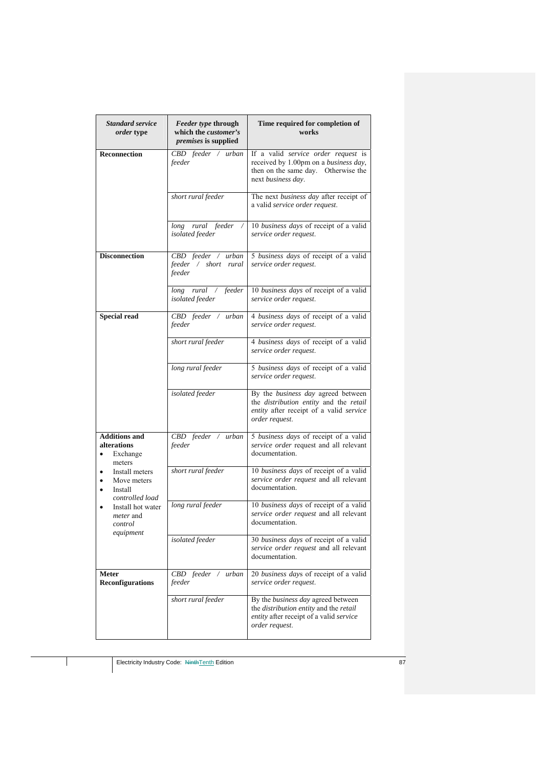| <b>Standard service</b><br><i>order</i> type                          | <i>Feeder type through</i><br>which the <i>customer's</i><br><i>premises</i> is supplied | Time required for completion of<br>works                                                                                                         |
|-----------------------------------------------------------------------|------------------------------------------------------------------------------------------|--------------------------------------------------------------------------------------------------------------------------------------------------|
| <b>Reconnection</b>                                                   | CBD feeder / urban<br>feeder                                                             | If a valid service order request is<br>received by 1.00pm on a business day,<br>then on the same day. Otherwise the<br>next business day.        |
|                                                                       | short rural feeder                                                                       | The next business day after receipt of<br>a valid service order request.                                                                         |
|                                                                       | long rural feeder<br>isolated feeder                                                     | 10 business days of receipt of a valid<br>service order request.                                                                                 |
| <b>Disconnection</b>                                                  | CBD feeder / urban<br>feeder / short rural<br>feeder                                     | 5 business days of receipt of a valid<br>service order request.                                                                                  |
|                                                                       | long rural / feeder<br>isolated feeder                                                   | 10 business days of receipt of a valid<br>service order request.                                                                                 |
| <b>Special read</b>                                                   | CBD feeder / urban<br>feeder                                                             | 4 business days of receipt of a valid<br>service order request.                                                                                  |
|                                                                       | short rural feeder                                                                       | 4 business days of receipt of a valid<br>service order request.                                                                                  |
|                                                                       | long rural feeder                                                                        | 5 business days of receipt of a valid<br>service order request.                                                                                  |
|                                                                       | isolated feeder                                                                          | By the business day agreed between<br>the <i>distribution</i> entity and the retail<br>entity after receipt of a valid service<br>order request. |
| <b>Additions and</b><br>alterations<br>Exchange<br>٠<br>meters        | CBD feeder / urban<br>feeder                                                             | 5 business days of receipt of a valid<br>service order request and all relevant<br>documentation.                                                |
| Install meters<br>Move meters<br>٠<br>Install<br>٠<br>controlled load | short rural feeder                                                                       | 10 business days of receipt of a valid<br>service order request and all relevant<br>documentation.                                               |
| Install hot water<br>٠<br><i>meter</i> and<br>control<br>equipment    | long rural feeder                                                                        | 10 business days of receipt of a valid<br>service order request and all relevant<br>documentation.                                               |
|                                                                       | isolated feeder                                                                          | 30 business days of receipt of a valid<br>service order request and all relevant<br>documentation                                                |
| <b>Meter</b><br>Reconfigurations                                      | CBD feeder / urban<br>feeder                                                             | 20 business days of receipt of a valid<br>service order request.                                                                                 |
|                                                                       | short rural feeder                                                                       | By the business day agreed between<br>the distribution entity and the retail<br>entity after receipt of a valid service<br>order request.        |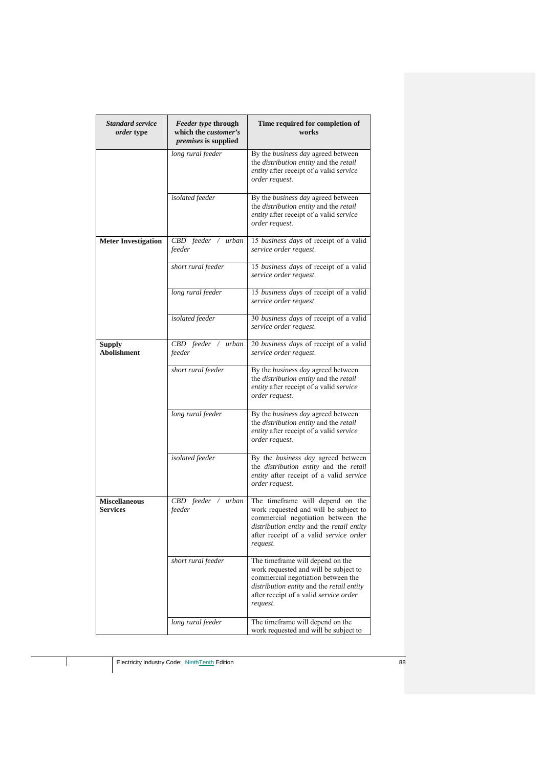| <b>Standard service</b><br><i>order</i> type | <i>Feeder type through</i><br>which the <i>customer's</i><br>premises is supplied | Time required for completion of<br>works                                                                                                                                                                                  |
|----------------------------------------------|-----------------------------------------------------------------------------------|---------------------------------------------------------------------------------------------------------------------------------------------------------------------------------------------------------------------------|
|                                              | long rural feeder                                                                 | By the business day agreed between<br>the distribution entity and the retail<br>entity after receipt of a valid service<br>order request.                                                                                 |
|                                              | isolated feeder                                                                   | By the business day agreed between<br>the distribution entity and the retail<br>entity after receipt of a valid service<br>order request.                                                                                 |
| <b>Meter Investigation</b>                   | $CBD$ feeder /<br>urban<br>feeder                                                 | 15 business days of receipt of a valid<br>service order request.                                                                                                                                                          |
|                                              | short rural feeder                                                                | 15 business days of receipt of a valid<br>service order request.                                                                                                                                                          |
|                                              | long rural feeder                                                                 | 15 business days of receipt of a valid<br>service order request.                                                                                                                                                          |
|                                              | isolated feeder                                                                   | 30 business days of receipt of a valid<br>service order request.                                                                                                                                                          |
| <b>Supply</b><br><b>Abolishment</b>          | CBD feeder / urban<br>feeder                                                      | 20 business days of receipt of a valid<br>service order request.                                                                                                                                                          |
|                                              | short rural feeder                                                                | By the business day agreed between<br>the distribution entity and the retail<br>entity after receipt of a valid service<br>order request.                                                                                 |
|                                              | long rural feeder                                                                 | By the business day agreed between<br>the distribution entity and the retail<br>entity after receipt of a valid service<br>order request.                                                                                 |
|                                              | isolated feeder                                                                   | By the business day agreed between<br>the distribution entity and the retail<br>entity after receipt of a valid service<br>order request.                                                                                 |
| <b>Miscellaneous</b><br><b>Services</b>      | $CBD$ feeder /<br>urban<br>feeder                                                 | The timeframe will depend on the<br>work requested and will be subject to<br>commercial negotiation between the<br>distribution entity and the retail entity<br>after receipt of a valid <i>service</i> order<br>request. |
|                                              | short rural feeder                                                                | The timeframe will depend on the<br>work requested and will be subject to<br>commercial negotiation between the<br>distribution entity and the retail entity<br>after receipt of a valid service order<br>request.        |
|                                              | long rural feeder                                                                 | The timeframe will depend on the<br>work requested and will be subject to                                                                                                                                                 |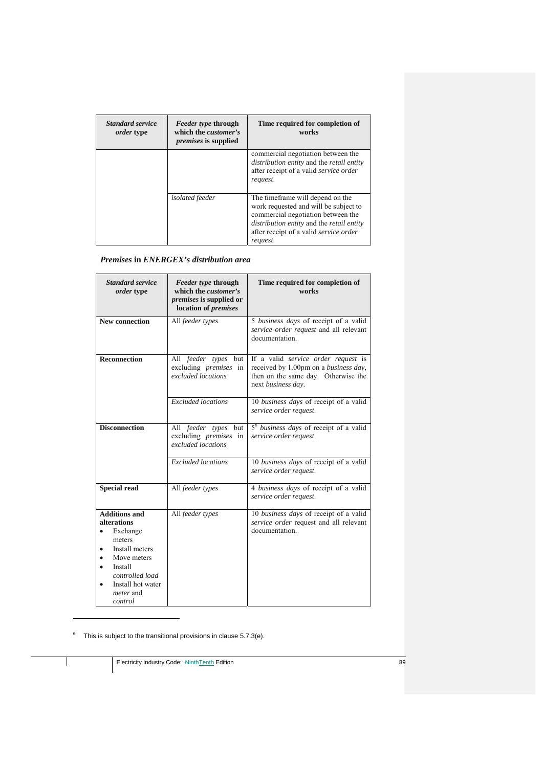| <b>Standard service</b><br><i>order</i> type | <i>Feeder type through</i><br>which the <i>customer's</i><br><i>premises</i> is supplied | Time required for completion of<br>works                                                                                                                                                                                                 |
|----------------------------------------------|------------------------------------------------------------------------------------------|------------------------------------------------------------------------------------------------------------------------------------------------------------------------------------------------------------------------------------------|
|                                              |                                                                                          | commercial negotiation between the<br>distribution entity and the retail entity<br>after receipt of a valid service order<br>request.                                                                                                    |
|                                              | <i>isolated</i> feeder                                                                   | The time frame will depend on the<br>work requested and will be subject to<br>commercial negotiation between the<br><i>distribution entity</i> and the <i>retail entity</i><br>after receipt of a valid <i>service</i> order<br>request. |

## *Premises* **in** *ENERGEX's distribution area*

| <b>Standard service</b><br><i>order</i> type                                                                                                                                 | Feeder type through<br>which the <i>customer's</i><br><i>premises</i> is supplied or<br>location of <i>premises</i> | Time required for completion of<br>works                                                                                                  |
|------------------------------------------------------------------------------------------------------------------------------------------------------------------------------|---------------------------------------------------------------------------------------------------------------------|-------------------------------------------------------------------------------------------------------------------------------------------|
| <b>New connection</b>                                                                                                                                                        | All feeder types                                                                                                    | 5 business days of receipt of a valid<br>service order request and all relevant<br>documentation.                                         |
| <b>Reconnection</b>                                                                                                                                                          | All feeder types but<br>excluding premises in<br>excluded locations                                                 | If a valid service order request is<br>received by 1.00pm on a business day,<br>then on the same day. Otherwise the<br>next business day. |
|                                                                                                                                                                              | <b>Excluded</b> locations                                                                                           | 10 business days of receipt of a valid<br>service order request.                                                                          |
| <b>Disconnection</b>                                                                                                                                                         | All feeder types but<br>excluding <i>premises</i> in<br>excluded locations                                          | 5 <sup>6</sup> business days of receipt of a valid<br>service order request.                                                              |
|                                                                                                                                                                              | <b>Excluded</b> locations                                                                                           | 10 business days of receipt of a valid<br>service order request.                                                                          |
| <b>Special read</b>                                                                                                                                                          | All feeder types                                                                                                    | 4 business days of receipt of a valid<br>service order request.                                                                           |
| <b>Additions and</b><br>alterations<br>Exchange<br>meters<br>Install meters<br>Move meters<br>Install<br>controlled load<br>Install hot water<br><i>meter</i> and<br>control | All feeder types                                                                                                    | 10 business days of receipt of a valid<br>service order request and all relevant<br>documentation.                                        |

 $6$  This is subject to the transitional provisions in clause 5.7.3(e).

<u>.</u>

Electricity Industry Code: NinthTenth Edition 89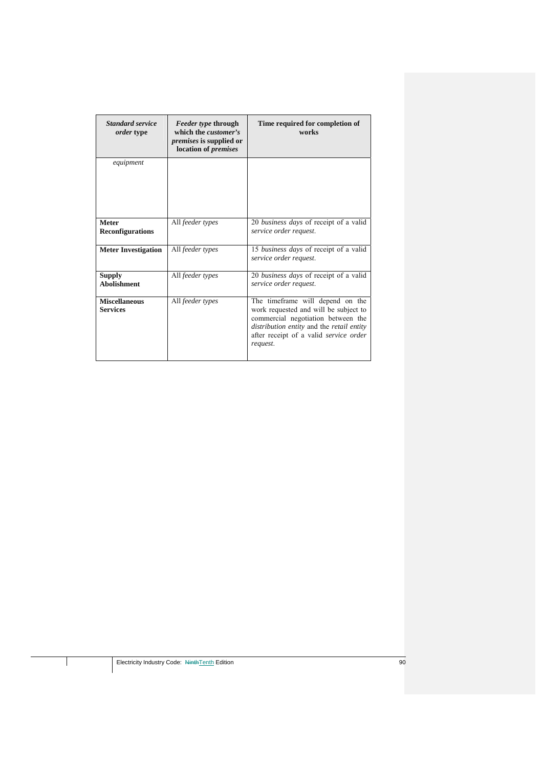| <b>Standard service</b><br>order type   | <i>Feeder type through</i><br>which the <i>customer's</i><br><i>premises</i> is supplied or<br>location of premises | Time required for completion of<br>works                                                                                                                                                                           |
|-----------------------------------------|---------------------------------------------------------------------------------------------------------------------|--------------------------------------------------------------------------------------------------------------------------------------------------------------------------------------------------------------------|
| equipment                               |                                                                                                                     |                                                                                                                                                                                                                    |
| <b>Meter</b><br><b>Reconfigurations</b> | All feeder types                                                                                                    | 20 business days of receipt of a valid<br>service order request.                                                                                                                                                   |
| <b>Meter Investigation</b>              | All feeder types                                                                                                    | 15 business days of receipt of a valid<br>service order request.                                                                                                                                                   |
| <b>Supply</b><br><b>Abolishment</b>     | All feeder types                                                                                                    | 20 business days of receipt of a valid<br>service order request.                                                                                                                                                   |
| <b>Miscellaneous</b><br><b>Services</b> | All feeder types                                                                                                    | The timeframe will depend on the<br>work requested and will be subject to<br>commercial negotiation between the<br>distribution entity and the retail entity<br>after receipt of a valid service order<br>request. |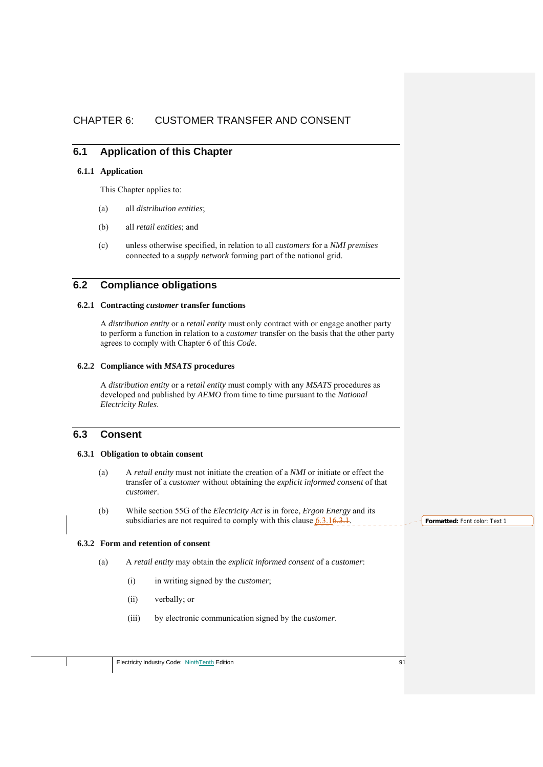## CHAPTER 6: CUSTOMER TRANSFER AND CONSENT

## **6.1 Application of this Chapter**

### **6.1.1 Application**

This Chapter applies to:

- (a) all *distribution entities*;
- (b) all *retail entities*; and
- (c) unless otherwise specified, in relation to all *customers* for a *NMI premises*  connected to a *supply network* forming part of the national grid.

## **6.2 Compliance obligations**

## **6.2.1 Contracting** *customer* **transfer functions**

A *distribution entity* or a *retail entity* must only contract with or engage another party to perform a function in relation to a *customer* transfer on the basis that the other party agrees to comply with Chapter 6 of this *Code*.

### **6.2.2 Compliance with** *MSATS* **procedures**

A *distribution entity* or a *retail entity* must comply with any *MSATS* procedures as developed and published by *AEMO* from time to time pursuant to the *National Electricity Rules*.

## **6.3 Consent**

## **6.3.1 Obligation to obtain consent**

- (a) A *retail entity* must not initiate the creation of a *NMI* or initiate or effect the transfer of a *customer* without obtaining the *explicit informed consent* of that *customer*.
- (b) While section 55G of the *Electricity Act* is in force, *Ergon Energy* and its subsidiaries are not required to comply with this clause  $6.3.16.3.1$ .

#### **6.3.2 Form and retention of consent**

- (a) A *retail entity* may obtain the *explicit informed consent* of a *customer*:
	- (i) in writing signed by the *customer*;
	- (ii) verbally; or
	- (iii) by electronic communication signed by the *customer*.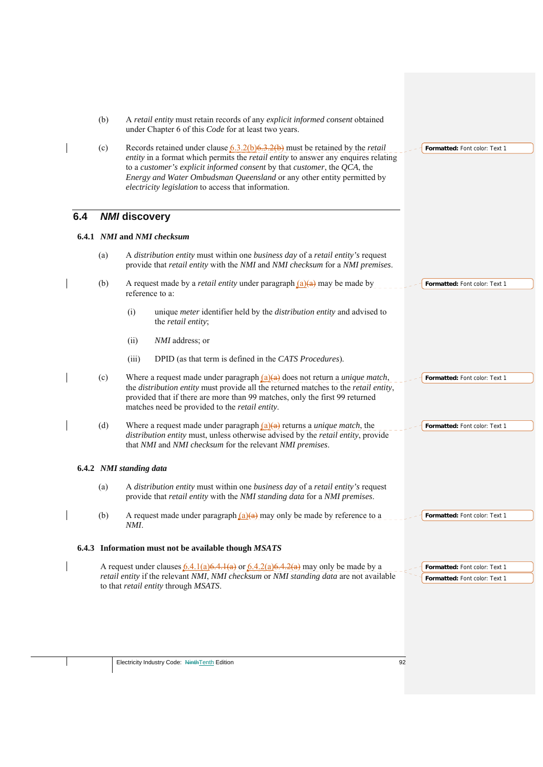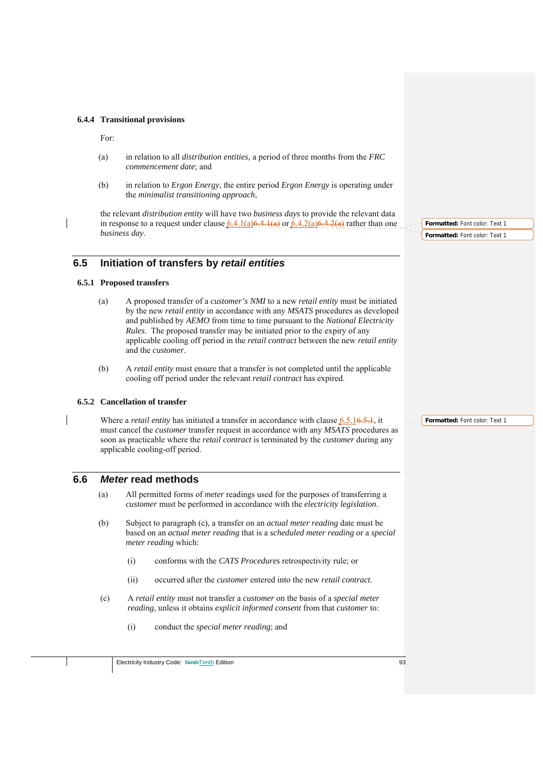#### **6.4.4 Transitional provisions**

For:

- (a) in relation to all *distribution entities,* a period of three months from the *FRC commencement date*; and
- (b) in relation to *Ergon Energy*, the entire period *Ergon Energy* is operating under the *minimalist transitioning approach*,

the relevant *distribution entity* will have two *business days* to provide the relevant data in response to a request under clause  $6.4.1(a)6.4.1(a)$  or  $6.4.2(a)6.4.2(a)$  rather than one *business day*.

## **6.5 Initiation of transfers by** *retail entities*

### **6.5.1 Proposed transfers**

- (a) A proposed transfer of a *customer's NMI* to a new *retail entity* must be initiated by the new *retail entity* in accordance with any *MSATS* procedures as developed and published by *AEMO* from time to time pursuant to the *National Electricity Rules*. The proposed transfer may be initiated prior to the expiry of any applicable cooling off period in the *retail contract* between the new *retail entity* and the *customer*.
- (b) A *retail entity* must ensure that a transfer is not completed until the applicable cooling off period under the relevant *retail contract* has expired.

#### **6.5.2 Cancellation of transfer**

Where a *retail entity* has initiated a transfer in accordance with clause 6.5.16.5.1, it must cancel the *customer* transfer request in accordance with any *MSATS* procedures as soon as practicable where the *retail contract* is terminated by the *customer* during any applicable cooling-off period.

## **6.6** *Meter* **read methods**

- (a) All permitted forms of *meter* readings used for the purposes of transferring a *customer* must be performed in accordance with the *electricity legislation*.
- (b) Subject to paragraph (c), a transfer on an *actual meter reading* date must be based on an *actual meter reading* that is a *scheduled meter reading* or a *special meter reading* which:
	- (i) conforms with the *CATS Procedures* retrospectivity rule; or
	- (ii) occurred after the *customer* entered into the new *retail contract.*
- (c) A *retail entity* must not transfer a *customer* on the basis of a *special meter reading*, unless it obtains *explicit informed consent* from that *customer* to:
	- (i) conduct the *special meter reading*; and

**Formatted:** Font color: Text 1 **Formatted:** Font color: Text 1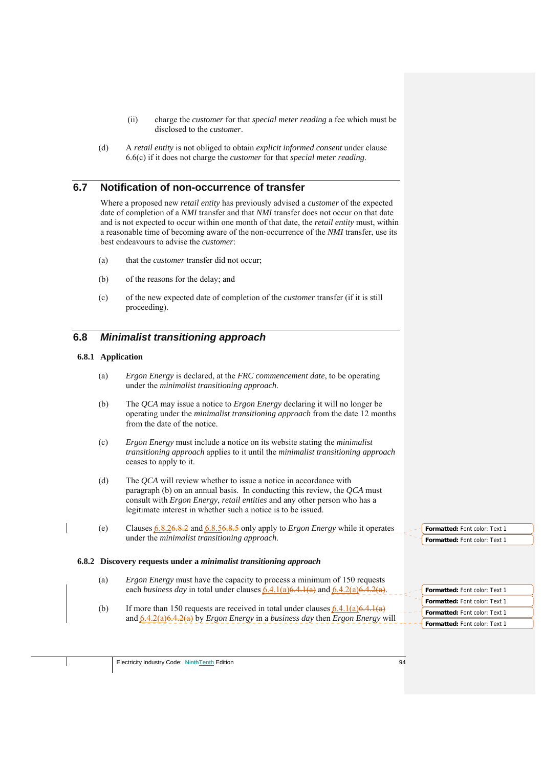- (ii) charge the *customer* for that *special meter reading* a fee which must be disclosed to the *customer*.
- (d) A *retail entity* is not obliged to obtain *explicit informed consent* under clause 6.6(c) if it does not charge the *customer* for that *special meter reading*.

## **6.7 Notification of non-occurrence of transfer**

Where a proposed new *retail entity* has previously advised a *customer* of the expected date of completion of a *NMI* transfer and that *NMI* transfer does not occur on that date and is not expected to occur within one month of that date, the *retail entity* must, within a reasonable time of becoming aware of the non-occurrence of the *NMI* transfer, use its best endeavours to advise the *customer*:

- (a) that the *customer* transfer did not occur;
- (b) of the reasons for the delay; and
- (c) of the new expected date of completion of the *customer* transfer (if it is still proceeding).

## **6.8** *Minimalist transitioning approach*

### **6.8.1 Application**

- (a) *Ergon Energy* is declared, at the *FRC commencement date*, to be operating under the *minimalist transitioning approach*.
- (b) The *QCA* may issue a notice to *Ergon Energy* declaring it will no longer be operating under the *minimalist transitioning approach* from the date 12 months from the date of the notice.
- (c) *Ergon Energy* must include a notice on its website stating the *minimalist transitioning approach* applies to it until the *minimalist transitioning approach* ceases to apply to it.
- (d) The *QCA* will review whether to issue a notice in accordance with paragraph (b) on an annual basis. In conducting this review, the *QCA* must consult with *Ergon Energy*, *retail entities* and any other person who has a legitimate interest in whether such a notice is to be issued.
- (e) Clauses 6.8.26.8.2 and 6.8.56.8.5 only apply to *Ergon Energy* while it operates under the *minimalist transitioning approach*.

### **6.8.2 Discovery requests under a** *minimalist transitioning approach*

- (a) *Ergon Energy* must have the capacity to process a minimum of 150 requests each *business day* in total under clauses  $\frac{6.4.1(a)6.4.1(a)}{6.4.1(a)}$  and  $\frac{6.4.2(a)6.4.2(a)}{6.4.1(a)}$ .
- (b) If more than 150 requests are received in total under clauses  $(6.4.1(a)6.4.1(a))$ and 6.4.2(a)6.4.2(a) by *Ergon Energy* in a *business day* then *Ergon Energy* will

**Formatted:** Font color: Text 1 **Formatted:** Font color: Text 1

| <b>Formatted: Font color: Text 1</b> |
|--------------------------------------|
| <b>Formatted: Font color: Text 1</b> |
| <b>Formatted:</b> Font color: Text 1 |
| <b>Formatted: Font color: Text 1</b> |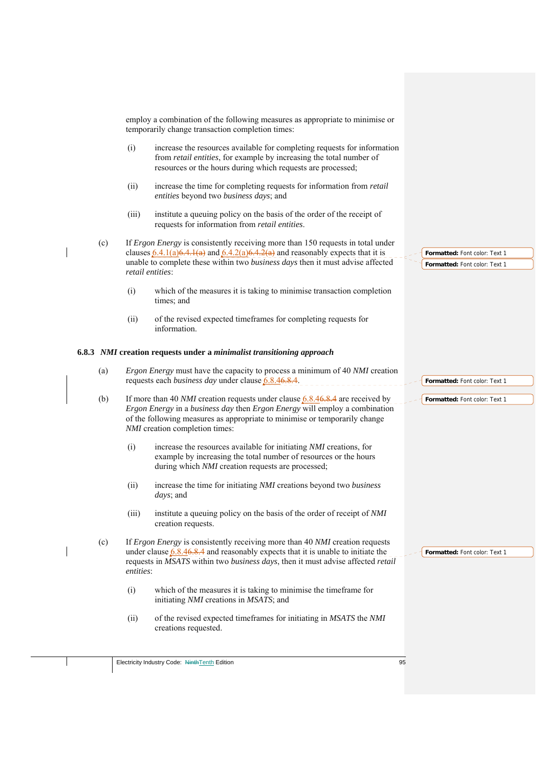| employ a combination of the following measures as appropriate to minimise or<br>temporarily change transaction completion times:<br>(i)<br>increase the resources available for completing requests for information<br>from retail entities, for example by increasing the total number of<br>resources or the hours during which requests are processed;<br>(ii)<br>increase the time for completing requests for information from retail<br>entities beyond two business days; and<br>(iii)<br>institute a queuing policy on the basis of the order of the receipt of<br>requests for information from retail entities.<br>If Ergon Energy is consistently receiving more than 150 requests in total under<br>(c)<br>clauses $6.4.1(a)6.4.1(a)$ and $6.4.2(a)6.4.2(a)$ and reasonably expects that it is<br>Formatted: Font color: Text 1<br>unable to complete these within two business days then it must advise affected<br>Formatted: Font color: Text 1<br>retail entities:<br>(i)<br>which of the measures it is taking to minimise transaction completion<br>times; and<br>of the revised expected timeframes for completing requests for<br>(ii)<br>information.<br>6.8.3 NMI creation requests under a minimalist transitioning approach<br><i>Ergon Energy</i> must have the capacity to process a minimum of 40 <i>NMI</i> creation<br>(a)<br>requests each <i>business day</i> under clause 6.8.46.8.4.<br>Formatted: Font color: Text 1<br>If more than 40 <i>NMI</i> creation requests under clause $6.8.46.8.4$ are received by<br>(b)<br>Formatted: Font color: Text 1<br>Ergon Energy in a business day then Ergon Energy will employ a combination<br>of the following measures as appropriate to minimise or temporarily change<br>NMI creation completion times:<br>(i)<br>increase the resources available for initiating NMI creations, for<br>example by increasing the total number of resources or the hours<br>during which NMI creation requests are processed;<br>(ii)<br>increase the time for initiating NMI creations beyond two business<br><i>days</i> ; and<br>(iii)<br>institute a queuing policy on the basis of the order of receipt of NMI<br>creation requests.<br>If Ergon Energy is consistently receiving more than 40 NMI creation requests<br>(c)<br>under clause $6.8.46.8.4$ and reasonably expects that it is unable to initiate the<br>Formatted: Font color: Text 1<br>requests in MSATS within two business days, then it must advise affected retail<br>entities:<br>(i)<br>which of the measures it is taking to minimise the timeframe for<br>initiating <i>NMI</i> creations in <i>MSATS</i> ; and<br>(ii)<br>of the revised expected timeframes for initiating in MSATS the NMI<br>creations requested. |  |  |  |
|------------------------------------------------------------------------------------------------------------------------------------------------------------------------------------------------------------------------------------------------------------------------------------------------------------------------------------------------------------------------------------------------------------------------------------------------------------------------------------------------------------------------------------------------------------------------------------------------------------------------------------------------------------------------------------------------------------------------------------------------------------------------------------------------------------------------------------------------------------------------------------------------------------------------------------------------------------------------------------------------------------------------------------------------------------------------------------------------------------------------------------------------------------------------------------------------------------------------------------------------------------------------------------------------------------------------------------------------------------------------------------------------------------------------------------------------------------------------------------------------------------------------------------------------------------------------------------------------------------------------------------------------------------------------------------------------------------------------------------------------------------------------------------------------------------------------------------------------------------------------------------------------------------------------------------------------------------------------------------------------------------------------------------------------------------------------------------------------------------------------------------------------------------------------------------------------------------------------------------------------------------------------------------------------------------------------------------------------------------------------------------------------------------------------------------------------------------------------------------------------------------------------------------------------------------------------------------------------------------------------------------------------------------------------------------------------------------------------------------------------------------------|--|--|--|
|                                                                                                                                                                                                                                                                                                                                                                                                                                                                                                                                                                                                                                                                                                                                                                                                                                                                                                                                                                                                                                                                                                                                                                                                                                                                                                                                                                                                                                                                                                                                                                                                                                                                                                                                                                                                                                                                                                                                                                                                                                                                                                                                                                                                                                                                                                                                                                                                                                                                                                                                                                                                                                                                                                                                                                  |  |  |  |
|                                                                                                                                                                                                                                                                                                                                                                                                                                                                                                                                                                                                                                                                                                                                                                                                                                                                                                                                                                                                                                                                                                                                                                                                                                                                                                                                                                                                                                                                                                                                                                                                                                                                                                                                                                                                                                                                                                                                                                                                                                                                                                                                                                                                                                                                                                                                                                                                                                                                                                                                                                                                                                                                                                                                                                  |  |  |  |
|                                                                                                                                                                                                                                                                                                                                                                                                                                                                                                                                                                                                                                                                                                                                                                                                                                                                                                                                                                                                                                                                                                                                                                                                                                                                                                                                                                                                                                                                                                                                                                                                                                                                                                                                                                                                                                                                                                                                                                                                                                                                                                                                                                                                                                                                                                                                                                                                                                                                                                                                                                                                                                                                                                                                                                  |  |  |  |
|                                                                                                                                                                                                                                                                                                                                                                                                                                                                                                                                                                                                                                                                                                                                                                                                                                                                                                                                                                                                                                                                                                                                                                                                                                                                                                                                                                                                                                                                                                                                                                                                                                                                                                                                                                                                                                                                                                                                                                                                                                                                                                                                                                                                                                                                                                                                                                                                                                                                                                                                                                                                                                                                                                                                                                  |  |  |  |
|                                                                                                                                                                                                                                                                                                                                                                                                                                                                                                                                                                                                                                                                                                                                                                                                                                                                                                                                                                                                                                                                                                                                                                                                                                                                                                                                                                                                                                                                                                                                                                                                                                                                                                                                                                                                                                                                                                                                                                                                                                                                                                                                                                                                                                                                                                                                                                                                                                                                                                                                                                                                                                                                                                                                                                  |  |  |  |
|                                                                                                                                                                                                                                                                                                                                                                                                                                                                                                                                                                                                                                                                                                                                                                                                                                                                                                                                                                                                                                                                                                                                                                                                                                                                                                                                                                                                                                                                                                                                                                                                                                                                                                                                                                                                                                                                                                                                                                                                                                                                                                                                                                                                                                                                                                                                                                                                                                                                                                                                                                                                                                                                                                                                                                  |  |  |  |
|                                                                                                                                                                                                                                                                                                                                                                                                                                                                                                                                                                                                                                                                                                                                                                                                                                                                                                                                                                                                                                                                                                                                                                                                                                                                                                                                                                                                                                                                                                                                                                                                                                                                                                                                                                                                                                                                                                                                                                                                                                                                                                                                                                                                                                                                                                                                                                                                                                                                                                                                                                                                                                                                                                                                                                  |  |  |  |
|                                                                                                                                                                                                                                                                                                                                                                                                                                                                                                                                                                                                                                                                                                                                                                                                                                                                                                                                                                                                                                                                                                                                                                                                                                                                                                                                                                                                                                                                                                                                                                                                                                                                                                                                                                                                                                                                                                                                                                                                                                                                                                                                                                                                                                                                                                                                                                                                                                                                                                                                                                                                                                                                                                                                                                  |  |  |  |
|                                                                                                                                                                                                                                                                                                                                                                                                                                                                                                                                                                                                                                                                                                                                                                                                                                                                                                                                                                                                                                                                                                                                                                                                                                                                                                                                                                                                                                                                                                                                                                                                                                                                                                                                                                                                                                                                                                                                                                                                                                                                                                                                                                                                                                                                                                                                                                                                                                                                                                                                                                                                                                                                                                                                                                  |  |  |  |
|                                                                                                                                                                                                                                                                                                                                                                                                                                                                                                                                                                                                                                                                                                                                                                                                                                                                                                                                                                                                                                                                                                                                                                                                                                                                                                                                                                                                                                                                                                                                                                                                                                                                                                                                                                                                                                                                                                                                                                                                                                                                                                                                                                                                                                                                                                                                                                                                                                                                                                                                                                                                                                                                                                                                                                  |  |  |  |
|                                                                                                                                                                                                                                                                                                                                                                                                                                                                                                                                                                                                                                                                                                                                                                                                                                                                                                                                                                                                                                                                                                                                                                                                                                                                                                                                                                                                                                                                                                                                                                                                                                                                                                                                                                                                                                                                                                                                                                                                                                                                                                                                                                                                                                                                                                                                                                                                                                                                                                                                                                                                                                                                                                                                                                  |  |  |  |
|                                                                                                                                                                                                                                                                                                                                                                                                                                                                                                                                                                                                                                                                                                                                                                                                                                                                                                                                                                                                                                                                                                                                                                                                                                                                                                                                                                                                                                                                                                                                                                                                                                                                                                                                                                                                                                                                                                                                                                                                                                                                                                                                                                                                                                                                                                                                                                                                                                                                                                                                                                                                                                                                                                                                                                  |  |  |  |
|                                                                                                                                                                                                                                                                                                                                                                                                                                                                                                                                                                                                                                                                                                                                                                                                                                                                                                                                                                                                                                                                                                                                                                                                                                                                                                                                                                                                                                                                                                                                                                                                                                                                                                                                                                                                                                                                                                                                                                                                                                                                                                                                                                                                                                                                                                                                                                                                                                                                                                                                                                                                                                                                                                                                                                  |  |  |  |
|                                                                                                                                                                                                                                                                                                                                                                                                                                                                                                                                                                                                                                                                                                                                                                                                                                                                                                                                                                                                                                                                                                                                                                                                                                                                                                                                                                                                                                                                                                                                                                                                                                                                                                                                                                                                                                                                                                                                                                                                                                                                                                                                                                                                                                                                                                                                                                                                                                                                                                                                                                                                                                                                                                                                                                  |  |  |  |
|                                                                                                                                                                                                                                                                                                                                                                                                                                                                                                                                                                                                                                                                                                                                                                                                                                                                                                                                                                                                                                                                                                                                                                                                                                                                                                                                                                                                                                                                                                                                                                                                                                                                                                                                                                                                                                                                                                                                                                                                                                                                                                                                                                                                                                                                                                                                                                                                                                                                                                                                                                                                                                                                                                                                                                  |  |  |  |
|                                                                                                                                                                                                                                                                                                                                                                                                                                                                                                                                                                                                                                                                                                                                                                                                                                                                                                                                                                                                                                                                                                                                                                                                                                                                                                                                                                                                                                                                                                                                                                                                                                                                                                                                                                                                                                                                                                                                                                                                                                                                                                                                                                                                                                                                                                                                                                                                                                                                                                                                                                                                                                                                                                                                                                  |  |  |  |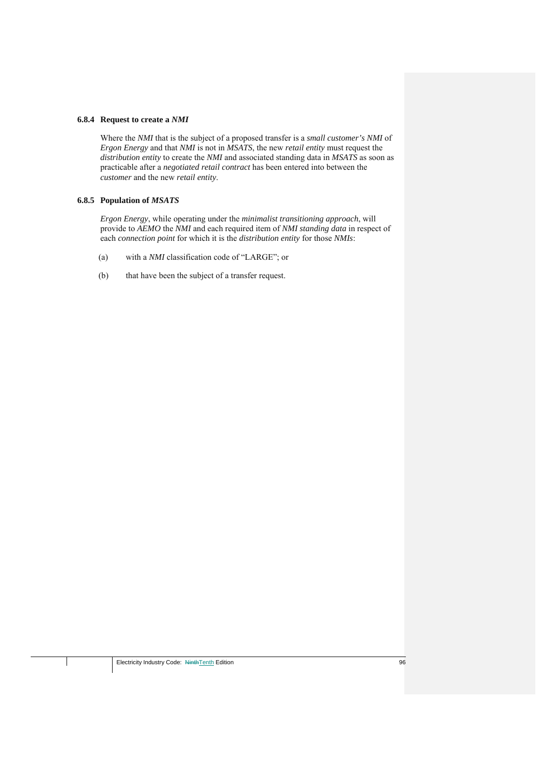#### **6.8.4 Request to create a** *NMI*

Where the *NMI* that is the subject of a proposed transfer is a *small customer's NMI* of *Ergon Energy* and that *NMI* is not in *MSATS*, the new *retail entity* must request the *distribution entity* to create the *NMI* and associated standing data in *MSATS* as soon as practicable after a *negotiated retail contract* has been entered into between the *customer* and the new *retail entity*.

### **6.8.5 Population of** *MSATS*

*Ergon Energy*, while operating under the *minimalist transitioning approach*, will provide to *AEMO* the *NMI* and each required item of *NMI standing data* in respect of each *connection point* for which it is the *distribution entity* for those *NMIs*:

- (a) with a *NMI* classification code of "LARGE"; or
- (b) that have been the subject of a transfer request.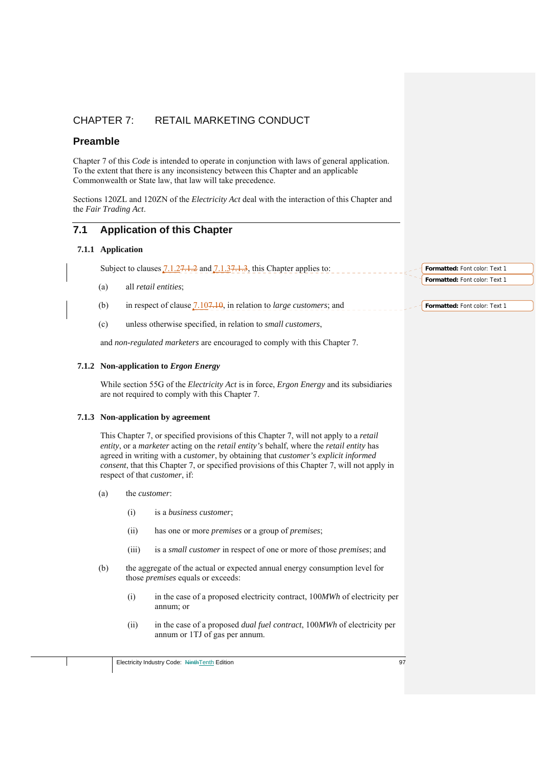## CHAPTER 7: RETAIL MARKETING CONDUCT

## **Preamble**

Chapter 7 of this *Code* is intended to operate in conjunction with laws of general application. To the extent that there is any inconsistency between this Chapter and an applicable Commonwealth or State law, that law will take precedence.

Sections 120ZL and 120ZN of the *Electricity Act* deal with the interaction of this Chapter and the *Fair Trading Act*.

# **7.1 Application of this Chapter**

### **7.1.1 Application**

Subject to clauses  $\frac{7.1.27.1.2}{2}$  and  $\frac{7.1.37.1.3}{2}$ , this Chapter applies to:

- (a) all *retail entities*;
- (b) in respect of clause 7.107.10, in relation to *large customers*; and
- (c) unless otherwise specified, in relation to *small customers*,

and *non-regulated marketers* are encouraged to comply with this Chapter 7.

## **7.1.2 Non-application to** *Ergon Energy*

While section 55G of the *Electricity Act* is in force, *Ergon Energy* and its subsidiaries are not required to comply with this Chapter 7.

### **7.1.3 Non-application by agreement**

This Chapter 7, or specified provisions of this Chapter 7, will not apply to a *retail entity*, or a *marketer* acting on the *retail entity's* behalf, where the *retail entity* has agreed in writing with a *customer*, by obtaining that *customer's explicit informed consent*, that this Chapter 7, or specified provisions of this Chapter 7, will not apply in respect of that *customer*, if:

- (a) the *customer*:
	- (i) is a *business customer*;
	- (ii) has one or more *premises* or a group of *premises*;
	- (iii) is a *small customer* in respect of one or more of those *premises*; and
- (b) the aggregate of the actual or expected annual energy consumption level for those *premises* equals or exceeds:
	- (i) in the case of a proposed electricity contract, 100*MWh* of electricity per annum; or
	- (ii) in the case of a proposed *dual fuel contract*, 100*MWh* of electricity per annum or 1TJ of gas per annum.

**Formatted:** Font color: Text 1 **Formatted:** Font color: Text 1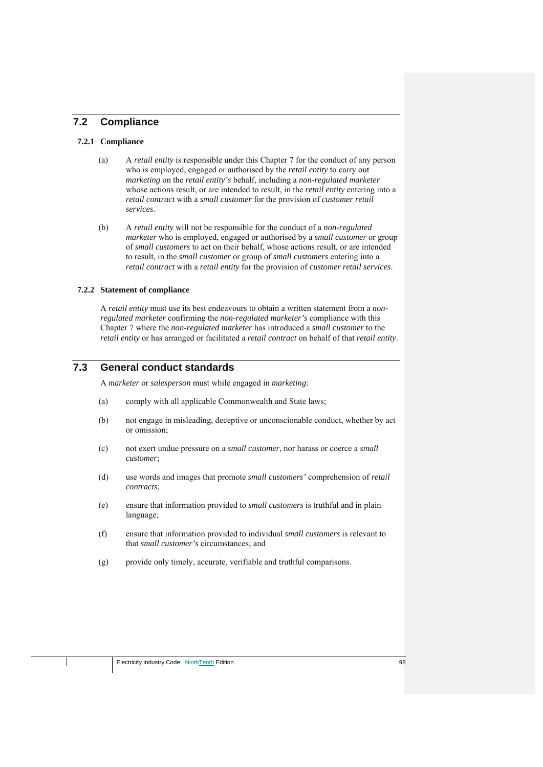## **7.2 Compliance**

### **7.2.1 Compliance**

- (a) A *retail entity* is responsible under this Chapter 7 for the conduct of any person who is employed, engaged or authorised by the *retail entity* to carry out *marketing* on the *retail entity's* behalf, including a *non-regulated marketer* whose actions result, or are intended to result, in the *retail entity* entering into a *retail contract* with a *small customer* for the provision of *customer retail services*.
- (b) A *retail entity* will not be responsible for the conduct of a *non-regulated marketer* who is employed, engaged or authorised by a *small customer* or group of *small customers* to act on their behalf, whose actions result, or are intended to result, in the *small customer* or group of *small customers* entering into a *retail contract* with a *retail entity* for the provision of *customer retail services*.

#### **7.2.2 Statement of compliance**

A *retail entity* must use its best endeavours to obtain a written statement from a *nonregulated marketer* confirming the *non-regulated marketer's* compliance with this Chapter 7 where the *non-regulated marketer* has introduced a *small customer* to the *retail entity* or has arranged or facilitated a *retail contract* on behalf of that *retail entity*.

# **7.3 General conduct standards**

A *marketer* or *salesperson* must while engaged in *marketing*:

- (a) comply with all applicable Commonwealth and State laws;
- (b) not engage in misleading, deceptive or unconscionable conduct, whether by act or omission;
- (c) not exert undue pressure on a *small customer*, nor harass or coerce a *small customer*;
- (d) use words and images that promote *small customers'* comprehension of *retail contracts*;
- (e) ensure that information provided to *small customers* is truthful and in plain language;
- (f) ensure that information provided to individual *small customers* is relevant to that *small customer's* circumstances; and
- (g) provide only timely, accurate, verifiable and truthful comparisons.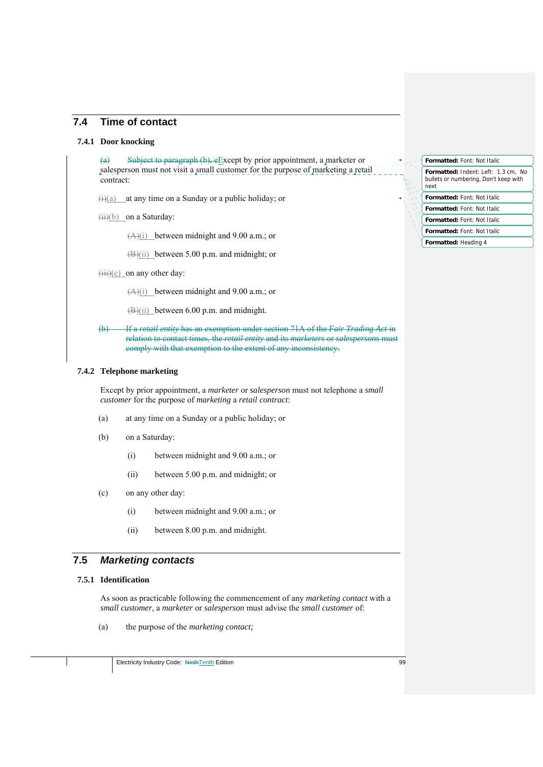## **7.4 Time of contact**

### **7.4.1 Door knocking**

(a) Subject to paragraph (b), eExcept by prior appointment, a marketer or salesperson must not visit a small customer for the purpose of marketing a retail contract:

 $\frac{f(x)}{g(x)}$  at any time on a Sunday or a public holiday; or

 $(ii)(b)$  on a Saturday:

(A)(i) between midnight and 9.00 a.m.; or

(B)(ii) between 5.00 p.m. and midnight; or

 $(iii)(c)$  on any other day:

 $(A)(i)$  between midnight and 9.00 a.m.; or

(B)(ii) between 6.00 p.m. and midnight.

(b) If a *retail entity* has an exemption under section 71A of the *Fair Trading Act* in relation to contact times, the *retail entity* and its *marketers* or *salespersons* must comply with that exemption to the extent of any inconsistency.

## **7.4.2 Telephone marketing**

Except by prior appointment, a *marketer* or *salesperson* must not telephone a *small customer* for the purpose of *marketing* a *retail contract*:

- (a) at any time on a Sunday or a public holiday; or
- (b) on a Saturday:
	- (i) between midnight and 9.00 a.m.; or
	- (ii) between 5.00 p.m. and midnight; or
- (c) on any other day:
	- (i) between midnight and 9.00 a.m.; or
	- (ii) between 8.00 p.m. and midnight.

## **7.5** *Marketing contacts*

#### **7.5.1 Identification**

As soon as practicable following the commencement of any *marketing contact* with a *small customer*, a *marketer* or *salesperson* must advise the *small customer* of:

(a) the purpose of the *marketing contact;*

### **Formatted:** Indent: Left: 1.3 cm, No bullets or numbering, Don't keep with next **Formatted:** Font: Not Italic **Formatted:** Font: Not Italic **Formatted:** Font: Not Italic **Formatted:** Font: Not Italic **Formatted:** Font: Not Italic **Formatted:** Heading 4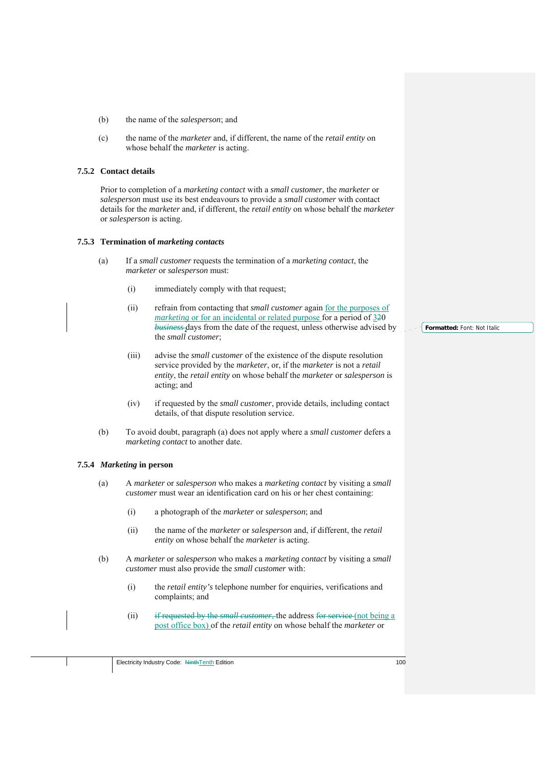- (b) the name of the *salesperson*; and
- (c) the name of the *marketer* and, if different, the name of the *retail entity* on whose behalf the *marketer* is acting.

#### **7.5.2 Contact details**

Prior to completion of a *marketing contact* with a *small customer*, the *marketer* or *salesperson* must use its best endeavours to provide a *small customer* with contact details for the *marketer* and, if different, the *retail entity* on whose behalf the *marketer* or *salesperson* is acting.

#### **7.5.3 Termination of** *marketing contacts*

- (a) If a *small customer* requests the termination of a *marketing contact*, the *marketer* or *salesperson* must:
	- (i) immediately comply with that request;
	- (ii) refrain from contacting that *small customer* again for the purposes of *marketing* or for an incidental or related purpose for a period of 320 *business* days from the date of the request, unless otherwise advised by the *small customer*;
	- (iii) advise the *small customer* of the existence of the dispute resolution service provided by the *marketer*, or, if the *marketer* is not a *retail entity*, the *retail entity* on whose behalf the *marketer* or *salesperson* is acting; and
	- (iv) if requested by the *small customer*, provide details, including contact details, of that dispute resolution service.
- (b) To avoid doubt, paragraph (a) does not apply where a *small customer* defers a *marketing contact* to another date.

#### **7.5.4** *Marketing* **in person**

- (a) A *marketer* or *salesperson* who makes a *marketing contact* by visiting a *small customer* must wear an identification card on his or her chest containing:
	- (i) a photograph of the *marketer* or *salesperson*; and
	- (ii) the name of the *marketer* or *salesperson* and, if different, the *retail entity* on whose behalf the *marketer* is acting.
- (b) A *marketer* or *salesperson* who makes a *marketing contact* by visiting a *small customer* must also provide the *small customer* with:
	- (i) the *retail entity's* telephone number for enquiries, verifications and complaints; and
	- (ii) if requested by the *small customer*, the address for service (not being a post office box) of the *retail entity* on whose behalf the *marketer* or

**Formatted:** Font: Not Italic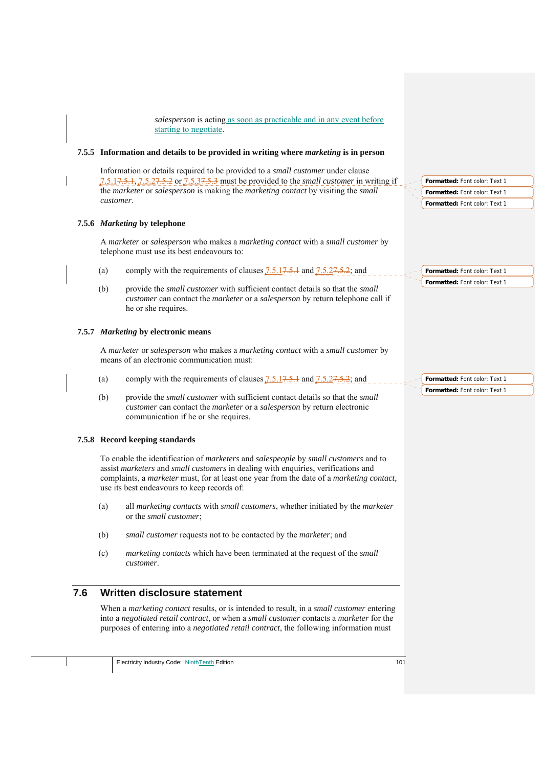*salesperson* is acting as soon as practicable and in any event before starting to negotiate.

#### **7.5.5 Information and details to be provided in writing where** *marketing* **is in person**

Information or details required to be provided to a *small customer* under clause 7.5.17.5.1, 7.5.27.5.2 or 7.5.37.5.3 must be provided to the *small customer* in writing if the *marketer* or *salesperson* is making the *marketing contact* by visiting the *small customer*.

### **7.5.6** *Marketing* **by telephone**

A *marketer* or *salesperson* who makes a *marketing contact* with a *small customer* by telephone must use its best endeavours to:

- (a) comply with the requirements of clauses  $7.5.17.5.1$  and  $7.5.27.5.2$ ; and
- (b) provide the *small customer* with sufficient contact details so that the *small customer* can contact the *marketer* or a *salesperson* by return telephone call if he or she requires.

### **7.5.7** *Marketing* **by electronic means**

A *marketer* or *salesperson* who makes a *marketing contact* with a *small customer* by means of an electronic communication must:

- (a) comply with the requirements of clauses  $7.5.17.5.1$  and  $7.5.27.5.2$ ; and
- (b) provide the *small customer* with sufficient contact details so that the *small customer* can contact the *marketer* or a *salesperson* by return electronic communication if he or she requires.

## **7.5.8 Record keeping standards**

To enable the identification of *marketers* and *salespeople* by *small customers* and to assist *marketers* and *small customers* in dealing with enquiries, verifications and complaints, a *marketer* must, for at least one year from the date of a *marketing contact,* use its best endeavours to keep records of:

- (a) all *marketing contacts* with *small customers*, whether initiated by the *marketer* or the *small customer*;
- (b) *small customer* requests not to be contacted by the *marketer*; and
- (c) *marketing contacts* which have been terminated at the request of the *small customer*.

## **7.6 Written disclosure statement**

When a *marketing contact* results, or is intended to result, in a *small customer* entering into a *negotiated retail contract*, or when a *small customer* contacts a *marketer* for the purposes of entering into a *negotiated retail contract*, the following information must

**Formatted:** Font color: Text 1 **Formatted:** Font color: Text 1 **Formatted:** Font color: Text 1

**Formatted:** Font color: Text 1 **Formatted:** Font color: Text 1

**Formatted:** Font color: Text 1 **Formatted:** Font color: Text 1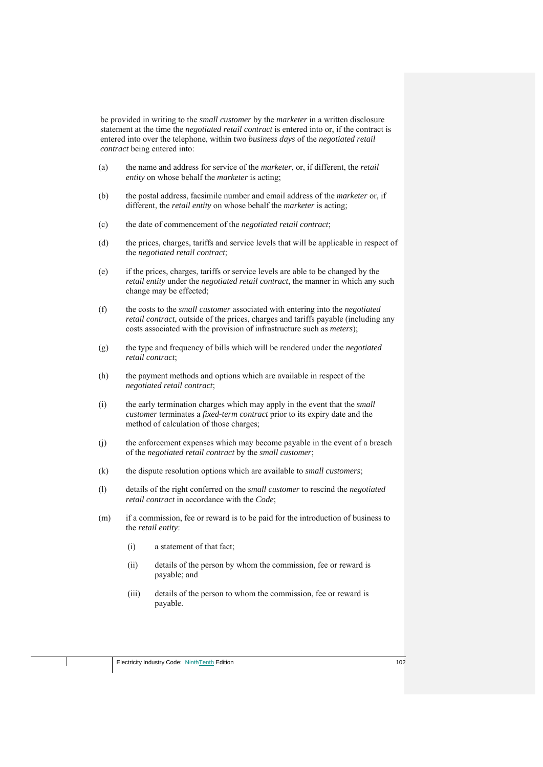be provided in writing to the *small customer* by the *marketer* in a written disclosure statement at the time the *negotiated retail contract* is entered into or, if the contract is entered into over the telephone, within two *business days* of the *negotiated retail contract* being entered into:

- (a) the name and address for service of the *marketer*, or, if different, the *retail entity* on whose behalf the *marketer* is acting;
- (b) the postal address, facsimile number and email address of the *marketer* or, if different, the *retail entity* on whose behalf the *marketer* is acting;
- (c) the date of commencement of the *negotiated retail contract*;
- (d) the prices, charges, tariffs and service levels that will be applicable in respect of the *negotiated retail contract*;
- (e) if the prices, charges, tariffs or service levels are able to be changed by the *retail entity* under the *negotiated retail contract*, the manner in which any such change may be effected;
- (f) the costs to the *small customer* associated with entering into the *negotiated retail contract*, outside of the prices, charges and tariffs payable (including any costs associated with the provision of infrastructure such as *meters*);
- (g) the type and frequency of bills which will be rendered under the *negotiated retail contract*;
- (h) the payment methods and options which are available in respect of the *negotiated retail contract*;
- (i) the early termination charges which may apply in the event that the *small customer* terminates a *fixed-term contract* prior to its expiry date and the method of calculation of those charges;
- (j) the enforcement expenses which may become payable in the event of a breach of the *negotiated retail contract* by the *small customer*;
- (k) the dispute resolution options which are available to *small customers*;
- (l) details of the right conferred on the *small customer* to rescind the *negotiated retail contract* in accordance with the *Code*;
- (m) if a commission, fee or reward is to be paid for the introduction of business to the *retail entity*:
	- (i) a statement of that fact;
	- (ii) details of the person by whom the commission, fee or reward is payable; and
	- (iii) details of the person to whom the commission, fee or reward is payable.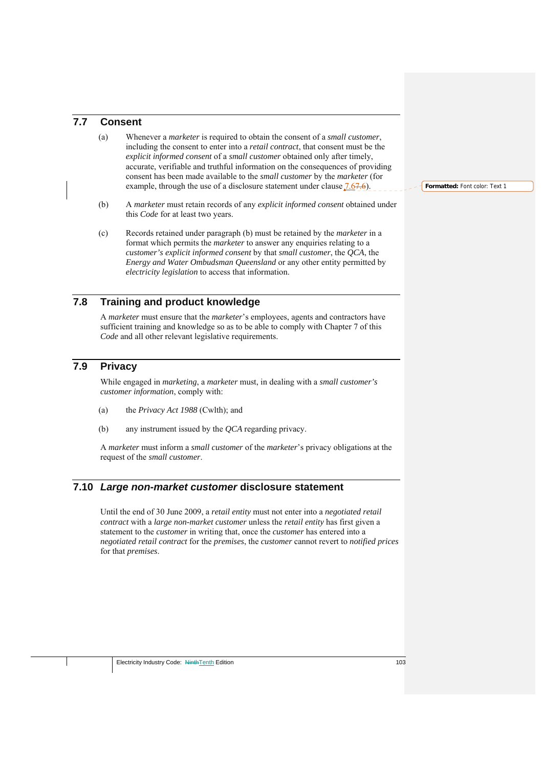## **7.7 Consent**

- (a) Whenever a *marketer* is required to obtain the consent of a *small customer*, including the consent to enter into a *retail contract*, that consent must be the *explicit informed consent* of a *small customer* obtained only after timely, accurate, verifiable and truthful information on the consequences of providing consent has been made available to the *small customer* by the *marketer* (for example, through the use of a disclosure statement under clause  $(7.67.6)$ .
- (b) A *marketer* must retain records of any *explicit informed consent* obtained under this *Code* for at least two years.
- (c) Records retained under paragraph (b) must be retained by the *marketer* in a format which permits the *marketer* to answer any enquiries relating to a *customer's explicit informed consent* by that *small customer*, the *QCA*, the *Energy and Water Ombudsman Queensland* or any other entity permitted by *electricity legislation* to access that information.

# **7.8 Training and product knowledge**

A *marketer* must ensure that the *marketer*'s employees, agents and contractors have sufficient training and knowledge so as to be able to comply with Chapter 7 of this *Code* and all other relevant legislative requirements.

# **7.9 Privacy**

While engaged in *marketing*, a *marketer* must, in dealing with a *small customer's customer information*, comply with:

- (a) the *Privacy Act 1988* (Cwlth); and
- (b) any instrument issued by the *QCA* regarding privacy.

A *marketer* must inform a *small customer* of the *marketer*'s privacy obligations at the request of the *small customer*.

## **7.10** *Large non-market customer* **disclosure statement**

Until the end of 30 June 2009, a *retail entity* must not enter into a *negotiated retail contract* with a *large non-market customer* unless the *retail entity* has first given a statement to the *customer* in writing that, once the *customer* has entered into a *negotiated retail contract* for the *premises*, the *customer* cannot revert to *notified prices* for that *premises*.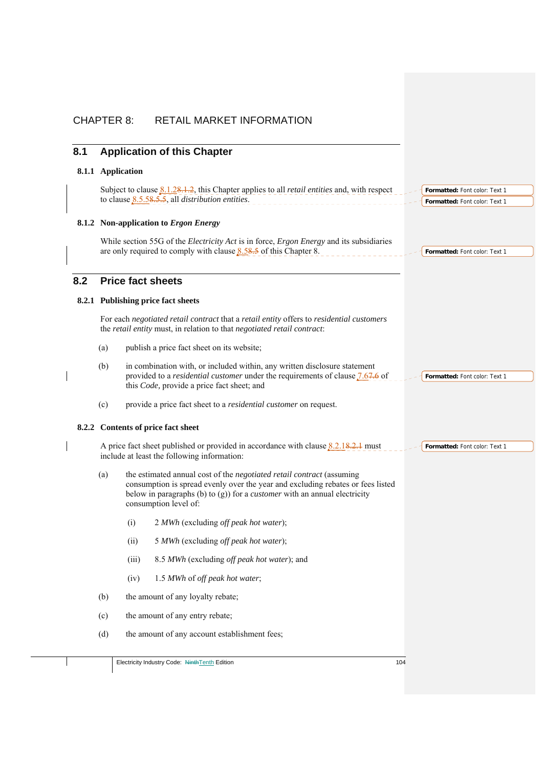| 8.1 | <b>Application of this Chapter</b>                                                                                                                                                                                                                                              |  |
|-----|---------------------------------------------------------------------------------------------------------------------------------------------------------------------------------------------------------------------------------------------------------------------------------|--|
|     | 8.1.1 Application                                                                                                                                                                                                                                                               |  |
|     | Subject to clause $8.1.28.1.2$ , this Chapter applies to all <i>retail entities</i> and, with respect<br>Formatted: Font color: Text 1<br>to clause $8.5.58.5.5$ , all <i>distribution entities</i> .<br>Formatted: Font color: Text 1                                          |  |
|     | 8.1.2 Non-application to Ergon Energy                                                                                                                                                                                                                                           |  |
|     | While section 55G of the <i>Electricity Act</i> is in force, <i>Ergon Energy</i> and its subsidiaries<br>are only required to comply with clause $8.58.5$ of this Chapter 8.<br>Formatted: Font color: Text 1                                                                   |  |
| 8.2 | <b>Price fact sheets</b>                                                                                                                                                                                                                                                        |  |
|     | 8.2.1 Publishing price fact sheets                                                                                                                                                                                                                                              |  |
|     | For each negotiated retail contract that a retail entity offers to residential customers<br>the retail entity must, in relation to that negotiated retail contract:                                                                                                             |  |
|     | publish a price fact sheet on its website;<br>(a)                                                                                                                                                                                                                               |  |
|     | in combination with, or included within, any written disclosure statement<br>(b)<br>provided to a <i>residential customer</i> under the requirements of clause 7.67.6 of<br>Formatted: Font color: Text 1<br>this Code, provide a price fact sheet; and                         |  |
|     | provide a price fact sheet to a <i>residential customer</i> on request.<br>(c)                                                                                                                                                                                                  |  |
|     | 8.2.2 Contents of price fact sheet                                                                                                                                                                                                                                              |  |
|     | A price fact sheet published or provided in accordance with clause $8.2.18.2.1$ must<br>Formatted: Font color: Text 1<br>include at least the following information:                                                                                                            |  |
|     | the estimated annual cost of the negotiated retail contract (assuming<br>(a)<br>consumption is spread evenly over the year and excluding rebates or fees listed<br>below in paragraphs (b) to $(g)$ ) for a <i>customer</i> with an annual electricity<br>consumption level of: |  |
|     | 2 MWh (excluding off peak hot water);<br>(i)                                                                                                                                                                                                                                    |  |
|     | (ii)<br>5 MWh (excluding off peak hot water);                                                                                                                                                                                                                                   |  |
|     | 8.5 MWh (excluding off peak hot water); and<br>(iii)                                                                                                                                                                                                                            |  |
|     | 1.5 MWh of off peak hot water;<br>(iv)                                                                                                                                                                                                                                          |  |
|     | the amount of any loyalty rebate;<br>(b)                                                                                                                                                                                                                                        |  |
|     | the amount of any entry rebate;<br>(c)                                                                                                                                                                                                                                          |  |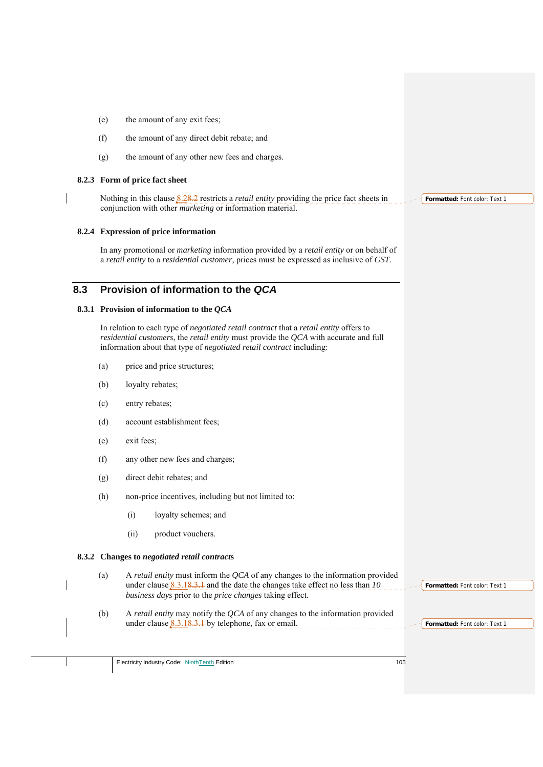- (e) the amount of any exit fees;
- (f) the amount of any direct debit rebate; and
- (g) the amount of any other new fees and charges.

#### **8.2.3 Form of price fact sheet**

Nothing in this clause 8.28.2 restricts a *retail entity* providing the price fact sheets in conjunction with other *marketing* or information material.

#### **8.2.4 Expression of price information**

In any promotional or *marketing* information provided by a *retail entity* or on behalf of a *retail entity* to a *residential customer*, prices must be expressed as inclusive of *GST*.

## **8.3 Provision of information to the** *QCA*

#### **8.3.1 Provision of information to the** *QCA*

In relation to each type of *negotiated retail contract* that a *retail entity* offers to *residential customers*, the *retail entity* must provide the *QCA* with accurate and full information about that type of *negotiated retail contract* including:

- (a) price and price structures;
- (b) loyalty rebates;
- (c) entry rebates;
- (d) account establishment fees;
- (e) exit fees;
- (f) any other new fees and charges;
- (g) direct debit rebates; and
- (h) non-price incentives, including but not limited to:
	- (i) loyalty schemes; and
	- (ii) product vouchers.

#### **8.3.2 Changes to** *negotiated retail contract***s**

- (a) A *retail entity* must inform the *QCA* of any changes to the information provided under clause 8.3.18.3.1 and the date the changes take effect no less than *10 business days* prior to the *price changes* taking effect.
- (b) A *retail entity* may notify the *QCA* of any changes to the information provided under clause  $8.3.18.3.1$  by telephone, fax or email.

**Formatted:** Font color: Text 1

**Formatted:** Font color: Text 1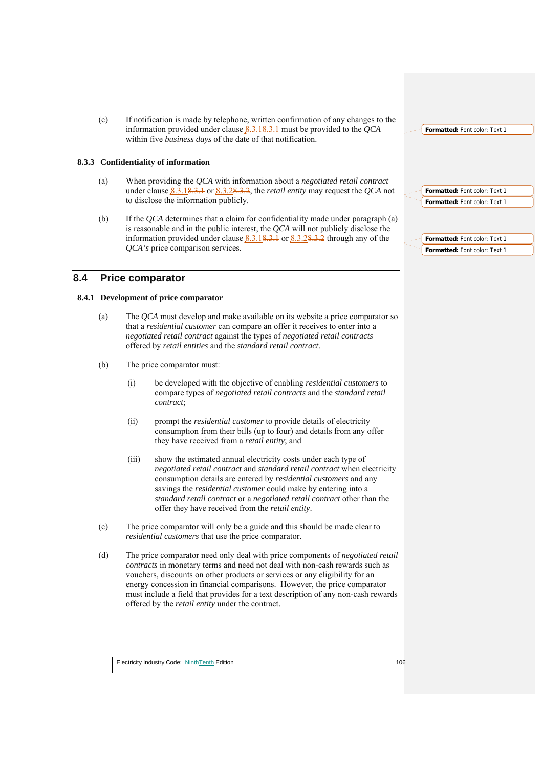(c) If notification is made by telephone, written confirmation of any changes to the information provided under clause 8.3.18.3.1 must be provided to the *QCA* within five *business days* of the date of that notification.

### **8.3.3 Confidentiality of information**

- (a) When providing the *QCA* with information about a *negotiated retail contract* under clause 8.3.18.3.1 or 8.3.28.3.2, the *retail entity* may request the *QCA* not to disclose the information publicly.
- (b) If the *QCA* determines that a claim for confidentiality made under paragraph (a) is reasonable and in the public interest, the *QCA* will not publicly disclose the information provided under clause  $8.3.18.3.1$  or  $8.3.28.3.2$  through any of the *QCA's* price comparison services.

## **8.4 Price comparator**

### **8.4.1 Development of price comparator**

- (a) The *QCA* must develop and make available on its website a price comparator so that a *residential customer* can compare an offer it receives to enter into a *negotiated retail contract* against the types of *negotiated retail contracts* offered by *retail entities* and the *standard retail contract*.
- (b) The price comparator must:
	- (i) be developed with the objective of enabling *residential customers* to compare types of *negotiated retail contracts* and the *standard retail contract*;
	- (ii) prompt the *residential customer* to provide details of electricity consumption from their bills (up to four) and details from any offer they have received from a *retail entity*; and
	- (iii) show the estimated annual electricity costs under each type of *negotiated retail contract* and *standard retail contract* when electricity consumption details are entered by *residential customers* and any savings the *residential customer* could make by entering into a *standard retail contract* or a *negotiated retail contract* other than the offer they have received from the *retail entity*.
- (c) The price comparator will only be a guide and this should be made clear to *residential customers* that use the price comparator.
- (d) The price comparator need only deal with price components of *negotiated retail contracts* in monetary terms and need not deal with non-cash rewards such as vouchers, discounts on other products or services or any eligibility for an energy concession in financial comparisons. However, the price comparator must include a field that provides for a text description of any non-cash rewards offered by the *retail entity* under the contract.

**Formatted:** Font color: Text 1

| Formatted: Font color: Text 1 |
|-------------------------------|
| Formatted: Font color: Text 1 |

**Formatted:** Font color: Text 1 **Formatted:** Font color: Text 1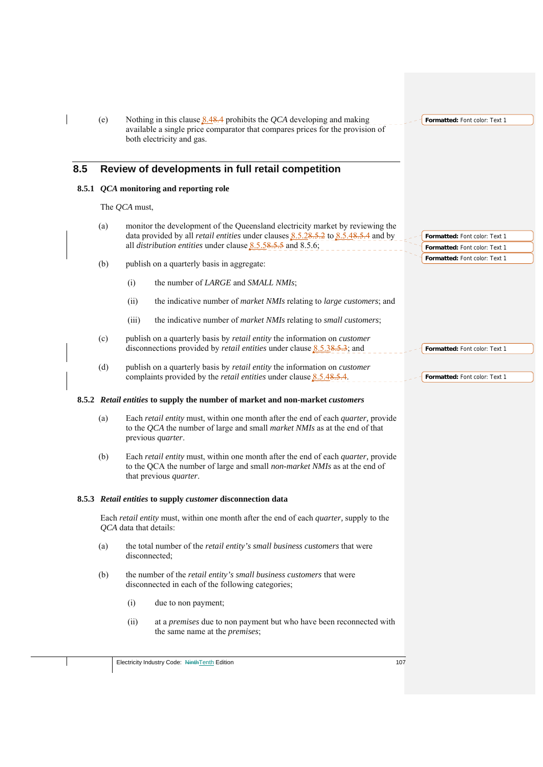|     | (e) | Nothing in this clause $8.48.4$ prohibits the QCA developing and making<br>available a single price comparator that compares prices for the provision of<br>both electricity and gas.                                                                  | Formatted: Font color: Text 1                                  |
|-----|-----|--------------------------------------------------------------------------------------------------------------------------------------------------------------------------------------------------------------------------------------------------------|----------------------------------------------------------------|
| 8.5 |     | Review of developments in full retail competition                                                                                                                                                                                                      |                                                                |
|     |     | 8.5.1 QCA monitoring and reporting role                                                                                                                                                                                                                |                                                                |
|     |     | The QCA must,                                                                                                                                                                                                                                          |                                                                |
|     | (a) | monitor the development of the Queensland electricity market by reviewing the<br>data provided by all <i>retail entities</i> under clauses $8.5.28.5.2$ to $8.5.48.5.4$ and by<br>all <i>distribution entities</i> under clause $8.5.58.55$ and 8.5.6; | Formatted: Font color: Text 1<br>Formatted: Font color: Text 1 |
|     | (b) | publish on a quarterly basis in aggregate:                                                                                                                                                                                                             | Formatted: Font color: Text 1                                  |
|     |     | (i)<br>the number of LARGE and SMALL NMIs;                                                                                                                                                                                                             |                                                                |
|     |     | (ii)<br>the indicative number of <i>market NMIs</i> relating to <i>large customers</i> ; and                                                                                                                                                           |                                                                |
|     |     | (iii)<br>the indicative number of market NMIs relating to small customers;                                                                                                                                                                             |                                                                |
|     | (c) | publish on a quarterly basis by retail entity the information on customer<br>disconnections provided by <i>retail entities</i> under clause $8.5.38.5.3$ ; and                                                                                         | Formatted: Font color: Text 1                                  |
|     | (d) | publish on a quarterly basis by retail entity the information on customer<br>complaints provided by the <i>retail entities</i> under clause 8.5.48.5.4.                                                                                                | Formatted: Font color: Text 1                                  |
|     |     | 8.5.2 Retail entities to supply the number of market and non-market customers                                                                                                                                                                          |                                                                |
|     | (a) | Each retail entity must, within one month after the end of each <i>quarter</i> , provide<br>to the QCA the number of large and small <i>market NMIs</i> as at the end of that<br>previous quarter.                                                     |                                                                |
|     | (b) | Each retail entity must, within one month after the end of each <i>quarter</i> , provide<br>to the QCA the number of large and small non-market NMIs as at the end of<br>that previous <i>quarter</i> .                                                |                                                                |
|     |     | 8.5.3 Retail entities to supply customer disconnection data                                                                                                                                                                                            |                                                                |
|     |     |                                                                                                                                                                                                                                                        |                                                                |
|     |     | Each retail entity must, within one month after the end of each <i>quarter</i> , supply to the<br>QCA data that details:                                                                                                                               |                                                                |
|     | (a) | the total number of the retail entity's small business customers that were<br>disconnected;                                                                                                                                                            |                                                                |
|     | (b) | the number of the retail entity's small business customers that were<br>disconnected in each of the following categories;                                                                                                                              |                                                                |
|     |     | (i)<br>due to non payment;                                                                                                                                                                                                                             |                                                                |
|     |     | (ii)<br>at a <i>premises</i> due to non payment but who have been reconnected with<br>the same name at the <i>premises</i> ;                                                                                                                           |                                                                |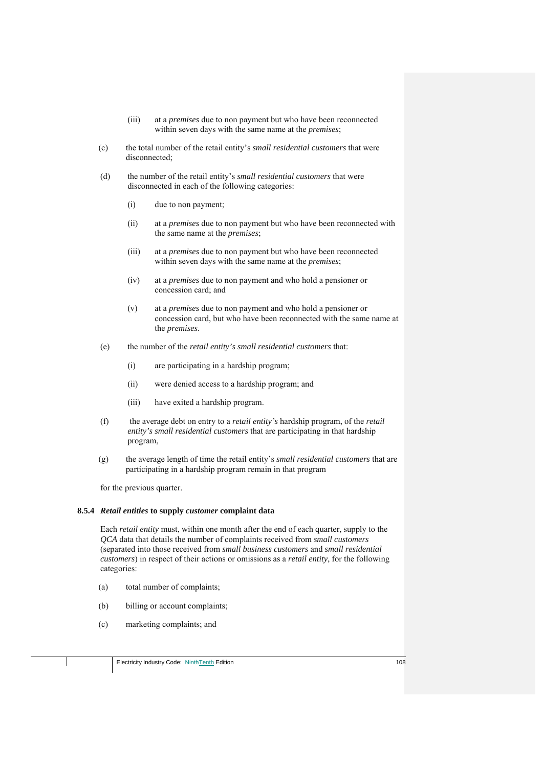- (iii) at a *premises* due to non payment but who have been reconnected within seven days with the same name at the *premises*;
- (c) the total number of the retail entity's *small residential customers* that were disconnected;
- (d) the number of the retail entity's *small residential customers* that were disconnected in each of the following categories:
	- (i) due to non payment;
	- (ii) at a *premises* due to non payment but who have been reconnected with the same name at the *premises*;
	- (iii) at a *premises* due to non payment but who have been reconnected within seven days with the same name at the *premises*;
	- (iv) at a *premises* due to non payment and who hold a pensioner or concession card; and
	- (v) at a *premises* due to non payment and who hold a pensioner or concession card, but who have been reconnected with the same name at the *premises*.
- (e) the number of the *retail entity's small residential customers* that:
	- (i) are participating in a hardship program;
	- (ii) were denied access to a hardship program; and
	- (iii) have exited a hardship program.
- (f) the average debt on entry to a *retail entity's* hardship program, of the *retail entity's small residential customers* that are participating in that hardship program,
- (g) the average length of time the retail entity's *small residential customers* that are participating in a hardship program remain in that program

for the previous quarter.

#### **8.5.4** *Retail entities* **to supply** *customer* **complaint data**

Each *retail entity* must, within one month after the end of each quarter, supply to the *QCA* data that details the number of complaints received from *small customers* (separated into those received from *small business customers* and *small residential customers*) in respect of their actions or omissions as a *retail entity*, for the following categories:

- (a) total number of complaints;
- (b) billing or account complaints;
- (c) marketing complaints; and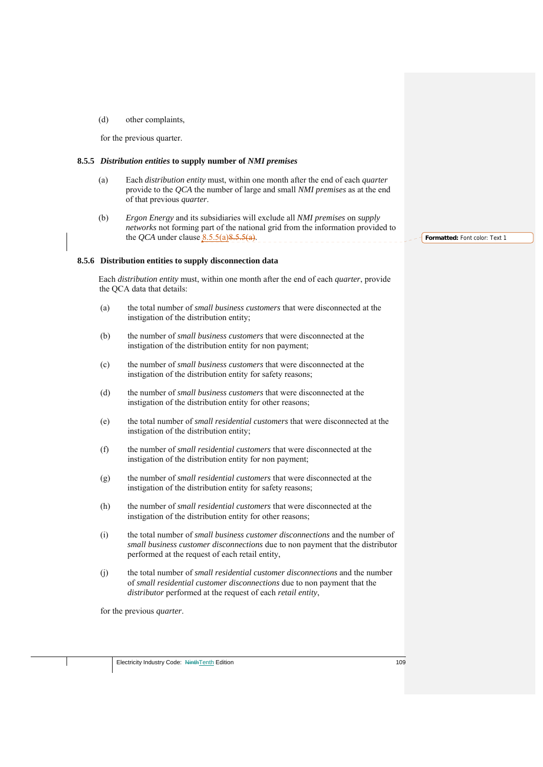(d) other complaints,

for the previous quarter.

#### **8.5.5** *Distribution entities* **to supply number of** *NMI premises*

- (a) Each *distribution entity* must, within one month after the end of each *quarter* provide to the *QCA* the number of large and small *NMI premises* as at the end of that previous *quarter*.
- (b) *Ergon Energy* and its subsidiaries will exclude all *NMI premises* on *supply networks* not forming part of the national grid from the information provided to the *QCA* under clause  $8.5.5(a)8.5.5(a)$ .

#### **8.5.6 Distribution entities to supply disconnection data**

Each *distribution entity* must, within one month after the end of each *quarter*, provide the QCA data that details:

- (a) the total number of *small business customers* that were disconnected at the instigation of the distribution entity;
- (b) the number of *small business customers* that were disconnected at the instigation of the distribution entity for non payment;
- (c) the number of *small business customers* that were disconnected at the instigation of the distribution entity for safety reasons;
- (d) the number of *small business customers* that were disconnected at the instigation of the distribution entity for other reasons;
- (e) the total number of *small residential customers* that were disconnected at the instigation of the distribution entity;
- (f) the number of *small residential customers* that were disconnected at the instigation of the distribution entity for non payment;
- (g) the number of *small residential customers* that were disconnected at the instigation of the distribution entity for safety reasons;
- (h) the number of *small residential customers* that were disconnected at the instigation of the distribution entity for other reasons;
- (i) the total number of *small business customer disconnections* and the number of *small business customer disconnections* due to non payment that the distributor performed at the request of each retail entity,
- (j) the total number of *small residential customer disconnections* and the number of *small residential customer disconnections* due to non payment that the *distributor* performed at the request of each *retail entity*,

for the previous *quarter*.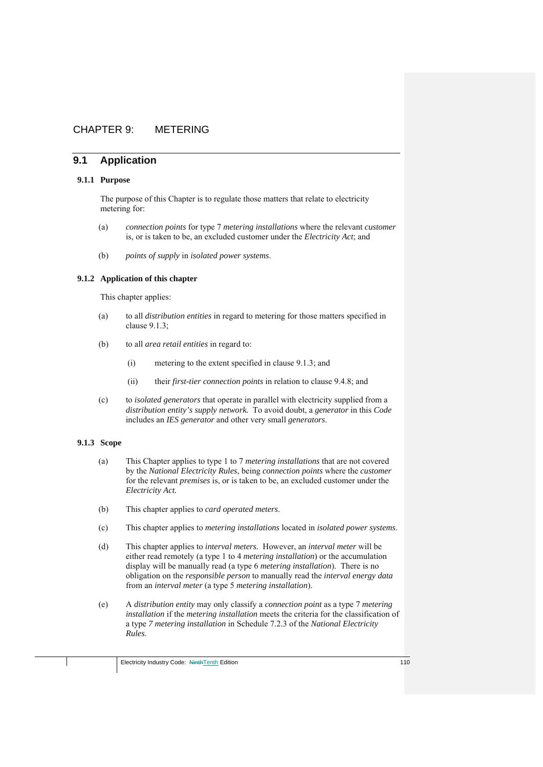# CHAPTER 9: METERING

# **9.1 Application**

#### **9.1.1 Purpose**

The purpose of this Chapter is to regulate those matters that relate to electricity metering for:

- (a) *connection points* for type 7 *metering installations* where the relevant *customer*  is, or is taken to be, an excluded customer under the *Electricity Act*; and
- (b) *points of supply* in *isolated power systems*.

#### **9.1.2 Application of this chapter**

This chapter applies:

- (a) to all *distribution entities* in regard to metering for those matters specified in clause 9.1.3;
- (b) to all *area retail entities* in regard to:
	- (i) metering to the extent specified in clause 9.1.3; and
	- (ii) their *first-tier connection points* in relation to clause 9.4.8; and
- (c) to *isolated generators* that operate in parallel with electricity supplied from a *distribution entity's supply network.* To avoid doubt, a *generator* in this *Code* includes an *IES generator* and other very small *generators*.

# **9.1.3 Scope**

- (a) This Chapter applies to type 1 to 7 *metering installations* that are not covered by the *National Electricity Rules*, being *connection points* where the *customer* for the relevant *premises* is, or is taken to be, an excluded customer under the *Electricity Act.*
- (b) This chapter applies to *card operated meters*.
- (c) This chapter applies to *metering installations* located in *isolated power systems*.
- (d) This chapter applies to *interval meters.* However, an *interval meter* will be either read remotely (a type 1 to 4 *metering installation*) or the accumulation display will be manually read (a type 6 *metering installation*). There is no obligation on the *responsible person* to manually read the *interval energy data* from an *interval meter* (a type 5 *metering installation*).
- (e) A *distribution entity* may only classify a *connection point* as a type 7 *metering installation* if the *metering installation* meets the criteria for the classification of a type *7 metering installation* in Schedule 7.2.3 of the *National Electricity Rules*.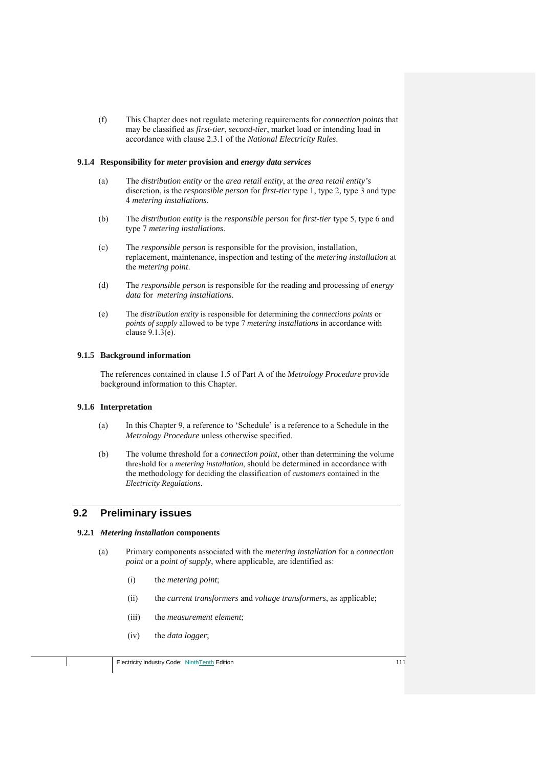(f) This Chapter does not regulate metering requirements for *connection points* that may be classified as *first-tier*, *second-tier*, market load or intending load in accordance with clause 2.3.1 of the *National Electricity Rules*.

#### **9.1.4 Responsibility for** *meter* **provision and** *energy data services*

- (a) The *distribution entity* or the *area retail entity*, at the *area retail entity's* discretion, is the *responsible person* for *first-tier* type 1, type 2, type 3 and type 4 *metering installations*.
- (b) The *distribution entity* is the *responsible person* for *first-tier* type 5, type 6 and type 7 *metering installations*.
- (c) The *responsible person* is responsible for the provision, installation, replacement, maintenance, inspection and testing of the *metering installation* at the *metering point*.
- (d) The *responsible person* is responsible for the reading and processing of *energy data* for *metering installations*.
- (e) The *distribution entity* is responsible for determining the *connections points* or *points of supply* allowed to be type 7 *metering installations* in accordance with clause 9.1.3(e).

## **9.1.5 Background information**

The references contained in clause 1.5 of Part A of the *Metrology Procedure* provide background information to this Chapter.

# **9.1.6 Interpretation**

- (a) In this Chapter 9, a reference to 'Schedule' is a reference to a Schedule in the *Metrology Procedure* unless otherwise specified.
- (b) The volume threshold for a *connection point*, other than determining the volume threshold for a *metering installation*, should be determined in accordance with the methodology for deciding the classification of *customers* contained in the *Electricity Regulations*.

# **9.2 Preliminary issues**

#### **9.2.1** *Metering installation* **components**

- (a) Primary components associated with the *metering installation* for a *connection point* or a *point of supply*, where applicable, are identified as:
	- (i) the *metering point*;
	- (ii) the *current transformers* and *voltage transformers*, as applicable;
	- (iii) the *measurement element*;
	- (iv) the *data logger*;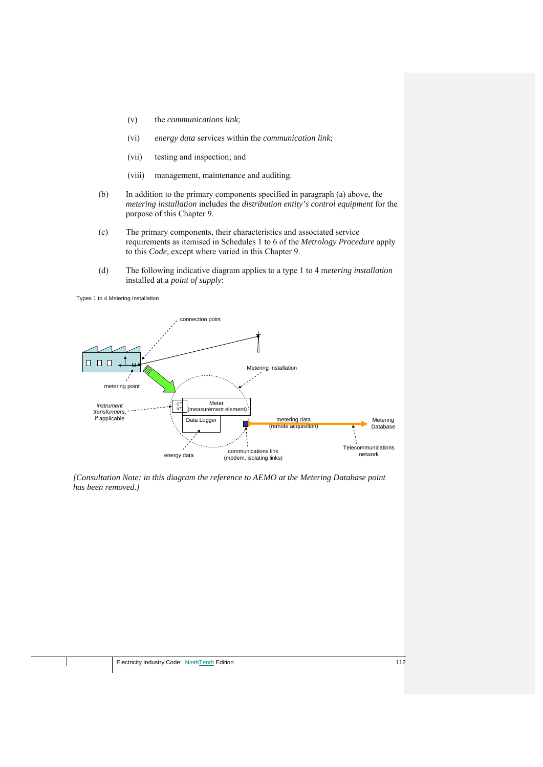- (v) the *communications link*;
- (vi) *energy data* services within the *communication link*;
- (vii) testing and inspection; and
- (viii) management, maintenance and auditing.
- (b) In addition to the primary components specified in paragraph (a) above, the *metering installation* includes the *distribution entity's control equipment* for the purpose of this Chapter 9.
- (c) The primary components, their characteristics and associated service requirements as itemised in Schedules 1 to 6 of the *Metrology Procedure* apply to this *Code*, except where varied in this Chapter 9.
- (d) The following indicative diagram applies to a type 1 to 4 m*etering installation* installed at a *point of supply*:

Types 1 to 4 Metering Installation



*[Consultation Note: in this diagram the reference to AEMO at the Metering Database point has been removed.]*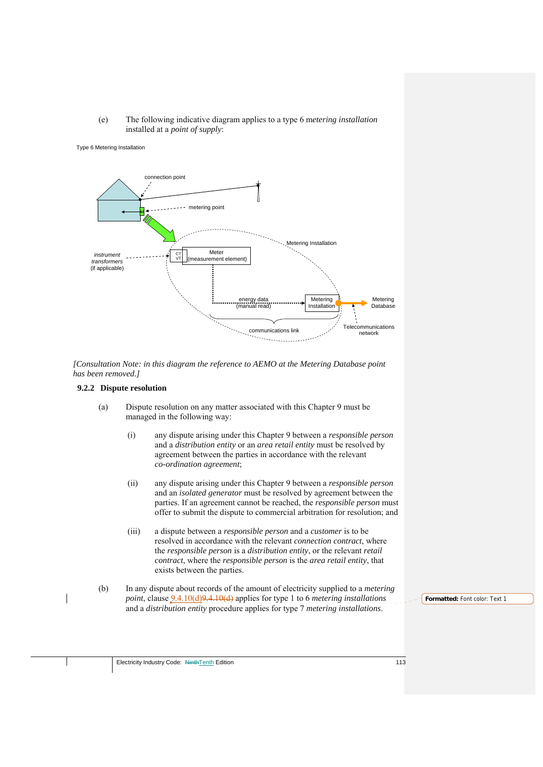## (e) The following indicative diagram applies to a type 6 m*etering installation*  installed at a *point of supply*:

#### Type 6 Metering Installation



*[Consultation Note: in this diagram the reference to AEMO at the Metering Database point has been removed.]* 

#### **9.2.2 Dispute resolution**

- (a) Dispute resolution on any matter associated with this Chapter 9 must be managed in the following way:
	- (i) any dispute arising under this Chapter 9 between a *responsible person* and a *distribution entity* or an *area retail entity* must be resolved by agreement between the parties in accordance with the relevant *co-ordination agreement*;
	- (ii) any dispute arising under this Chapter 9 between a *responsible person* and an *isolated generator* must be resolved by agreement between the parties. If an agreement cannot be reached, the *responsible person* must offer to submit the dispute to commercial arbitration for resolution; and
	- (iii) a dispute between a *responsible person* and a *customer* is to be resolved in accordance with the relevant *connection contract*, where the *responsible person* is a *distribution entity*, or the relevant *retail contract*, where the *responsible person* is the *area retail entity*, that exists between the parties.
- (b) In any dispute about records of the amount of electricity supplied to a *metering point*, clause 9.4.10(d)9.4.10(d) applies for type 1 to 6 *metering installations* and a *distribution entity* procedure applies for type 7 *metering installations*.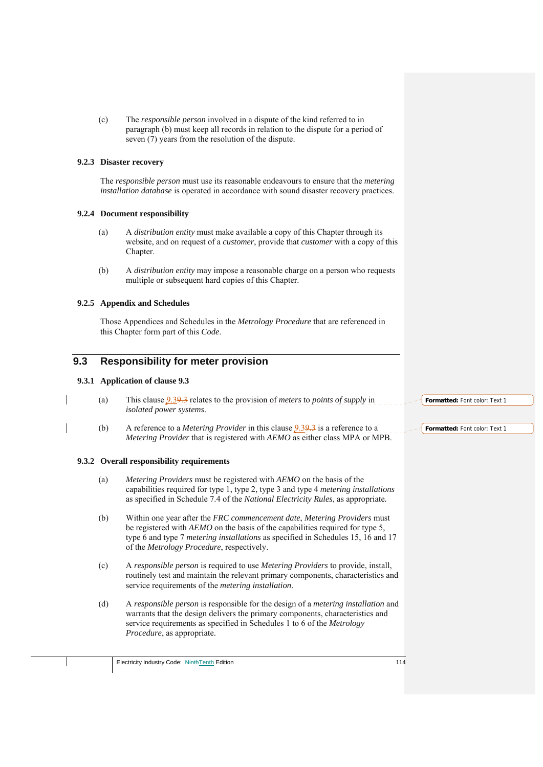(c) The *responsible person* involved in a dispute of the kind referred to in paragraph (b) must keep all records in relation to the dispute for a period of seven (7) years from the resolution of the dispute.

# **9.2.3 Disaster recovery**

The *responsible person* must use its reasonable endeavours to ensure that the *metering installation database* is operated in accordance with sound disaster recovery practices.

# **9.2.4 Document responsibility**

- (a) A *distribution entity* must make available a copy of this Chapter through its website, and on request of a *customer*, provide that *customer* with a copy of this Chapter.
- (b) A *distribution entity* may impose a reasonable charge on a person who requests multiple or subsequent hard copies of this Chapter.

# **9.2.5 Appendix and Schedules**

Those Appendices and Schedules in the *Metrology Procedure* that are referenced in this Chapter form part of this *Code*.

# **9.3 Responsibility for meter provision**

# **9.3.1 Application of clause 9.3**

- (a) This clause 9.39.3 relates to the provision of *meters* to *points of supply* in *isolated power systems*.
- (b) A reference to a *Metering Provider* in this clause 9.39.3 is a reference to a *Metering Provider* that is registered with *AEMO* as either class MPA or MPB.

# **9.3.2 Overall responsibility requirements**

- (a) *Metering Providers* must be registered with *AEMO* on the basis of the capabilities required for type 1, type 2, type 3 and type 4 *metering installations* as specified in Schedule 7.4 of the *National Electricity Rules*, as appropriate*.*
- (b) Within one year after the *FRC commencement date*, *Metering Providers* must be registered with *AEMO* on the basis of the capabilities required for type 5, type 6 and type 7 *metering installations* as specified in Schedules 15, 16 and 17 of the *Metrology Procedure*, respectively.
- (c) A *responsible person* is required to use *Metering Providers* to provide, install, routinely test and maintain the relevant primary components, characteristics and service requirements of the *metering installation*.
- (d) A *responsible person* is responsible for the design of a *metering installation* and warrants that the design delivers the primary components, characteristics and service requirements as specified in Schedules 1 to 6 of the *Metrology Procedure*, as appropriate.

**Formatted:** Font color: Text 1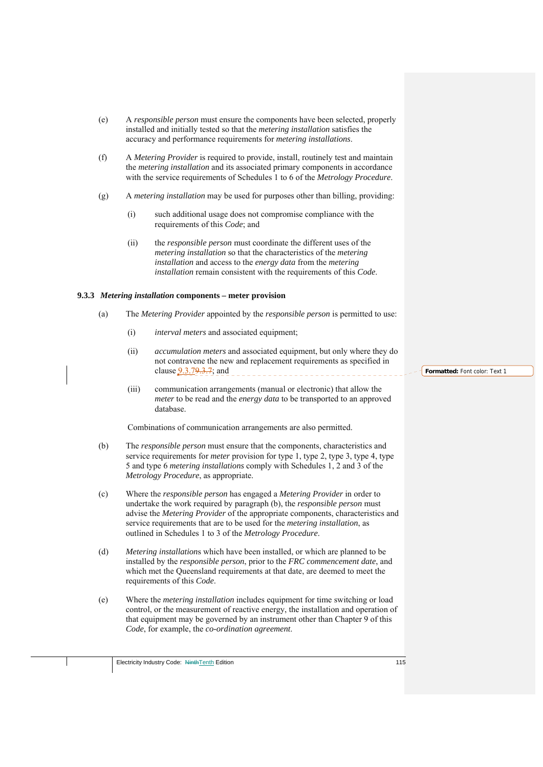- (e) A *responsible person* must ensure the components have been selected, properly installed and initially tested so that the *metering installation* satisfies the accuracy and performance requirements for *metering installations*.
- (f) A *Metering Provider* is required to provide, install, routinely test and maintain the *metering installation* and its associated primary components in accordance with the service requirements of Schedules 1 to 6 of the *Metrology Procedure*.
- (g) A *metering installation* may be used for purposes other than billing, providing:
	- (i) such additional usage does not compromise compliance with the requirements of this *Code*; and
	- (ii) the *responsible person* must coordinate the different uses of the *metering installation* so that the characteristics of the *metering installation* and access to the *energy data* from the *metering installation* remain consistent with the requirements of this *Code*.

## **9.3.3** *Metering installation* **components – meter provision**

- (a) The *Metering Provider* appointed by the *responsible person* is permitted to use:
	- (i) *interval meters* and associated equipment;
	- (ii) *accumulation meters* and associated equipment, but only where they do not contravene the new and replacement requirements as specified in clause 9.3.79.3.7; and
	- (iii) communication arrangements (manual or electronic) that allow the *meter* to be read and the *energy data* to be transported to an approved database.

Combinations of communication arrangements are also permitted.

- (b) The *responsible person* must ensure that the components, characteristics and service requirements for *meter* provision for type 1, type 2, type 3, type 4, type 5 and type 6 *metering installations* comply with Schedules 1, 2 and 3 of the *Metrology Procedure*, as appropriate.
- (c) Where the *responsible person* has engaged a *Metering Provider* in order to undertake the work required by paragraph (b), the *responsible person* must advise the *Metering Provider* of the appropriate components, characteristics and service requirements that are to be used for the *metering installation*, as outlined in Schedules 1 to 3 of the *Metrology Procedure*.
- (d) *Metering installation*s which have been installed, or which are planned to be installed by the *responsible person*, prior to the *FRC commencement date*, and which met the Queensland requirements at that date, are deemed to meet the requirements of this *Code*.
- (e) Where the *metering installation* includes equipment for time switching or load control, or the measurement of reactive energy, the installation and operation of that equipment may be governed by an instrument other than Chapter 9 of this *Code*, for example, the *co-ordination agreement*.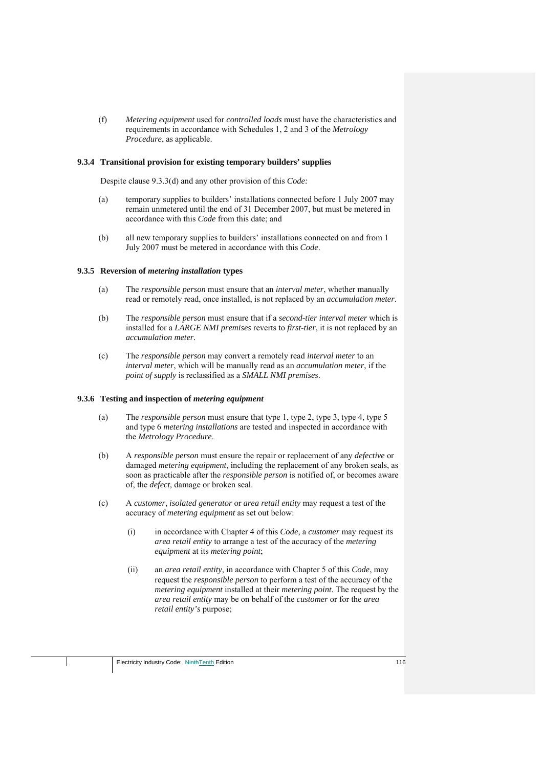(f) *Metering equipment* used for *controlled loads* must have the characteristics and requirements in accordance with Schedules 1, 2 and 3 of the *Metrology Procedure*, as applicable.

#### **9.3.4 Transitional provision for existing temporary builders' supplies**

Despite clause 9.3.3(d) and any other provision of this *Code:* 

- (a) temporary supplies to builders' installations connected before 1 July 2007 may remain unmetered until the end of 31 December 2007, but must be metered in accordance with this *Code* from this date; and
- (b) all new temporary supplies to builders' installations connected on and from 1 July 2007 must be metered in accordance with this *Code*.

#### **9.3.5 Reversion of** *metering installation* **types**

- (a) The *responsible person* must ensure that an *interval meter*, whether manually read or remotely read, once installed, is not replaced by an *accumulation meter*.
- (b) The *responsible person* must ensure that if a *second-tier interval meter* which is installed for a *LARGE NMI premises* reverts to *first-tier*, it is not replaced by an *accumulation meter.*
- (c) The *responsible person* may convert a remotely read *interval meter* to an *interval meter*, which will be manually read as an *accumulation meter*, if the *point of supply* is reclassified as a *SMALL NMI premises*.

#### **9.3.6 Testing and inspection of** *metering equipment*

- (a) The *responsible person* must ensure that type 1, type 2, type 3, type 4, type 5 and type 6 *metering installations* are tested and inspected in accordance with the *Metrology Procedure*.
- (b) A *responsible person* must ensure the repair or replacement of any *defective* or damaged *metering equipment*, including the replacement of any broken seals, as soon as practicable after the *responsible person* is notified of, or becomes aware of, the *defect*, damage or broken seal.
- (c) A *customer*, *isolated generator* or *area retail entity* may request a test of the accuracy of *metering equipment* as set out below:
	- (i) in accordance with Chapter 4 of this *Code*, a *customer* may request its *area retail entity* to arrange a test of the accuracy of the *metering equipment* at its *metering point*;
	- (ii) an *area retail entity*, in accordance with Chapter 5 of this *Code*, may request the *responsible person* to perform a test of the accuracy of the *metering equipment* installed at their *metering point*. The request by the *area retail entity* may be on behalf of the *customer* or for the *area retail entity's* purpose;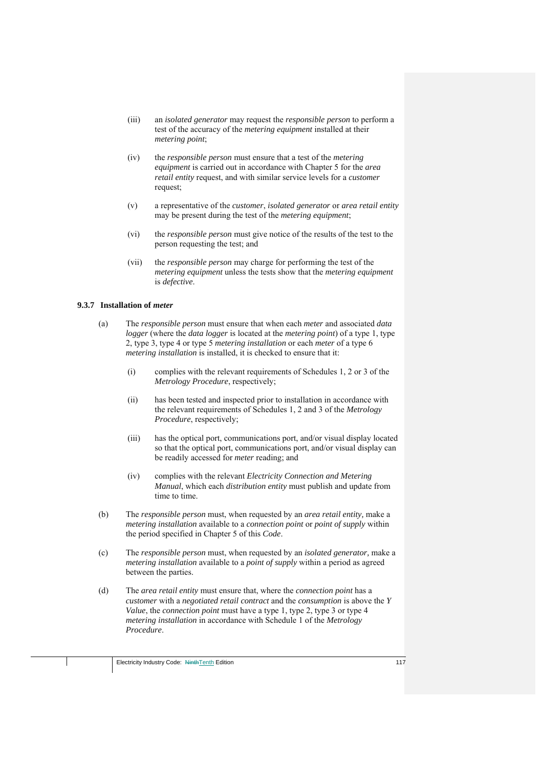- (iii) an *isolated generator* may request the *responsible person* to perform a test of the accuracy of the *metering equipment* installed at their *metering point*;
- (iv) the *responsible person* must ensure that a test of the *metering equipment* is carried out in accordance with Chapter 5 for the *area retail entity* request, and with similar service levels for a *customer* request;
- (v) a representative of the *customer*, *isolated generator* or *area retail entity*  may be present during the test of the *metering equipment*;
- (vi) the *responsible person* must give notice of the results of the test to the person requesting the test; and
- (vii) the *responsible person* may charge for performing the test of the *metering equipment* unless the tests show that the *metering equipment* is *defective*.

### **9.3.7 Installation of** *meter*

- (a) The *responsible person* must ensure that when each *meter* and associated *data logger* (where the *data logger* is located at the *metering point*) of a type 1, type 2, type 3, type 4 or type 5 *metering installation* or each *meter* of a type 6 *metering installation* is installed, it is checked to ensure that it:
	- (i) complies with the relevant requirements of Schedules 1, 2 or 3 of the *Metrology Procedure*, respectively;
	- (ii) has been tested and inspected prior to installation in accordance with the relevant requirements of Schedules 1, 2 and 3 of the *Metrology Procedure*, respectively;
	- (iii) has the optical port, communications port, and/or visual display located so that the optical port, communications port, and/or visual display can be readily accessed for *meter* reading; and
	- (iv) complies with the relevant *Electricity Connection and Metering Manual*, which each *distribution entity* must publish and update from time to time.
- (b) The *responsible person* must, when requested by an *area retail entity,* make a *metering installation* available to a *connection point* or *point of supply* within the period specified in Chapter 5 of this *Code*.
- (c) The *responsible person* must, when requested by an *isolated generator,* make a *metering installation* available to a *point of supply* within a period as agreed between the parties.
- (d) The *area retail entity* must ensure that, where the *connection point* has a *customer* with a *negotiated retail contract* and the *consumption* is above the *Y Value*, the *connection point* must have a type 1, type 2, type 3 or type 4 *metering installation* in accordance with Schedule 1 of the *Metrology Procedure*.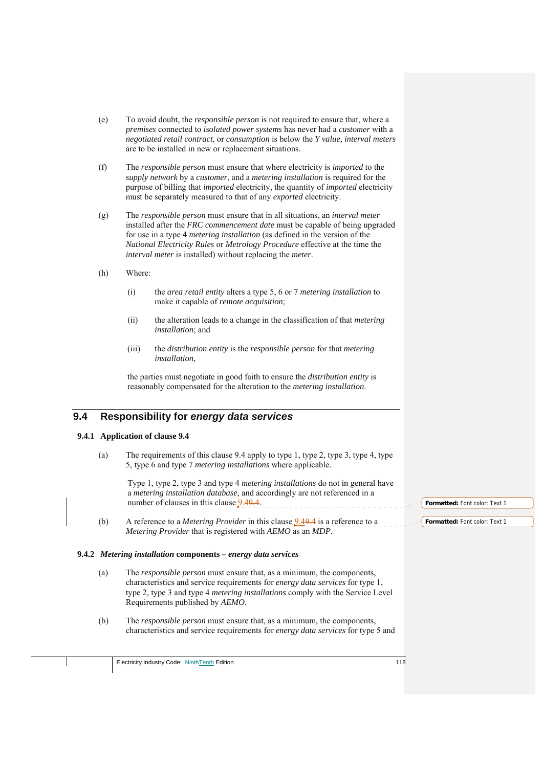- (e) To avoid doubt, the *responsible person* is not required to ensure that, where a *premises* connected to *isolated power systems* has never had a *customer* with a *negotiated retail contract*, or *consumption* is below the *Y value*, *interval meters* are to be installed in new or replacement situations.
- (f) The *responsible person* must ensure that where electricity is *imported* to the *supply network* by a *customer*, and a *metering installation* is required for the purpose of billing that *imported* electricity, the quantity of *imported* electricity must be separately measured to that of any *exported* electricity.
- (g) The *responsible person* must ensure that in all situations, an *interval meter* installed after the *FRC commencement date* must be capable of being upgraded for use in a type 4 *metering installation* (as defined in the version of the *National Electricity Rules* or *Metrology Procedure* effective at the time the *interval meter* is installed) without replacing the *meter*.
- (h) Where:
	- (i) the *area retail entity* alters a type 5, 6 or 7 *metering installation* to make it capable of *remote acquisition*;
	- (ii) the alteration leads to a change in the classification of that *metering installation*; and
	- (iii) the *distribution entity* is the *responsible person* for that *metering installation*,

the parties must negotiate in good faith to ensure the *distribution entity* is reasonably compensated for the alteration to the *metering installation*.

# **9.4 Responsibility for** *energy data services*

#### **9.4.1 Application of clause 9.4**

(a) The requirements of this clause 9.4 apply to type 1, type 2, type 3, type 4, type 5, type 6 and type 7 *metering installations* where applicable.

Type 1, type 2, type 3 and type 4 *metering installations* do not in general have a *metering installation database*, and accordingly are not referenced in a number of clauses in this clause  $9.49.4$ .

(b) A reference to a *Metering Provider* in this clause 9.49.4 is a reference to a *Metering Provider* that is registered with *AEMO* as an *MDP*.

#### **9.4.2** *Metering installation* **components –** *energy data services*

- (a) The *responsible person* must ensure that, as a minimum, the components, characteristics and service requirements for *energy data services* for type 1, type 2, type 3 and type 4 *metering installations* comply with the Service Level Requirements published by *AEMO*.
- (b) The *responsible person* must ensure that, as a minimum, the components, characteristics and service requirements for *energy data services* for type 5 and

**Formatted:** Font color: Text 1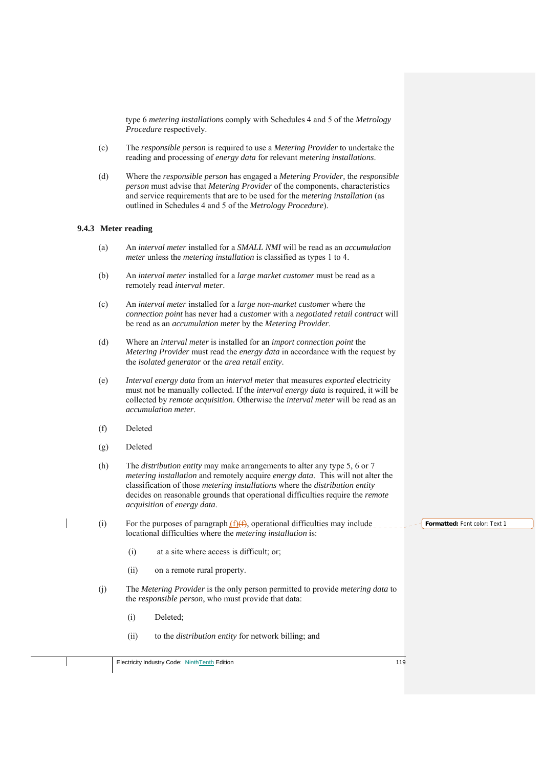type 6 *metering installations* comply with Schedules 4 and 5 of the *Metrology Procedure* respectively.

- (c) The *responsible person* is required to use a *Metering Provider* to undertake the reading and processing of *energy data* for relevant *metering installations*.
- (d) Where the *responsible person* has engaged a *Metering Provider,* the *responsible person* must advise that *Metering Provider* of the components, characteristics and service requirements that are to be used for the *metering installation* (as outlined in Schedules 4 and 5 of the *Metrology Procedure*).

# **9.4.3 Meter reading**

- (a) An *interval meter* installed for a *SMALL NMI* will be read as an *accumulation meter* unless the *metering installation* is classified as types 1 to 4.
- (b) An *interval meter* installed for a *large market customer* must be read as a remotely read *interval meter*.
- (c) An *interval meter* installed for a *large non-market customer* where the *connection point* has never had a *customer* with a *negotiated retail contract* will be read as an *accumulation meter* by the *Metering Provider*.
- (d) Where an *interval meter* is installed for an *import connection point* the *Metering Provider* must read the *energy data* in accordance with the request by the *isolated generator* or the *area retail entity*.
- (e) *Interval energy data* from an *interval meter* that measures *exported* electricity must not be manually collected. If the *interval energy data* is required, it will be collected by *remote acquisition*. Otherwise the *interval meter* will be read as an *accumulation meter*.
- (f) Deleted
- (g) Deleted
- (h) The *distribution entity* may make arrangements to alter any type 5, 6 or 7 *metering installation* and remotely acquire *energy data*. This will not alter the classification of those *metering installations* where the *distribution entity* decides on reasonable grounds that operational difficulties require the *remote acquisition* of *energy data*.
- (i) For the purposes of paragraph  $(f)(f)$ , operational difficulties may include locational difficulties where the *metering installation* is:
	- (i) at a site where access is difficult; or;
	- (ii) on a remote rural property.
	- (j) The *Metering Provider* is the only person permitted to provide *metering data* to the *responsible person*, who must provide that data:
		- (i) Deleted;
		- (ii) to the *distribution entity* for network billing; and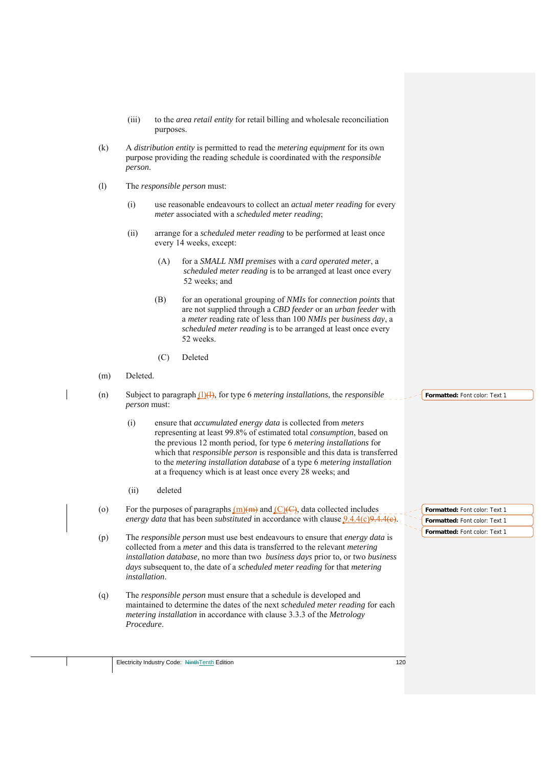- (iii) to the *area retail entity* for retail billing and wholesale reconciliation purposes.
- (k) A *distribution entity* is permitted to read the *metering equipment* for its own purpose providing the reading schedule is coordinated with the *responsible person*.
- (l) The *responsible person* must:
	- (i) use reasonable endeavours to collect an *actual meter reading* for every *meter* associated with a *scheduled meter reading*;
	- (ii) arrange for a *scheduled meter reading* to be performed at least once every 14 weeks, except:
		- (A) for a *SMALL NMI premises* with a *card operated meter*, a *scheduled meter reading* is to be arranged at least once every 52 weeks; and
		- (B) for an operational grouping of *NMIs* for *connection points* that are not supplied through a *CBD feeder* or an *urban feeder* with a *meter* reading rate of less than 100 *NMIs* per *business day*, a *scheduled meter reading* is to be arranged at least once every 52 weeks.
		- (C) Deleted
- (m) Deleted.
- (n) Subject to paragraph (l)(l), for type 6 *metering installations*, the *responsible person* must:
	- (i) ensure that *accumulated energy data* is collected from *meters*  representing at least 99.8% of estimated total *consumption*, based on the previous 12 month period, for type 6 *metering installations* for which that *responsible person* is responsible and this data is transferred to the *metering installation database* of a type 6 *metering installation* at a frequency which is at least once every 28 weeks; and
	- (ii) deleted
- (o) For the purposes of paragraphs  $(m)(m)$  and  $(C)(C)$ , data collected includes *energy data that has been <i>substituted* in accordance with clause  $9.4.4(c)$ .
- (p) The *responsible person* must use best endeavours to ensure that *energy data* is collected from a *meter* and this data is transferred to the relevant *metering installation database,* no more than two *business days* prior to, or two *business days* subsequent to, the date of a *scheduled meter reading* for that *metering installation*.
- (q) The *responsible person* must ensure that a schedule is developed and maintained to determine the dates of the next *scheduled meter reading* for each *metering installation* in accordance with clause 3.3.3 of the *Metrology Procedure*.

**Formatted:** Font color: Text 1

**Formatted:** Font color: Text 1 **Formatted:** Font color: Text 1 **Formatted:** Font color: Text 1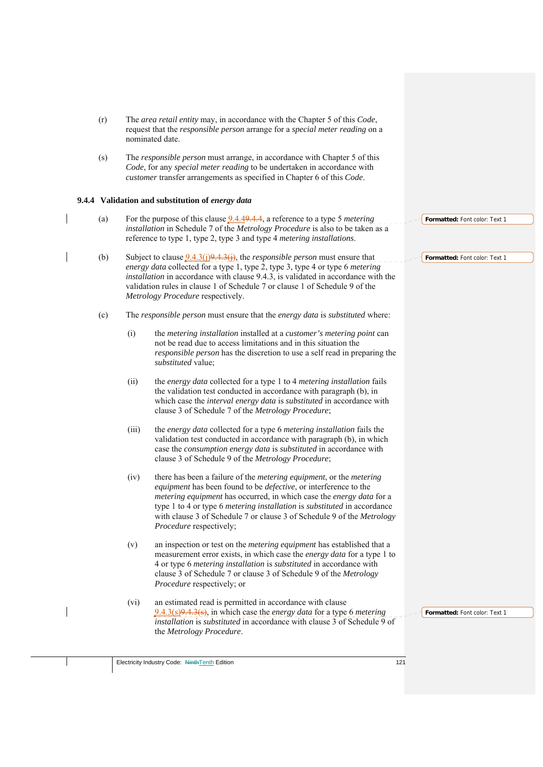- (r) The *area retail entity* may, in accordance with the Chapter 5 of this *Code*, request that the *responsible person* arrange for a *special meter reading* on a nominated date.
- (s) The *responsible person* must arrange, in accordance with Chapter 5 of this *Code*, for any *special meter reading* to be undertaken in accordance with *customer* transfer arrangements as specified in Chapter 6 of this *Code*.

## **9.4.4 Validation and substitution of** *energy data*

- (a) For the purpose of this clause 9.4.49.4.4, a reference to a type 5 *metering installation* in Schedule 7 of the *Metrology Procedure* is also to be taken as a reference to type 1, type 2, type 3 and type 4 *metering installations*.
- (b) Subject to clause 9.4.3(j)9.4.3(j), the *responsible person* must ensure that *energy data* collected for a type 1, type 2, type 3, type 4 or type 6 *metering installation* in accordance with clause 9.4.3, is validated in accordance with the validation rules in clause 1 of Schedule 7 or clause 1 of Schedule 9 of the *Metrology Procedure* respectively.
	- (c) The *responsible person* must ensure that the *energy data* is *substituted* where:
		- (i) the *metering installation* installed at a *customer's metering point* can not be read due to access limitations and in this situation the *responsible person* has the discretion to use a self read in preparing the *substituted* value;
		- (ii) the *energy data* collected for a type 1 to 4 *metering installation* fails the validation test conducted in accordance with paragraph (b), in which case the *interval energy data* is *substituted* in accordance with clause 3 of Schedule 7 of the *Metrology Procedure*;
		- (iii) the *energy data* collected for a type 6 *metering installation* fails the validation test conducted in accordance with paragraph (b), in which case the *consumption energy data* is *substituted* in accordance with clause 3 of Schedule 9 of the *Metrology Procedure*;
		- (iv) there has been a failure of the *metering equipment*, or the *metering equipment* has been found to be *defective*, or interference to the *metering equipment* has occurred, in which case the *energy data* for a type 1 to 4 or type 6 *metering installation* is *substituted* in accordance with clause 3 of Schedule 7 or clause 3 of Schedule 9 of the *Metrology Procedure* respectively;
		- (v) an inspection or test on the *metering equipment* has established that a measurement error exists, in which case the *energy data* for a type 1 to 4 or type 6 *metering installation* is *substituted* in accordance with clause 3 of Schedule 7 or clause 3 of Schedule 9 of the *Metrology Procedure* respectively; or
		- (vi) an estimated read is permitted in accordance with clause 9.4.3(s)9.4.3(s), in which case the *energy data* for a type 6 *metering installation* is *substituted* in accordance with clause 3 of Schedule 9 of the *Metrology Procedure*.

**Formatted:** Font color: Text 1

**Formatted:** Font color: Text 1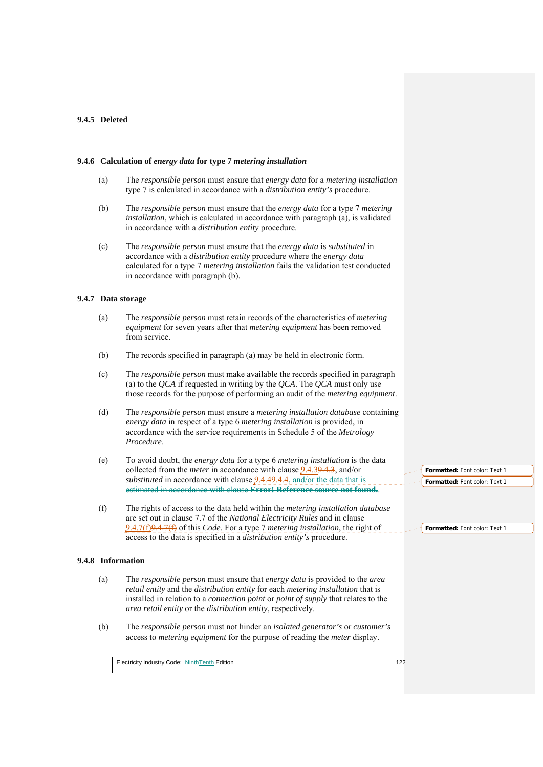## **9.4.5 Deleted**

## **9.4.6 Calculation of** *energy data* **for type 7** *metering installation*

- (a) The *responsible person* must ensure that *energy data* for a *metering installation* type 7 is calculated in accordance with a *distribution entity's* procedure.
- (b) The *responsible person* must ensure that the *energy data* for a type 7 *metering installation*, which is calculated in accordance with paragraph (a), is validated in accordance with a *distribution entity* procedure.
- (c) The *responsible person* must ensure that the *energy data* is *substituted* in accordance with a *distribution entity* procedure where the *energy data* calculated for a type 7 *metering installation* fails the validation test conducted in accordance with paragraph (b).

#### **9.4.7 Data storage**

- (a) The *responsible person* must retain records of the characteristics of *metering equipment* for seven years after that *metering equipment* has been removed from service.
- (b) The records specified in paragraph (a) may be held in electronic form.
- (c) The *responsible person* must make available the records specified in paragraph (a) to the *QCA* if requested in writing by the *QCA*. The *QCA* must only use those records for the purpose of performing an audit of the *metering equipment*.
- (d) The *responsible person* must ensure a *metering installation database* containing *energy data* in respect of a type 6 *metering installation* is provided, in accordance with the service requirements in Schedule 5 of the *Metrology Procedure*.
- (e) To avoid doubt, the *energy data* for a type 6 *metering installation* is the data collected from the *meter* in accordance with clause 9.4.39.4.3, and/or *substituted* in accordance with clause  $9.4.49.4.4$ , and/or the data that is estimated in accordance with clause **Error! Reference source not found.**.
- (f) The rights of access to the data held within the *metering installation database*  are set out in clause 7.7 of the *National Electricity Rules* and in clause 9.4.7(f)9.4.7(f) of this *Code*. For a type 7 *metering installation*, the right of access to the data is specified in a *distribution entity's* procedure.

#### **9.4.8 Information**

- (a) The *responsible person* must ensure that *energy data* is provided to the *area retail entity* and the *distribution entity* for each *metering installation* that is installed in relation to a *connection point* or *point of supply* that relates to the *area retail entity* or the *distribution entity*, respectively.
- (b) The *responsible person* must not hinder an *isolated generator's* or *customer's* access to *metering equipment* for the purpose of reading the *meter* display.

**Formatted:** Font color: Text 1 **Formatted:** Font color: Text 1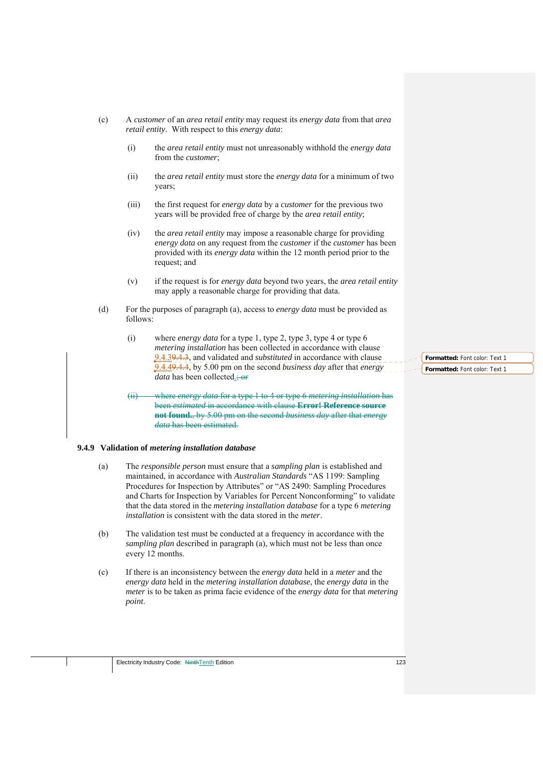- (c) A *customer* of an *area retail entity* may request its *energy data* from that *area retail entity*. With respect to this *energy data*:
	- (i) the *area retail entity* must not unreasonably withhold the *energy data* from the *customer*;
	- (ii) the *area retail entity* must store the *energy data* for a minimum of two years;
	- (iii) the first request for *energy data* by a *customer* for the previous two years will be provided free of charge by the *area retail entity*;
	- (iv) the *area retail entity* may impose a reasonable charge for providing *energy data* on any request from the *customer* if the *customer* has been provided with its *energy data* within the 12 month period prior to the request; and
	- (v) if the request is for *energy data* beyond two years, the *area retail entity* may apply a reasonable charge for providing that data.
- (d) For the purposes of paragraph (a), access to *energy data* must be provided as follows:
	- (i) where *energy data* for a type 1, type 2, type 3, type 4 or type 6 *metering installation* has been collected in accordance with clause 9.4.39.4.3, and validated and *substituted* in accordance with clause 9.4.49.4.4, by 5.00 pm on the second *business day* after that *energy data* has been collected.; or
	- (ii) where *energy data* for a type 1 to 4 or type 6 *metering installation* has been *estimated* in accordance with clause **Error! Reference source not found.**, by 5.00 pm on the second *business day* after that *energy data* has been estimated.

#### **9.4.9 Validation of** *metering installation database*

- (a) The *responsible person* must ensure that a *sampling plan* is established and maintained, in accordance with *Australian Standards* "AS 1199: Sampling Procedures for Inspection by Attributes" or "AS 2490: Sampling Procedures and Charts for Inspection by Variables for Percent Nonconforming" to validate that the data stored in the *metering installation database* for a type 6 *metering installation* is consistent with the data stored in the *meter*.
- (b) The validation test must be conducted at a frequency in accordance with the *sampling plan* described in paragraph (a), which must not be less than once every 12 months.
- (c) If there is an inconsistency between the *energy data* held in a *meter* and the *energy data* held in the *metering installation database*, the *energy data* in the *meter* is to be taken as prima facie evidence of the *energy data* for that *metering point*.

**Formatted:** Font color: Text 1 **Formatted:** Font color: Text 1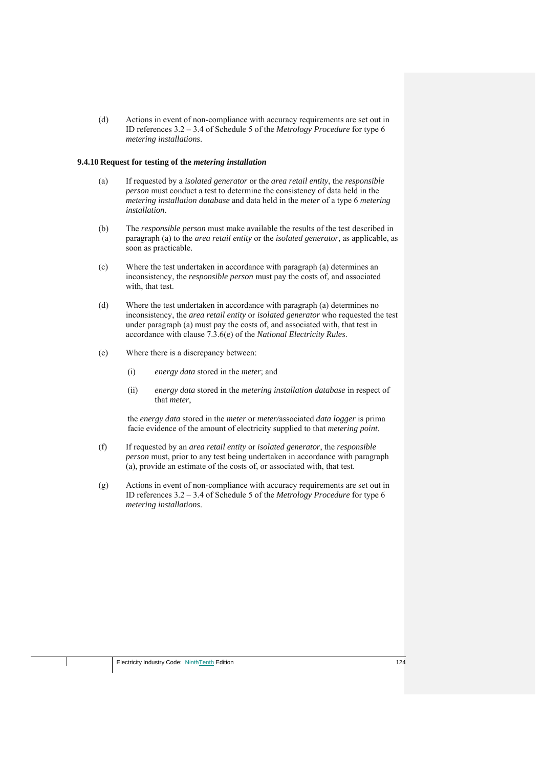(d) Actions in event of non-compliance with accuracy requirements are set out in ID references 3.2 – 3.4 of Schedule 5 of the *Metrology Procedure* for type 6 *metering installations*.

#### **9.4.10 Request for testing of the** *metering installation*

- (a) If requested by a *isolated generator* or the *area retail entity*, the *responsible person* must conduct a test to determine the consistency of data held in the *metering installation database* and data held in the *meter* of a type 6 *metering installation*.
- (b) The *responsible person* must make available the results of the test described in paragraph (a) to the *area retail entity* or the *isolated generator*, as applicable, as soon as practicable.
- (c) Where the test undertaken in accordance with paragraph (a) determines an inconsistency, the *responsible person* must pay the costs of, and associated with, that test.
- (d) Where the test undertaken in accordance with paragraph (a) determines no inconsistency, the *area retail entity* or *isolated generator* who requested the test under paragraph (a) must pay the costs of, and associated with, that test in accordance with clause 7.3.6(e) of the *National Electricity Rules*.
- (e) Where there is a discrepancy between:
	- (i) *energy data* stored in the *meter*; and
	- (ii) *energy data* stored in the *metering installation database* in respect of that *meter*,

the *energy data* stored in the *meter* or *meter/*associated *data logger* is prima facie evidence of the amount of electricity supplied to that *metering point*.

- (f) If requested by an *area retail entity* or *isolated generator*, the *responsible person* must, prior to any test being undertaken in accordance with paragraph (a), provide an estimate of the costs of, or associated with, that test.
- (g) Actions in event of non-compliance with accuracy requirements are set out in ID references 3.2 – 3.4 of Schedule 5 of the *Metrology Procedure* for type 6 *metering installations*.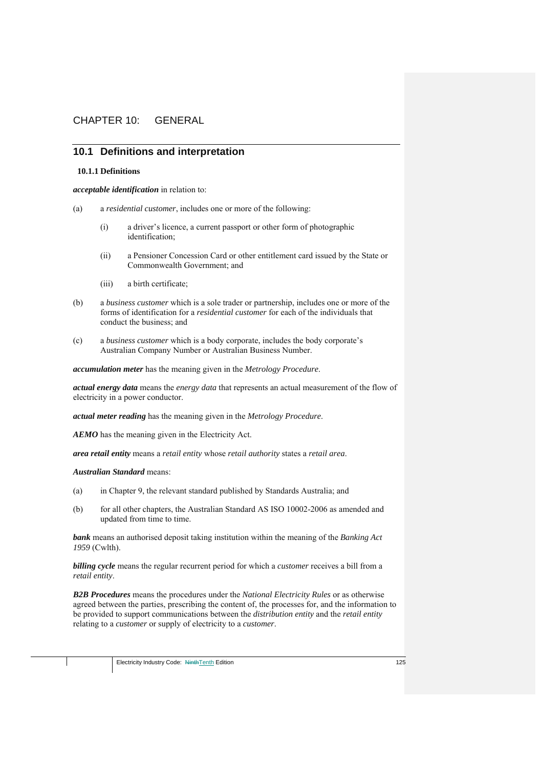# CHAPTER 10: GENERAL

# **10.1 Definitions and interpretation**

#### **10.1.1 Definitions**

*acceptable identification* in relation to:

- (a) a *residential customer*, includes one or more of the following:
	- (i) a driver's licence, a current passport or other form of photographic identification;
	- (ii) a Pensioner Concession Card or other entitlement card issued by the State or Commonwealth Government; and
	- (iii) a birth certificate;
- (b) a *business customer* which is a sole trader or partnership, includes one or more of the forms of identification for a *residential customer* for each of the individuals that conduct the business; and
- (c) a *business customer* which is a body corporate, includes the body corporate's Australian Company Number or Australian Business Number.

*accumulation meter* has the meaning given in the *Metrology Procedure*.

*actual energy data* means the *energy data* that represents an actual measurement of the flow of electricity in a power conductor.

*actual meter reading* has the meaning given in the *Metrology Procedure*.

*AEMO* has the meaning given in the Electricity Act.

*area retail entity* means a *retail entity* whose *retail authority* states a *retail area*.

#### *Australian Standard* means:

- (a) in Chapter 9, the relevant standard published by Standards Australia; and
- (b) for all other chapters, the Australian Standard AS ISO 10002-2006 as amended and updated from time to time.

*bank* means an authorised deposit taking institution within the meaning of the *Banking Act 1959* (Cwlth).

*billing cycle* means the regular recurrent period for which a *customer* receives a bill from a *retail entity*.

*B2B Procedures* means the procedures under the *National Electricity Rules* or as otherwise agreed between the parties, prescribing the content of, the processes for, and the information to be provided to support communications between the *distribution entity* and the *retail entity* relating to a *customer* or supply of electricity to a *customer*.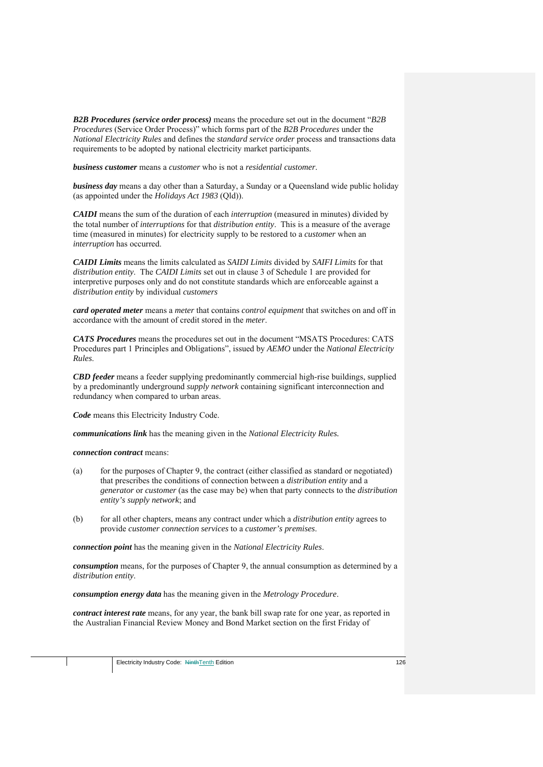*B2B Procedures (service order process)* means the procedure set out in the document "*B2B Procedures* (Service Order Process)" which forms part of the *B2B Procedures* under the *National Electricity Rules* and defines the *standard service order* process and transactions data requirements to be adopted by national electricity market participants.

*business customer* means a *customer* who is not a *residential customer*.

*business day* means a day other than a Saturday, a Sunday or a Queensland wide public holiday (as appointed under the *Holidays Act 1983* (Qld)).

*CAIDI* means the sum of the duration of each *interruption* (measured in minutes) divided by the total number of *interruptions* for that *distribution entity*. This is a measure of the average time (measured in minutes) for electricity supply to be restored to a *customer* when an *interruption* has occurred.

*CAIDI Limits* means the limits calculated as *SAIDI Limits* divided by *SAIFI Limits* for that *distribution entity*. The *CAIDI Limits* set out in clause 3 of Schedule 1 are provided for interpretive purposes only and do not constitute standards which are enforceable against a *distribution entity* by individual *customers*

*card operated meter* means a *meter* that contains *control equipment* that switches on and off in accordance with the amount of credit stored in the *meter*.

*CATS Procedures* means the procedures set out in the document "MSATS Procedures: CATS Procedures part 1 Principles and Obligations", issued by *AEMO* under the *National Electricity Rules*.

*CBD feeder* means a feeder supplying predominantly commercial high-rise buildings, supplied by a predominantly underground *supply network* containing significant interconnection and redundancy when compared to urban areas.

*Code* means this Electricity Industry Code.

*communications link* has the meaning given in the *National Electricity Rules.*

*connection contract* means:

- (a) for the purposes of Chapter 9, the contract (either classified as standard or negotiated) that prescribes the conditions of connection between a *distribution entity* and a *generator* or *customer* (as the case may be) when that party connects to the *distribution entity's supply network*; and
- (b) for all other chapters, means any contract under which a *distribution entity* agrees to provide *customer connection services* to a *customer's premises*.

*connection point* has the meaning given in the *National Electricity Rules*.

*consumption* means, for the purposes of Chapter 9, the annual consumption as determined by a *distribution entity*.

*consumption energy data* has the meaning given in the *Metrology Procedure*.

*contract interest rate* means, for any year, the bank bill swap rate for one year, as reported in the Australian Financial Review Money and Bond Market section on the first Friday of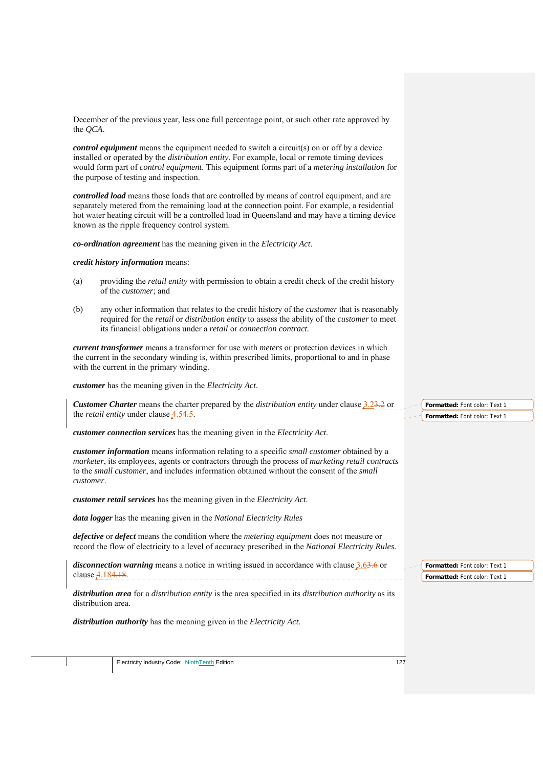| the QCA.  | December of the previous year, less one full percentage point, or such other rate approved by                                                                                                                                                                                                                                                                |                                                                |
|-----------|--------------------------------------------------------------------------------------------------------------------------------------------------------------------------------------------------------------------------------------------------------------------------------------------------------------------------------------------------------------|----------------------------------------------------------------|
|           | <b><i>control equipment</i></b> means the equipment needed to switch a circuit(s) on or off by a device<br>installed or operated by the <i>distribution entity</i> . For example, local or remote timing devices<br>would form part of control equipment. This equipment forms part of a metering installation for<br>the purpose of testing and inspection. |                                                                |
|           | <b>controlled load</b> means those loads that are controlled by means of control equipment, and are<br>separately metered from the remaining load at the connection point. For example, a residential<br>hot water heating circuit will be a controlled load in Queensland and may have a timing device<br>known as the ripple frequency control system.     |                                                                |
|           | co-ordination agreement has the meaning given in the Electricity Act.                                                                                                                                                                                                                                                                                        |                                                                |
|           | credit history information means:                                                                                                                                                                                                                                                                                                                            |                                                                |
| (a)       | providing the <i>retail entity</i> with permission to obtain a credit check of the credit history<br>of the <i>customer</i> ; and                                                                                                                                                                                                                            |                                                                |
| (b)       | any other information that relates to the credit history of the <i>customer</i> that is reasonably<br>required for the <i>retail</i> or <i>distribution entity</i> to assess the ability of the <i>customer</i> to meet<br>its financial obligations under a retail or connection contract.                                                                  |                                                                |
|           | current transformer means a transformer for use with meters or protection devices in which<br>the current in the secondary winding is, within prescribed limits, proportional to and in phase<br>with the current in the primary winding.                                                                                                                    |                                                                |
|           | customer has the meaning given in the Electricity Act.                                                                                                                                                                                                                                                                                                       |                                                                |
|           | <b>Customer Charter</b> means the charter prepared by the <i>distribution entity</i> under clause $3.23.2$ or<br>the <i>retail entity</i> under clause <b>4.54.5</b> .                                                                                                                                                                                       | Formatted: Font color: Text 1<br>Formatted: Font color: Text 1 |
|           | customer connection services has the meaning given in the Electricity Act.                                                                                                                                                                                                                                                                                   |                                                                |
| customer. | customer information means information relating to a specific small customer obtained by a<br>marketer, its employees, agents or contractors through the process of marketing retail contracts<br>to the small customer, and includes information obtained without the consent of the small                                                                  |                                                                |
|           | customer retail services has the meaning given in the Electricity Act.                                                                                                                                                                                                                                                                                       |                                                                |
|           | data logger has the meaning given in the National Electricity Rules                                                                                                                                                                                                                                                                                          |                                                                |
|           | <i>defective</i> or <i>defect</i> means the condition where the <i>metering equipment</i> does not measure or<br>record the flow of electricity to a level of accuracy prescribed in the National Electricity Rules.                                                                                                                                         |                                                                |
|           | <i>disconnection warning</i> means a notice in writing issued in accordance with clause $3.63.6$ or<br>clause 4.184.18.                                                                                                                                                                                                                                      | Formatted: Font color: Text 1<br>Formatted: Font color: Text 1 |
|           | distribution area for a distribution entity is the area specified in its distribution authority as its<br>distribution area.                                                                                                                                                                                                                                 |                                                                |
|           | distribution authority has the meaning given in the Electricity Act.                                                                                                                                                                                                                                                                                         |                                                                |
|           |                                                                                                                                                                                                                                                                                                                                                              |                                                                |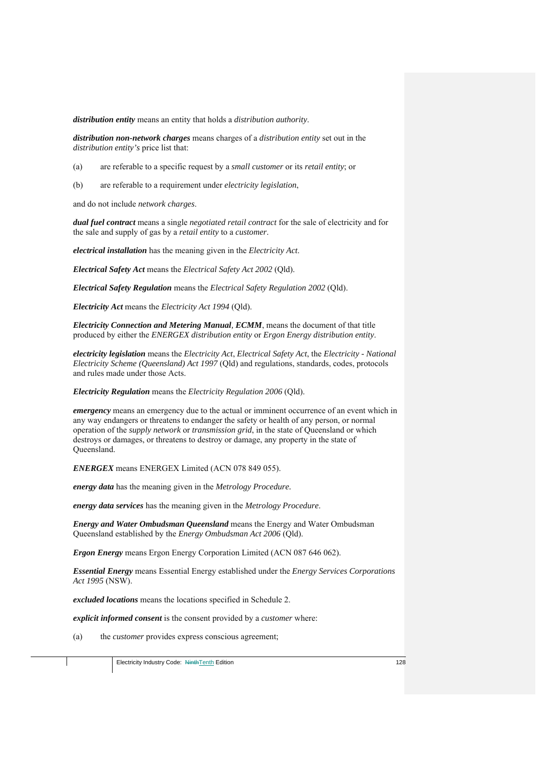*distribution entity* means an entity that holds a *distribution authority*.

*distribution non-network charges* means charges of a *distribution entity* set out in the *distribution entity's* price list that:

- (a) are referable to a specific request by a *small customer* or its *retail entity*; or
- (b) are referable to a requirement under *electricity legislation*,

and do not include *network charges*.

*dual fuel contract* means a single *negotiated retail contract* for the sale of electricity and for the sale and supply of gas by a *retail entity* to a *customer*.

*electrical installation* has the meaning given in the *Electricity Act*.

*Electrical Safety Act* means the *Electrical Safety Act 2002* (Qld).

*Electrical Safety Regulation* means the *Electrical Safety Regulation 2002* (Qld).

*Electricity Act* means the *Electricity Act 1994* (Qld).

*Electricity Connection and Metering Manual, ECMM*, means the document of that title produced by either the *ENERGEX distribution entity* or *Ergon Energy distribution entity*.

*electricity legislation* means the *Electricity Act*, *Electrical Safety Act*, the *Electricity - National Electricity Scheme (Queensland) Act 1997* (Qld) and regulations, standards, codes, protocols and rules made under those Acts.

*Electricity Regulation* means the *Electricity Regulation 2006* (Qld).

*emergency* means an emergency due to the actual or imminent occurrence of an event which in any way endangers or threatens to endanger the safety or health of any person, or normal operation of the *supply network* or *transmission grid*, in the state of Queensland or which destroys or damages, or threatens to destroy or damage, any property in the state of Queensland.

*ENERGEX* means ENERGEX Limited (ACN 078 849 055).

*energy data* has the meaning given in the *Metrology Procedure.*

*energy data services* has the meaning given in the *Metrology Procedure*.

*Energy and Water Ombudsman Queensland* means the Energy and Water Ombudsman Queensland established by the *Energy Ombudsman Act 2006* (Qld).

*Ergon Energy* means Ergon Energy Corporation Limited (ACN 087 646 062).

*Essential Energy* means Essential Energy established under the *Energy Services Corporations Act 1995* (NSW).

*excluded locations* means the locations specified in Schedule 2.

*explicit informed consent* is the consent provided by a *customer* where:

(a) the *customer* provides express conscious agreement;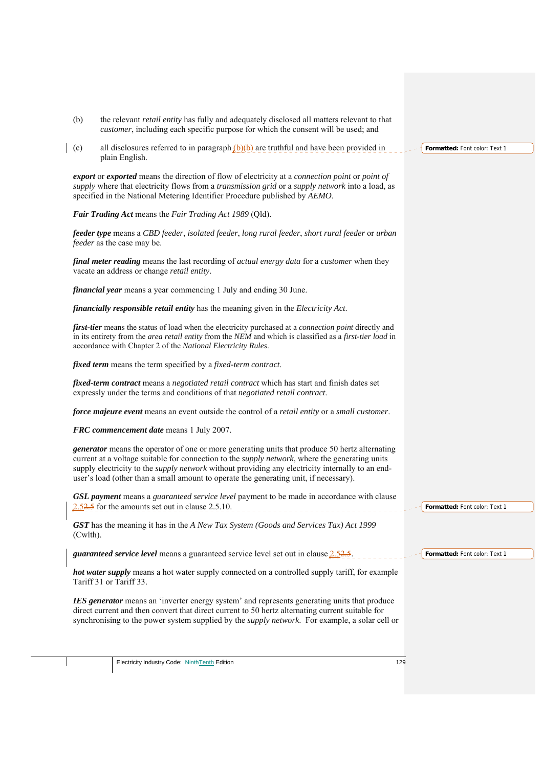| (b)         | the relevant <i>retail entity</i> has fully and adequately disclosed all matters relevant to that<br>customer, including each specific purpose for which the consent will be used; and                                                                                                                                                                                                                              |                               |
|-------------|---------------------------------------------------------------------------------------------------------------------------------------------------------------------------------------------------------------------------------------------------------------------------------------------------------------------------------------------------------------------------------------------------------------------|-------------------------------|
| (c)         | all disclosures referred to in paragraph $(b)(b)$ are truthful and have been provided in<br>plain English.                                                                                                                                                                                                                                                                                                          | Formatted: Font color: Text 1 |
|             | export or exported means the direction of flow of electricity at a connection point or point of<br>supply where that electricity flows from a transmission grid or a supply network into a load, as<br>specified in the National Metering Identifier Procedure published by AEMO.                                                                                                                                   |                               |
|             | Fair Trading Act means the Fair Trading Act 1989 (Qld).                                                                                                                                                                                                                                                                                                                                                             |                               |
|             | feeder type means a CBD feeder, isolated feeder, long rural feeder, short rural feeder or urban<br>feeder as the case may be.                                                                                                                                                                                                                                                                                       |                               |
|             | final meter reading means the last recording of actual energy data for a customer when they<br>vacate an address or change retail entity.                                                                                                                                                                                                                                                                           |                               |
|             | <i>financial year</i> means a year commencing 1 July and ending 30 June.                                                                                                                                                                                                                                                                                                                                            |                               |
|             | financially responsible retail entity has the meaning given in the Electricity Act.                                                                                                                                                                                                                                                                                                                                 |                               |
|             | first-tier means the status of load when the electricity purchased at a connection point directly and<br>in its entirety from the <i>area retail entity</i> from the NEM and which is classified as a <i>first-tier load</i> in<br>accordance with Chapter 2 of the National Electricity Rules.                                                                                                                     |                               |
|             | <i>fixed term</i> means the term specified by a <i>fixed-term contract</i> .                                                                                                                                                                                                                                                                                                                                        |                               |
|             | fixed-term contract means a negotiated retail contract which has start and finish dates set<br>expressly under the terms and conditions of that negotiated retail contract.                                                                                                                                                                                                                                         |                               |
|             | force majeure event means an event outside the control of a retail entity or a small customer.                                                                                                                                                                                                                                                                                                                      |                               |
|             | FRC commencement date means 1 July 2007.                                                                                                                                                                                                                                                                                                                                                                            |                               |
|             | <i>generator</i> means the operator of one or more generating units that produce 50 hertz alternating<br>current at a voltage suitable for connection to the <i>supply network</i> , where the generating units<br>supply electricity to the <i>supply network</i> without providing any electricity internally to an end-<br>user's load (other than a small amount to operate the generating unit, if necessary). |                               |
|             | <b>GSL payment</b> means a guaranteed service level payment to be made in accordance with clause<br>$2.52.5$ for the amounts set out in clause 2.5.10.                                                                                                                                                                                                                                                              | Formatted: Font color: Text 1 |
| $(Cwlth)$ . | GST has the meaning it has in the A New Tax System (Goods and Services Tax) Act 1999                                                                                                                                                                                                                                                                                                                                |                               |
|             | <i>guaranteed service level</i> means a guaranteed service level set out in clause $2.52.5$ .                                                                                                                                                                                                                                                                                                                       | Formatted: Font color: Text 1 |
|             | <b>hot water supply</b> means a hot water supply connected on a controlled supply tariff, for example<br>Tariff 31 or Tariff 33.                                                                                                                                                                                                                                                                                    |                               |
|             | <b>IES</b> generator means an 'inverter energy system' and represents generating units that produce<br>direct current and then convert that direct current to 50 hertz alternating current suitable for<br>synchronising to the power system supplied by the <i>supply network</i> . For example, a solar cell or                                                                                                   |                               |
|             |                                                                                                                                                                                                                                                                                                                                                                                                                     |                               |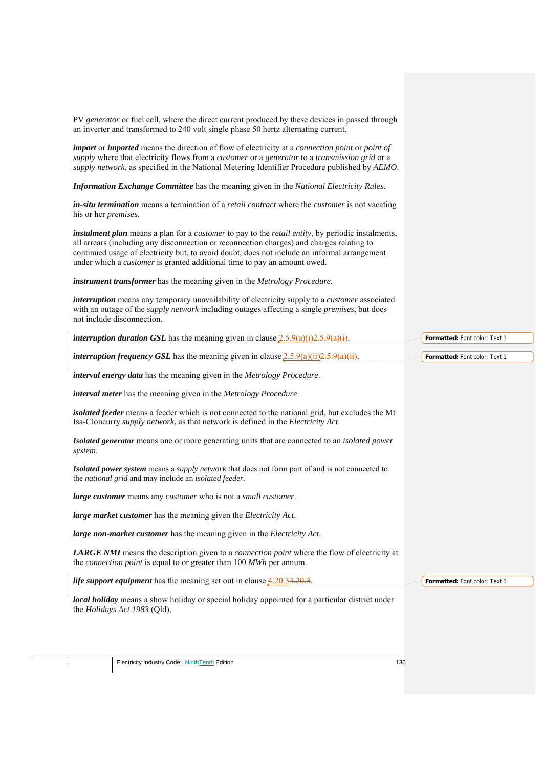|                              | PV generator or fuel cell, where the direct current produced by these devices in passed through<br>an inverter and transformed to 240 volt single phase 50 hertz alternating current.                                                                                                                                                                                                                   |                               |
|------------------------------|---------------------------------------------------------------------------------------------------------------------------------------------------------------------------------------------------------------------------------------------------------------------------------------------------------------------------------------------------------------------------------------------------------|-------------------------------|
|                              | <i>import</i> or <i>imported</i> means the direction of flow of electricity at a <i>connection point</i> or <i>point</i> of<br>supply where that electricity flows from a customer or a generator to a transmission grid or a<br>supply network, as specified in the National Metering Identifier Procedure published by AEMO.                                                                          |                               |
|                              | Information Exchange Committee has the meaning given in the National Electricity Rules.                                                                                                                                                                                                                                                                                                                 |                               |
| his or her <i>premises</i> . | <i>in-situ termination</i> means a termination of a <i>retail contract</i> where the <i>customer</i> is not vacating                                                                                                                                                                                                                                                                                    |                               |
|                              | <i>instalment plan</i> means a plan for a <i>customer</i> to pay to the <i>retail entity</i> , by periodic instalments,<br>all arrears (including any disconnection or reconnection charges) and charges relating to<br>continued usage of electricity but, to avoid doubt, does not include an informal arrangement<br>under which a <i>customer</i> is granted additional time to pay an amount owed. |                               |
|                              | instrument transformer has the meaning given in the Metrology Procedure.                                                                                                                                                                                                                                                                                                                                |                               |
|                              | <i>interruption</i> means any temporary unavailability of electricity supply to a <i>customer</i> associated<br>with an outage of the <i>supply network</i> including outages affecting a single <i>premises</i> , but does<br>not include disconnection.                                                                                                                                               |                               |
|                              | <i>interruption duration GSL</i> has the meaning given in clause $2.5.9(a)(i)2.5.9(a)(i)$ .                                                                                                                                                                                                                                                                                                             | Formatted: Font color: Text 1 |
|                              | <i>interruption frequency GSL</i> has the meaning given in clause $2.5.9(a)(ii)2.5.9(a)(ii)$ .                                                                                                                                                                                                                                                                                                          | Formatted: Font color: Text 1 |
|                              | interval energy data has the meaning given in the Metrology Procedure.                                                                                                                                                                                                                                                                                                                                  |                               |
|                              | <i>interval meter</i> has the meaning given in the Metrology Procedure.                                                                                                                                                                                                                                                                                                                                 |                               |
|                              | isolated feeder means a feeder which is not connected to the national grid, but excludes the Mt<br>Isa-Cloncurry supply network, as that network is defined in the Electricity Act.                                                                                                                                                                                                                     |                               |
| system.                      | Isolated generator means one or more generating units that are connected to an isolated power                                                                                                                                                                                                                                                                                                           |                               |
|                              | Isolated power system means a supply network that does not form part of and is not connected to<br>the <i>national grid</i> and may include an <i>isolated feeder</i> .                                                                                                                                                                                                                                 |                               |
|                              | large customer means any customer who is not a small customer.                                                                                                                                                                                                                                                                                                                                          |                               |
|                              | large market customer has the meaning given the Electricity Act.                                                                                                                                                                                                                                                                                                                                        |                               |
|                              | large non-market customer has the meaning given in the Electricity Act.                                                                                                                                                                                                                                                                                                                                 |                               |
|                              | <b>LARGE NMI</b> means the description given to a <i>connection point</i> where the flow of electricity at<br>the <i>connection point</i> is equal to or greater than 100 <i>MWh</i> per annum.                                                                                                                                                                                                         |                               |
|                              | <i>life support equipment</i> has the meaning set out in clause $4.20.34.20.3$ .                                                                                                                                                                                                                                                                                                                        | Formatted: Font color: Text 1 |
|                              | local holiday means a show holiday or special holiday appointed for a particular district under<br>the Holidays Act 1983 (Qld).                                                                                                                                                                                                                                                                         |                               |
|                              |                                                                                                                                                                                                                                                                                                                                                                                                         |                               |
|                              | Electricity Industry Code: NinthTenth Edition                                                                                                                                                                                                                                                                                                                                                           | 130                           |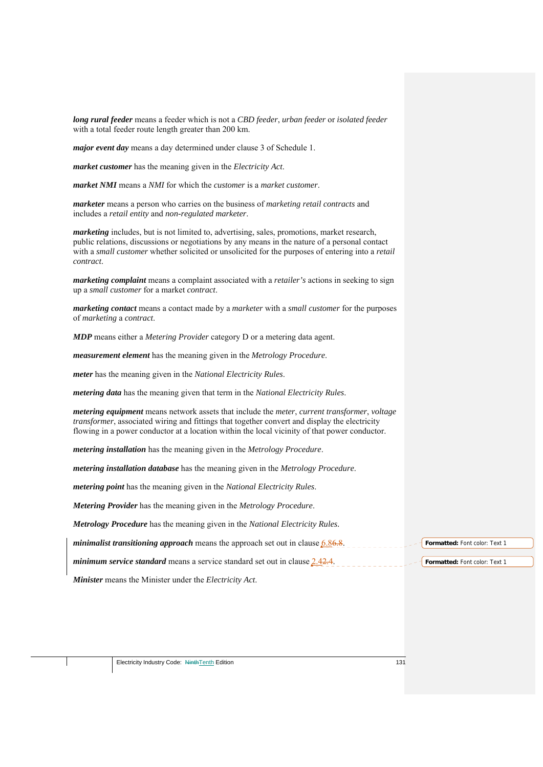*long rural feeder* means a feeder which is not a *CBD feeder*, *urban feeder* or *isolated feeder* with a total feeder route length greater than 200 km.

*major event day* means a day determined under clause 3 of Schedule 1.

*market customer* has the meaning given in the *Electricity Act*.

*market NMI* means a *NMI* for which the *customer* is a *market customer*.

*marketer* means a person who carries on the business of *marketing retail contracts* and includes a *retail entity* and *non-regulated marketer*.

*marketing* includes, but is not limited to, advertising, sales, promotions, market research, public relations, discussions or negotiations by any means in the nature of a personal contact with a *small customer* whether solicited or unsolicited for the purposes of entering into a *retail contract*.

*marketing complaint* means a complaint associated with a *retailer's* actions in seeking to sign up a *small customer* for a market *contract*.

*marketing contact* means a contact made by a *marketer* with a *small customer* for the purposes of *marketing* a *contract*.

*MDP* means either a *Metering Provider* category D or a metering data agent.

*measurement element* has the meaning given in the *Metrology Procedure*.

*meter* has the meaning given in the *National Electricity Rules*.

*metering data* has the meaning given that term in the *National Electricity Rules*.

*metering equipment* means network assets that include the *meter*, *current transformer*, *voltage transformer*, associated wiring and fittings that together convert and display the electricity flowing in a power conductor at a location within the local vicinity of that power conductor.

*metering installation* has the meaning given in the *Metrology Procedure*.

*metering installation database* has the meaning given in the *Metrology Procedure*.

*metering point* has the meaning given in the *National Electricity Rules*.

*Metering Provider* has the meaning given in the *Metrology Procedure*.

*Metrology Procedure* has the meaning given in the *National Electricity Rules.*

*minimalist transitioning approach* means the approach set out in clause 6.86.8.

*minimum service standard* means a service standard set out in clause 2.42.4.

*Minister* means the Minister under the *Electricity Act*.

**Formatted:** Font color: Text 1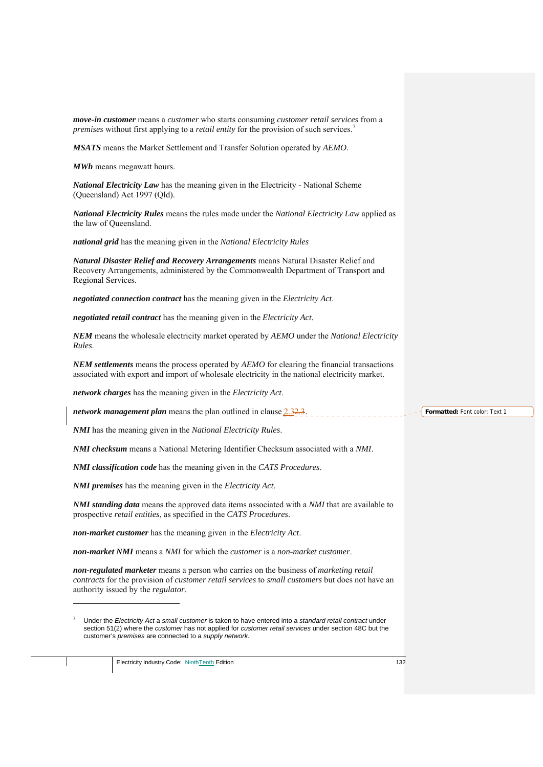| move-in customer means a customer who starts consuming customer retail services from a<br>premises without first applying to a retail entity for the provision of such services. <sup>7</sup>                                                                                                     |                               |
|---------------------------------------------------------------------------------------------------------------------------------------------------------------------------------------------------------------------------------------------------------------------------------------------------|-------------------------------|
| MSATS means the Market Settlement and Transfer Solution operated by AEMO.                                                                                                                                                                                                                         |                               |
| <b>MWh</b> means megawatt hours.                                                                                                                                                                                                                                                                  |                               |
| <b>National Electricity Law</b> has the meaning given in the Electricity - National Scheme<br>(Queensland) Act 1997 (Qld).                                                                                                                                                                        |                               |
| National Electricity Rules means the rules made under the National Electricity Law applied as<br>the law of Queensland.                                                                                                                                                                           |                               |
| national grid has the meaning given in the National Electricity Rules                                                                                                                                                                                                                             |                               |
| Natural Disaster Relief and Recovery Arrangements means Natural Disaster Relief and<br>Recovery Arrangements, administered by the Commonwealth Department of Transport and<br>Regional Services.                                                                                                  |                               |
| negotiated connection contract has the meaning given in the Electricity Act.                                                                                                                                                                                                                      |                               |
| negotiated retail contract has the meaning given in the Electricity Act.                                                                                                                                                                                                                          |                               |
| NEM means the wholesale electricity market operated by AEMO under the National Electricity<br>Rules.                                                                                                                                                                                              |                               |
| <b>NEM settlements</b> means the process operated by AEMO for clearing the financial transactions<br>associated with export and import of wholesale electricity in the national electricity market.                                                                                               |                               |
| network charges has the meaning given in the Electricity Act.                                                                                                                                                                                                                                     |                               |
| <i>network management plan</i> means the plan outlined in clause $2.32.3$ .                                                                                                                                                                                                                       | Formatted: Font color: Text 1 |
| <b>NMI</b> has the meaning given in the National Electricity Rules.                                                                                                                                                                                                                               |                               |
| <b>NMI checksum</b> means a National Metering Identifier Checksum associated with a NMI.                                                                                                                                                                                                          |                               |
| <b>NMI classification code</b> has the meaning given in the CATS Procedures.                                                                                                                                                                                                                      |                               |
| <b>NMI premises</b> has the meaning given in the <i>Electricity Act</i> .                                                                                                                                                                                                                         |                               |
| <b>NMI standing data</b> means the approved data items associated with a NMI that are available to<br>prospective retail entities, as specified in the CATS Procedures.                                                                                                                           |                               |
| non-market customer has the meaning given in the Electricity Act.                                                                                                                                                                                                                                 |                               |
| non-market NMI means a NMI for which the customer is a non-market customer.                                                                                                                                                                                                                       |                               |
| non-regulated marketer means a person who carries on the business of marketing retail<br>contracts for the provision of customer retail services to small customers but does not have an<br>authority issued by the <i>regulator</i> .                                                            |                               |
| 7<br>Under the Electricity Act a small customer is taken to have entered into a standard retail contract under<br>section 51(2) where the <i>customer</i> has not applied for <i>customer retail services</i> under section 48C but the<br>customer's premises are connected to a supply network. |                               |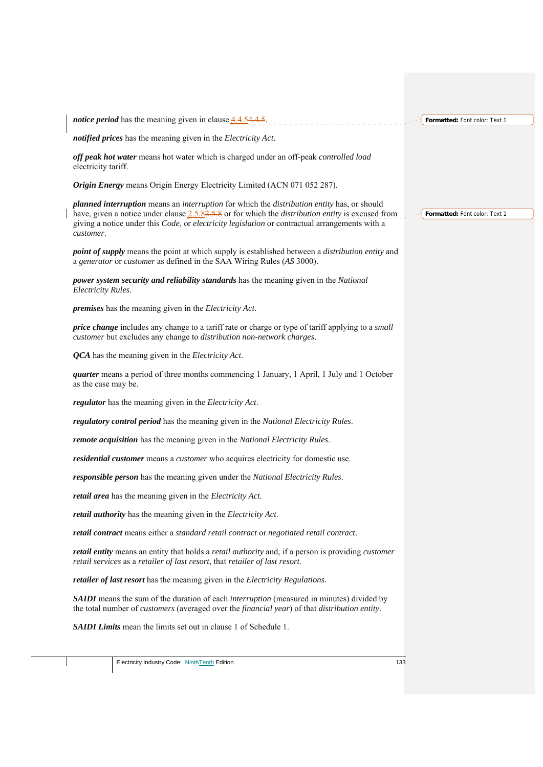| <i>notice period</i> has the meaning given in clause 4.4.54.4.5.                                                                                                                                                                                                                                                                        | Formatted: Font color: Text 1 |
|-----------------------------------------------------------------------------------------------------------------------------------------------------------------------------------------------------------------------------------------------------------------------------------------------------------------------------------------|-------------------------------|
| notified prices has the meaning given in the Electricity Act.                                                                                                                                                                                                                                                                           |                               |
| off peak hot water means hot water which is charged under an off-peak controlled load<br>electricity tariff.                                                                                                                                                                                                                            |                               |
| Origin Energy means Origin Energy Electricity Limited (ACN 071 052 287).                                                                                                                                                                                                                                                                |                               |
| planned interruption means an interruption for which the distribution entity has, or should<br>have, given a notice under clause $2.5.82.5.8$ or for which the <i>distribution entity</i> is excused from<br>giving a notice under this <i>Code</i> , or <i>electricity legislation</i> or contractual arrangements with a<br>customer. | Formatted: Font color: Text 1 |
| <i>point of supply</i> means the point at which supply is established between a <i>distribution entity</i> and<br>a generator or customer as defined in the SAA Wiring Rules (AS 3000).                                                                                                                                                 |                               |
| power system security and reliability standards has the meaning given in the National<br>Electricity Rules.                                                                                                                                                                                                                             |                               |
| <i>premises</i> has the meaning given in the <i>Electricity Act</i> .                                                                                                                                                                                                                                                                   |                               |
| <i>price change</i> includes any change to a tariff rate or charge or type of tariff applying to a <i>small</i><br>customer but excludes any change to distribution non-network charges.                                                                                                                                                |                               |
| <b>QCA</b> has the meaning given in the Electricity Act.                                                                                                                                                                                                                                                                                |                               |
| <i>quarter</i> means a period of three months commencing 1 January, 1 April, 1 July and 1 October<br>as the case may be.                                                                                                                                                                                                                |                               |
| regulator has the meaning given in the Electricity Act.                                                                                                                                                                                                                                                                                 |                               |
| regulatory control period has the meaning given in the National Electricity Rules.                                                                                                                                                                                                                                                      |                               |
| remote acquisition has the meaning given in the National Electricity Rules.                                                                                                                                                                                                                                                             |                               |
| residential customer means a customer who acquires electricity for domestic use.                                                                                                                                                                                                                                                        |                               |
| responsible person has the meaning given under the National Electricity Rules.                                                                                                                                                                                                                                                          |                               |
| retail area has the meaning given in the Electricity Act.                                                                                                                                                                                                                                                                               |                               |
| retail authority has the meaning given in the Electricity Act.                                                                                                                                                                                                                                                                          |                               |
| retail contract means either a standard retail contract or negotiated retail contract.                                                                                                                                                                                                                                                  |                               |
| <i>retail entity</i> means an entity that holds a <i>retail authority</i> and, if a person is providing <i>customer</i><br>retail services as a retailer of last resort, that retailer of last resort.                                                                                                                                  |                               |
| retailer of last resort has the meaning given in the Electricity Regulations.                                                                                                                                                                                                                                                           |                               |
| <b>SAIDI</b> means the sum of the duration of each <i>interruption</i> (measured in minutes) divided by<br>the total number of <i>customers</i> (averaged over the <i>financial year</i> ) of that <i>distribution entity</i> .                                                                                                         |                               |
| <b>SAIDI Limits</b> mean the limits set out in clause 1 of Schedule 1.                                                                                                                                                                                                                                                                  |                               |
|                                                                                                                                                                                                                                                                                                                                         |                               |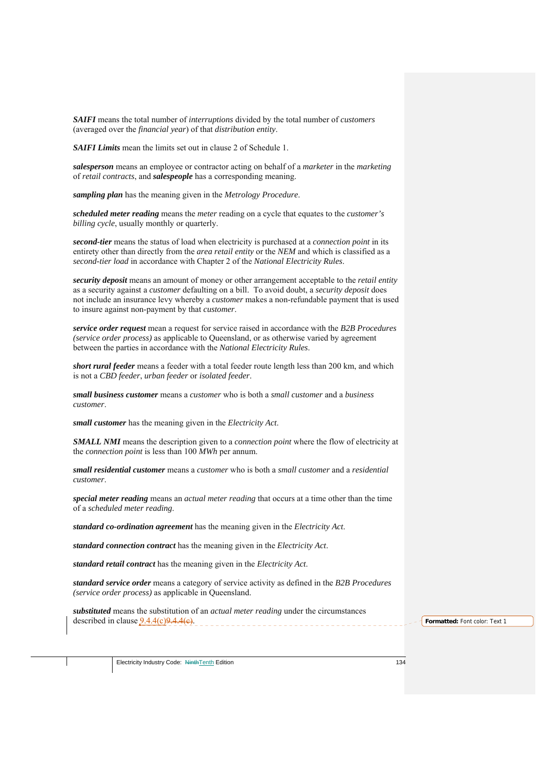*SAIFI* means the total number of *interruptions* divided by the total number of *customers* (averaged over the *financial year*) of that *distribution entity*.

*SAIFI Limits* mean the limits set out in clause 2 of Schedule 1.

*salesperson* means an employee or contractor acting on behalf of a *marketer* in the *marketing* of *retail contracts*, and *salespeople* has a corresponding meaning.

*sampling plan* has the meaning given in the *Metrology Procedure*.

*scheduled meter reading* means the *meter* reading on a cycle that equates to the *customer's billing cycle*, usually monthly or quarterly.

*second-tier* means the status of load when electricity is purchased at a *connection point* in its entirety other than directly from the *area retail entity* or the *NEM* and which is classified as a *second-tier load* in accordance with Chapter 2 of the *National Electricity Rules*.

*security deposit* means an amount of money or other arrangement acceptable to the *retail entity*  as a security against a *customer* defaulting on a bill. To avoid doubt, a *security deposit* does not include an insurance levy whereby a *customer* makes a non-refundable payment that is used to insure against non-payment by that *customer*.

*service order request* mean a request for service raised in accordance with the *B2B Procedures (service order process)* as applicable to Queensland, or as otherwise varied by agreement between the parties in accordance with the *National Electricity Rules*.

*short rural feeder* means a feeder with a total feeder route length less than 200 km, and which is not a *CBD feeder*, *urban feeder* or *isolated feeder*.

*small business customer* means a *customer* who is both a *small customer* and a *business customer*.

*small customer* has the meaning given in the *Electricity Act*.

*SMALL NMI* means the description given to a *connection point* where the flow of electricity at the *connection point* is less than 100 *MWh* per annum.

*small residential customer* means a *customer* who is both a *small customer* and a *residential customer*.

*special meter reading* means an *actual meter reading* that occurs at a time other than the time of a *scheduled meter reading*.

*standard co-ordination agreement* has the meaning given in the *Electricity Act*.

*standard connection contract* has the meaning given in the *Electricity Act*.

*standard retail contract* has the meaning given in the *Electricity Act*.

*standard service order* means a category of service activity as defined in the *B2B Procedures (service order process)* as applicable in Queensland.

*substituted* means the substitution of an *actual meter reading* under the circumstances described in clause 9.4.4(c)9.4.4(c). **Formatted:** Font color: Text 1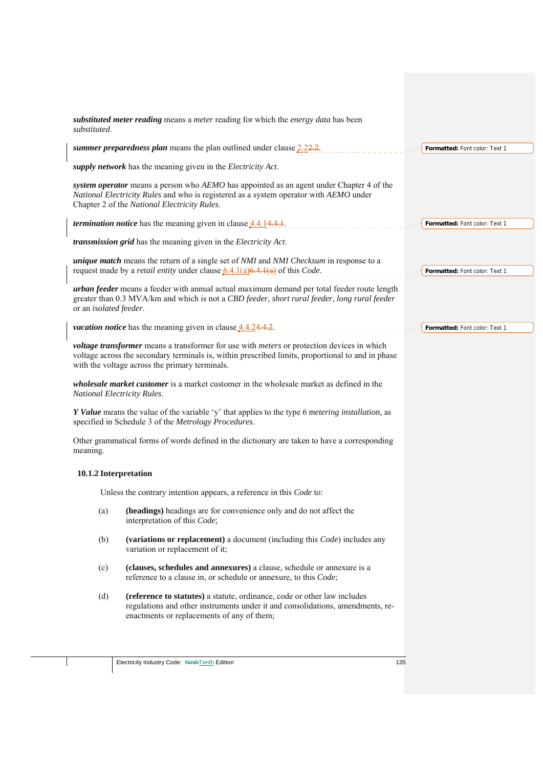| substituted.           | substituted meter reading means a meter reading for which the energy data has been                                                                                                                                                                                                                                                                   |                               |
|------------------------|------------------------------------------------------------------------------------------------------------------------------------------------------------------------------------------------------------------------------------------------------------------------------------------------------------------------------------------------------|-------------------------------|
|                        | summer preparedness plan means the plan outlined under clause $2.22.2$ .                                                                                                                                                                                                                                                                             | Formatted: Font color: Text 1 |
|                        | supply network has the meaning given in the Electricity Act.                                                                                                                                                                                                                                                                                         |                               |
|                        | system operator means a person who AEMO has appointed as an agent under Chapter 4 of the<br>National Electricity Rules and who is registered as a system operator with AEMO under<br>Chapter 2 of the National Electricity Rules.                                                                                                                    |                               |
|                        | <i>termination notice</i> has the meaning given in clause $4.4.14.4.1$ .                                                                                                                                                                                                                                                                             | Formatted: Font color: Text 1 |
|                        | transmission grid has the meaning given in the Electricity Act.                                                                                                                                                                                                                                                                                      |                               |
|                        | <i>unique match</i> means the return of a single set of <i>NMI</i> and <i>NMI</i> Checksum in response to a<br>request made by a <i>retail entity</i> under clause $6.4.1(a)6.4.1(a)$ of this <i>Code</i> .                                                                                                                                          | Formatted: Font color: Text 1 |
| or an isolated feeder. | urban feeder means a feeder with annual actual maximum demand per total feeder route length<br>greater than 0.3 MVA/km and which is not a CBD feeder, short rural feeder, long rural feeder                                                                                                                                                          |                               |
|                        | <i>vacation notice</i> has the meaning given in clause $4.4.24.4.2$ .                                                                                                                                                                                                                                                                                | Formatted: Font color: Text 1 |
|                        | voltage transformer means a transformer for use with meters or protection devices in which<br>voltage across the secondary terminals is, within prescribed limits, proportional to and in phase<br>with the voltage across the primary terminals.<br><i>wholesale market customer</i> is a market customer in the wholesale market as defined in the |                               |
|                        | National Electricity Rules.                                                                                                                                                                                                                                                                                                                          |                               |
|                        | Y Value means the value of the variable 'y' that applies to the type 6 metering installation, as<br>specified in Schedule 3 of the Metrology Procedures.                                                                                                                                                                                             |                               |
| meaning.               | Other grammatical forms of words defined in the dictionary are taken to have a corresponding                                                                                                                                                                                                                                                         |                               |
|                        | 10.1.2 Interpretation                                                                                                                                                                                                                                                                                                                                |                               |
|                        | Unless the contrary intention appears, a reference in this Code to:                                                                                                                                                                                                                                                                                  |                               |
| (a)                    | (headings) headings are for convenience only and do not affect the<br>interpretation of this Code;                                                                                                                                                                                                                                                   |                               |
| (b)                    | (variations or replacement) a document (including this <i>Code</i> ) includes any<br>variation or replacement of it;                                                                                                                                                                                                                                 |                               |
| (c)                    | (clauses, schedules and annexures) a clause, schedule or annexure is a<br>reference to a clause in, or schedule or annexure, to this Code;                                                                                                                                                                                                           |                               |
| (d)                    | (reference to statutes) a statute, ordinance, code or other law includes<br>regulations and other instruments under it and consolidations, amendments, re-<br>enactments or replacements of any of them;                                                                                                                                             |                               |
|                        |                                                                                                                                                                                                                                                                                                                                                      |                               |
|                        | Electricity Industry Code: NinthTenth Edition<br>135                                                                                                                                                                                                                                                                                                 |                               |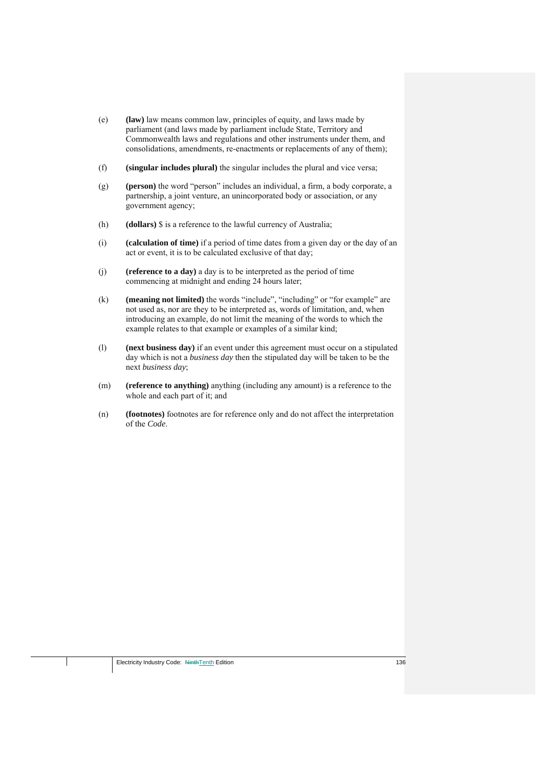- (e) **(law)** law means common law, principles of equity, and laws made by parliament (and laws made by parliament include State, Territory and Commonwealth laws and regulations and other instruments under them, and consolidations, amendments, re-enactments or replacements of any of them);
- (f) **(singular includes plural)** the singular includes the plural and vice versa;
- (g) **(person)** the word "person" includes an individual, a firm, a body corporate, a partnership, a joint venture, an unincorporated body or association, or any government agency;
- (h) **(dollars)** \$ is a reference to the lawful currency of Australia;
- (i) **(calculation of time)** if a period of time dates from a given day or the day of an act or event, it is to be calculated exclusive of that day;
- (j) **(reference to a day)** a day is to be interpreted as the period of time commencing at midnight and ending 24 hours later;
- (k) **(meaning not limited)** the words "include", "including" or "for example" are not used as, nor are they to be interpreted as, words of limitation, and, when introducing an example, do not limit the meaning of the words to which the example relates to that example or examples of a similar kind;
- (l) **(next business day)** if an event under this agreement must occur on a stipulated day which is not a *business day* then the stipulated day will be taken to be the next *business day*;
- (m) **(reference to anything)** anything (including any amount) is a reference to the whole and each part of it; and
- (n) **(footnotes)** footnotes are for reference only and do not affect the interpretation of the *Code*.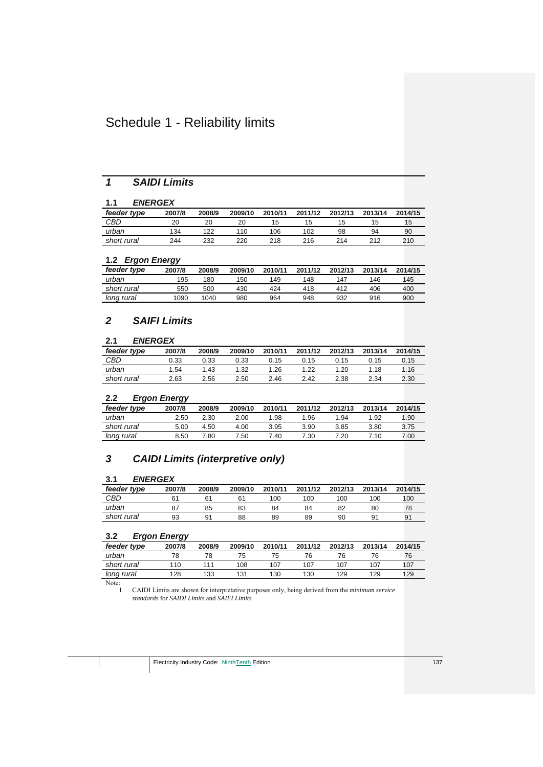# Schedule 1 - Reliability limits

# *1 SAIDI Limits*

# **1.1** *ENERGEX*

| feeder type | 2007/8 | 2008/9 | 2009/10 | 2010/11 | 2011/12 | 2012/13 | 2013/14 | 2014/15 |
|-------------|--------|--------|---------|---------|---------|---------|---------|---------|
| CBD         | 20     | 20     | 20      | 15      | כ ו     | 15      | 15      | 15      |
| urban       | 134    | 122    | 110     | 106     | 102     | 98      | 94      | 90      |
| short rural | 244    | 232    | 220     | 218     | 216     | 214     | 212     | 210     |

## **1.2** *Ergon Energy*

|             | --     |        |         |         |         |         |         |         |
|-------------|--------|--------|---------|---------|---------|---------|---------|---------|
| feeder type | 2007/8 | 2008/9 | 2009/10 | 2010/11 | 2011/12 | 2012/13 | 2013/14 | 2014/15 |
| urban       | 195    | 180    | 150     | 149     | 148     | 147     | 146     | 145     |
| short rural | 550    | 500    | 430     | 424     | 418     | 412     | 406     | 400     |
| long rural  | 1090   | 1040   | 980     | 964     | 948     | 932     | 916     | 900     |

# *2 SAIFI Limits*

## **2.1** *ENERGEX*

| feeder type | 2007/8 | 2008/9 | 2009/10 | 2010/11 | 2011/12   | 2012/13 | 2013/14 | 2014/15 |
|-------------|--------|--------|---------|---------|-----------|---------|---------|---------|
| CBD         | 0.33   | 0.33   | 0.33    | 0.15    | ิ<br>0.15 | 0.15    | 0.15    | 0.15    |
| urban       | 1.54   | 1.43   | 1.32    | 1.26    | 1.22      | .20     | 1.18    | i .16   |
| short rural | 2.63   | 2.56   | 2.50    | 2.46    | 2.42      | 2.38    | 2.34    | 2.30    |

# **2.2** *Ergon Energy*

|             | --     |        |         |         |         |         |         |         |
|-------------|--------|--------|---------|---------|---------|---------|---------|---------|
| feeder type | 2007/8 | 2008/9 | 2009/10 | 2010/11 | 2011/12 | 2012/13 | 2013/14 | 2014/15 |
| urban       | 2.50   | 2.30   | 2.00    | 1.98    | 1.96    | 1.94    | 1.92    | 1.90    |
| short rural | 5.00   | 4.50   | 4.00    | 3.95    | 3.90    | 3.85    | 3.80    | 3.75    |
| long rural  | 8.50   | 7.80   | 7.50    | 7.40    | 7.30    | 7.20    | 7.10    | 7.00    |

# *3 CAIDI Limits (interpretive only)*

## **3.1** *ENERGEX*

| feeder type | 2007/8 | 2008/9 | 2009/10 | 2010/11 | 2011/12 | 2012/13 | 2013/14 | 2014/15 |
|-------------|--------|--------|---------|---------|---------|---------|---------|---------|
| CBD         |        | 61     | 61      | 100     | 100     | 100     | 100     | 100     |
| urban       |        | 85     | 83      | 84      | 84      | 82      | 80      | 78      |
| short rural | 93     | 91     | 88      | 89      | 89      | 90      | 91      | 91      |

## **3.2** *Ergon Energy*

| feeder type | 2007/8 | 2008/9 | 2009/10 | 2010/11 | 2011/12 | 2012/13 | 2013/14 | 2014/15 |
|-------------|--------|--------|---------|---------|---------|---------|---------|---------|
| urban       | 78     | 78     |         | 75      | 76      | 76      | 76      | 76      |
| short rural | 110    | 111    | 108     | 107     | 107     | 107     | 107     | 107     |
| long rural  | 128    | 133    | 131     | 130     | 130     | 129     | 129     | 129     |
|             |        |        |         |         |         |         |         |         |

Note:<br>1

1 CAIDI Limits are shown for interpretative purposes only, being derived from the *minimum service standards* for *SAIDI Limits* and *SAIFI Limits*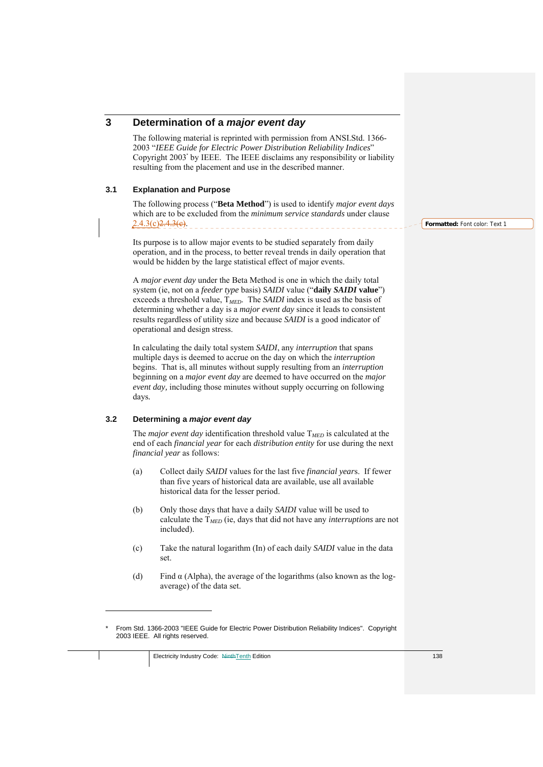# **3 Determination of a** *major event day*

The following material is reprinted with permission from ANSI.Std. 1366- 2003 "*IEEE Guide for Electric Power Distribution Reliability Indices*" Copyright 2003\* by IEEE. The IEEE disclaims any responsibility or liability resulting from the placement and use in the described manner.

#### **3.1 Explanation and Purpose**

The following process ("**Beta Method**") is used to identify *major event days*  which are to be excluded from the *minimum service standards* under clause 2.4.3(c)<del>2.4.3(c)</del>.

Its purpose is to allow major events to be studied separately from daily operation, and in the process, to better reveal trends in daily operation that would be hidden by the large statistical effect of major events.

A *major event day* under the Beta Method is one in which the daily total system (ie, not on a *feeder type* basis) *SAIDI* value ("**daily** *SAIDI* **value**") exceeds a threshold value, T*MED*. The *SAIDI* index is used as the basis of determining whether a day is a *major event day* since it leads to consistent results regardless of utility size and because *SAIDI* is a good indicator of operational and design stress.

In calculating the daily total system *SAIDI*, any *interruption* that spans multiple days is deemed to accrue on the day on which the *interruption* begins. That is, all minutes without supply resulting from an *interruption*  beginning on a *major event day* are deemed to have occurred on the *major event day,* including those minutes without supply occurring on following days*.*

#### **3.2 Determining a** *major event day*

1

The *major event day* identification threshold value T*MED* is calculated at the end of each *financial year* for each *distribution entity* for use during the next *financial year* as follows:

- (a) Collect daily *SAIDI* values for the last five *financial year*s. If fewer than five years of historical data are available, use all available historical data for the lesser period.
- (b) Only those days that have a daily *SAIDI* value will be used to calculate the T*MED* (ie, days that did not have any *interruptions* are not included).
- (c) Take the natural logarithm (In) of each daily *SAIDI* value in the data set.
- (d) Find  $\alpha$  (Alpha), the average of the logarithms (also known as the logaverage) of the data set.

From Std. 1366-2003 "IEEE Guide for Electric Power Distribution Reliability Indices". Copyright 2003 IEEE. All rights reserved.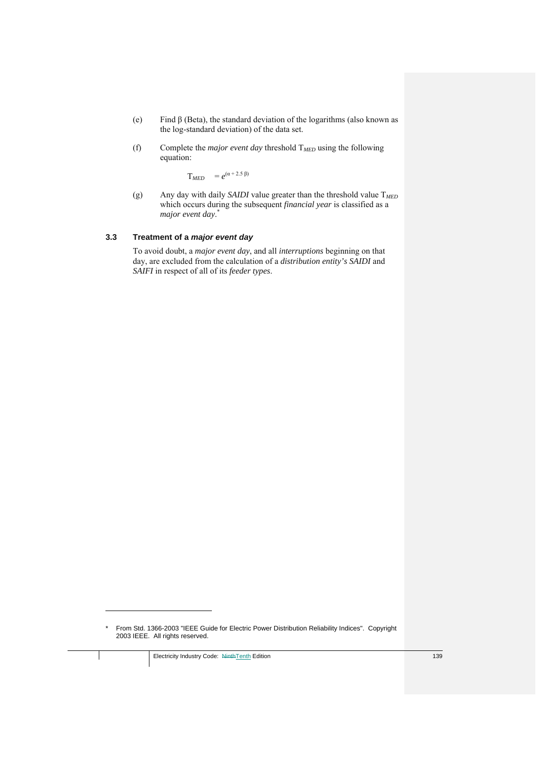- (e) Find β (Beta), the standard deviation of the logarithms (also known as the log-standard deviation) of the data set.
- (f) Complete the *major event day* threshold  $T_{MED}$  using the following equation:

 $T_{MED}$  =  $e^{(\alpha + 2.5 \beta)}$ 

(g) Any day with daily *SAIDI* value greater than the threshold value T*MED* which occurs during the subsequent *financial year* is classified as a *major event day*. \*

#### **3.3 Treatment of a** *major event day*

To avoid doubt, a *major event day*, and all *interruptions* beginning on that day, are excluded from the calculation of a *distribution entity's SAIDI* and *SAIFI* in respect of all of its *feeder types*.

1

<sup>\*</sup> From Std. 1366-2003 "IEEE Guide for Electric Power Distribution Reliability Indices". Copyright 2003 IEEE. All rights reserved.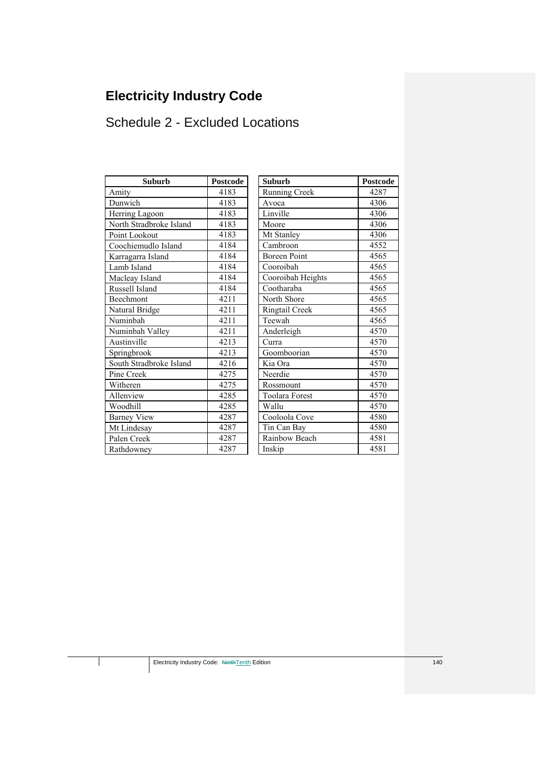# **Electricity Industry Code**

# Schedule 2 - Excluded Locations

| <b>Suburb</b>           | <b>Postcode</b> | <b>Suburb</b>         | Postcod |
|-------------------------|-----------------|-----------------------|---------|
| Amity                   | 4183            | <b>Running Creek</b>  | 4287    |
| Dunwich                 | 4183            | Avoca                 | 4306    |
| Herring Lagoon          | 4183            | Linville              | 4306    |
| North Stradbroke Island | 4183            | Moore                 | 4306    |
| Point Lookout           | 4183            | Mt Stanley            | 4306    |
| Coochiemudlo Island     | 4184            | Cambroon              | 4552    |
| Karragarra Island       | 4184            | <b>Boreen Point</b>   | 4565    |
| Lamb Island             | 4184            | Cooroibah             | 4565    |
| Macleay Island          | 4184            | Cooroibah Heights     | 4565    |
| Russell Island          | 4184            | Cootharaba            | 4565    |
| Beechmont               | 4211            | North Shore           | 4565    |
| Natural Bridge          | 4211            | Ringtail Creek        | 4565    |
| Numinbah                | 4211            | Teewah                | 4565    |
| Numinbah Valley         | 4211            | Anderleigh            | 4570    |
| Austinville             | 4213            | Curra                 | 4570    |
| Springbrook             | 4213            | Goomboorian           | 4570    |
| South Stradbroke Island | 4216            | Kia Ora               | 4570    |
| Pine Creek              | 4275            | Neerdie               | 4570    |
| Witheren                | 4275            | Rossmount             | 4570    |
| Allenview               | 4285            | <b>Toolara Forest</b> | 4570    |
| Woodhill                | 4285            | Wallu                 | 4570    |
| <b>Barney View</b>      | 4287            | Cooloola Cove         | 4580    |
| Mt Lindesay             | 4287            | Tin Can Bay           | 4580    |
| Palen Creek             | 4287            | Rainbow Beach         | 4581    |
| Rathdowney              | 4287            | Inskip                | 4581    |

| Suburb         | <b>Postcode</b> | <b>Suburb</b>         | <b>Postcode</b> |
|----------------|-----------------|-----------------------|-----------------|
|                | 4183            | Running Creek         | 4287            |
|                | 4183            | Avoca                 | 4306            |
| agoon          | 4183            | Linville              | 4306            |
| adbroke Island | 4183            | Moore                 | 4306            |
| kout           | 4183            | Mt Stanley            | 4306            |
| udlo Island    | 4184            | Cambroon              | 4552            |
| a Island       | 4184            | <b>Boreen Point</b>   | 4565            |
| nd             | 4184            | Cooroibah             | 4565            |
| sland          | 4184            | Cooroibah Heights     | 4565            |
| land           | 4184            | Cootharaba            | 4565            |
| ıt             | 4211            | North Shore           | 4565            |
| ridge          | 4211            | Ringtail Creek        | 4565            |
| Ĩ.             | 4211            | Teewah                | 4565            |
| 1 Valley       | 4211            | Anderleigh            | 4570            |
| e              | 4213            | Curra                 | 4570            |
| ok             | 4213            | Goomboorian           | 4570            |
| adbroke Island | 4216            | Kia Ora               | 4570            |
| $\mathbf k$    | 4275            | Neerdie               | 4570            |
|                | 4275            | Rossmount             | 4570            |
| T              | 4285            | <b>Toolara Forest</b> | 4570            |
|                | 4285            | Wallu                 | 4570            |
| iew            | 4287            | Cooloola Cove         | 4580            |
| say            | 4287            | Tin Can Bay           | 4580            |
| ek             | 4287            | Rainbow Beach         | 4581            |
| ev             | 4287            | Inskip                | 4581            |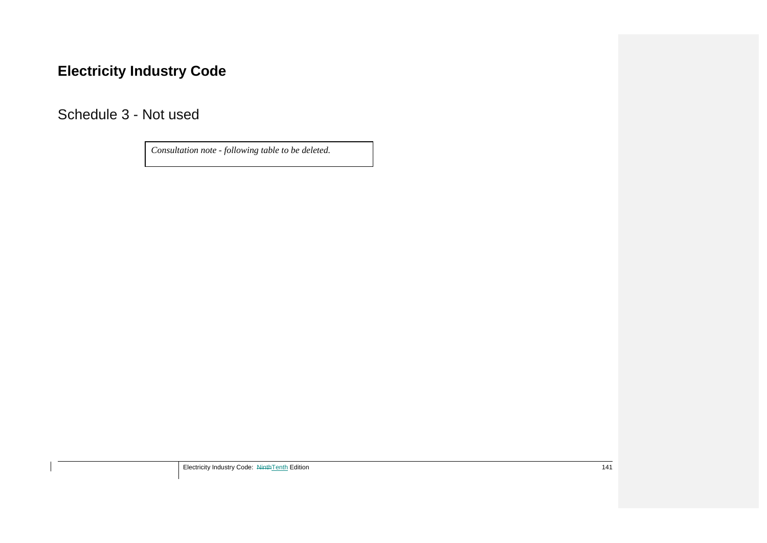# **Electricity Industry Code**

Schedule 3 - Not used

*Consultation note - following table to be deleted.*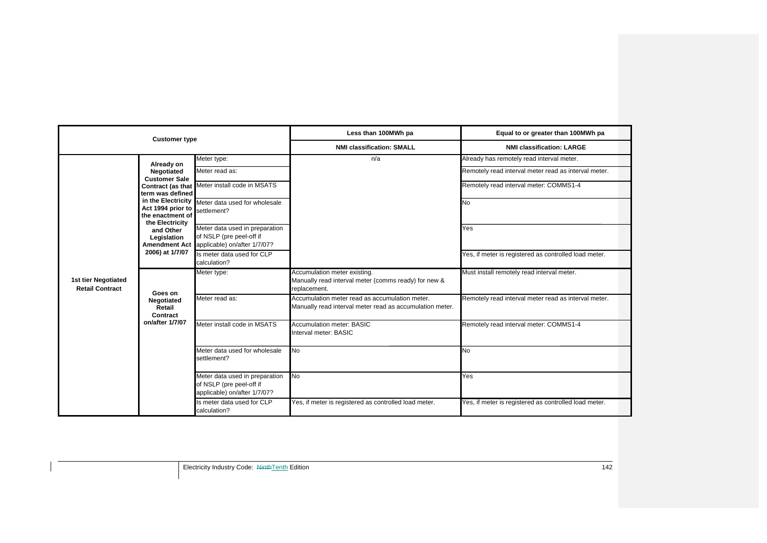| <b>Customer type</b>                          |                                                                                                                                                                                 |                                                                                                                                                                                                                                                                                             | Less than 100MWh pa                                                                                        | Equal to or greater than 100MWh pa                                                                                                                                                                                |  |
|-----------------------------------------------|---------------------------------------------------------------------------------------------------------------------------------------------------------------------------------|---------------------------------------------------------------------------------------------------------------------------------------------------------------------------------------------------------------------------------------------------------------------------------------------|------------------------------------------------------------------------------------------------------------|-------------------------------------------------------------------------------------------------------------------------------------------------------------------------------------------------------------------|--|
|                                               |                                                                                                                                                                                 |                                                                                                                                                                                                                                                                                             | <b>NMI classification: SMALL</b>                                                                           | <b>NMI classification: LARGE</b>                                                                                                                                                                                  |  |
| 1st tier Negotiated<br><b>Retail Contract</b> | Already on<br>Negotiated<br><b>Customer Sale</b><br>term was defined<br>Act 1994 prior to<br>the enactment of<br>the Electricity<br>and Other<br>Legislation<br>2006) at 1/7/07 | Meter type:<br>Meter read as:<br>Contract (as that Meter install code in MSATS<br>in the Electricity Meter data used for wholesale<br>settlement?<br>Meter data used in preparation<br>of NSLP (pre peel-off if<br>Amendment Act applicable) on/after 1/7/07?<br>Is meter data used for CLP | n/a                                                                                                        | Already has remotely read interval meter.<br>Remotely read interval meter read as interval meter.<br>Remotely read interval meter: COMMS1-4<br>No<br>Yes<br>Yes, if meter is registered as controlled load meter. |  |
|                                               | Goes on<br>Negotiated<br>Retail<br>Contract<br>on/after 1/7/07                                                                                                                  | calculation?<br>Meter type:                                                                                                                                                                                                                                                                 | Accumulation meter existing.<br>Manually read interval meter (comms ready) for new &<br>replacement.       | Must install remotely read interval meter.                                                                                                                                                                        |  |
|                                               |                                                                                                                                                                                 | Meter read as:                                                                                                                                                                                                                                                                              | Accumulation meter read as accumulation meter.<br>Manually read interval meter read as accumulation meter. | Remotely read interval meter read as interval meter.                                                                                                                                                              |  |
|                                               |                                                                                                                                                                                 | Meter install code in MSATS                                                                                                                                                                                                                                                                 | <b>Accumulation meter: BASIC</b><br>Interval meter: BASIC                                                  | Remotely read interval meter: COMMS1-4                                                                                                                                                                            |  |
|                                               |                                                                                                                                                                                 | Meter data used for wholesale<br>settlement?                                                                                                                                                                                                                                                | No                                                                                                         | <b>No</b>                                                                                                                                                                                                         |  |
|                                               |                                                                                                                                                                                 | Meter data used in preparation<br>of NSLP (pre peel-off if<br>applicable) on/after 1/7/07?                                                                                                                                                                                                  | <b>No</b>                                                                                                  | Yes                                                                                                                                                                                                               |  |
|                                               |                                                                                                                                                                                 | Is meter data used for CLP<br>calculation?                                                                                                                                                                                                                                                  | Yes, if meter is registered as controlled load meter.                                                      | Yes, if meter is registered as controlled load meter.                                                                                                                                                             |  |

Electricity Industry Code: NinthTenth Edition 142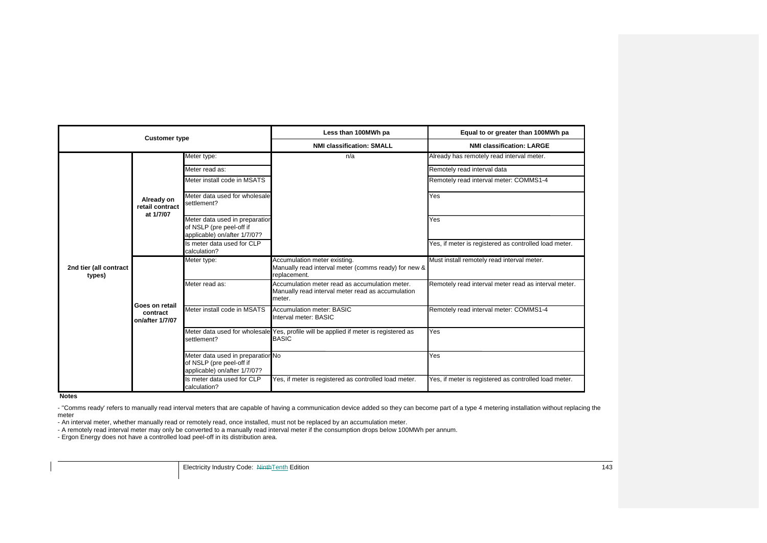| <b>Customer type</b>             |                                               |                                                                                               | Less than 100MWh pa                                                                                           | Equal to or greater than 100MWh pa                    |
|----------------------------------|-----------------------------------------------|-----------------------------------------------------------------------------------------------|---------------------------------------------------------------------------------------------------------------|-------------------------------------------------------|
|                                  |                                               |                                                                                               | <b>NMI classification: SMALL</b>                                                                              | <b>NMI classification: LARGE</b>                      |
| 2nd tier (all contract<br>types) | Already on<br>retail contract<br>at 1/7/07    | Meter type:                                                                                   | n/a                                                                                                           | Already has remotely read interval meter.             |
|                                  |                                               | Meter read as:                                                                                |                                                                                                               | Remotely read interval data                           |
|                                  |                                               | Meter install code in MSATS                                                                   |                                                                                                               | Remotely read interval meter: COMMS1-4                |
|                                  |                                               | Meter data used for wholesale<br>settlement?                                                  |                                                                                                               | Yes                                                   |
|                                  |                                               | Meter data used in preparation<br>of NSLP (pre peel-off if<br>applicable) on/after 1/7/07?    |                                                                                                               | Yes                                                   |
|                                  |                                               | Is meter data used for CLP<br>calculation?                                                    |                                                                                                               | Yes, if meter is registered as controlled load meter. |
|                                  | Goes on retail<br>contract<br>on/after 1/7/07 | Meter type:                                                                                   | Accumulation meter existing.<br>Manually read interval meter (comms ready) for new &<br>replacement.          | Must install remotely read interval meter.            |
|                                  |                                               | Meter read as:                                                                                | Accumulation meter read as accumulation meter.<br>Manually read interval meter read as accumulation<br>meter. | Remotely read interval meter read as interval meter.  |
|                                  |                                               | Meter install code in MSATS                                                                   | Accumulation meter: BASIC<br>Interval meter: BASIC                                                            | Remotely read interval meter: COMMS1-4                |
|                                  |                                               | settlement?                                                                                   | Meter data used for wholesale Yes, profile will be applied if meter is registered as<br><b>BASIC</b>          | Yes                                                   |
|                                  |                                               | Meter data used in preparation No<br>of NSLP (pre peel-off if<br>applicable) on/after 1/7/07? |                                                                                                               | Yes                                                   |
|                                  |                                               | Is meter data used for CLP<br>calculation?                                                    | Yes, if meter is registered as controlled load meter.                                                         | es, if meter is registered as controlled load meter.  |

**Notes**

- "Comms ready' refers to manually read interval meters that are capable of having a communication device added so they can become part of a type 4 metering installation without replacing the meter

- An interval meter, whether manually read or remotely read, once installed, must not be replaced by an accumulation meter.

- A remotely read interval meter may only be converted to a manually read interval meter if the consumption drops below 100MWh per annum.

- Ergon Energy does not have a controlled load peel-off in its distribution area.

**Electricity Industry Code:** NinthTenth Edition 143